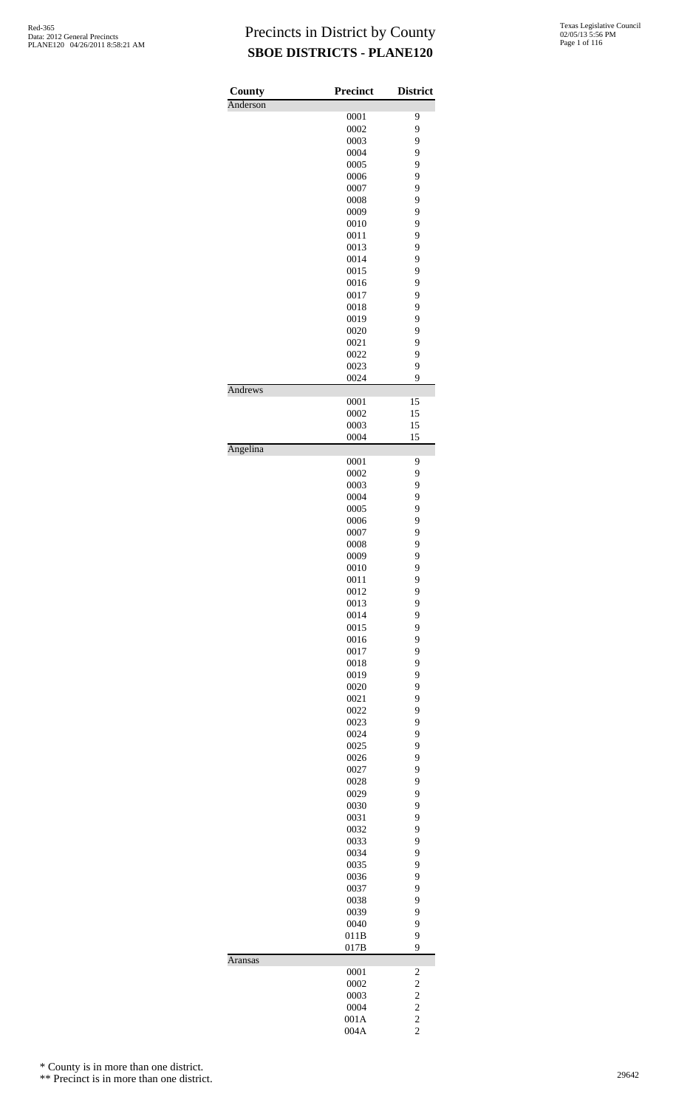| County<br>Anderson | <b>Precinct</b> | <b>District</b>         |
|--------------------|-----------------|-------------------------|
|                    | 0001            | 9                       |
|                    | 0002            | 9                       |
|                    | 0003            | 9                       |
|                    | 0004            | 9                       |
|                    | 0005            | 9                       |
|                    | 0006            | 9                       |
|                    | 0007            | 9                       |
|                    | 0008            | 9                       |
|                    | 0009            | 9                       |
|                    | 0010            | 9                       |
|                    | 0011            | 9                       |
|                    | 0013            | 9                       |
|                    | 0014            | 9                       |
|                    | 0015<br>0016    | 9<br>9                  |
|                    | 0017            | 9                       |
|                    | 0018            | 9                       |
|                    | 0019            | 9                       |
|                    | 0020            | 9                       |
|                    | 0021            | 9                       |
|                    | 0022            | 9                       |
|                    | 0023            | 9                       |
|                    | 0024            | 9                       |
| Andrews            |                 |                         |
|                    | 0001            | 15                      |
|                    | 0002            | 15                      |
|                    | 0003            | 15                      |
| Angelina           | 0004            | 15                      |
|                    | 0001            | 9                       |
|                    | 0002            | 9                       |
|                    | 0003            | 9                       |
|                    | 0004            | 9                       |
|                    | 0005            | 9                       |
|                    | 0006            | 9                       |
|                    | 0007            | 9                       |
|                    | 0008            | 9                       |
|                    | 0009            | 9                       |
|                    | 0010            | 9                       |
|                    | 0011            | 9                       |
|                    | 0012            | 9                       |
|                    | 0013            | 9                       |
|                    | 0014            | 9                       |
|                    | 0015            | 9                       |
|                    | 0016            | 9<br>9                  |
|                    | 0017<br>0018    | 9                       |
|                    | 0019            | 9                       |
|                    | 0020            | 9                       |
|                    | 0021            | 9                       |
|                    | 0022            | 9                       |
|                    | 0023            | 9                       |
|                    | 0024            | 9                       |
|                    | 0025            | 9                       |
|                    | 0026            | 9                       |
|                    | 0027            | 9                       |
|                    | 0028            | 9                       |
|                    | 0029            | 9                       |
|                    | 0030            | 9                       |
|                    | 0031            | 9                       |
|                    | 0032            | 9                       |
|                    | 0033            | 9                       |
|                    | 0034            | 9                       |
|                    | 0035            | 9                       |
|                    | 0036            | 9                       |
|                    | 0037            | 9                       |
|                    | 0038            | 9                       |
|                    | 0039<br>0040    | 9<br>9                  |
|                    | 011B            | 9                       |
|                    | 017B            | 9                       |
| Aransas            |                 |                         |
|                    | 0001            | $\overline{\mathbf{c}}$ |
|                    | 0002            | $\overline{\mathbf{c}}$ |
|                    | 0003            | $\overline{c}$          |
|                    | 0004            | $\overline{c}$          |
|                    | 001A            | $\overline{c}$          |
|                    | 004A            | $\overline{c}$          |

\* County is in more than one district.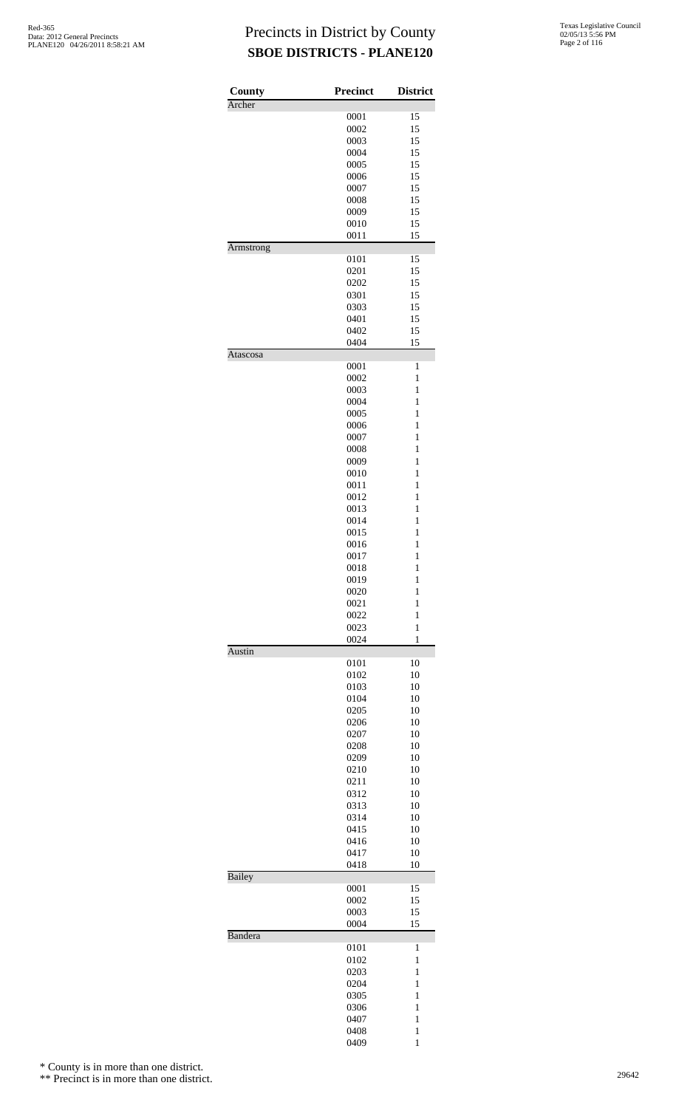| Archer        | <b>Precinct</b> | <b>District</b>   |
|---------------|-----------------|-------------------|
|               |                 |                   |
|               | 0001            | 15                |
|               | 0002            | 15                |
|               | 0003<br>0004    | 15<br>15          |
|               | 0005            | 15                |
|               | 0006            | 15                |
|               | 0007            | 15                |
|               | 0008            | 15                |
|               | 0009            | 15                |
|               | 0010            | 15                |
|               | 0011            | 15                |
| Armstrong     |                 |                   |
|               | 0101            | 15                |
|               | 0201            | 15                |
|               | 0202            | 15                |
|               | 0301            | 15                |
|               | 0303            | 15                |
|               | 0401            | 15                |
|               | 0402            | 15                |
| Atascosa      | 0404            | 15                |
|               | 0001            | 1                 |
|               | 0002            | $\mathbf{1}$      |
|               | 0003            | $\mathbf{1}$      |
|               | 0004            | $\mathbf{1}$      |
|               | 0005            | $\mathbf{1}$      |
|               | 0006            | 1                 |
|               | 0007            | $\mathbf{1}$      |
|               | 0008            | $\mathbf{1}$      |
|               | 0009            | $\mathbf{1}$      |
|               | 0010            | $\mathbf{1}$      |
|               | 0011            | 1                 |
|               | 0012            | $\mathbf{1}$      |
|               | 0013            | $\mathbf{1}$      |
|               | 0014            | $\mathbf{1}$      |
|               | 0015            | $\mathbf{1}$      |
|               | 0016            | $\mathbf{1}$      |
|               | 0017            | $\mathbf{1}$      |
|               | 0018            | $\mathbf{1}$      |
|               | 0019            | $\mathbf{1}$      |
|               | 0020            | $\mathbf{1}$      |
|               | 0021            | 1<br>$\mathbf{1}$ |
|               | 0022<br>0023    | $\mathbf{1}$      |
|               | 0024            | 1                 |
| Austin        |                 |                   |
|               | 0101            | 10                |
|               | 0102            | 10                |
|               | 0103            | 10                |
|               | 0104            | 10                |
|               | 0205            | 10                |
|               | 0206            | 10                |
|               | 0207            | 10                |
|               |                 |                   |
|               | 0208            | 10                |
|               | 0209            | 10                |
|               | 0210            | 10                |
|               | 0211            | 10                |
|               | 0312            | 10                |
|               | 0313            | 10                |
|               | 0314            | 10                |
|               | 0415            | 10                |
|               | 0416            | 10                |
|               | 0417            | 10                |
|               | 0418            | 10                |
| <b>Bailey</b> | 0001            | 15                |
|               | 0002            | 15                |
|               | 0003            | 15                |
|               | 0004            | 15                |
| Bandera       |                 |                   |
|               | 0101            | 1                 |
|               | 0102            | 1                 |
|               | 0203            | $\mathbf{1}$      |
|               | 0204            | $\mathbf{1}$      |
|               | 0305            | $\mathbf{1}$      |
|               | 0306            | 1                 |
|               | 0407<br>0408    | 1<br>$\mathbf{1}$ |

\* County is in more than one district.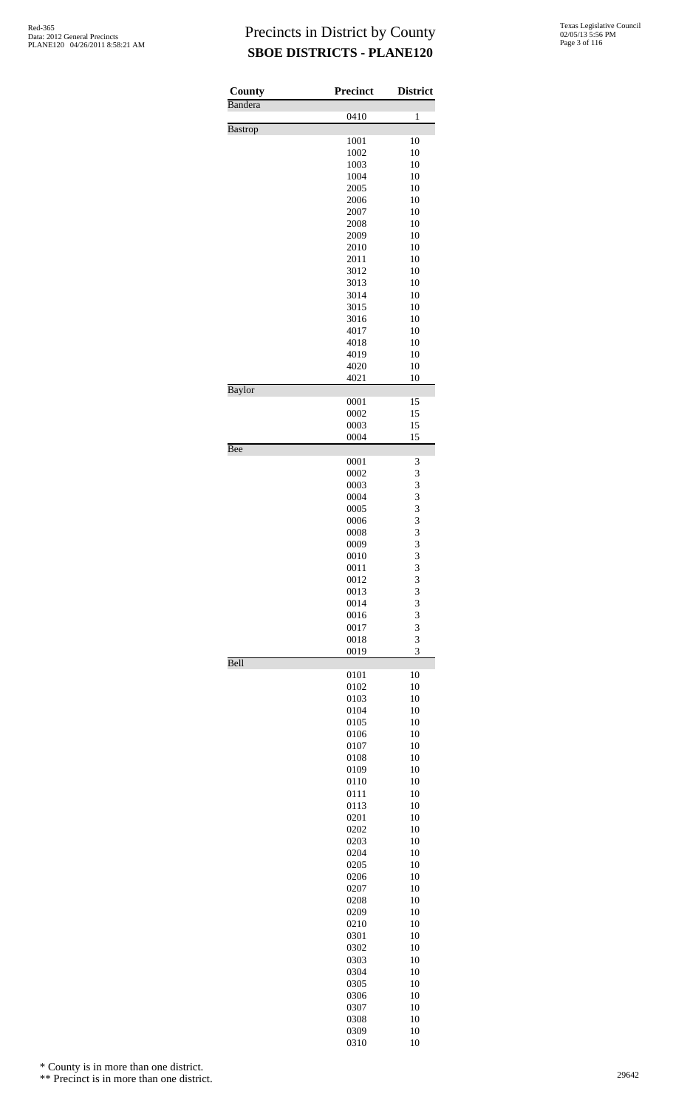| County         | Precinct     | <b>District</b> |
|----------------|--------------|-----------------|
| Bandera        |              |                 |
| <b>Bastrop</b> | 0410         | 1               |
|                | 1001         | 10              |
|                | 1002         | 10              |
|                | 1003         | 10              |
|                | 1004<br>2005 | 10<br>10        |
|                | 2006         | 10              |
|                | 2007         | 10              |
|                | 2008         | 10              |
|                | 2009<br>2010 | 10<br>10        |
|                | 2011         | 10              |
|                | 3012         | 10              |
|                | 3013         | 10              |
|                | 3014         | 10              |
|                | 3015<br>3016 | 10<br>10        |
|                | 4017         | 10              |
|                | 4018         | 10              |
|                | 4019         | 10              |
|                | 4020         | 10              |
| Baylor         | 4021         | 10              |
|                | 0001         | 15              |
|                | 0002         | 15              |
|                | 0003         | 15              |
| Bee            | 0004         | 15              |
|                | 0001         | 3               |
|                | 0002         | 3               |
|                | 0003         | 3               |
|                | 0004         | 3<br>3          |
|                | 0005<br>0006 | 3               |
|                | 0008         | 3               |
|                | 0009         | 3               |
|                | 0010         | 3               |
|                | 0011<br>0012 | 3               |
|                | 0013         | 3<br>3          |
|                | 0014         | 3               |
|                | 0016         | 3               |
|                | 0017         | 3               |
|                | 0018<br>0019 | 3<br>3          |
| Bell           |              |                 |
|                | 0101         | 10              |
|                | 0102<br>0103 | 10              |
|                | 0104         | 10<br>10        |
|                | 0105         | 10              |
|                | 0106         | 10              |
|                | 0107         | 10              |
|                | 0108<br>0109 | 10<br>10        |
|                | 0110         | 10              |
|                | 0111         | 10              |
|                | 0113         | 10              |
|                | 0201         | 10              |
|                | 0202<br>0203 | 10<br>10        |
|                | 0204         | 10              |
|                | 0205         | 10              |
|                | 0206         | 10              |
|                | 0207<br>0208 | 10<br>10        |
|                | 0209         | 10              |
|                | 0210         | 10              |
|                | 0301         | 10              |
|                | 0302         | 10              |
|                | 0303<br>0304 | 10<br>10        |
|                | 0305         | 10              |
|                | 0306         | 10              |
|                | 0307         | 10              |
|                | 0308         | 10              |
|                | 0309<br>0310 | 10<br>10        |

\* County is in more than one district.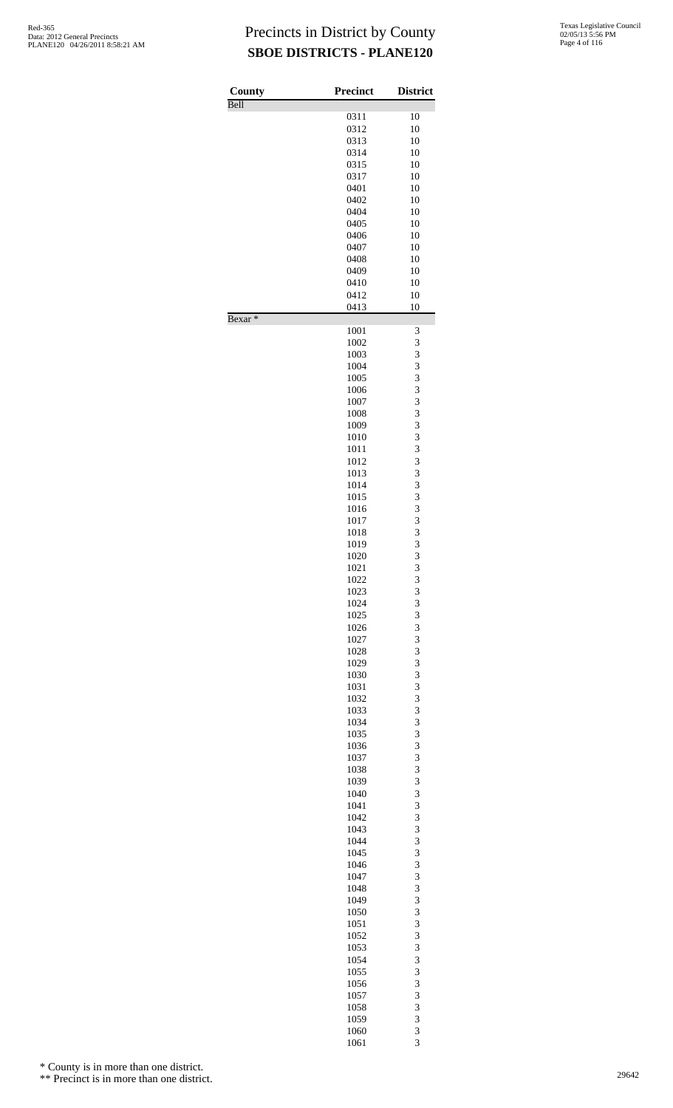| County             | <b>Precinct</b> | <b>District</b> |
|--------------------|-----------------|-----------------|
| Bell               | 0311            | 10              |
|                    | 0312            | 10              |
|                    | 0313            | 10              |
|                    | 0314            | 10              |
|                    | 0315            | 10              |
|                    | 0317            | 10              |
|                    | 0401            | 10              |
|                    | 0402            | 10              |
|                    | 0404            | 10              |
|                    | 0405            | 10              |
|                    | 0406            | 10              |
|                    | 0407<br>0408    | 10<br>10        |
|                    | 0409            | 10              |
|                    | 0410            | 10              |
|                    | 0412            | 10              |
|                    | 0413            | 10              |
| Bexar <sup>*</sup> | 1001            | 3               |
|                    | 1002            | 3               |
|                    | 1003            | 3               |
|                    | 1004            | 3               |
|                    | 1005            | 3               |
|                    | 1006            | 3               |
|                    | 1007            | 3               |
|                    | 1008            | 3<br>3          |
|                    | 1009<br>1010    | 3               |
|                    | 1011            | 3               |
|                    | 1012            | 3               |
|                    | 1013            | 3               |
|                    | 1014            | 3               |
|                    | 1015            | 3               |
|                    | 1016            | 3               |
|                    | 1017            | 3               |
|                    | 1018            | 3               |
|                    | 1019            | 3               |
|                    | 1020            | 3               |
|                    | 1021            | $\overline{3}$  |
|                    | 1022            | 3               |
|                    | 1023<br>1024    | 3<br>3          |
|                    | 1025            | 3               |
|                    | 1026            | 3               |
|                    | 1027            | 3               |
|                    | 1028            | 3               |
|                    | 1029            | 3               |
|                    | 1030            | 3               |
|                    | 1031            | 3               |
|                    | 1032            | 3               |
|                    | 1033            | 3               |
|                    | 1034            | 3               |
|                    | 1035            | 3               |
|                    | 1036            | 3               |
|                    | 1037            | 3               |
|                    | 1038            | 3               |
|                    | 1039            | 3               |
|                    | 1040<br>1041    | 3<br>3          |
|                    | 1042            | 3               |
|                    | 1043            | 3               |
|                    | 1044            | 3               |
|                    | 1045            | 3               |
|                    | 1046            | 3               |
|                    | 1047            | 3               |
|                    | 1048            | 3               |
|                    | 1049            | 3               |
|                    | 1050            | 3               |
|                    | 1051            | 3               |
|                    | 1052            | 3               |
|                    | 1053            | 3               |
|                    | 1054            | 3               |
|                    | 1055            | 3               |
|                    | 1056            | 3               |
|                    | 1057            | 3               |
|                    | 1058<br>1059    | 3<br>3          |
|                    | 1060            | 3               |
|                    | 1061            | 3               |

\* County is in more than one district.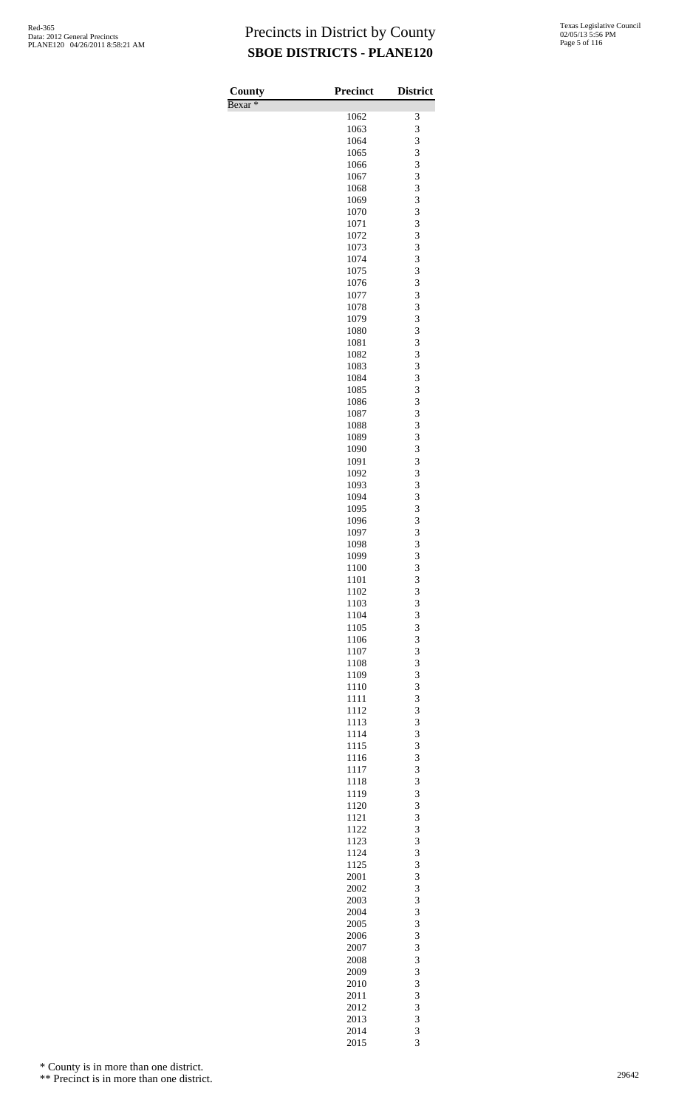| County             | <b>Precinct</b> | <b>District</b>         |
|--------------------|-----------------|-------------------------|
| Bexar <sup>*</sup> |                 |                         |
|                    | 1062            | 3                       |
|                    | 1063            | 3                       |
|                    | 1064            | 3<br>3                  |
|                    | 1065<br>1066    | 3                       |
|                    | 1067            | 3                       |
|                    | 1068            | 3                       |
|                    | 1069            | 3                       |
|                    | 1070            | 3                       |
|                    | 1071            | 3                       |
|                    | 1072<br>1073    | 3<br>3                  |
|                    | 1074            | 3                       |
|                    | 1075            | 3                       |
|                    | 1076            | 3                       |
|                    | 1077            | 3                       |
|                    | 1078            | 3                       |
|                    | 1079<br>1080    | 3<br>3                  |
|                    | 1081            | 3                       |
|                    | 1082            | 3                       |
|                    | 1083            | 3                       |
|                    | 1084            | 3                       |
|                    | 1085            | 3                       |
|                    | 1086<br>1087    | 3<br>3                  |
|                    | 1088            | 3                       |
|                    | 1089            | 3                       |
|                    | 1090            | 3                       |
|                    | 1091            | 3                       |
|                    | 1092            | 3                       |
|                    | 1093            | 3                       |
|                    | 1094<br>1095    | 3<br>3                  |
|                    | 1096            | 3                       |
|                    | 1097            | 3                       |
|                    | 1098            | 3                       |
|                    | 1099            | 3                       |
|                    | 1100            | $\overline{\mathbf{3}}$ |
|                    | 1101<br>1102    | 3<br>3                  |
|                    | 1103            | 3                       |
|                    | 1104            | 3                       |
|                    | 1105            | 3                       |
|                    | 1106            | 3                       |
|                    | 1107            | 3                       |
|                    | 1108<br>1109    | 3<br>3                  |
|                    | 1110            | 3                       |
|                    | 1111            | 3                       |
|                    | 1112            | 3                       |
|                    | 1113            | 3                       |
|                    | 1114            | 3                       |
|                    | 1115<br>1116    | 3<br>3                  |
|                    | 1117            | 3                       |
|                    | 1118            | 3                       |
|                    | 1119            | 3                       |
|                    | 1120            | 3                       |
|                    | 1121            | 3                       |
|                    | 1122<br>1123    | 3<br>3                  |
|                    | 1124            | 3                       |
|                    | 1125            | 3                       |
|                    | 2001            | 3                       |
|                    | 2002            | 3                       |
|                    | 2003            | 3                       |
|                    | 2004<br>2005    | 3<br>3                  |
|                    | 2006            | 3                       |
|                    | 2007            | 3                       |
|                    | 2008            | 3                       |
|                    | 2009            | $\overline{\mathbf{3}}$ |
|                    | 2010            | 3                       |
|                    | 2011<br>2012    | 3<br>3                  |
|                    | 2013            | 3                       |
|                    | 2014            | $\overline{\mathbf{3}}$ |
|                    | 2015            | 3                       |

\* County is in more than one district.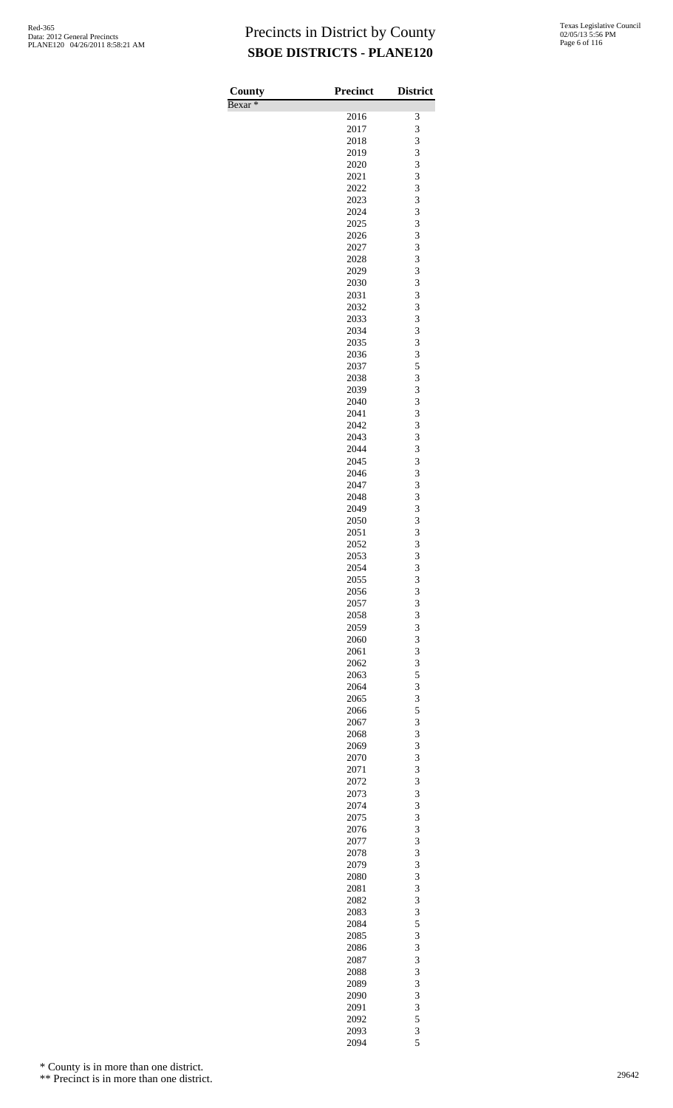| <b>County</b>      | Precinct     | <b>District</b> |
|--------------------|--------------|-----------------|
| Bexar <sup>*</sup> |              |                 |
|                    | 2016         | 3               |
|                    | 2017         | 3               |
|                    | 2018         | 3               |
|                    | 2019<br>2020 | 3<br>3          |
|                    | 2021         | 3               |
|                    | 2022         | 3               |
|                    | 2023         | 3               |
|                    | 2024         | 3               |
|                    | 2025         | 3               |
|                    | 2026         | 3               |
|                    | 2027         | 3               |
|                    | 2028<br>2029 | 3<br>3          |
|                    | 2030         | 3               |
|                    | 2031         | 3               |
|                    | 2032         | 3               |
|                    | 2033         | 3               |
|                    | 2034         | 3               |
|                    | 2035         | 3               |
|                    | 2036         | 3<br>5          |
|                    | 2037<br>2038 | 3               |
|                    | 2039         | 3               |
|                    | 2040         | 3               |
|                    | 2041         | 3               |
|                    | 2042         | 3               |
|                    | 2043         | 3               |
|                    | 2044         | 3               |
|                    | 2045<br>2046 | 3<br>3          |
|                    | 2047         | 3               |
|                    | 2048         | 3               |
|                    | 2049         | 3               |
|                    | 2050         | 3               |
|                    | 2051         | 3               |
|                    | 2052         | 3               |
|                    | 2053         | 3               |
|                    | 2054         | 3               |
|                    | 2055<br>2056 | 3<br>3          |
|                    | 2057         | 3               |
|                    | 2058         | 3               |
|                    | 2059         | 3               |
|                    | 2060         | 3               |
|                    | 2061         | 3               |
|                    | 2062         | 3               |
|                    | 2063         | 5<br>3          |
|                    | 2064<br>2065 | 3               |
|                    | 2066         | 5               |
|                    | 2067         | 3               |
|                    | 2068         | 3               |
|                    | 2069         | 3               |
|                    | 2070         | 3               |
|                    | 2071         | 3               |
|                    | 2072         | 3               |
|                    | 2073<br>2074 | 3<br>3          |
|                    | 2075         | 3               |
|                    | 2076         | 3               |
|                    | 2077         | 3               |
|                    | 2078         | 3               |
|                    | 2079         | 3               |
|                    | 2080         | 3               |
|                    | 2081         | 3               |
|                    | 2082<br>2083 | 3<br>3          |
|                    | 2084         | 5               |
|                    | 2085         | 3               |
|                    | 2086         | 3               |
|                    | 2087         | 3               |
|                    | 2088         | 3               |
|                    | 2089         | 3               |
|                    | 2090         | 3               |
|                    | 2091<br>2092 | 3<br>5          |
|                    | 2093         | 3               |
|                    | 2094         | 5               |

\* County is in more than one district.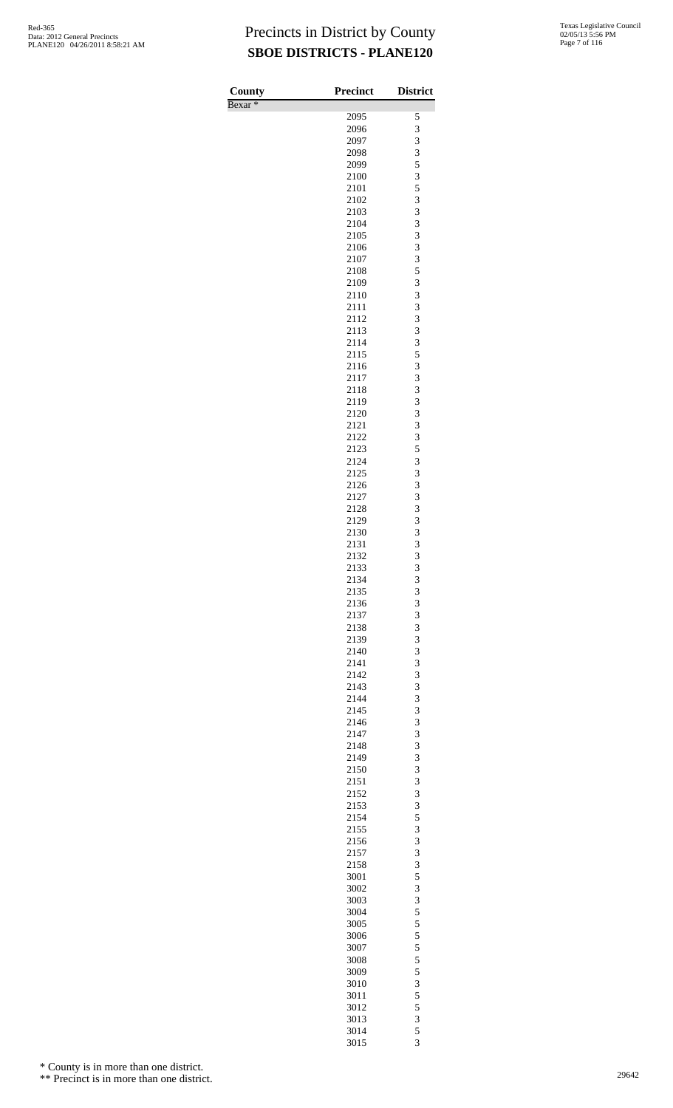Bexar \*

| County    | <b>Precinct</b> | <b>District</b>                            |
|-----------|-----------------|--------------------------------------------|
| $Bexar *$ |                 |                                            |
|           | 2095            | 5                                          |
|           | 2096            | 3                                          |
|           | 2097            | $\frac{3}{3}$                              |
|           | 2098            |                                            |
|           | 2099            | 5                                          |
|           | 2100            | 3                                          |
|           | 2101            | 5                                          |
|           | 2102<br>2103    | $\frac{3}{3}$                              |
|           | 2104            | 3                                          |
|           | 2105            | 3                                          |
|           | 2106            | 3                                          |
|           | 2107            | 3                                          |
|           | 2108            | 5                                          |
|           | 2109            | 3                                          |
|           | 2110            | 3                                          |
|           | 2111            | 3                                          |
|           | 2112            |                                            |
|           | 2113            | $\frac{3}{3}$                              |
|           | 2114            | 3                                          |
|           | 2115            | 5                                          |
|           | 2116            | 3                                          |
|           | 2117            |                                            |
|           | 2118            | $\frac{3}{3}$                              |
|           | 2119            | 3                                          |
|           | 2120            | 3                                          |
|           | 2121            | 3                                          |
|           | 2122            | 3                                          |
|           | 2123            | 5                                          |
|           | 2124            | 3                                          |
|           | 2125            | 3                                          |
|           | 2126            | 3                                          |
|           | 2127            | 3                                          |
|           | 2128            | 3                                          |
|           | 2129            | 3                                          |
|           | 2130            | 3                                          |
|           | 2131            | $\overline{3}$                             |
|           | 2132<br>2133    | $\overline{3}$<br>3                        |
|           | 2134            | 3                                          |
|           | 2135            | 3                                          |
|           | 2136            | 3                                          |
|           | 2137            |                                            |
|           | 2138            | $\frac{3}{3}$                              |
|           | 2139            | 3                                          |
|           | 2140            | 3                                          |
|           | 2141            | 3                                          |
|           | 2142            |                                            |
|           | 2143            | $\frac{3}{3}$                              |
|           | 2144            | 3                                          |
|           | 2145            | 3                                          |
|           | 2146            | 3                                          |
|           | 2147            | $\frac{3}{3}$                              |
|           | 2148            |                                            |
|           | 2149            | 3                                          |
|           | 2150            | 3                                          |
|           | 2151            | 3                                          |
|           | 2152            | $\frac{3}{3}$                              |
|           | 2153            |                                            |
|           | 2154            | 5                                          |
|           | 2155<br>2156    | 3<br>3                                     |
|           | 2157            |                                            |
|           | 2158            | $\frac{3}{3}$                              |
|           | 3001            | 5                                          |
|           | 3002            | 3                                          |
|           | 3003            | 3                                          |
|           | 3004            |                                            |
|           | 3005            |                                            |
|           | 3006            | $\begin{array}{c} 5 \\ 5 \\ 5 \end{array}$ |
|           | 3007            | $\frac{5}{5}$                              |
|           | 3008            |                                            |
|           | 3009            | $\frac{5}{3}$                              |
|           | 3010            |                                            |
|           | 3011            | $\overline{5}$                             |
|           | 3012            | $\frac{5}{3}$                              |
|           | 3013            |                                            |
|           | 3014            | $\frac{5}{3}$                              |
|           | 3015            |                                            |

\* County is in more than one district.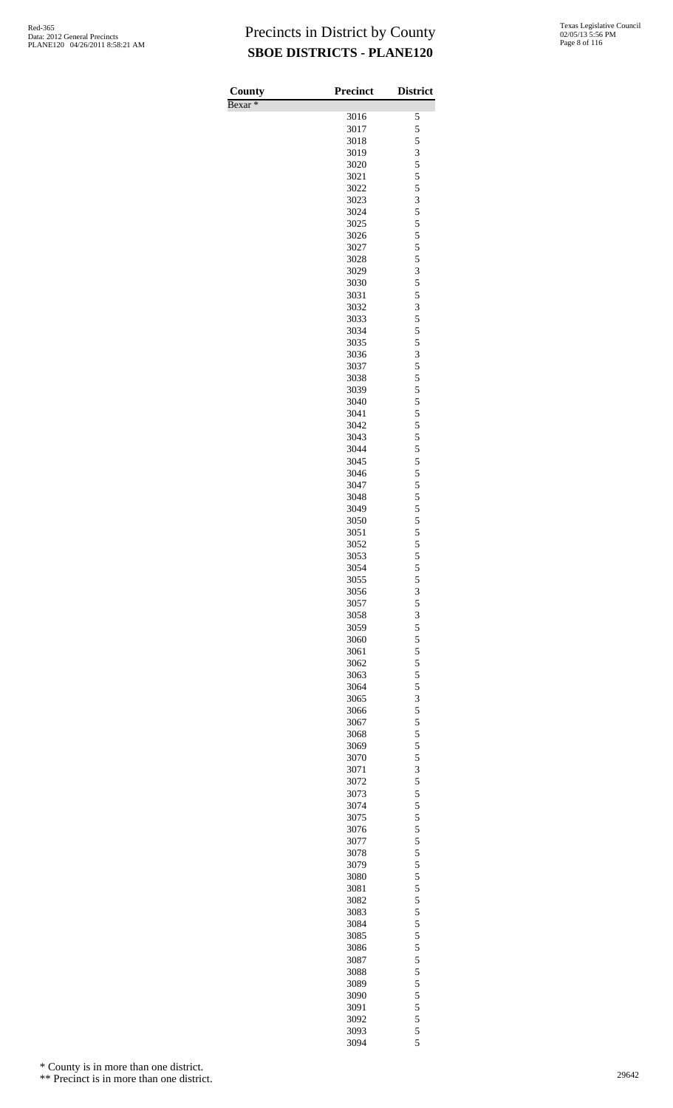| County             | <b>Precinct</b> | <b>District</b> |
|--------------------|-----------------|-----------------|
| Bexar <sup>*</sup> |                 |                 |
|                    | 3016            | 5               |
|                    | 3017            | 5               |
|                    | 3018            | $\frac{5}{3}$   |
|                    | 3019<br>3020    | 5               |
|                    | 3021            | 5               |
|                    | 3022            | 5               |
|                    | 3023            | 3               |
|                    | 3024            | 5               |
|                    | 3025            | 5               |
|                    | 3026            | 5               |
|                    | 3027            | 5               |
|                    | 3028<br>3029    | $\frac{5}{3}$   |
|                    | 3030            | 5               |
|                    | 3031            | 5               |
|                    | 3032            | 3               |
|                    | 3033            | 5               |
|                    | 3034            | 5               |
|                    | 3035            | 5               |
|                    | 3036            | 3               |
|                    | 3037<br>3038    | 5               |
|                    | 3039            | $\frac{5}{5}$   |
|                    | 3040            | 5               |
|                    | 3041            | 5               |
|                    | 3042            | 5               |
|                    | 3043            | 5               |
|                    | 3044            | 5               |
|                    | 3045            | 5<br>5          |
|                    | 3046<br>3047    | 5               |
|                    | 3048            |                 |
|                    | 3049            | $\frac{5}{5}$   |
|                    | 3050            | 5               |
|                    | 3051            | 5               |
|                    | 3052            | 5               |
|                    | 3053            | 5               |
|                    | 3054            | 5               |
|                    | 3055<br>3056    | 5<br>3          |
|                    | 3057            | 5               |
|                    | 3058            | 3               |
|                    | 3059            | 5               |
|                    | 3060            | 5               |
|                    | 3061            | 5               |
|                    | 3062            | 5               |
|                    | 3063            | 5               |
|                    | 3064<br>3065    | 5<br>3          |
|                    | 3066            | 5               |
|                    | 3067            | 5               |
|                    | 3068            | 5               |
|                    | 3069            | 5               |
|                    | 3070            | 5               |
|                    | 3071            | 3               |
|                    | 3072            | 5               |
|                    | 3073<br>3074    | 5<br>5          |
|                    | 3075            | 5               |
|                    | 3076            | 5               |
|                    | 3077            | 5               |
|                    | 3078            | 5               |
|                    | 3079            | 5               |
|                    | 3080            | 5               |
|                    | 3081            | 5               |
|                    | 3082            | 5               |
|                    | 3083<br>3084    | 5<br>5          |
|                    | 3085            | 5               |
|                    | 3086            | 5               |
|                    | 3087            | 5               |
|                    | 3088            | 5               |
|                    | 3089            | 5               |
|                    | 3090            | 5               |
|                    | 3091            | 5               |
|                    | 3092<br>3093    | 5<br>5          |
|                    | 3094            | 5               |
|                    |                 |                 |

\* County is in more than one district.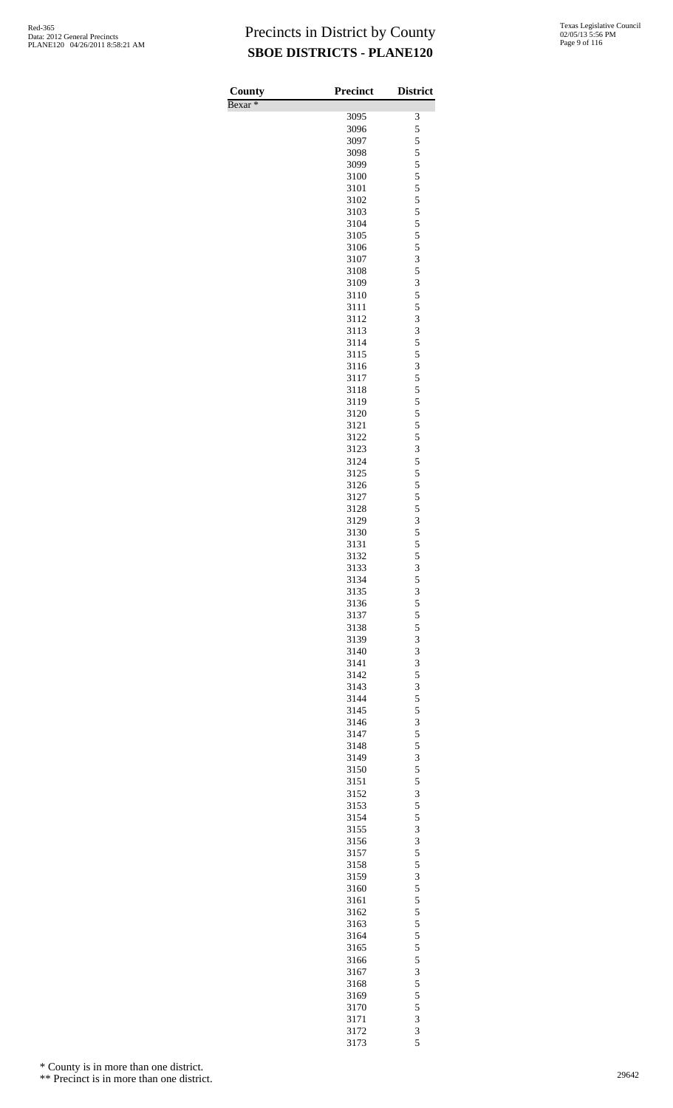Bexar \*

| County  | <b>Precinct</b> | <b>District</b>                                 |
|---------|-----------------|-------------------------------------------------|
| Bexar * |                 |                                                 |
|         | 3095            | 3                                               |
|         | 3096<br>3097    | 5                                               |
|         | 3098            | 5                                               |
|         | 3099            | $\frac{5}{5}$                                   |
|         | 3100            | 5                                               |
|         | 3101            |                                                 |
|         | 3102            | $\frac{5}{5}$ 5 5                               |
|         | 3103            |                                                 |
|         | 3104            |                                                 |
|         | 3105            | 5                                               |
|         | 3106            | 5                                               |
|         | 3107            | $\begin{array}{c} 3 \\ 5 \\ 3 \end{array}$      |
|         | 3108            |                                                 |
|         | 3109<br>3110    | 5                                               |
|         | 3111            | 5                                               |
|         | 3112            | $\overline{\mathbf{3}}$                         |
|         | 3113            | $\overline{3}$                                  |
|         | 3114            | 5                                               |
|         | 3115            | 5                                               |
|         | 3116            | 3                                               |
|         | 3117            | 5                                               |
|         | 3118            | $\frac{5}{5}$                                   |
|         | 3119            | 5                                               |
|         | 3120<br>3121    |                                                 |
|         | 3122            | 5<br>5                                          |
|         | 3123            | $\overline{3}$                                  |
|         | 3124            | 5                                               |
|         | 3125            | 5                                               |
|         | 3126            | 5                                               |
|         | 3127            | 5                                               |
|         | 3128            | $\frac{5}{3}$                                   |
|         | 3129            |                                                 |
|         | 3130            | 5                                               |
|         | 3131<br>3132    | $\frac{5}{5}$                                   |
|         | 3133            | 3                                               |
|         | 3134            | 5                                               |
|         | 3135            | 3                                               |
|         | 3136            |                                                 |
|         | 3137            | $\begin{array}{c} 5 \\ 5 \\ 3 \end{array}$      |
|         | 3138            |                                                 |
|         | 3139            |                                                 |
|         | 3140            | 3                                               |
|         | 3141            | 3                                               |
|         | 3142<br>3143    | 5                                               |
|         | 3144            | $rac{3}{5}$                                     |
|         | 3145            | 5                                               |
|         | 3146            |                                                 |
|         | 3147            | $\begin{array}{c} 3 \\ 5 \\ 5 \\ 3 \end{array}$ |
|         | 3148            |                                                 |
|         | 3149            |                                                 |
|         | 3150            | 5                                               |
|         | 3151            | $\frac{5}{3}$<br>$\frac{5}{5}$                  |
|         | 3152            |                                                 |
|         | 3153<br>3154    |                                                 |
|         | 3155            | 3                                               |
|         | 3156            |                                                 |
|         | 3157            | $\begin{array}{c} 3 \\ 5 \\ 5 \\ 3 \end{array}$ |
|         | 3158            |                                                 |
|         | 3159            |                                                 |
|         | 3160            | 5                                               |
|         | 3161            | $\frac{5}{5}$ 5 5                               |
|         | 3162            |                                                 |
|         | 3163            |                                                 |
|         | 3164<br>3165    | $\overline{5}$                                  |
|         | 3166            |                                                 |
|         | 3167            | $\frac{5}{3}$<br>$\frac{5}{5}$                  |
|         | 3168            |                                                 |
|         | 3169            |                                                 |
|         | 3170            | 5                                               |
|         | 3171            | 3                                               |
|         | 3172            | $\frac{3}{5}$                                   |
|         | 3173            |                                                 |

\* County is in more than one district.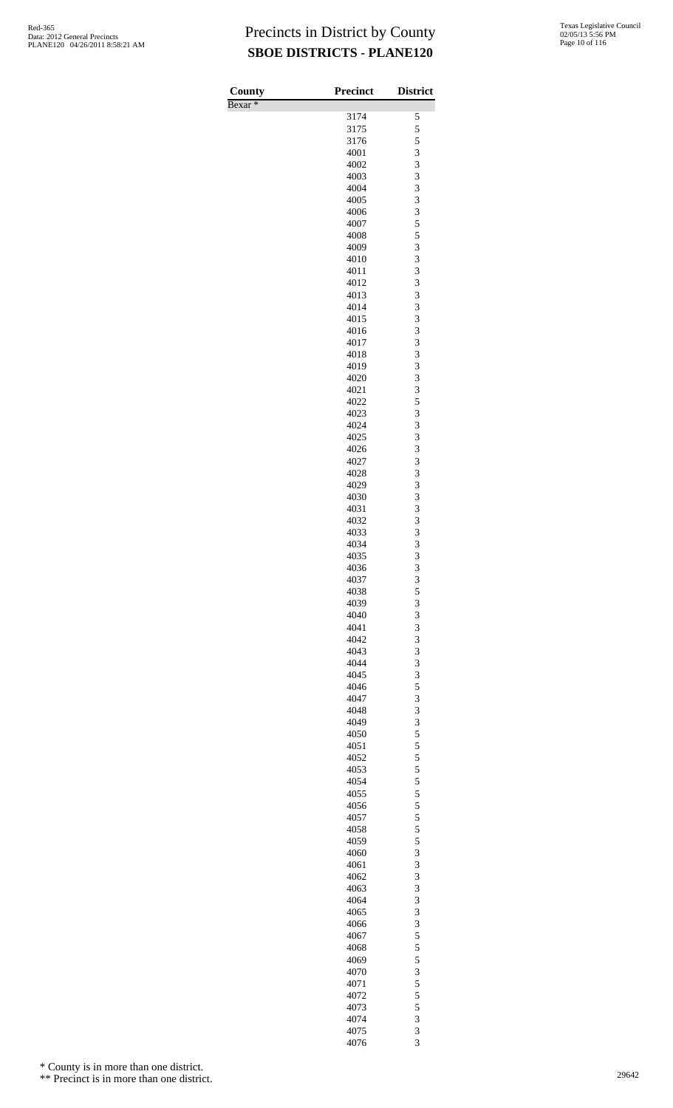| County             | Precinct     | <b>District</b> |
|--------------------|--------------|-----------------|
| Bexar <sup>*</sup> |              |                 |
|                    | 3174         | 5               |
|                    | 3175<br>3176 | 5<br>5          |
|                    | 4001         | 3               |
|                    | 4002         | 3               |
|                    | 4003         | 3               |
|                    | 4004         | 3               |
|                    | 4005         | 3               |
|                    | 4006<br>4007 | 3<br>5          |
|                    | 4008         | 5               |
|                    | 4009         | 3               |
|                    | 4010         | 3               |
|                    | 4011         | 3               |
|                    | 4012         | 3               |
|                    | 4013<br>4014 | 3<br>3          |
|                    | 4015         | 3               |
|                    | 4016         | 3               |
|                    | 4017         | 3               |
|                    | 4018         | 3               |
|                    | 4019         | 3               |
|                    | 4020<br>4021 | 3<br>3          |
|                    | 4022         | 5               |
|                    | 4023         | 3               |
|                    | 4024         | 3               |
|                    | 4025         | 3               |
|                    | 4026         | 3<br>3          |
|                    | 4027<br>4028 | 3               |
|                    | 4029         | 3               |
|                    | 4030         | 3               |
|                    | 4031         | 3               |
|                    | 4032         | 3               |
|                    | 4033<br>4034 | 3<br>3          |
|                    | 4035         | 3               |
|                    | 4036         | 3               |
|                    | 4037         | 3               |
|                    | 4038         | 5               |
|                    | 4039<br>4040 | 3<br>3          |
|                    | 4041         | 3               |
|                    | 4042         | 3               |
|                    | 4043         | 3               |
|                    | 4044         | 3               |
|                    | 4045<br>4046 | 3<br>5          |
|                    | 4047         | 3               |
|                    | 4048         | 3               |
|                    | 4049         | 3               |
|                    | 4050         | 5               |
|                    | 4051         | 5               |
|                    | 4052<br>4053 | 5<br>5          |
|                    | 4054         | 5               |
|                    | 4055         | 5               |
|                    | 4056         | 5               |
|                    | 4057         | 5               |
|                    | 4058<br>4059 | 5<br>5          |
|                    | 4060         | 3               |
|                    | 4061         | 3               |
|                    | 4062         | 3               |
|                    | 4063         | 3               |
|                    | 4064         | 3               |
|                    | 4065<br>4066 | 3<br>3          |
|                    | 4067         | 5               |
|                    | 4068         | 5               |
|                    | 4069         | 5               |
|                    | 4070         | 3               |
|                    | 4071         | 5               |
|                    | 4072<br>4073 | 5<br>5          |
|                    | 4074         | 3               |
|                    | 4075         | 3               |
|                    | 4076         | 3               |

\* County is in more than one district.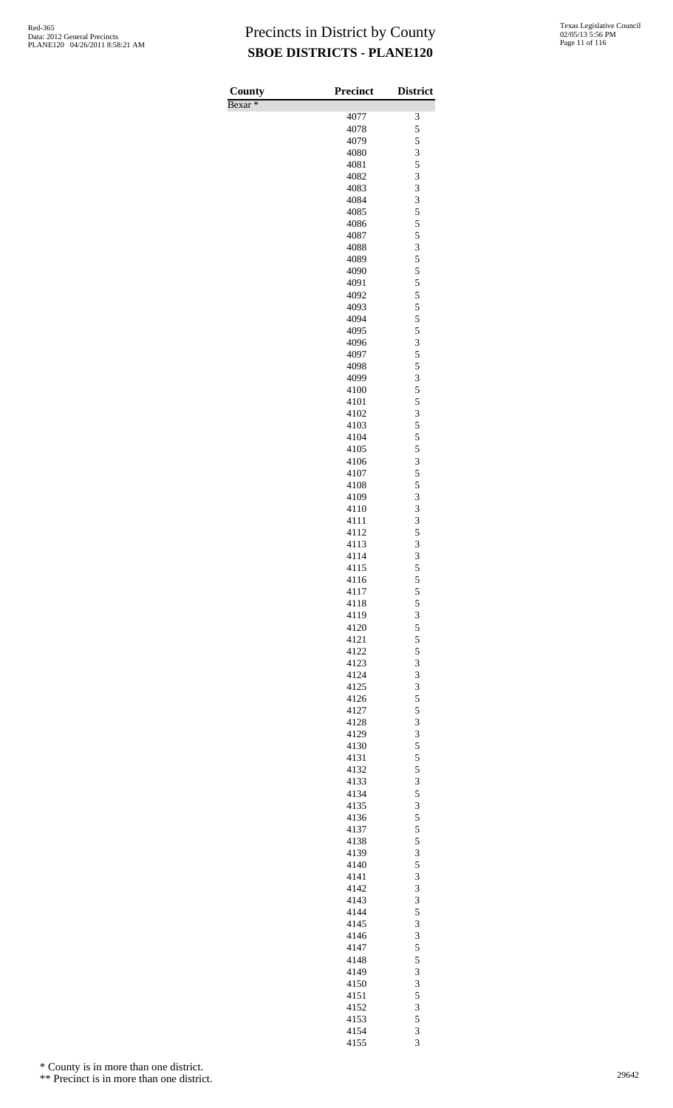| County             | <b>Precinct</b> | <b>District</b> |
|--------------------|-----------------|-----------------|
| Bexar <sup>*</sup> |                 |                 |
|                    | 4077            | 3               |
|                    | 4078            | 5               |
|                    | 4079            | 5               |
|                    | 4080            | 3<br>5          |
|                    | 4081<br>4082    | 3               |
|                    | 4083            | 3               |
|                    | 4084            | 3               |
|                    | 4085            | 5               |
|                    | 4086            | 5               |
|                    | 4087            | 5               |
|                    | 4088            | 3               |
|                    | 4089            | 5               |
|                    | 4090            | 5               |
|                    | 4091            | 5               |
|                    | 4092            | 5               |
|                    | 4093<br>4094    | 5<br>5          |
|                    | 4095            | 5               |
|                    | 4096            | 3               |
|                    | 4097            | 5               |
|                    | 4098            | 5               |
|                    | 4099            | 3               |
|                    | 4100            | 5               |
|                    | 4101            | 5               |
|                    | 4102            | 3               |
|                    | 4103            | 5               |
|                    | 4104            | 5               |
|                    | 4105            | 5               |
|                    | 4106<br>4107    | 3<br>5          |
|                    | 4108            | 5               |
|                    | 4109            | 3               |
|                    | 4110            | 3               |
|                    | 4111            | 3               |
|                    | 4112            | 5               |
|                    | 4113            | 3               |
|                    | 4114            | 3               |
|                    | 4115            | 5               |
|                    | 4116            | 5               |
|                    | 4117            | 5               |
|                    | 4118            | 5               |
|                    | 4119<br>4120    | $rac{3}{5}$     |
|                    | 4121            | 5               |
|                    | 4122            | 5               |
|                    | 4123            | 3               |
|                    | 4124            | 3               |
|                    | 4125            | 3               |
|                    | 4126            | 5               |
|                    | 4127            | 5               |
|                    | 4128            | 3               |
|                    | 4129            | $rac{3}{5}$     |
|                    | 4130            |                 |
|                    | 4131            | 5               |
|                    | 4132<br>4133    | 5<br>3          |
|                    | 4134            |                 |
|                    | 4135            | $\frac{5}{3}$   |
|                    | 4136            | 5               |
|                    | 4137            | 5               |
|                    | 4138            | 5               |
|                    | 4139            | 3               |
|                    | 4140            | 5               |
|                    | 4141            | 3               |
|                    | 4142            | 3               |
|                    | 4143            | 3               |
|                    | 4144<br>4145    | $\frac{5}{3}$   |
|                    | 4146            | 3               |
|                    | 4147            | 5               |
|                    | 4148            | 5               |
|                    | 4149            | 3               |
|                    | 4150            | 3               |
|                    | 4151            | 5               |
|                    | 4152            | 3               |
|                    | 4153            | 5               |
|                    | 4154            | 3               |
|                    | 4155            | 3               |

\* County is in more than one district.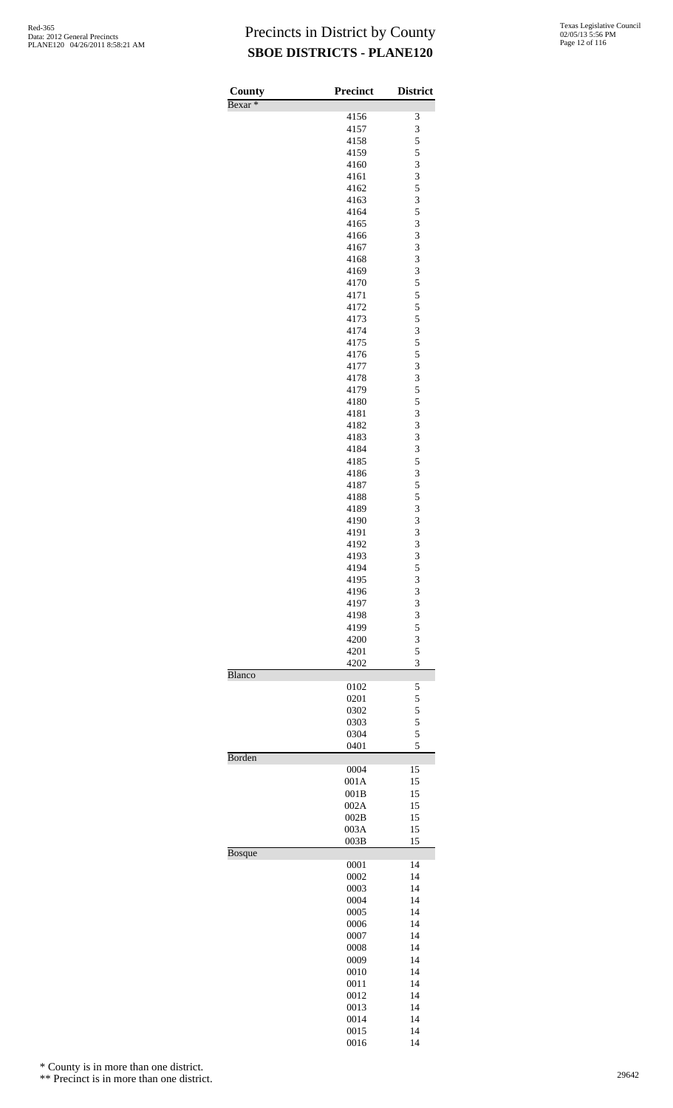| County             | <b>Precinct</b> | <b>District</b> |
|--------------------|-----------------|-----------------|
| Bexar <sup>*</sup> | 4156            | 3               |
|                    | 4157            | 3               |
|                    | 4158            | 5               |
|                    | 4159<br>4160    | 5<br>3          |
|                    | 4161            | 3               |
|                    | 4162            | 5               |
|                    | 4163            | 3               |
|                    | 4164<br>4165    | 5<br>3          |
|                    | 4166            | 3               |
|                    | 4167            | 3               |
|                    | 4168<br>4169    | 3<br>3          |
|                    | 4170            | 5               |
|                    | 4171            | 5               |
|                    | 4172            | 5               |
|                    | 4173<br>4174    | 5<br>3          |
|                    | 4175            | 5               |
|                    | 4176            | 5               |
|                    | 4177            | 3               |
|                    | 4178<br>4179    | 3<br>5          |
|                    | 4180            | 5               |
|                    | 4181            | 3               |
|                    | 4182            | 3<br>3          |
|                    | 4183<br>4184    | 3               |
|                    | 4185            | 5               |
|                    | 4186            | 3               |
|                    | 4187            | 5<br>5          |
|                    | 4188<br>4189    | 3               |
|                    | 4190            | 3               |
|                    | 4191            | 3               |
|                    | 4192<br>4193    | 3<br>3          |
|                    | 4194            | 5               |
|                    | 4195            | 3               |
|                    | 4196            | 3<br>3          |
|                    | 4197<br>4198    | 3               |
|                    | 4199            | 5               |
|                    | 4200            | 3               |
|                    | 4201<br>4202    | 5<br>3          |
| <b>Blanco</b>      |                 |                 |
|                    | 0102            | 5               |
|                    | 0201<br>0302    | 5<br>5          |
|                    | 0303            | 5               |
|                    | 0304            | 5               |
| Borden             | 0401            | 5               |
|                    | 0004            | 15              |
|                    | 001A            | 15              |
|                    | 001B            | 15              |
|                    | 002A<br>002B    | 15<br>15        |
|                    | 003A            | 15              |
|                    | 003B            | 15              |
| <b>Bosque</b>      |                 | 14              |
|                    | 0001<br>0002    | 14              |
|                    | 0003            | 14              |
|                    | 0004            | 14              |
|                    | 0005<br>0006    | 14<br>14        |
|                    | 0007            | 14              |
|                    | 0008            | 14              |
|                    | 0009            | 14              |
|                    | 0010<br>0011    | 14<br>14        |
|                    | 0012            | 14              |
|                    | 0013            | 14              |
|                    | 0014            | 14              |
|                    | 0015<br>0016    | 14<br>14        |
|                    |                 |                 |

\* County is in more than one district.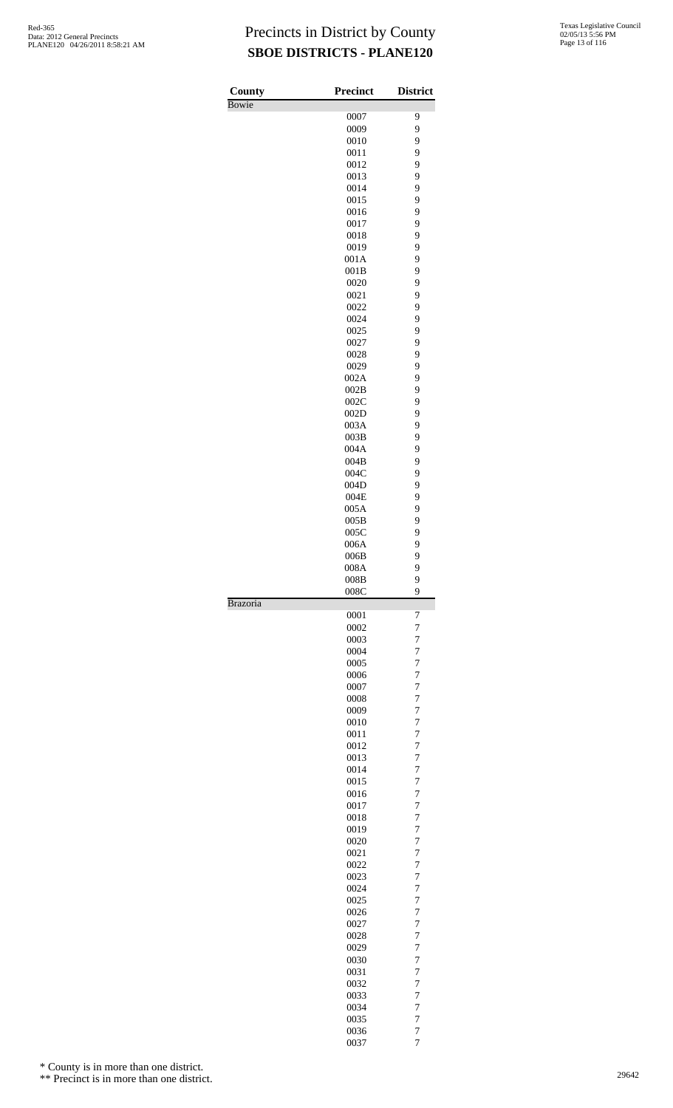| County          | <b>Precinct</b> | <b>District</b>     |
|-----------------|-----------------|---------------------|
| <b>Bowie</b>    | 0007            | 9                   |
|                 | 0009            | 9                   |
|                 | 0010            | 9                   |
|                 | 0011            | 9                   |
|                 | 0012            | 9                   |
|                 | 0013            | 9                   |
|                 | 0014<br>0015    | 9<br>9              |
|                 | 0016            | 9                   |
|                 | 0017            | 9                   |
|                 | 0018            | 9                   |
|                 | 0019            | 9                   |
|                 | 001A            | 9                   |
|                 | 001B            | 9                   |
|                 | 0020<br>0021    | 9<br>9              |
|                 | 0022            | 9                   |
|                 | 0024            | 9                   |
|                 | 0025            | 9                   |
|                 | 0027            | 9                   |
|                 | 0028            | 9                   |
|                 | 0029            | 9                   |
|                 | 002A<br>002B    | 9<br>9              |
|                 | 002C            | 9                   |
|                 | 002D            | 9                   |
|                 | 003A            | 9                   |
|                 | 003B            | 9                   |
|                 | 004A            | 9                   |
|                 | 004B            | 9                   |
|                 | 004C            | 9                   |
|                 | 004D            | 9                   |
|                 | 004E<br>005A    | 9<br>9              |
|                 | 005B            | 9                   |
|                 | 005C            | 9                   |
|                 | 006A            | 9                   |
|                 | 006B            | 9                   |
|                 | 008A            | 9                   |
|                 | 008B<br>008C    | 9<br>9              |
| <b>Brazoria</b> |                 |                     |
|                 | 0001<br>0002    | 7<br>7              |
|                 | 0003            | 7                   |
|                 | 0004            | 7                   |
|                 | 0005            | 7                   |
|                 | 0006            | 7                   |
|                 | 0007            | 7                   |
|                 | 0008            | 7                   |
|                 | 0009            | $\overline{7}$      |
|                 | 0010<br>0011    | 7<br>7              |
|                 | 0012            | 7                   |
|                 | 0013            | $\overline{7}$      |
|                 | 0014            | $\overline{7}$      |
|                 | 0015            | $\overline{7}$      |
|                 | 0016            | 7                   |
|                 | 0017            | $\overline{7}$      |
|                 | 0018            | 7                   |
|                 | 0019<br>0020    | $\overline{7}$<br>7 |
|                 | 0021            | 7                   |
|                 | 0022            | 7                   |
|                 | 0023            | $\overline{7}$      |
|                 | 0024            | $\overline{7}$      |
|                 | 0025            | $\overline{7}$      |
|                 | 0026            | 7                   |
|                 | 0027            | 7                   |
|                 | 0028<br>0029    | 7<br>$\overline{7}$ |
|                 | 0030            | 7                   |
|                 | 0031            | 7                   |
|                 | 0032            | 7                   |
|                 | 0033            | $\overline{7}$      |
|                 | 0034            | $\overline{7}$      |
|                 | 0035            | 7                   |
|                 | 0036<br>0037    | 7<br>$\overline{7}$ |
|                 |                 |                     |

\* County is in more than one district.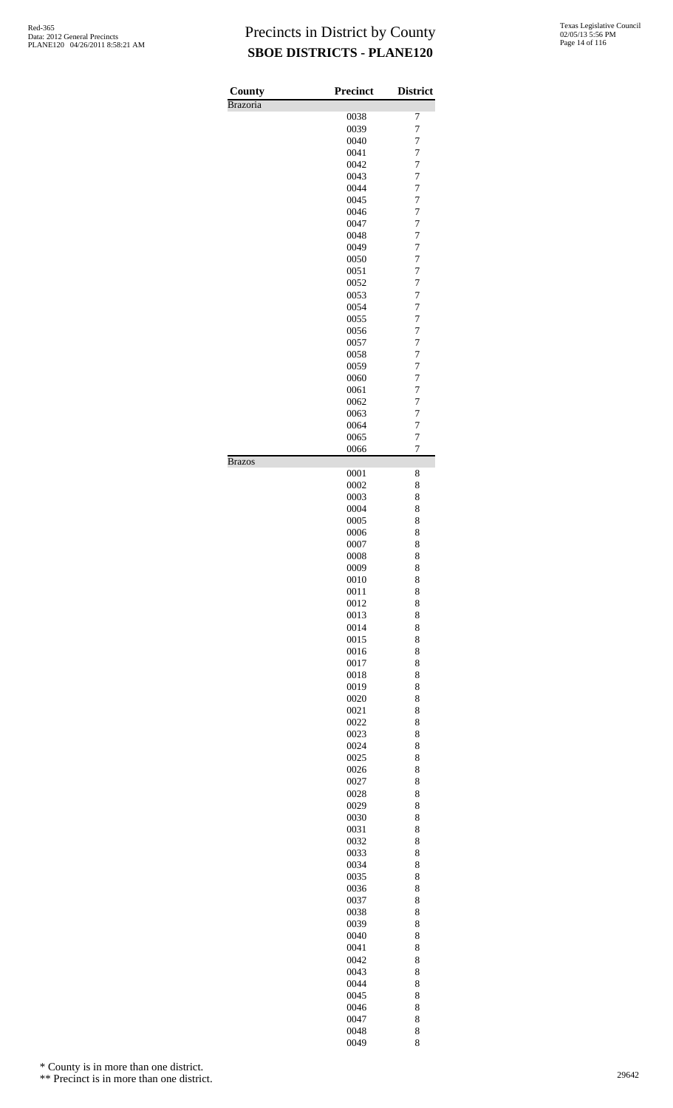| County          | <b>Precinct</b> | <b>District</b>     |
|-----------------|-----------------|---------------------|
| <b>Brazoria</b> |                 |                     |
|                 | 0038            | 7<br>$\overline{7}$ |
|                 | 0039<br>0040    | $\overline{7}$      |
|                 | 0041            | $\overline{7}$      |
|                 | 0042            | $\overline{7}$      |
|                 | 0043            | 7                   |
|                 | 0044            | $\overline{7}$      |
|                 | 0045            | $\overline{7}$      |
|                 | 0046            | $\overline{7}$      |
|                 | 0047            | $\overline{7}$      |
|                 | 0048            | 7                   |
|                 | 0049            | $\overline{7}$      |
|                 | 0050            | $\overline{7}$      |
|                 | 0051            | $\overline{7}$      |
|                 | 0052<br>0053    | $\overline{7}$<br>7 |
|                 | 0054            | $\overline{7}$      |
|                 | 0055            | $\overline{7}$      |
|                 | 0056            | $\overline{7}$      |
|                 | 0057            | $\overline{7}$      |
|                 | 0058            | 7                   |
|                 | 0059            | $\overline{7}$      |
|                 | 0060            | $\overline{7}$      |
|                 | 0061            | $\overline{7}$      |
|                 | 0062            | $\overline{7}$      |
|                 | 0063            | 7                   |
|                 | 0064            | $\overline{7}$      |
|                 | 0065<br>0066    | 7<br>7              |
| <b>Brazos</b>   |                 |                     |
|                 | 0001            | 8                   |
|                 | 0002            | 8                   |
|                 | 0003<br>0004    | 8<br>8              |
|                 | 0005            | 8                   |
|                 | 0006            | 8                   |
|                 | 0007            | 8                   |
|                 | 0008            | 8                   |
|                 | 0009            | 8                   |
|                 | 0010            | 8                   |
|                 | 0011            | 8                   |
|                 | 0012            | 8                   |
|                 | 0013<br>0014    | 8<br>8              |
|                 | 0015            | 8                   |
|                 | 0016            | 8                   |
|                 | 0017            | 8                   |
|                 | 0018            | 8                   |
|                 | 0019            | 8                   |
|                 | 0020            | 8                   |
|                 | 0021            | 8                   |
|                 | 0022            | 8                   |
|                 | 0023            | 8                   |
|                 | 0024            | 8                   |
|                 | 0025<br>0026    | 8<br>8              |
|                 | 0027            | 8                   |
|                 | 0028            | 8                   |
|                 | 0029            | 8                   |
|                 | 0030            | 8                   |
|                 | 0031            | 8                   |
|                 | 0032            | 8                   |
|                 | 0033            | 8                   |
|                 | 0034            | 8                   |
|                 | 0035            | 8<br>8              |
|                 | 0036<br>0037    | 8                   |
|                 | 0038            | 8                   |
|                 | 0039            | 8                   |
|                 | 0040            | 8                   |
|                 | 0041            | 8                   |
|                 | 0042            | 8                   |
|                 | 0043            | 8                   |
|                 | 0044            | 8                   |
|                 | 0045            | 8                   |
|                 | 0046            | 8                   |
|                 | 0047            | 8                   |

0048 8<br>0049 8

\* County is in more than one district.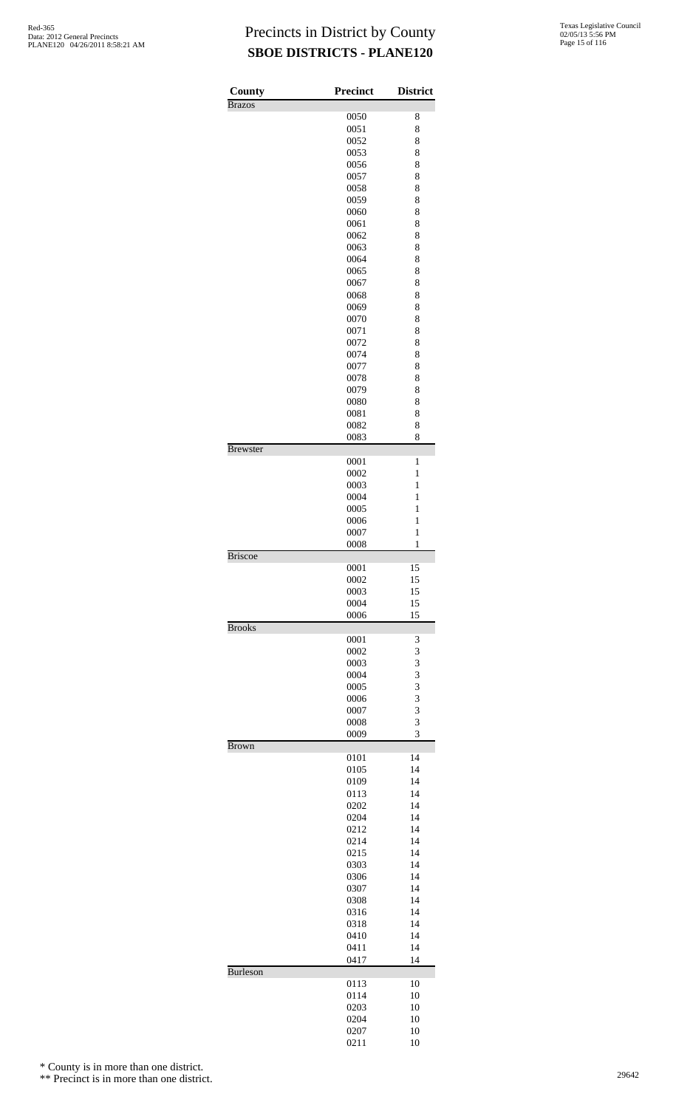| County          | <b>Precinct</b> | <b>District</b> |
|-----------------|-----------------|-----------------|
| <b>Brazos</b>   |                 |                 |
|                 | 0050<br>0051    | 8<br>8          |
|                 | 0052            | 8               |
|                 | 0053            | 8               |
|                 | 0056            | 8               |
|                 | 0057            | 8               |
|                 | 0058            | 8               |
|                 | 0059            | 8               |
|                 | 0060<br>0061    | 8<br>8          |
|                 | 0062            | 8               |
|                 | 0063            | 8               |
|                 | 0064            | 8               |
|                 | 0065            | 8               |
|                 | 0067            | 8               |
|                 | 0068            | 8               |
|                 | 0069<br>0070    | 8<br>8          |
|                 | 0071            | 8               |
|                 | 0072            | 8               |
|                 | 0074            | 8               |
|                 | 0077            | 8               |
|                 | 0078            | 8               |
|                 | 0079            | 8               |
|                 | 0080<br>0081    | 8<br>8          |
|                 | 0082            | 8               |
|                 | 0083            | 8               |
| <b>Brewster</b> |                 |                 |
|                 | 0001            | 1               |
|                 | 0002            | 1               |
|                 | 0003<br>0004    | 1<br>1          |
|                 | 0005            | $\mathbf{1}$    |
|                 | 0006            | $\mathbf{1}$    |
|                 | 0007            | $\mathbf{1}$    |
|                 | 0008            | 1               |
| <b>Briscoe</b>  | 0001            | 15              |
|                 | 0002            | 15              |
|                 | 0003            | 15              |
|                 | 0004            | 15              |
|                 | 0006            | 15              |
| <b>Brooks</b>   | 0001            | 3               |
|                 | 0002            | 3               |
|                 | 0003            | 3               |
|                 | 0004            | 3               |
|                 | 0005            | 3               |
|                 | 0006            | 3               |
|                 | 0007            | 3               |
|                 | 0008<br>0009    | 3<br>3          |
| <b>Brown</b>    |                 |                 |
|                 | 0101            | 14              |
|                 | 0105            | 14              |
|                 | 0109            | 14              |
|                 | 0113            | 14              |
|                 | 0202<br>0204    | 14<br>14        |
|                 | 0212            | 14              |
|                 | 0214            | 14              |
|                 | 0215            | 14              |
|                 | 0303            | 14              |
|                 | 0306            | 14              |
|                 | 0307            | 14              |
|                 | 0308<br>0316    | 14<br>14        |
|                 | 0318            | 14              |
|                 | 0410            | 14              |
|                 | 0411            | 14              |
|                 | 0417            | 14              |
| <b>Burleson</b> |                 |                 |
|                 | 0113<br>0114    | 10<br>10        |
|                 | 0203            | 10              |
|                 | 0204            | 10              |
|                 | 0207            | 10              |
|                 | 0211            | 10              |

\* County is in more than one district.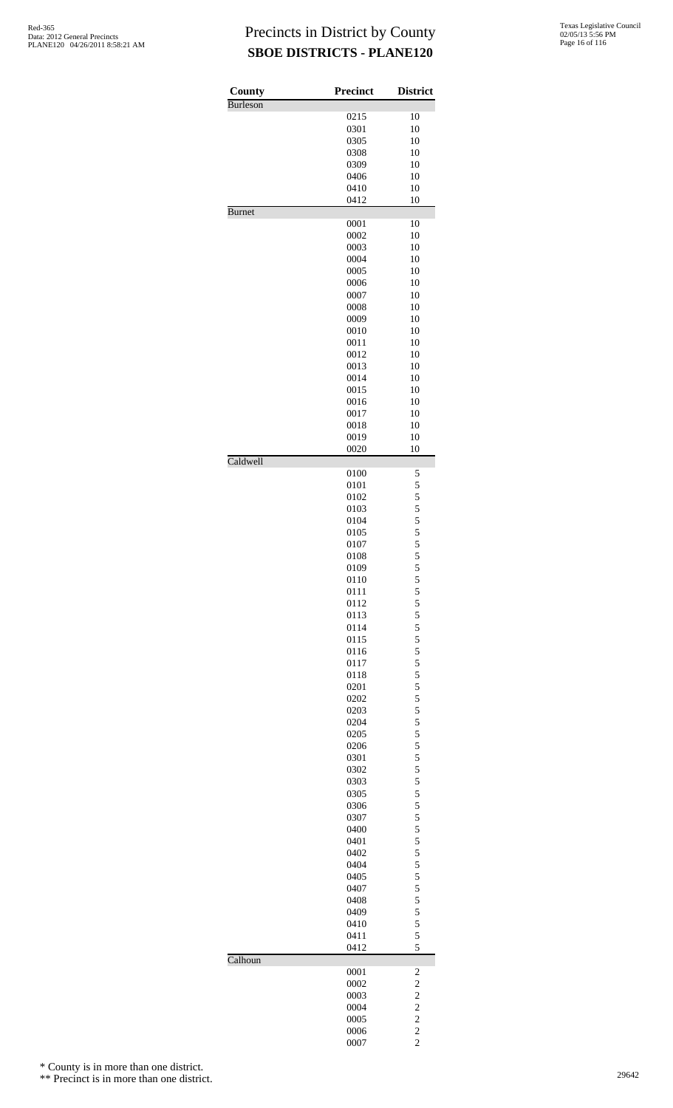| 0215<br>0301<br>0305<br>0308<br>0309<br>0406<br>0410<br>0412<br>0001<br>0002<br>0003<br>0004<br>0005<br>0006<br>0007<br>0008<br>0009<br>0010<br>0011<br>0012 | 10<br>10<br>10<br>10<br>10<br>10<br>10<br>10<br>10<br>10<br>10<br>10<br>10<br>10<br>10<br>10<br>10<br>10                                                                                                                                             |
|--------------------------------------------------------------------------------------------------------------------------------------------------------------|------------------------------------------------------------------------------------------------------------------------------------------------------------------------------------------------------------------------------------------------------|
|                                                                                                                                                              |                                                                                                                                                                                                                                                      |
|                                                                                                                                                              |                                                                                                                                                                                                                                                      |
|                                                                                                                                                              |                                                                                                                                                                                                                                                      |
|                                                                                                                                                              |                                                                                                                                                                                                                                                      |
|                                                                                                                                                              |                                                                                                                                                                                                                                                      |
|                                                                                                                                                              |                                                                                                                                                                                                                                                      |
|                                                                                                                                                              |                                                                                                                                                                                                                                                      |
|                                                                                                                                                              |                                                                                                                                                                                                                                                      |
|                                                                                                                                                              |                                                                                                                                                                                                                                                      |
|                                                                                                                                                              |                                                                                                                                                                                                                                                      |
|                                                                                                                                                              |                                                                                                                                                                                                                                                      |
|                                                                                                                                                              |                                                                                                                                                                                                                                                      |
|                                                                                                                                                              |                                                                                                                                                                                                                                                      |
|                                                                                                                                                              |                                                                                                                                                                                                                                                      |
|                                                                                                                                                              |                                                                                                                                                                                                                                                      |
|                                                                                                                                                              |                                                                                                                                                                                                                                                      |
|                                                                                                                                                              |                                                                                                                                                                                                                                                      |
|                                                                                                                                                              |                                                                                                                                                                                                                                                      |
|                                                                                                                                                              |                                                                                                                                                                                                                                                      |
|                                                                                                                                                              | 10                                                                                                                                                                                                                                                   |
|                                                                                                                                                              | 10                                                                                                                                                                                                                                                   |
| 0013                                                                                                                                                         | 10                                                                                                                                                                                                                                                   |
| 0014                                                                                                                                                         | 10                                                                                                                                                                                                                                                   |
|                                                                                                                                                              | 10                                                                                                                                                                                                                                                   |
|                                                                                                                                                              | 10                                                                                                                                                                                                                                                   |
|                                                                                                                                                              | 10                                                                                                                                                                                                                                                   |
|                                                                                                                                                              | 10                                                                                                                                                                                                                                                   |
|                                                                                                                                                              | 10                                                                                                                                                                                                                                                   |
|                                                                                                                                                              | 10                                                                                                                                                                                                                                                   |
|                                                                                                                                                              | 5                                                                                                                                                                                                                                                    |
|                                                                                                                                                              | 5                                                                                                                                                                                                                                                    |
|                                                                                                                                                              |                                                                                                                                                                                                                                                      |
|                                                                                                                                                              |                                                                                                                                                                                                                                                      |
|                                                                                                                                                              |                                                                                                                                                                                                                                                      |
|                                                                                                                                                              |                                                                                                                                                                                                                                                      |
|                                                                                                                                                              |                                                                                                                                                                                                                                                      |
|                                                                                                                                                              | 5 5 5 5 5 5 5                                                                                                                                                                                                                                        |
|                                                                                                                                                              | 5                                                                                                                                                                                                                                                    |
|                                                                                                                                                              |                                                                                                                                                                                                                                                      |
|                                                                                                                                                              | 5                                                                                                                                                                                                                                                    |
|                                                                                                                                                              | 5 5 5 5 5 5                                                                                                                                                                                                                                          |
|                                                                                                                                                              |                                                                                                                                                                                                                                                      |
|                                                                                                                                                              |                                                                                                                                                                                                                                                      |
|                                                                                                                                                              |                                                                                                                                                                                                                                                      |
|                                                                                                                                                              |                                                                                                                                                                                                                                                      |
|                                                                                                                                                              | $\frac{5}{5}$                                                                                                                                                                                                                                        |
|                                                                                                                                                              |                                                                                                                                                                                                                                                      |
|                                                                                                                                                              |                                                                                                                                                                                                                                                      |
|                                                                                                                                                              | $\begin{array}{c} 5 \\ 5 \\ 5 \end{array}$                                                                                                                                                                                                           |
|                                                                                                                                                              |                                                                                                                                                                                                                                                      |
|                                                                                                                                                              |                                                                                                                                                                                                                                                      |
|                                                                                                                                                              | 5 5 5 5 5 5                                                                                                                                                                                                                                          |
|                                                                                                                                                              |                                                                                                                                                                                                                                                      |
|                                                                                                                                                              |                                                                                                                                                                                                                                                      |
|                                                                                                                                                              |                                                                                                                                                                                                                                                      |
|                                                                                                                                                              |                                                                                                                                                                                                                                                      |
| 0302                                                                                                                                                         |                                                                                                                                                                                                                                                      |
| 0303                                                                                                                                                         |                                                                                                                                                                                                                                                      |
| 0305                                                                                                                                                         |                                                                                                                                                                                                                                                      |
| 0306                                                                                                                                                         |                                                                                                                                                                                                                                                      |
| 0307                                                                                                                                                         |                                                                                                                                                                                                                                                      |
| 0400                                                                                                                                                         |                                                                                                                                                                                                                                                      |
| 0401                                                                                                                                                         |                                                                                                                                                                                                                                                      |
| 0402                                                                                                                                                         |                                                                                                                                                                                                                                                      |
| 0404                                                                                                                                                         |                                                                                                                                                                                                                                                      |
| 0405                                                                                                                                                         | 555555555                                                                                                                                                                                                                                            |
| 0407                                                                                                                                                         |                                                                                                                                                                                                                                                      |
| 0408                                                                                                                                                         | $\frac{5}{5}$                                                                                                                                                                                                                                        |
| 0409                                                                                                                                                         |                                                                                                                                                                                                                                                      |
| 0410                                                                                                                                                         |                                                                                                                                                                                                                                                      |
| 0411<br>0412                                                                                                                                                 | $\begin{array}{c} 5 \\ 5 \\ 5 \end{array}$<br>5                                                                                                                                                                                                      |
|                                                                                                                                                              |                                                                                                                                                                                                                                                      |
| 0001                                                                                                                                                         | $\overline{\mathbf{c}}$                                                                                                                                                                                                                              |
| 0002                                                                                                                                                         | $\overline{c}$                                                                                                                                                                                                                                       |
| 0003                                                                                                                                                         | $\overline{\mathbf{c}}$                                                                                                                                                                                                                              |
| 0004                                                                                                                                                         | $\overline{\mathbf{c}}$                                                                                                                                                                                                                              |
| 0005<br>0006                                                                                                                                                 | $\overline{c}$<br>$\overline{c}$                                                                                                                                                                                                                     |
|                                                                                                                                                              | 0015<br>0016<br>0017<br>0018<br>0019<br>0020<br>0100<br>0101<br>0102<br>0103<br>0104<br>0105<br>0107<br>0108<br>0109<br>0110<br>0111<br>0112<br>0113<br>0114<br>0115<br>0116<br>0117<br>0118<br>0201<br>0202<br>0203<br>0204<br>0205<br>0206<br>0301 |

\* County is in more than one district.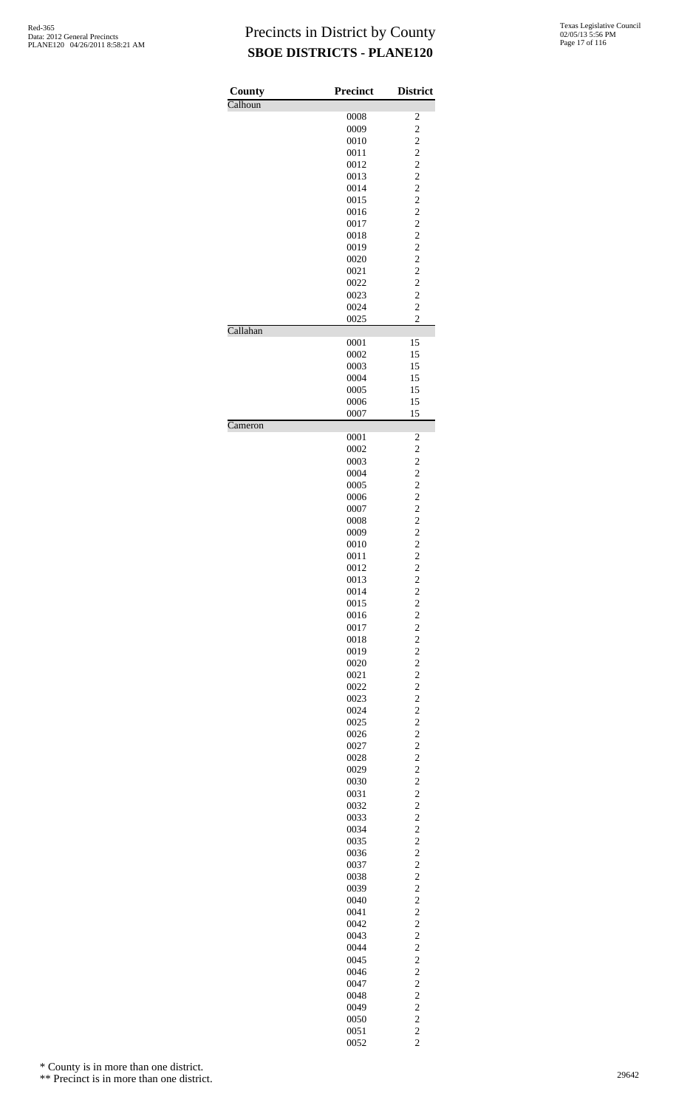| County                       | <b>Precinct</b> | <b>District</b>                  |
|------------------------------|-----------------|----------------------------------|
| Calhoun                      |                 |                                  |
|                              | 0008            | 2                                |
|                              | 0009            | $\overline{c}$                   |
|                              | 0010            | $\overline{c}$                   |
|                              | 0011            | $\overline{c}$                   |
|                              | 0012            | $\overline{c}$                   |
|                              | 0013            | $\overline{c}$                   |
|                              | 0014            | $\overline{c}$                   |
|                              | 0015            | $\overline{c}$                   |
|                              | 0016            | $\overline{c}$                   |
|                              | 0017            | $\overline{c}$                   |
|                              | 0018            | $\overline{c}$                   |
|                              | 0019            | $\overline{c}$                   |
|                              | 0020            | $\overline{c}$                   |
|                              | 0021            | $\overline{c}$                   |
|                              | 0022            | $\overline{c}$                   |
|                              | 0023            | $\overline{c}$                   |
|                              | 0024            | $\overline{c}$                   |
| Callahan                     | 0025            | $\overline{c}$                   |
|                              | 0001            |                                  |
|                              | 0002            | 15<br>15                         |
|                              | 0003            | 15                               |
|                              | 0004            | 15                               |
|                              | 0005            | 15                               |
|                              | 0006            | 15                               |
|                              | 0007            | 15                               |
| $\overline{\text{C}}$ ameron |                 |                                  |
|                              | 0001            | 2                                |
|                              | 0002            | $\overline{c}$                   |
|                              | 0003            | $\overline{c}$                   |
|                              | 0004            | $\overline{c}$                   |
|                              | 0005            | $\overline{c}$                   |
|                              | 0006            | $\overline{c}$                   |
|                              | 0007            | $\overline{c}$                   |
|                              | 0008            | $\overline{c}$                   |
|                              | 0009            | $\overline{c}$                   |
|                              | 0010            | $\overline{c}$                   |
|                              | 0011            | $\overline{c}$                   |
|                              | 0012            | $\mathfrak{D}$                   |
|                              | 0013            | $\overline{\mathbf{c}}$          |
|                              | 0014            | $\overline{c}$                   |
|                              | 0015            | $\overline{c}$                   |
|                              | 0016            | $\overline{c}$                   |
|                              | 0017            | $\overline{c}$                   |
|                              | 0018            | $\overline{c}$                   |
|                              | 0019            | $\overline{c}$                   |
|                              | 0020            | $\overline{c}$                   |
|                              | 0021            | $\overline{c}$                   |
|                              | 0022            | $\overline{c}$                   |
|                              | 0023            | $\overline{c}$                   |
|                              | 0024            | $\overline{c}$                   |
|                              | 0025<br>0026    | $\overline{c}$<br>$\overline{c}$ |
|                              | 0027            | $\overline{c}$                   |
|                              | 0028            | $\overline{c}$                   |
|                              | 0029            | $\overline{c}$                   |
|                              | 0030            | $\overline{c}$                   |
|                              | 0031            | $\overline{c}$                   |
|                              | 0032            | $\overline{c}$                   |
|                              | 0033            | $\overline{c}$                   |
|                              | 0034            | $\overline{c}$                   |
|                              | 0035            | $\overline{c}$                   |
|                              | 0036            | $\overline{c}$                   |
|                              | 0037            | $\overline{c}$                   |
|                              | 0038            | $\overline{c}$                   |
|                              | 0039            | $\overline{c}$                   |
|                              | 0040            | $\overline{c}$                   |
|                              | 0041            | $\overline{c}$                   |
|                              | 0042            | $\overline{c}$                   |
|                              | 0043            | $\overline{c}$                   |
|                              | 0044            | $\overline{c}$                   |
|                              | 0045            | $\overline{c}$                   |
|                              | 0046            | $\overline{c}$                   |
|                              | 0047            | $\overline{c}$                   |
|                              | 0048            | $\overline{c}$                   |
|                              | 0049            | $\overline{c}$                   |
|                              | 0050<br>0051    | $\overline{c}$<br>$\overline{c}$ |
|                              | 0052            | $\overline{c}$                   |
|                              |                 |                                  |

\* County is in more than one district.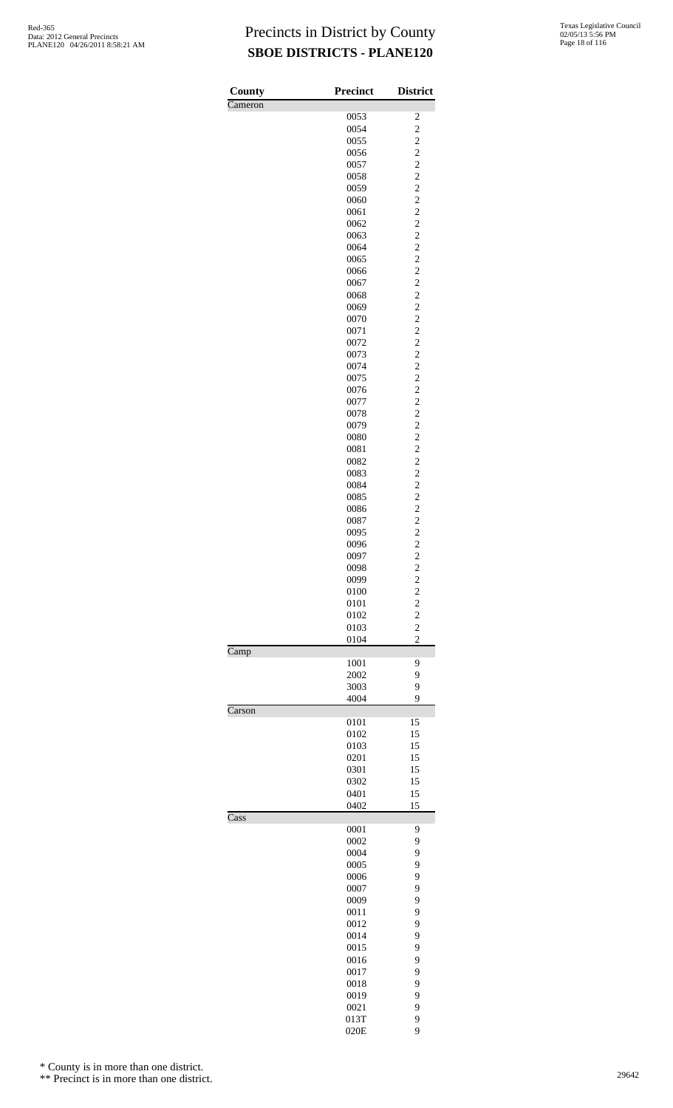| Texas Legislative Council |
|---------------------------|
| 02/05/13 5:56 PM          |
| Page 18 of 116            |

| County  | <b>Precinct</b> | <b>District</b>         |
|---------|-----------------|-------------------------|
| Cameron |                 |                         |
|         | 0053            | $\overline{\mathbf{c}}$ |
|         | 0054            | $\overline{c}$          |
|         | 0055            | $\overline{c}$          |
|         | 0056            | $\overline{c}$          |
|         | 0057            | $\overline{c}$          |
|         | 0058            | $\overline{c}$          |
|         | 0059            | $\overline{c}$          |
|         | 0060            | $\overline{c}$          |
|         | 0061            | $\overline{c}$          |
|         | 0062            | $\overline{c}$          |
|         | 0063            | $\overline{c}$          |
|         | 0064            | $\overline{c}$          |
|         | 0065            | $\overline{c}$          |
|         | 0066            | $\overline{c}$          |
|         | 0067            | $\overline{c}$          |
|         | 0068            | $\overline{c}$          |
|         |                 | $\overline{c}$          |
|         | 0069            |                         |
|         | 0070            | $\overline{c}$          |
|         | 0071            | $\overline{c}$          |
|         | 0072            | $\overline{\mathbf{c}}$ |
|         | 0073            | $\overline{c}$          |
|         | 0074            | $\overline{c}$          |
|         | 0075            | $\overline{c}$          |
|         | 0076            | $\overline{c}$          |
|         | 0077            | $\overline{c}$          |
|         | 0078            | $\overline{c}$          |
|         | 0079            | $\overline{c}$          |
|         | 0080            | $\overline{c}$          |
|         | 0081            | $\overline{c}$          |
|         | 0082            | $\overline{\mathbf{c}}$ |
|         | 0083            | $\overline{c}$          |
|         | 0084            | $\overline{c}$          |
|         | 0085            | $\overline{c}$          |
|         | 0086            | $\overline{c}$          |
|         | 0087            | $\overline{c}$          |
|         | 0095            | $\overline{c}$          |
|         |                 | $\overline{c}$          |
|         | 0096            |                         |
|         | 0097            | $\overline{c}$          |
|         | 0098            | $\overline{c}$          |
|         | 0099            | $\overline{\mathbf{c}}$ |
|         | 0100            | $\overline{\mathbf{c}}$ |
|         | 0101            | $\overline{c}$          |
|         | 0102            | $\overline{\mathbf{c}}$ |
|         | 0103            | $\overline{c}$          |
| Camp    | 0104            | $\overline{2}$          |
|         | 1001            | 9                       |
|         | 2002            | 9                       |
|         | 3003            | 9                       |
|         | 4004            | 9                       |
| Carson  |                 |                         |
|         | 0101            | 15                      |
|         | 0102            | 15                      |
|         | 0103            | 15                      |
|         | 0201            | 15                      |
|         | 0301            | 15                      |
|         | 0302            | 15                      |
|         | 0401            | 15                      |
|         | 0402            | 15                      |
| Cass    |                 |                         |
|         | 0001            | 9                       |
|         | 0002            | 9                       |
|         | 0004            | 9                       |
|         | 0005            | 9                       |
|         | 0006            | 9                       |
|         | 0007            | 9                       |
|         | 0009            | 9                       |
|         | 0011            | 9                       |
|         | 0012            | 9                       |
|         | 0014            | 9                       |
|         | 0015            | 9                       |
|         | 0016            | 9                       |
|         |                 | 9                       |
|         | 0017            | 9                       |
|         | 0018            |                         |
|         | 0019            | 9                       |
|         | 0021            | 9                       |
|         | 013T            | 9                       |
|         | 020E            | 9                       |

\* County is in more than one district.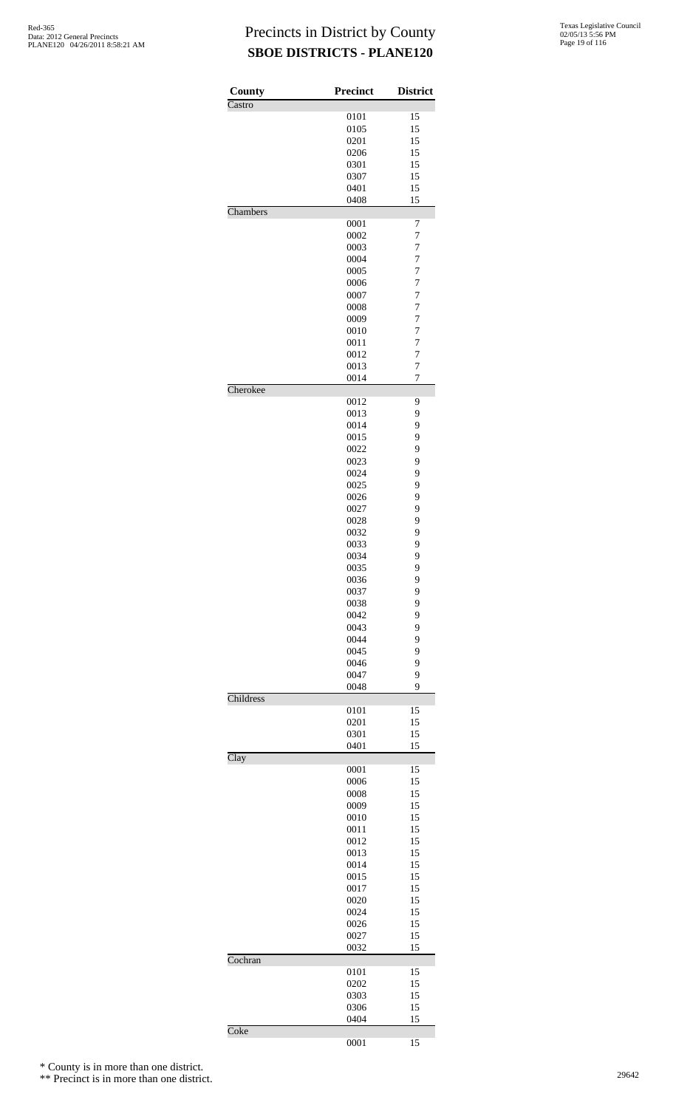| County    | <b>Precinct</b> | <b>District</b>                  |
|-----------|-----------------|----------------------------------|
| Castro    |                 |                                  |
|           | 0101            | 15                               |
|           | 0105            | 15                               |
|           | 0201            | 15<br>15                         |
|           | 0206<br>0301    | 15                               |
|           | 0307            | 15                               |
|           | 0401            | 15                               |
|           | 0408            | 15                               |
| Chambers  |                 |                                  |
|           | 0001            | 7                                |
|           | 0002            | $\overline{7}$                   |
|           | 0003            | 7                                |
|           | 0004            | $\overline{7}$                   |
|           | 0005            | 7                                |
|           | 0006            | $\overline{7}$                   |
|           | 0007            | $\overline{7}$                   |
|           | 0008            | $\overline{7}$                   |
|           | 0009            | $\overline{7}$                   |
|           | 0010            | 7                                |
|           | 0011<br>0012    | $\overline{7}$<br>$\overline{7}$ |
|           | 0013            | 7                                |
|           |                 | $\overline{7}$                   |
| Cherokee  | 0014            |                                  |
|           | 0012            | 9                                |
|           | 0013            | 9                                |
|           | 0014            | 9                                |
|           | 0015            | 9                                |
|           | 0022            | 9                                |
|           | 0023            | 9                                |
|           | 0024            | 9                                |
|           | 0025            | 9                                |
|           | 0026            | 9                                |
|           | 0027            | 9                                |
|           | 0028            | 9                                |
|           | 0032            | 9                                |
|           | 0033            | 9                                |
|           | 0034            | 9                                |
|           | 0035            | 9                                |
|           | 0036            | 9                                |
|           | 0037            | 9                                |
|           | 0038            | 9                                |
|           | 0042            | 9                                |
|           | 0043            | 9                                |
|           | 0044<br>0045    | 9<br>9                           |
|           | 0046            | 9                                |
|           | 0047            | 9                                |
|           | 0048            | 9                                |
| Childress |                 |                                  |
|           | 0101            | 15                               |
|           | 0201            | 15                               |
|           | 0301            | 15                               |
|           | 0401            | 15                               |
| Clay      |                 |                                  |
|           | 0001            | 15                               |
|           | 0006            | 15                               |
|           | 0008            | 15                               |
|           | 0009            | 15                               |
|           | 0010            | 15                               |
|           | 0011            | 15                               |
|           | 0012            | 15                               |
|           | 0013            | 15                               |
|           | 0014            | 15                               |
|           | 0015            | 15                               |
|           | 0017            | 15<br>15                         |
|           | 0020<br>0024    | 15                               |
|           | 0026            | 15                               |
|           | 0027            | 15                               |
|           | 0032            | 15                               |
| Cochran   |                 |                                  |
|           | 0101            | 15                               |
|           | 0202            | 15                               |
|           | 0303            | 15                               |
|           | 0306            | 15                               |
|           | 0404            | 15                               |
| Coke      |                 |                                  |
|           | 0001            | 15                               |

\* County is in more than one district.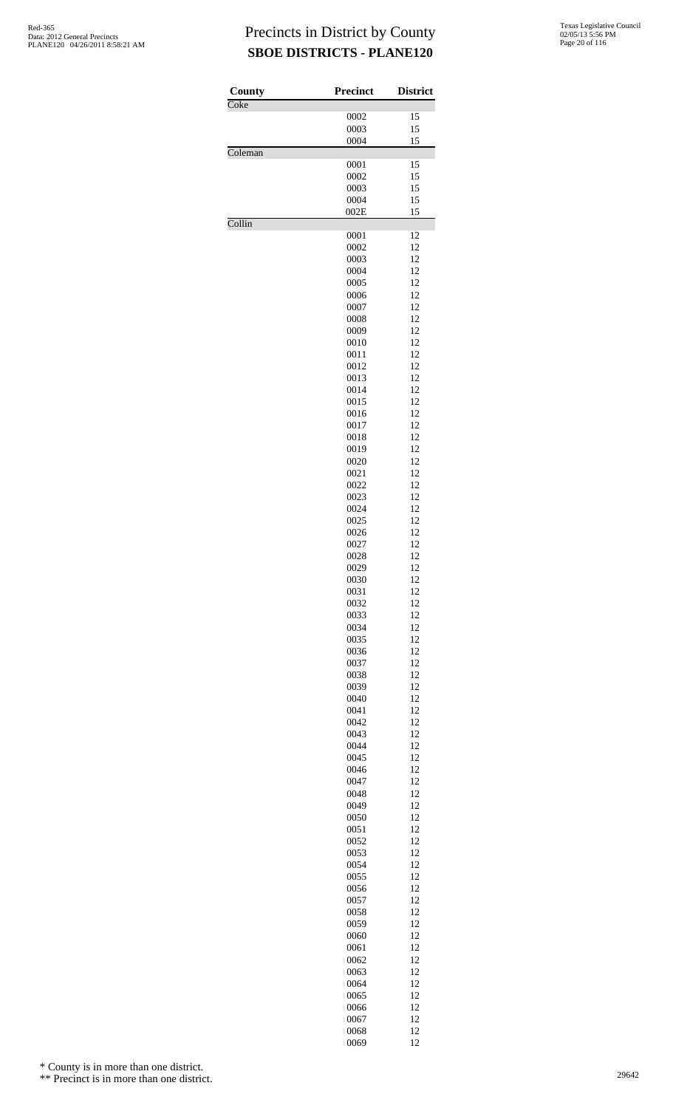| County  | <b>Precinct</b> | <b>District</b> |
|---------|-----------------|-----------------|
| Coke    |                 | 15              |
|         | 0002<br>0003    | 15              |
|         | 0004            | 15              |
| Coleman |                 |                 |
|         | 0001            | 15<br>15        |
|         | 0002<br>0003    | 15              |
|         | 0004            | 15              |
|         | 002E            | 15              |
| Collin  |                 |                 |
|         | 0001<br>0002    | 12<br>12        |
|         | 0003            | 12              |
|         | 0004            | 12              |
|         | 0005            | 12              |
|         | 0006            | 12              |
|         | 0007<br>0008    | 12<br>12        |
|         | 0009            | 12              |
|         | 0010            | 12              |
|         | 0011            | 12              |
|         | 0012            | 12              |
|         | 0013<br>0014    | 12<br>12        |
|         | 0015            | 12              |
|         | 0016            | 12              |
|         | 0017            | 12              |
|         | 0018<br>0019    | 12<br>12        |
|         | 0020            | 12              |
|         | 0021            | 12              |
|         | 0022            | 12              |
|         | 0023<br>0024    | 12<br>12        |
|         | 0025            | 12              |
|         | 0026            | 12              |
|         | 0027            | 12              |
|         | 0028            | 12              |
|         | 0029<br>0030    | 12<br>12        |
|         | 0031            | 12              |
|         | 0032            | 12              |
|         | 0033            | 12              |
|         | 0034            | 12<br>12        |
|         | 0035<br>0036    | 12              |
|         | 0037            | 12              |
|         | 0038            | 12              |
|         | 0039            | 12              |
|         | 0040<br>0041    | 12<br>12        |
|         | 0042            | 12              |
|         | 0043            | 12              |
|         | 0044            | 12              |
|         | 0045<br>0046    | 12<br>12        |
|         | 0047            | 12              |
|         | 0048            | 12              |
|         | 0049            | 12              |
|         | 0050            | 12              |
|         | 0051<br>0052    | 12<br>12        |
|         | 0053            | 12              |
|         | 0054            | 12              |
|         | 0055            | 12              |
|         | 0056<br>0057    | 12<br>12        |
|         | 0058            | 12              |
|         | 0059            | 12              |
|         | 0060            | 12              |
|         | 0061            | 12              |
|         | 0062<br>0063    | 12<br>12        |
|         | 0064            | 12              |
|         | 0065            | 12              |
|         | 0066            | 12              |
|         | 0067            | 12              |
|         | 0068<br>0069    | 12<br>12        |
|         |                 |                 |

\* County is in more than one district.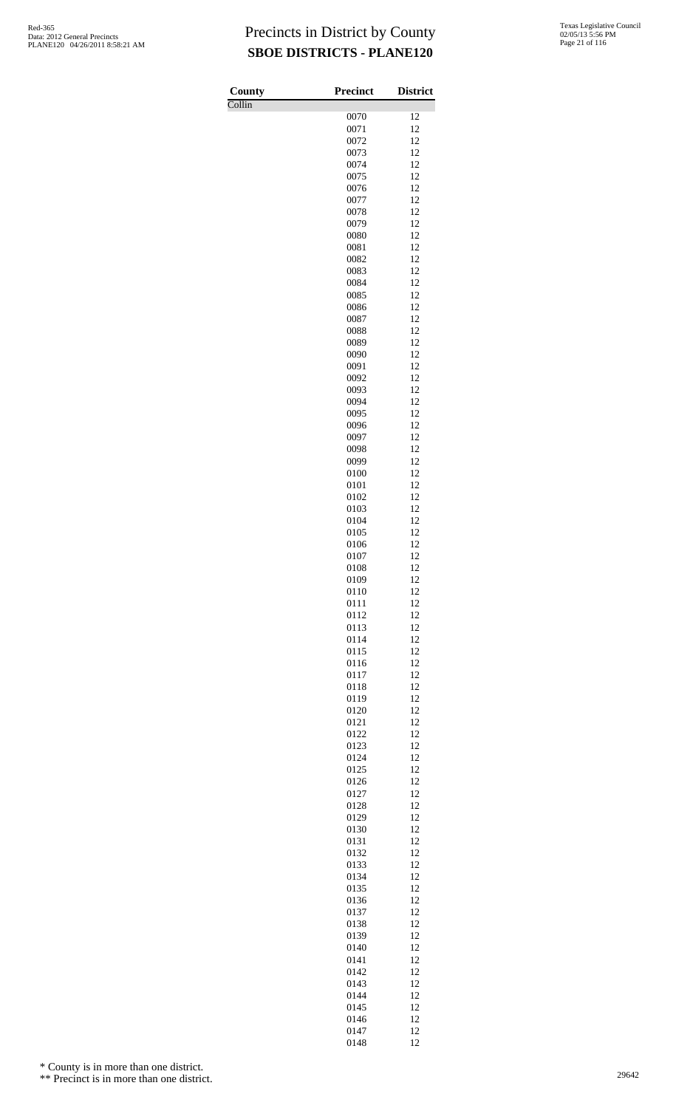| County | <b>Precinct</b> | <b>District</b> |
|--------|-----------------|-----------------|
| Collin |                 |                 |
|        | 0070            | 12              |
|        | 0071<br>0072    | 12<br>12        |
|        | 0073            | 12              |
|        | 0074            | 12              |
|        | 0075            | 12              |
|        | 0076            | 12              |
|        | 0077            | 12              |
|        | 0078            | 12<br>12        |
|        | 0079<br>0080    | 12              |
|        | 0081            | 12              |
|        | 0082            | 12              |
|        | 0083            | 12              |
|        | 0084            | 12              |
|        | 0085<br>0086    | 12<br>12        |
|        | 0087            | 12              |
|        | 0088            | 12              |
|        | 0089            | 12              |
|        | 0090            | 12              |
|        | 0091            | 12              |
|        | 0092<br>0093    | 12<br>12        |
|        | 0094            | 12              |
|        | 0095            | 12              |
|        | 0096            | 12              |
|        | 0097            | 12              |
|        | 0098            | 12              |
|        | 0099<br>0100    | 12<br>12        |
|        | 0101            | 12              |
|        | 0102            | 12              |
|        | 0103            | 12              |
|        | 0104            | 12              |
|        | 0105            | 12              |
|        | 0106<br>0107    | 12<br>12        |
|        | 0108            | 12              |
|        | 0109            | 12              |
|        | 0110            | 12              |
|        | 0111            | 12              |
|        | 0112            | 12<br>12        |
|        | 0113<br>0114    | 12              |
|        | 0115            | 12              |
|        | 0116            | 12              |
|        | 0117            | 12              |
|        | 0118            | 12              |
|        | 0119<br>0120    | 12<br>12        |
|        | 0121            | 12              |
|        | 0122            | 12              |
|        | 0123            | 12              |
|        | 0124            | 12              |
|        | 0125            | 12              |
|        | 0126            | 12              |
|        | 0127<br>0128    | 12<br>12        |
|        | 0129            | 12              |
|        | 0130            | 12              |
|        | 0131            | 12              |
|        | 0132            | 12              |
|        | 0133<br>0134    | 12<br>12        |
|        | 0135            | 12              |
|        | 0136            | 12              |
|        | 0137            | 12              |
|        | 0138            | 12              |
|        | 0139<br>0140    | 12<br>12        |
|        | 0141            | 12              |
|        | 0142            | 12              |
|        | 0143            | 12              |
|        | 0144            | 12              |
|        | 0145            | 12              |
|        | 0146            | 12              |
|        | 0147<br>0148    | 12<br>12        |

\* County is in more than one district.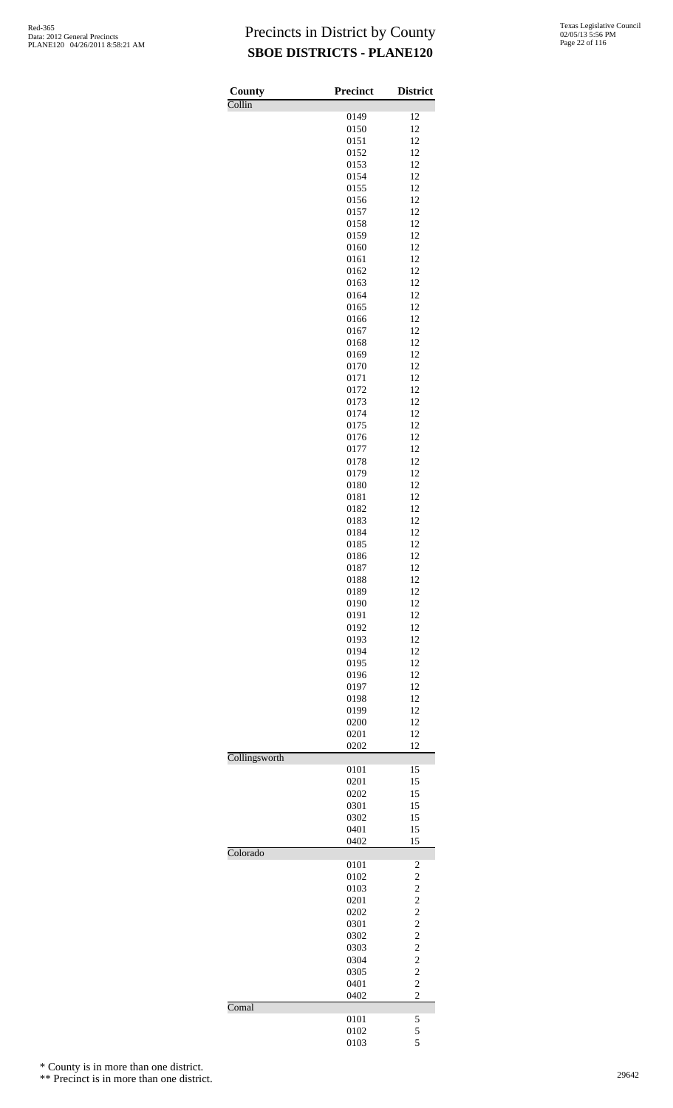| Texas Legislative Council |
|---------------------------|
| 02/05/13 5:56 PM          |
| Page 22 of 116            |

| County        | <b>Precinct</b> | <b>District</b>         |
|---------------|-----------------|-------------------------|
| Collin        | 0149            | 12                      |
|               | 0150            | 12                      |
|               | 0151            | 12                      |
|               | 0152            | 12                      |
|               | 0153            | 12                      |
|               | 0154            | 12                      |
|               | 0155            | 12                      |
|               | 0156            | 12                      |
|               | 0157            | 12                      |
|               | 0158            | 12                      |
|               | 0159            | 12                      |
|               | 0160            | 12                      |
|               | 0161            | 12                      |
|               | 0162            | 12                      |
|               | 0163            | 12                      |
|               | 0164            | 12                      |
|               | 0165            | 12                      |
|               | 0166            | 12                      |
|               | 0167            | 12                      |
|               | 0168            | 12<br>12                |
|               | 0169<br>0170    | 12                      |
|               | 0171            | 12                      |
|               | 0172            | 12                      |
|               | 0173            | 12                      |
|               | 0174            | 12                      |
|               | 0175            | 12                      |
|               | 0176            | 12                      |
|               | 0177            | 12                      |
|               | 0178            | 12                      |
|               | 0179            | 12                      |
|               | 0180            | 12                      |
|               | 0181            | 12                      |
|               | 0182            | 12                      |
|               | 0183            | 12                      |
|               | 0184            | 12                      |
|               | 0185            | 12                      |
|               | 0186            | 12                      |
|               | 0187            | 12                      |
|               | 0188            | 12                      |
|               | 0189            | 12                      |
|               | 0190<br>0191    | 12<br>12                |
|               | 0192            | 12                      |
|               | 0193            | 12                      |
|               | 0194            | 12                      |
|               | 0195            | 12                      |
|               | 0196            | 12                      |
|               | 0197            | 12                      |
|               | 0198            | 12                      |
|               | 0199            | 12                      |
|               | 0200            | 12                      |
|               | 0201            | 12                      |
|               | 0202            | 12                      |
| Collingsworth |                 |                         |
|               | 0101            | 15                      |
|               | 0201            | 15                      |
|               | 0202            | 15                      |
|               | 0301            | 15                      |
|               | 0302            | 15                      |
|               | 0401            | 15                      |
| Colorado      | 0402            | 15                      |
|               | 0101            | 2                       |
|               | 0102            | $\overline{c}$          |
|               | 0103            | $\overline{c}$          |
|               | 0201            | $\overline{\mathbf{c}}$ |
|               | 0202            | $\overline{c}$          |
|               | 0301            | $\overline{c}$          |
|               | 0302            | $\overline{c}$          |
|               | 0303            | $\overline{c}$          |
|               | 0304            | $\overline{c}$          |
|               | 0305            | $\overline{c}$          |
|               | 0401            | $\overline{c}$          |
|               | 0402            | $\overline{c}$          |
| Comal         |                 |                         |
|               | 0101            | 5                       |
|               | 0102            | 5                       |
|               | 0103            | 5                       |

\* County is in more than one district.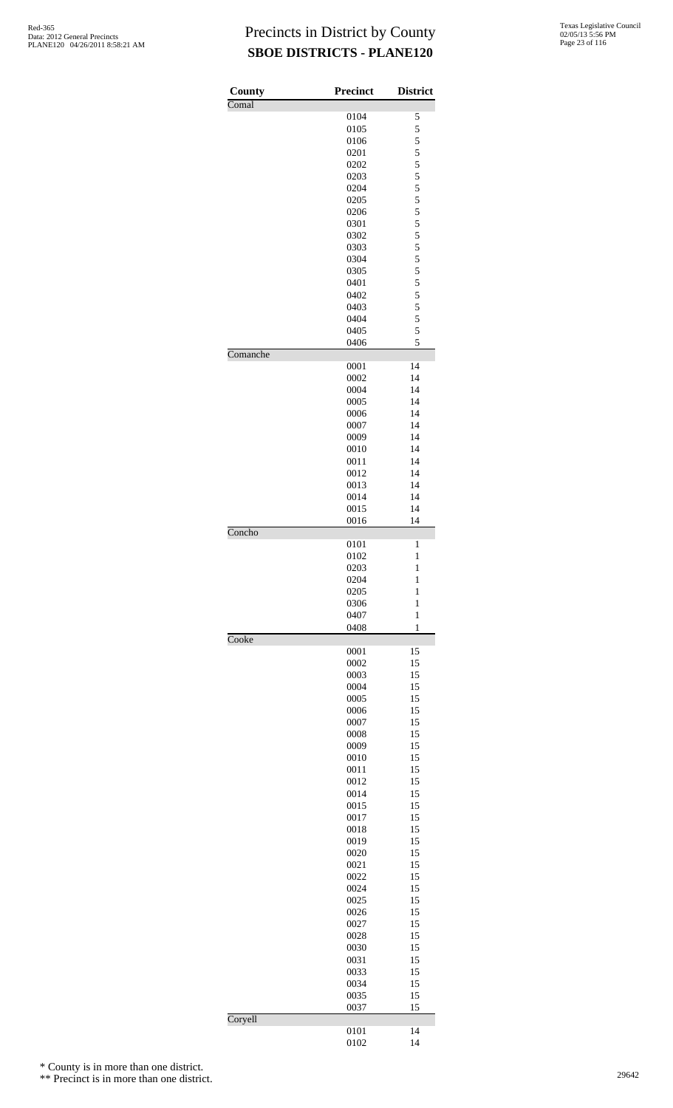| County   | <b>Precinct</b> | <b>District</b>                            |
|----------|-----------------|--------------------------------------------|
| Comal    |                 |                                            |
|          | 0104            | 5                                          |
|          | 0105            | 5                                          |
|          | 0106            | $\frac{5}{5}$                              |
|          | 0201            |                                            |
|          | 0202            | 5                                          |
|          | 0203            | $\frac{5}{5}$                              |
|          | 0204            |                                            |
|          | 0205            | $\begin{array}{c} 5 \\ 5 \\ 5 \end{array}$ |
|          | 0206            |                                            |
|          | 0301            |                                            |
|          | 0302            |                                            |
|          | 0303            | 5 5 5 5 5 5                                |
|          | 0304            |                                            |
|          | 0305            |                                            |
|          | 0401            |                                            |
|          | 0402            |                                            |
|          | 0403            | $\frac{5}{5}$                              |
|          | 0404            | 5                                          |
|          | 0405            | 5                                          |
|          | 0406            | 5                                          |
| Comanche |                 |                                            |
|          | 0001            | 14                                         |
|          | 0002            | 14                                         |
|          |                 |                                            |
|          | 0004            | 14                                         |
|          | 0005            | 14                                         |
|          | 0006            | 14                                         |
|          | 0007            | 14                                         |
|          | 0009            | 14                                         |
|          | 0010            | 14                                         |
|          | 0011            | 14                                         |
|          | 0012            | 14                                         |
|          | 0013            | 14                                         |
|          | 0014            | 14                                         |
|          | 0015            | 14                                         |
|          | 0016            | 14                                         |
| Concho   |                 |                                            |
|          | 0101            | 1                                          |
|          | 0102            | 1                                          |
|          | 0203            | $\mathbf{1}$                               |
|          | 0204            | 1                                          |
|          | 0205            | $\mathbf{1}$                               |
|          | 0306            | $\mathbf{1}$                               |
|          | 0407            | $\mathbf{1}$                               |
|          | 0408            | $\mathbf{1}$                               |
| Cooke    |                 |                                            |
|          | 0001            | 15                                         |
|          | 0002            | 15                                         |
|          | 0003            | 15                                         |
|          | 0004            | 15                                         |
|          | 0005            | 15                                         |
|          | 0006            | 15                                         |
|          | 0007            | 15                                         |
|          |                 |                                            |
|          | 0008            | 15                                         |
|          | 0009            | 15                                         |
|          | 0010            | 15                                         |
|          | 0011            | 15                                         |
|          | 0012            | 15                                         |
|          | 0014            | 15                                         |
|          | 0015            | 15                                         |
|          | 0017            | 15                                         |
|          | 0018            | 15                                         |
|          | 0019            | 15                                         |
|          | 0020            | 15                                         |
|          | 0021            | 15                                         |
|          | 0022            | 15                                         |
|          | 0024            | 15                                         |
|          | 0025            | 15                                         |
|          | 0026            | 15                                         |
|          | 0027            | 15                                         |
|          | 0028            | 15                                         |
|          | 0030            | 15                                         |
|          | 0031            | 15                                         |
|          |                 |                                            |
|          | 0033            | 15                                         |
|          | 0034            | 15                                         |
|          | 0035            | 15                                         |
|          | 0037            | 15                                         |
| Coryell  |                 |                                            |
|          | 0101<br>0102    | 14<br>14                                   |
|          |                 |                                            |

\* County is in more than one district.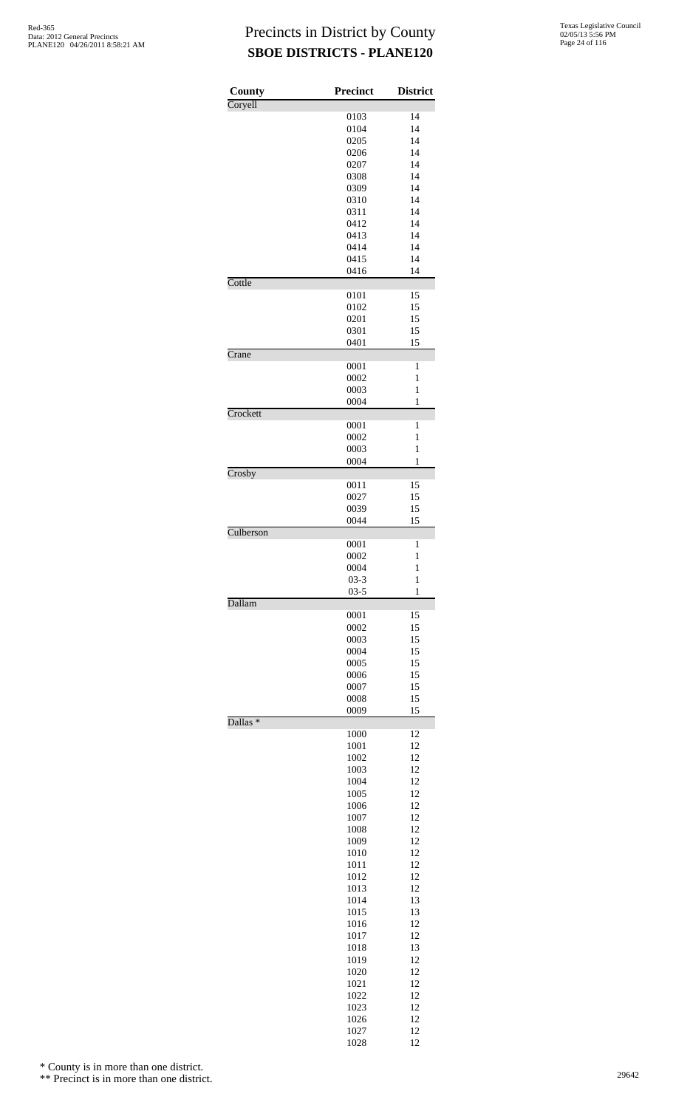| County              | Precinct     | <b>District</b>   |
|---------------------|--------------|-------------------|
| Coryell             |              |                   |
|                     | 0103         | 14                |
|                     | 0104<br>0205 | 14<br>14          |
|                     | 0206         | 14                |
|                     | 0207         | 14                |
|                     | 0308         | 14                |
|                     | 0309         | 14                |
|                     | 0310<br>0311 | 14<br>14          |
|                     | 0412         | 14                |
|                     | 0413         | 14                |
|                     | 0414         | 14                |
|                     | 0415         | 14                |
|                     | 0416         | 14                |
| Cottle              | 0101         | 15                |
|                     | 0102         | 15                |
|                     | 0201         | 15                |
|                     | 0301         | 15                |
|                     | 0401         | 15                |
| Crane               | 0001         | 1                 |
|                     | 0002         | 1                 |
|                     | 0003         | $\mathbf{1}$      |
|                     | 0004         | 1                 |
| Crockett            |              |                   |
|                     | 0001<br>0002 | 1<br>1            |
|                     | 0003         | $\mathbf{1}$      |
|                     | 0004         | 1                 |
| Crosby              |              |                   |
|                     | 0011         | 15                |
|                     | 0027<br>0039 | 15<br>15          |
|                     | 0044         | 15                |
| Culberson           |              |                   |
|                     | 0001         | 1                 |
|                     | 0002<br>0004 | 1<br>$\mathbf{1}$ |
|                     | $03 - 3$     | 1                 |
|                     | $03 - 5$     | $\mathbf{1}$      |
| Dallam              |              |                   |
|                     | 0001         | 15                |
|                     | 0002         | 15                |
|                     | 0003<br>0004 | 15<br>15          |
|                     | 0005         | 15                |
|                     | 0006         | 15                |
|                     | 0007         | 15                |
|                     | 0008         | 15                |
| Dallas <sup>*</sup> | 0009         | 15                |
|                     | 1000         | 12                |
|                     | 1001         | 12                |
|                     | 1002         | 12                |
|                     | 1003<br>1004 | 12<br>12          |
|                     | 1005         | 12                |
|                     | 1006         | 12                |
|                     | 1007         | 12                |
|                     | 1008         | 12                |
|                     | 1009         | 12                |
|                     | 1010<br>1011 | 12<br>12          |
|                     | 1012         | 12                |
|                     | 1013         | 12                |
|                     | 1014         | 13                |
|                     | 1015         | 13                |
|                     | 1016         | 12                |
|                     | 1017<br>1018 | 12<br>13          |
|                     | 1019         | 12                |
|                     | 1020         | 12                |
|                     | 1021         | 12                |
|                     | 1022         | 12                |
|                     | 1023         | 12                |
|                     | 1026         | 12                |
|                     | 1027<br>1028 | 12<br>12          |

\* County is in more than one district.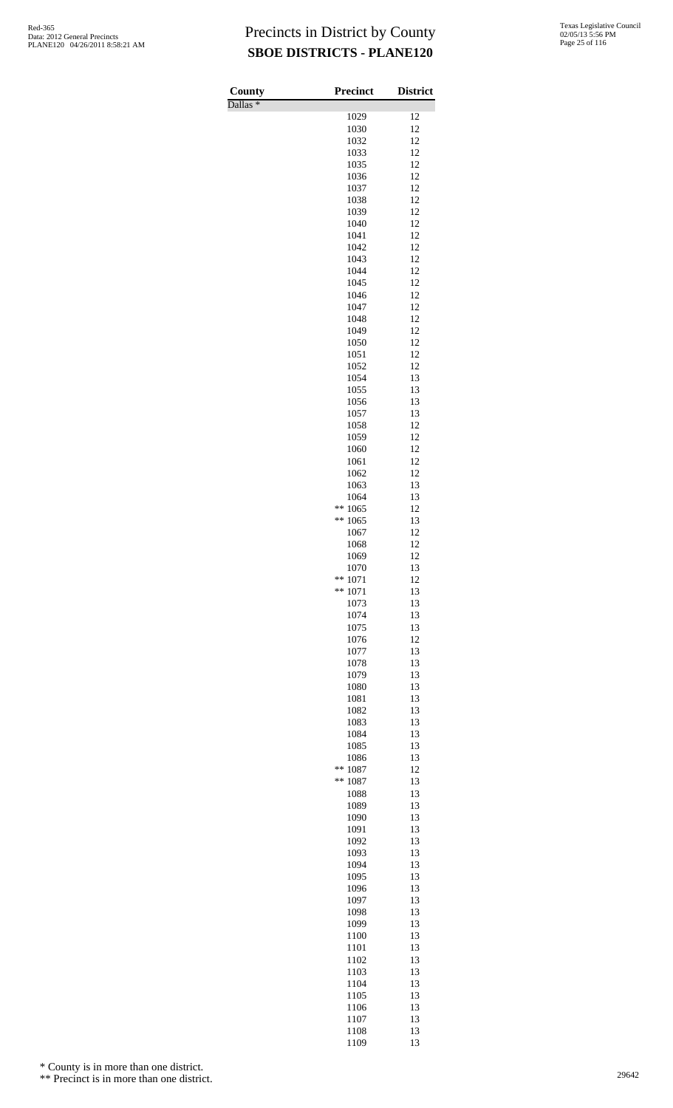Dallas \*

| County<br>$\overline{\text{Dallas}}$ $*$ | Precinct           | <b>District</b> |
|------------------------------------------|--------------------|-----------------|
|                                          | 1029               | 12              |
|                                          | 1030               | 12              |
|                                          | 1032               | 12              |
|                                          | 1033<br>1035       | 12<br>12        |
|                                          | 1036               | 12              |
|                                          | 1037               | 12              |
|                                          | 1038               | 12              |
|                                          | 1039               | 12              |
|                                          | 1040<br>1041       | 12<br>12        |
|                                          | 1042               | 12              |
|                                          | 1043               | 12              |
|                                          | 1044               | 12              |
|                                          | 1045               | 12              |
|                                          | 1046<br>1047       | 12<br>12        |
|                                          | 1048               | 12              |
|                                          | 1049               | 12              |
|                                          | 1050               | 12              |
|                                          | 1051               | 12              |
|                                          | 1052<br>1054       | 12<br>13        |
|                                          | 1055               | 13              |
|                                          | 1056               | 13              |
|                                          | 1057               | 13              |
|                                          | 1058               | 12              |
|                                          | 1059<br>1060       | 12<br>12        |
|                                          | 1061               | 12              |
|                                          | 1062               | 12              |
|                                          | 1063               | 13              |
|                                          | 1064               | 13              |
|                                          | **<br>1065<br>**   | 12<br>13        |
|                                          | 1065<br>1067       | 12              |
|                                          | 1068               | 12              |
|                                          | 1069               | 12              |
|                                          | 1070               | 13              |
|                                          | **<br>1071<br>$**$ | 12              |
|                                          | 1071<br>1073       | 13<br>13        |
|                                          | 1074               | 13              |
|                                          | 1075               | 13              |
|                                          | 1076               | 12              |
|                                          | 1077<br>1078       | 13<br>13        |
|                                          | 1079               | 13              |
|                                          | 1080               | 13              |
|                                          | 1081               | 13              |
|                                          | 1082               | 13              |
|                                          | 1083               | 13              |
|                                          | 1084<br>1085       | 13<br>13        |
|                                          | 1086               | 13              |
|                                          | **<br>1087         | 12              |
|                                          | **<br>1087         | 13              |
|                                          | 1088<br>1089       | 13<br>13        |
|                                          | 1090               | 13              |
|                                          | 1091               | 13              |
|                                          | 1092               | 13              |
|                                          | 1093               | 13              |
|                                          | 1094<br>1095       | 13<br>13        |
|                                          | 1096               | 13              |
|                                          | 1097               | 13              |
|                                          | 1098               | 13              |
|                                          | 1099               | 13              |
|                                          | 1100<br>1101       | 13<br>13        |
|                                          | 1102               | 13              |
|                                          | 1103               | 13              |
|                                          | 1104               | 13              |
|                                          | 1105               | 13              |
|                                          | 1106<br>1107       | 13<br>13        |
|                                          | 1108               | 13              |
|                                          | 1109               | 13              |

\* County is in more than one district.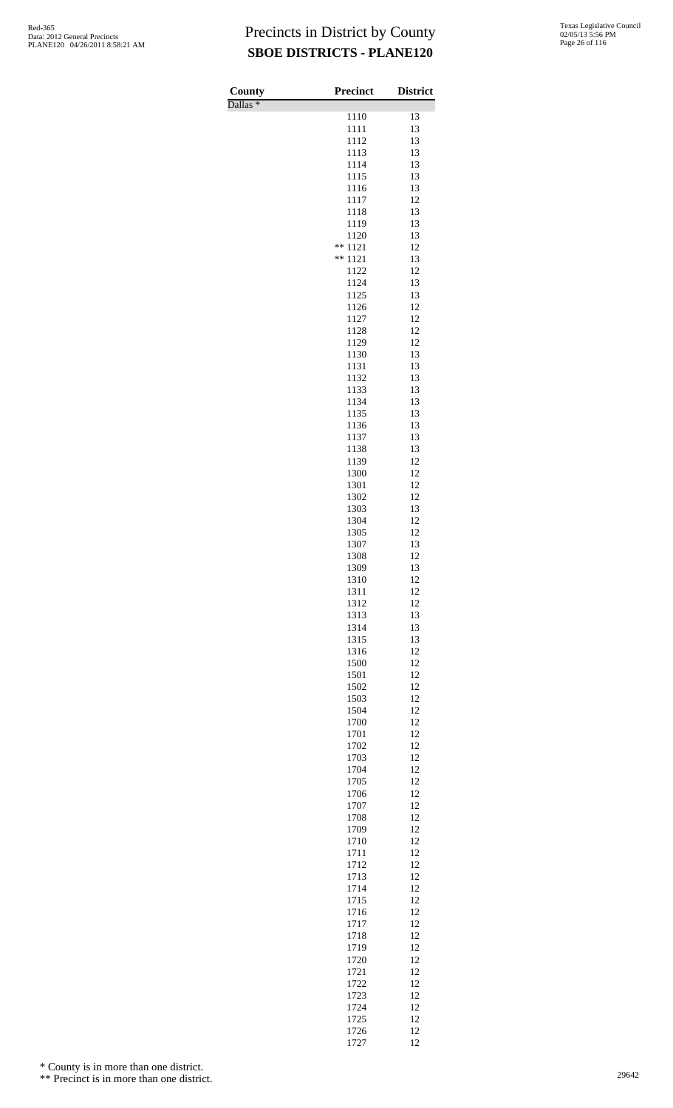| County<br>Dallas <sup>*</sup> | <b>Precinct</b>    | <b>District</b> |
|-------------------------------|--------------------|-----------------|
|                               | 1110               | 13              |
|                               | 1111               | 13              |
|                               | 1112<br>1113       | 13<br>13        |
|                               | 1114               | 13              |
|                               | 1115<br>1116       | 13<br>13        |
|                               | 1117               | 12              |
|                               | 1118               | 13              |
|                               | 1119<br>1120       | 13<br>13        |
|                               | **<br>1121         | 12              |
|                               | 1121<br>**<br>1122 | 13<br>12        |
|                               | 1124               | 13              |
|                               | 1125               | 13<br>12        |
|                               | 1126<br>1127       | 12              |
|                               | 1128               | 12              |
|                               | 1129<br>1130       | 12<br>13        |
|                               | 1131               | 13              |
|                               | 1132<br>1133       | 13<br>13        |
|                               | 1134               | 13              |
|                               | 1135               | 13<br>13        |
|                               | 1136<br>1137       | 13              |
|                               | 1138               | 13              |
|                               | 1139<br>1300       | 12<br>12        |
|                               | 1301               | 12              |
|                               | 1302<br>1303       | 12<br>13        |
|                               | 1304               | 12              |
|                               | 1305<br>1307       | 12<br>13        |
|                               | 1308               | 12              |
|                               | 1309               | 13              |
|                               | 1310<br>1311       | 12<br>12        |
|                               | 1312               | 12              |
|                               | 1313<br>1314       | 13<br>13        |
|                               | 1315               | 13              |
|                               | 1316<br>1500       | 12<br>12        |
|                               | 1501               | 12              |
|                               | 1502               | 12<br>12        |
|                               | 1503<br>1504       | 12              |
|                               | 1700               | 12              |
|                               | 1701<br>1702       | 12<br>12        |
|                               | 1703               | 12              |
|                               | 1704<br>1705       | 12<br>12        |
|                               | 1706               | 12              |
|                               | 1707               | 12<br>12        |
|                               | 1708<br>1709       | 12              |
|                               | 1710               | 12              |
|                               | 1711<br>1712       | 12<br>12        |
|                               | 1713               | 12              |
|                               | 1714<br>1715       | 12<br>12        |
|                               | 1716               | 12              |
|                               | 1717<br>1718       | 12<br>12        |
|                               | 1719               | 12              |
|                               | 1720               | 12              |
|                               | 1721<br>1722       | 12<br>12        |
|                               | 1723               | 12              |
|                               | 1724<br>1725       | 12<br>12        |
|                               | 1726               | 12              |

12

\* County is in more than one district.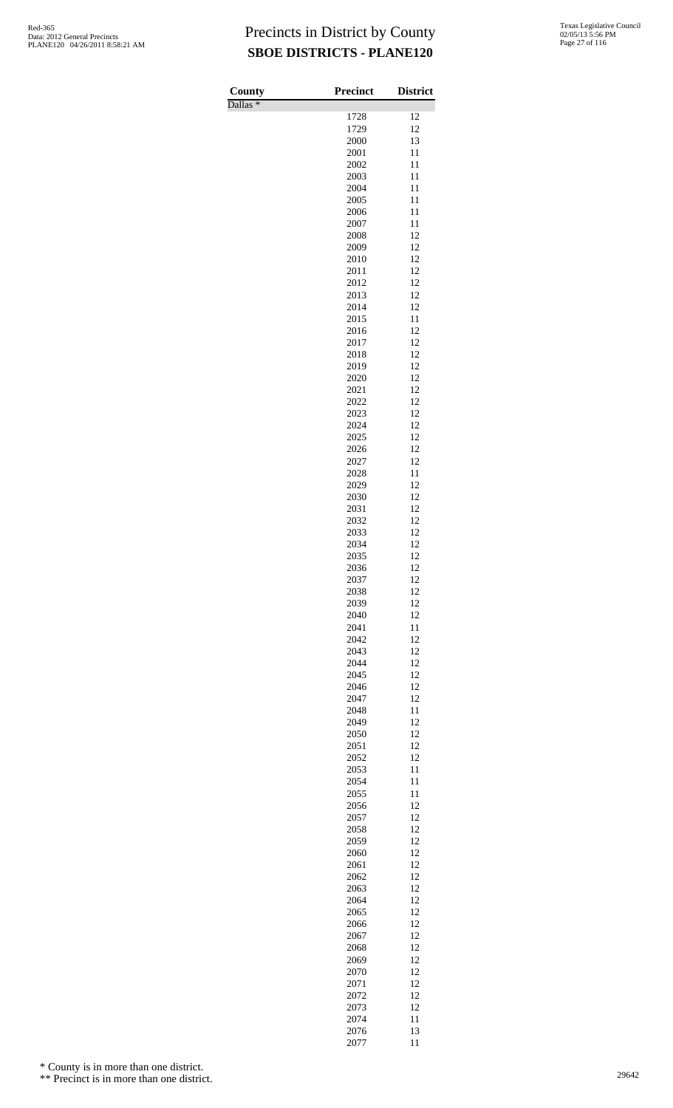Dallas \*

| County              | <b>Precinct</b> | <b>District</b> |
|---------------------|-----------------|-----------------|
| Dallas <sup>*</sup> | 1728            | 12              |
|                     | 1729            | 12              |
|                     | 2000            | 13              |
|                     | 2001            | 11              |
|                     | 2002            | 11              |
|                     | 2003<br>2004    | 11<br>11        |
|                     | 2005            | 11              |
|                     | 2006            | 11              |
|                     | 2007            | 11              |
|                     | 2008            | 12              |
|                     | 2009            | 12<br>12        |
|                     | 2010<br>2011    | 12              |
|                     | 2012            | 12              |
|                     | 2013            | 12              |
|                     | 2014            | 12              |
|                     | 2015            | 11<br>12        |
|                     | 2016<br>2017    | 12              |
|                     | 2018            | 12              |
|                     | 2019            | 12              |
|                     | 2020            | 12              |
|                     | 2021            | 12              |
|                     | 2022<br>2023    | 12<br>12        |
|                     | 2024            | 12              |
|                     | 2025            | 12              |
|                     | 2026            | 12              |
|                     | 2027            | 12              |
|                     | 2028<br>2029    | 11<br>12        |
|                     | 2030            | 12              |
|                     | 2031            | 12              |
|                     | 2032            | 12              |
|                     | 2033            | 12              |
|                     | 2034<br>2035    | 12<br>12        |
|                     | 2036            | 12              |
|                     | 2037            | 12              |
|                     | 2038            | 12              |
|                     | 2039            | 12              |
|                     | 2040<br>2041    | 12<br>11        |
|                     | 2042            | 12              |
|                     | 2043            | 12              |
|                     | 2044            | 12              |
|                     | 2045            | 12              |
|                     | 2046<br>2047    | 12<br>12        |
|                     | 2048            | 11              |
|                     | 2049            | 12              |
|                     | 2050            | 12              |
|                     | 2051            | 12              |
|                     | 2052<br>2053    | 12<br>11        |
|                     | 2054            | 11              |
|                     | 2055            | 11              |
|                     | 2056            | 12              |
|                     | 2057            | 12              |
|                     | 2058<br>2059    | 12<br>12        |
|                     | 2060            | 12              |
|                     | 2061            | 12              |
|                     | 2062            | 12              |
|                     | 2063            | 12              |
|                     | 2064<br>2065    | 12<br>12        |
|                     | 2066            | 12              |
|                     | 2067            | 12              |
|                     | 2068            | 12              |
|                     | 2069            | 12              |
|                     | 2070            | 12              |
|                     | 2071<br>2072    | 12<br>12        |
|                     | 2073            | 12              |
|                     | 2074            | 11              |
|                     | 2076            | 13              |
|                     | 2077            | 11              |

\* County is in more than one district.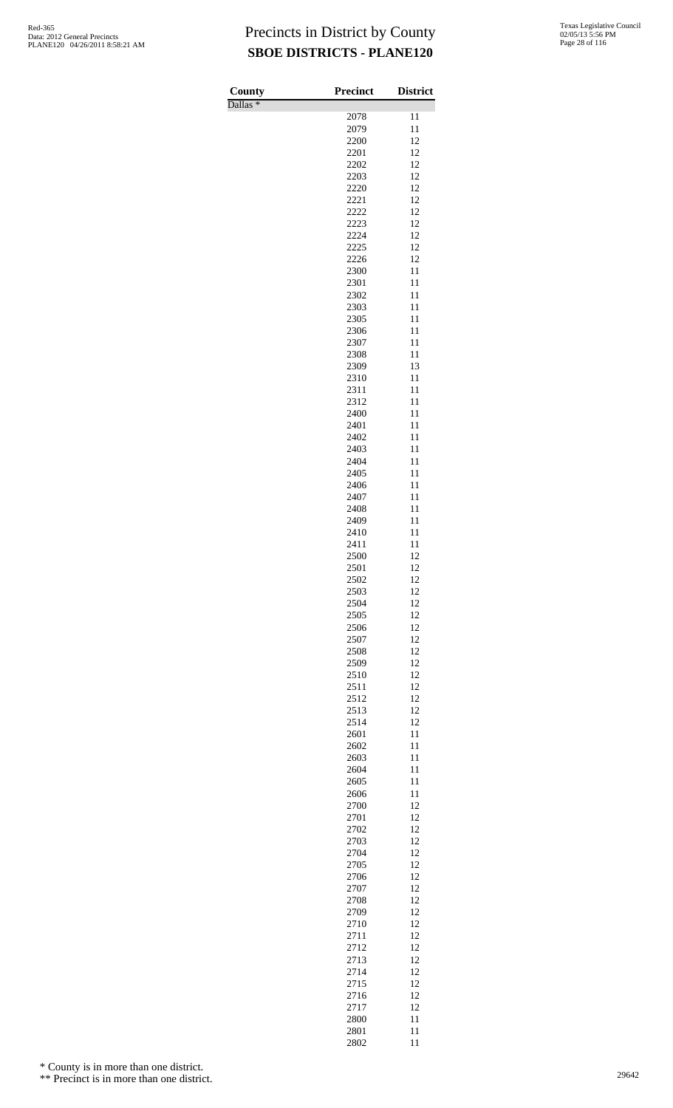Dallas \*

| County              | <b>Precinct</b> | <b>District</b> |
|---------------------|-----------------|-----------------|
| Dallas <sup>*</sup> | 2078            | 11              |
|                     | 2079            | 11              |
|                     | 2200            | 12              |
|                     | 2201            | 12              |
|                     | 2202            | 12              |
|                     | 2203            | 12              |
|                     | 2220            | 12              |
|                     | 2221            | 12              |
|                     | 2222<br>2223    | 12<br>12        |
|                     | 2224            | 12              |
|                     | 2225            | 12              |
|                     | 2226            | 12              |
|                     | 2300            | 11              |
|                     | 2301            | 11              |
|                     | 2302            | 11              |
|                     | 2303            | 11              |
|                     | 2305<br>2306    | 11<br>11        |
|                     | 2307            | 11              |
|                     | 2308            | 11              |
|                     | 2309            | 13              |
|                     | 2310            | 11              |
|                     | 2311            | 11              |
|                     | 2312            | 11              |
|                     | 2400            | 11              |
|                     | 2401<br>2402    | 11<br>11        |
|                     | 2403            | 11              |
|                     | 2404            | 11              |
|                     | 2405            | 11              |
|                     | 2406            | 11              |
|                     | 2407            | 11              |
|                     | 2408            | 11              |
|                     | 2409            | 11              |
|                     | 2410            | 11              |
|                     | 2411<br>2500    | 11<br>12        |
|                     | 2501            | 12              |
|                     | 2502            | 12              |
|                     | 2503            | 12              |
|                     | 2504            | 12              |
|                     | 2505            | 12              |
|                     | 2506            | 12              |
|                     | 2507            | 12              |
|                     | 2508            | 12              |
|                     | 2509<br>2510    | 12<br>12        |
|                     | 2511            | 12              |
|                     | 2512            | 12              |
|                     | 2513            | 12              |
|                     | 2514            | 12              |
|                     | 2601            | 11              |
|                     | 2602            | 11              |
|                     | 2603            | 11              |
|                     | 2604            | 11              |
|                     | 2605<br>2606    | 11<br>11        |
|                     | 2700            | 12              |
|                     | 2701            | 12              |
|                     | 2702            | 12              |
|                     | 2703            | 12              |
|                     | 2704            | 12              |
|                     | 2705            | 12              |
|                     | 2706            | 12              |
|                     | 2707<br>2708    | 12<br>12        |
|                     | 2709            | 12              |
|                     | 2710            | 12              |
|                     | 2711            | 12              |
|                     | 2712            | 12              |
|                     | 2713            | 12              |
|                     | 2714            | 12              |
|                     | 2715            | 12              |
|                     | 2716            | 12              |
|                     | 2717<br>2800    | 12<br>11        |
|                     | 2801            | 11              |
|                     | 2802            | 11              |

\* County is in more than one district.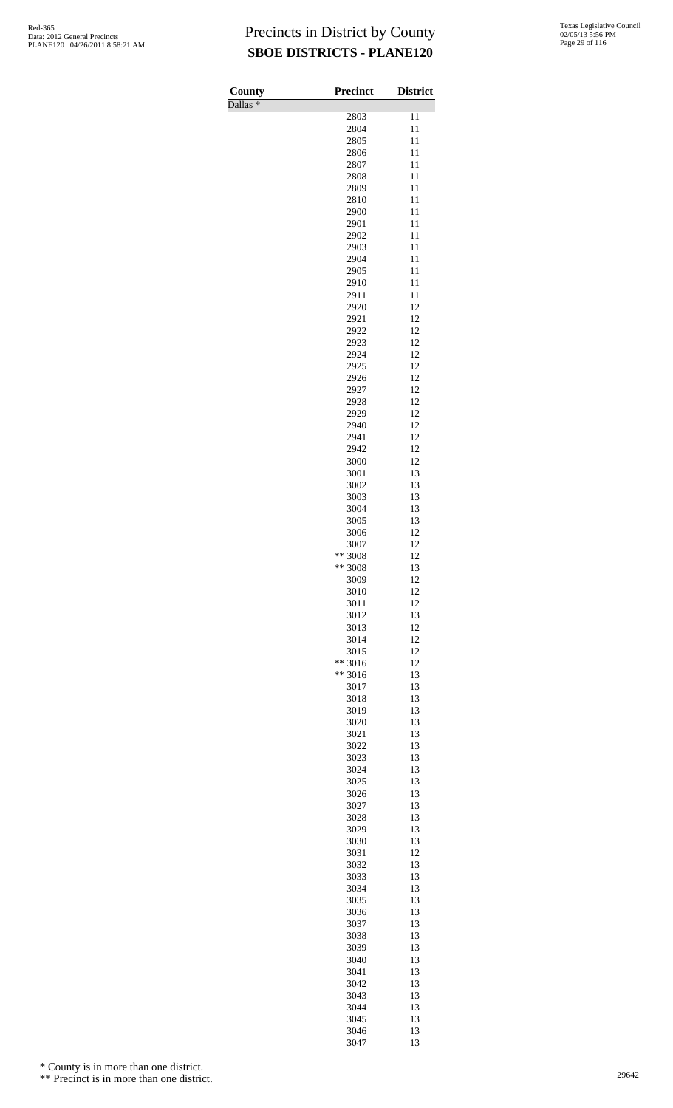Dallas \*

| County<br>$\overline{\text{Dallas}}$ * | <b>Precinct</b>         | <b>District</b> |
|----------------------------------------|-------------------------|-----------------|
|                                        | 2803                    | 11              |
|                                        | 2804                    | 11              |
|                                        | 2805                    | 11              |
|                                        | 2806                    | 11              |
|                                        | 2807<br>2808            | 11<br>11        |
|                                        | 2809                    | 11              |
|                                        | 2810                    | 11              |
|                                        | 2900                    | 11              |
|                                        | 2901                    | 11              |
|                                        | 2902                    | 11              |
|                                        | 2903<br>2904            | 11<br>11        |
|                                        | 2905                    | 11              |
|                                        | 2910                    | 11              |
|                                        | 2911                    | 11              |
|                                        | 2920                    | 12              |
|                                        | 2921                    | 12              |
|                                        | 2922<br>2923            | 12<br>12        |
|                                        | 2924                    | 12              |
|                                        | 2925                    | 12              |
|                                        | 2926                    | 12              |
|                                        | 2927                    | 12              |
|                                        | 2928                    | 12              |
|                                        | 2929<br>2940            | 12<br>12        |
|                                        | 2941                    | 12              |
|                                        | 2942                    | 12              |
|                                        | 3000                    | 12              |
|                                        | 3001                    | 13              |
|                                        | 3002                    | 13              |
|                                        | 3003                    | 13<br>13        |
|                                        | 3004<br>3005            | 13              |
|                                        | 3006                    | 12              |
|                                        | 3007                    | 12              |
|                                        | ** 3008                 | 12              |
|                                        | ** 3008                 | 13              |
|                                        | 3009<br>3010            | 12<br>12        |
|                                        | 3011                    | 12              |
|                                        | 3012                    | 13              |
|                                        | 3013                    | 12              |
|                                        | 3014                    | 12              |
|                                        | 3015                    | 12              |
|                                        | **<br>3016<br>$** 3016$ | 12<br>13        |
|                                        | 3017                    | 13              |
|                                        | 3018                    | 13              |
|                                        | 3019                    | 13              |
|                                        | 3020                    | 13              |
|                                        | 3021                    | 13              |
|                                        | 3022<br>3023            | 13<br>13        |
|                                        | 3024                    | 13              |
|                                        | 3025                    | 13              |
|                                        | 3026                    | 13              |
|                                        | 3027                    | 13              |
|                                        | 3028                    | 13              |
|                                        | 3029                    | 13              |
|                                        | 3030<br>3031            | 13<br>12        |
|                                        | 3032                    | 13              |
|                                        | 3033                    | 13              |
|                                        | 3034                    | 13              |
|                                        | 3035                    | 13              |
|                                        | 3036                    | 13<br>13        |
|                                        | 3037<br>3038            | 13              |
|                                        | 3039                    | 13              |
|                                        | 3040                    | 13              |
|                                        | 3041                    | 13              |
|                                        | 3042                    | 13              |
|                                        | 3043                    | 13              |
|                                        | 3044<br>3045            | 13<br>13        |
|                                        | 3046                    | 13              |
|                                        | 3047                    | 13              |

\* County is in more than one district.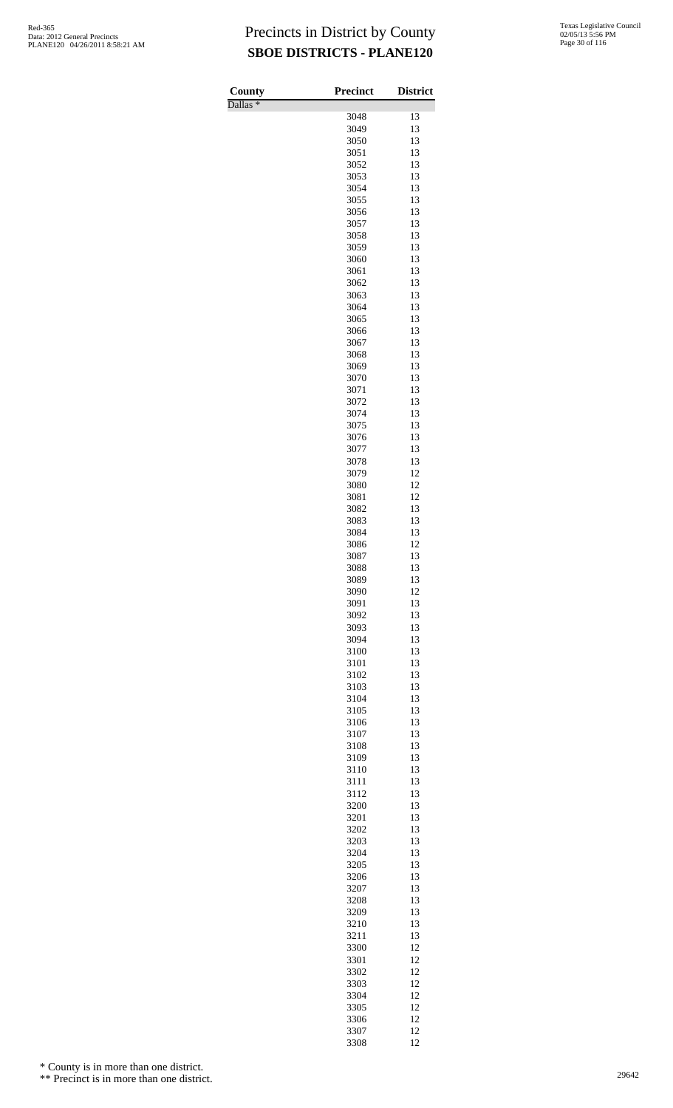Dallas \*

| County<br>Dallas <sup>*</sup> | <b>Precinct</b> | <b>District</b> |
|-------------------------------|-----------------|-----------------|
|                               | 3048            | 13              |
|                               | 3049            | 13              |
|                               | 3050            | 13              |
|                               | 3051            | 13              |
|                               | 3052            | 13              |
|                               | 3053<br>3054    | 13<br>13        |
|                               | 3055            | 13              |
|                               | 3056            | 13              |
|                               | 3057            | 13              |
|                               | 3058            | 13              |
|                               | 3059<br>3060    | 13<br>13        |
|                               | 3061            | 13              |
|                               | 3062            | 13              |
|                               | 3063            | 13              |
|                               | 3064            | 13              |
|                               | 3065<br>3066    | 13<br>13        |
|                               | 3067            | 13              |
|                               | 3068            | 13              |
|                               | 3069            | 13              |
|                               | 3070            | 13              |
|                               | 3071<br>3072    | 13<br>13        |
|                               | 3074            | 13              |
|                               | 3075            | 13              |
|                               | 3076            | 13              |
|                               | 3077            | 13              |
|                               | 3078<br>3079    | 13<br>12        |
|                               | 3080            | 12              |
|                               | 3081            | 12              |
|                               | 3082            | 13              |
|                               | 3083            | 13              |
|                               | 3084<br>3086    | 13<br>12        |
|                               | 3087            | 13              |
|                               | 3088            | 13              |
|                               | 3089            | 13              |
|                               | 3090            | 12              |
|                               | 3091<br>3092    | 13<br>13        |
|                               | 3093            | 13              |
|                               | 3094            | 13              |
|                               | 3100            | 13              |
|                               | 3101            | 13              |
|                               | 3102<br>3103    | 13<br>13        |
|                               | 3104            | 13              |
|                               | 3105            | 13              |
|                               | 3106            | 13              |
|                               | 3107            | 13<br>13        |
|                               | 3108<br>3109    | 13              |
|                               | 3110            | 13              |
|                               | 3111            | 13              |
|                               | 3112            | 13              |
|                               | 3200            | 13              |
|                               | 3201<br>3202    | 13<br>13        |
|                               | 3203            | 13              |
|                               | 3204            | 13              |
|                               | 3205            | 13              |
|                               | 3206<br>3207    | 13<br>13        |
|                               | 3208            | 13              |
|                               | 3209            | 13              |
|                               | 3210            | 13              |
|                               | 3211            | 13              |
|                               | 3300            | 12              |
|                               | 3301<br>3302    | 12<br>12        |
|                               | 3303            | 12              |
|                               | 3304            | 12              |
|                               | 3305            | 12              |
|                               | 3306            | 12              |
|                               | 3307<br>3308    | 12<br>12        |

\* County is in more than one district.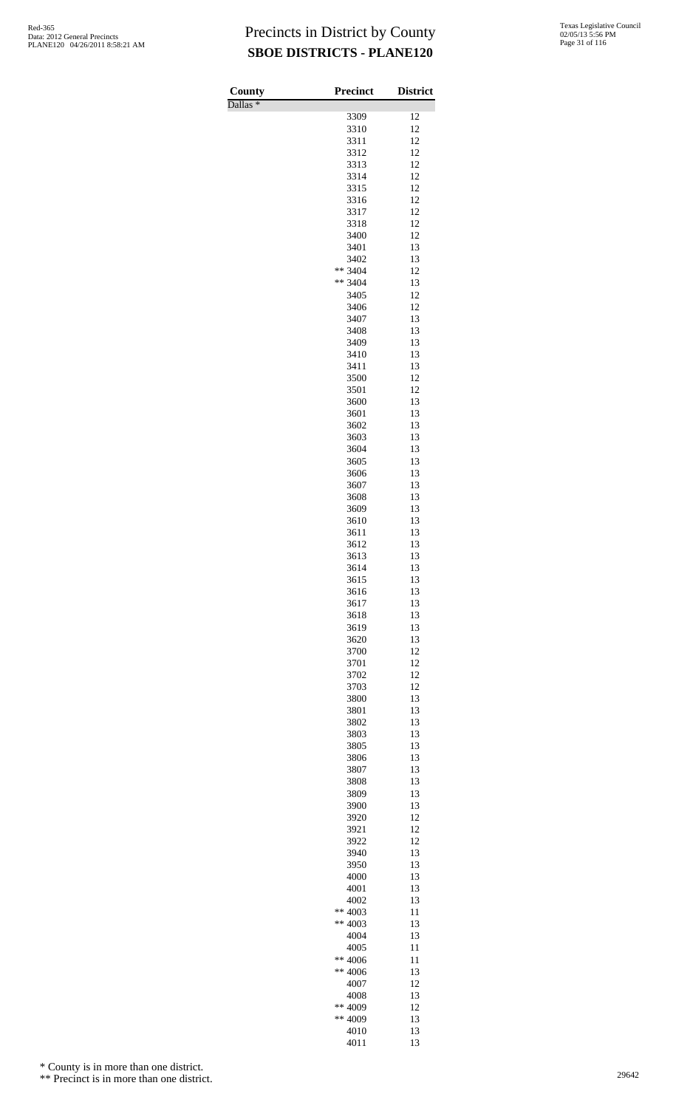Dallas \*

| County<br>Dallas <sup>*</sup> | <b>Precinct</b> | <b>District</b> |
|-------------------------------|-----------------|-----------------|
|                               | 3309            | 12              |
|                               | 3310            | 12              |
|                               | 3311            | 12              |
|                               | 3312            | 12              |
|                               | 3313            | 12              |
|                               | 3314            | 12              |
|                               | 3315<br>3316    | 12<br>12        |
|                               | 3317            | 12              |
|                               | 3318            | 12              |
|                               | 3400            | 12              |
|                               | 3401            | 13              |
|                               | 3402            | 13              |
|                               | ** 3404         | 12              |
|                               | ** 3404         | 13<br>12        |
|                               | 3405<br>3406    | 12              |
|                               | 3407            | 13              |
|                               | 3408            | 13              |
|                               | 3409            | 13              |
|                               | 3410            | 13              |
|                               | 3411            | 13              |
|                               | 3500            | 12              |
|                               | 3501<br>3600    | 12<br>13        |
|                               | 3601            | 13              |
|                               | 3602            | 13              |
|                               | 3603            | 13              |
|                               | 3604            | 13              |
|                               | 3605            | 13              |
|                               | 3606            | 13              |
|                               | 3607            | 13              |
|                               | 3608            | 13              |
|                               | 3609<br>3610    | 13<br>13        |
|                               | 3611            | 13              |
|                               | 3612            | 13              |
|                               | 3613            | 13              |
|                               | 3614            | 13              |
|                               | 3615            | 13              |
|                               | 3616            | 13              |
|                               | 3617            | 13              |
|                               | 3618<br>3619    | 13<br>13        |
|                               | 3620            | 13              |
|                               | 3700            | 12              |
|                               | 3701            | 12              |
|                               | 3702            | 12              |
|                               | 3703            | 12              |
|                               | 3800            | 13              |
|                               | 3801            | 13              |
|                               | 3802            | 13<br>13        |
|                               | 3803<br>3805    | 13              |
|                               | 3806            | 13              |
|                               | 3807            | 13              |
|                               | 3808            | 13              |
|                               | 3809            | 13              |
|                               | 3900            | 13              |
|                               | 3920            | 12              |
|                               | 3921<br>3922    | 12<br>12        |
|                               | 3940            | 13              |
|                               | 3950            | 13              |
|                               | 4000            | 13              |
|                               | 4001            | 13              |
|                               | 4002            | 13              |
|                               | ** $4003$       | 11              |
|                               | ** $4003$       | 13              |
|                               | 4004            | 13<br>11        |
|                               | 4005<br>** 4006 | 11              |
|                               | ** 4006         | 13              |
|                               | 4007            | 12              |
|                               | 4008            | 13              |
|                               | ** 4009         | 12              |
|                               | ** 4009         | 13              |
|                               | 4010            | 13              |
|                               | 4011            | 13              |

\* County is in more than one district.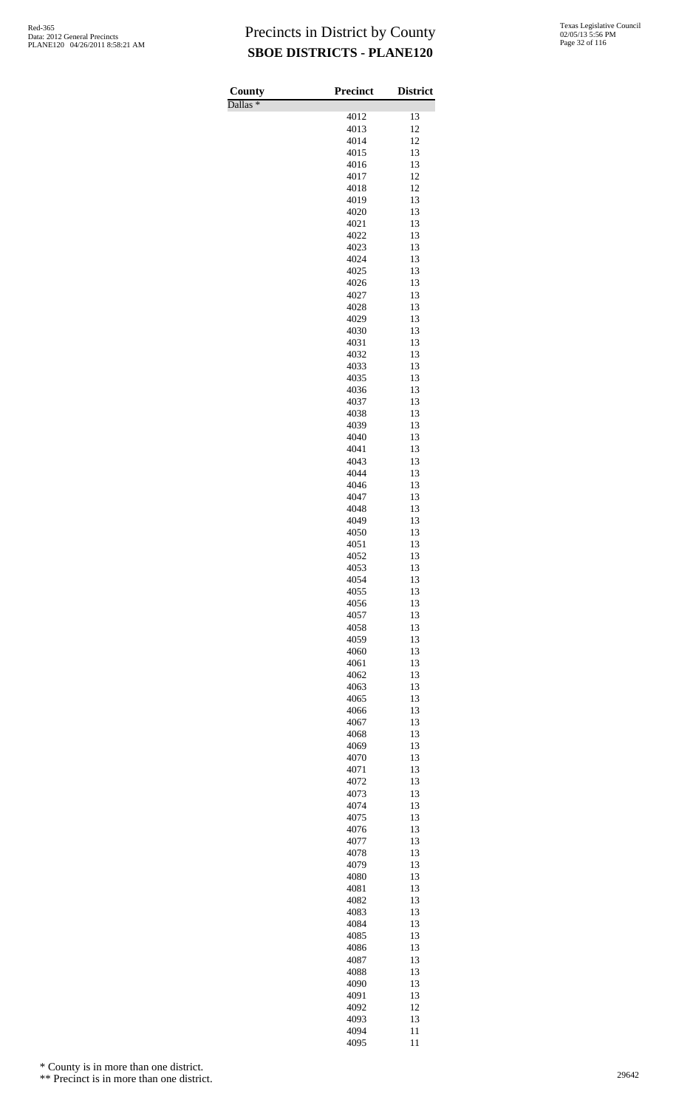Dallas \*

| County<br>$\overline{\text{Dallas}}$ * | <b>Precinct</b> | <b>District</b> |
|----------------------------------------|-----------------|-----------------|
|                                        | 4012            | 13              |
|                                        | 4013            | 12              |
|                                        | 4014            | 12              |
|                                        | 4015            | 13              |
|                                        | 4016            | 13              |
|                                        | 4017            | 12              |
|                                        | 4018            | 12<br>13        |
|                                        | 4019<br>4020    | 13              |
|                                        | 4021            | 13              |
|                                        | 4022            | 13              |
|                                        | 4023            | 13              |
|                                        | 4024            | 13              |
|                                        | 4025            | 13              |
|                                        | 4026            | 13              |
|                                        | 4027<br>4028    | 13<br>13        |
|                                        | 4029            | 13              |
|                                        | 4030            | 13              |
|                                        | 4031            | 13              |
|                                        | 4032            | 13              |
|                                        | 4033            | 13              |
|                                        | 4035            | 13              |
|                                        | 4036            | 13<br>13        |
|                                        | 4037<br>4038    | 13              |
|                                        | 4039            | 13              |
|                                        | 4040            | 13              |
|                                        | 4041            | 13              |
|                                        | 4043            | 13              |
|                                        | 4044            | 13              |
|                                        | 4046            | 13              |
|                                        | 4047<br>4048    | 13<br>13        |
|                                        | 4049            | 13              |
|                                        | 4050            | 13              |
|                                        | 4051            | 13              |
|                                        | 4052            | 13              |
|                                        | 4053            | 13              |
|                                        | 4054            | 13              |
|                                        | 4055            | 13              |
|                                        | 4056<br>4057    | 13<br>13        |
|                                        | 4058            | 13              |
|                                        | 4059            | 13              |
|                                        | 4060            | 13              |
|                                        | 4061            | 13              |
|                                        | 4062            | 13              |
|                                        | 4063            | 13              |
|                                        | 4065<br>4066    | 13<br>13        |
|                                        | 4067            | 13              |
|                                        | 4068            | 13              |
|                                        | 4069            | 13              |
|                                        | 4070            | 13              |
|                                        | 4071            | 13              |
|                                        | 4072            | 13              |
|                                        | 4073<br>4074    | 13<br>13        |
|                                        | 4075            | 13              |
|                                        | 4076            | 13              |
|                                        | 4077            | 13              |
|                                        | 4078            | 13              |
|                                        | 4079            | 13              |
|                                        | 4080            | 13              |
|                                        | 4081            | 13              |
|                                        | 4082<br>4083    | 13<br>13        |
|                                        | 4084            | 13              |
|                                        | 4085            | 13              |
|                                        | 4086            | 13              |
|                                        | 4087            | 13              |
|                                        | 4088            | 13              |
|                                        | 4090            | 13              |
|                                        | 4091            | 13<br>12        |
|                                        | 4092<br>4093    | 13              |
|                                        | 4094            | 11              |
|                                        | 4095            | 11              |

\* County is in more than one district.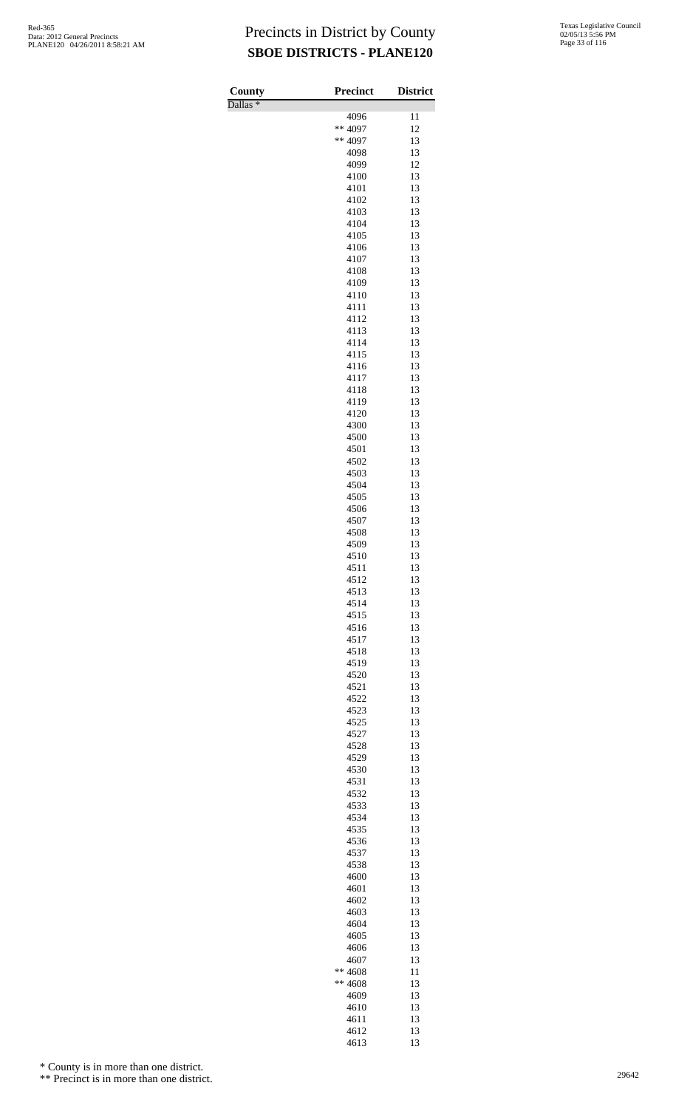Dallas \*

| County     | <b>Precinct</b> | <b>District</b> |
|------------|-----------------|-----------------|
| Dallas $*$ | 4096            | 11              |
|            | ** 4097         | 12              |
|            | ** 4097         | 13              |
|            | 4098<br>4099    | 13<br>12        |
|            | 4100            | 13              |
|            | 4101            | 13              |
|            | 4102<br>4103    | 13<br>13        |
|            | 4104            | 13              |
|            | 4105            | 13              |
|            | 4106<br>4107    | 13<br>13        |
|            | 4108            | 13              |
|            | 4109            | 13              |
|            | 4110<br>4111    | 13<br>13        |
|            | 4112            | 13              |
|            | 4113            | 13              |
|            | 4114<br>4115    | 13<br>13        |
|            | 4116            | 13              |
|            | 4117            | 13              |
|            | 4118<br>4119    | 13<br>13        |
|            | 4120            | 13              |
|            | 4300            | 13              |
|            | 4500<br>4501    | 13<br>13        |
|            | 4502            | 13              |
|            | 4503            | 13              |
|            | 4504<br>4505    | 13<br>13        |
|            | 4506            | 13              |
|            | 4507            | 13              |
|            | 4508<br>4509    | 13<br>13        |
|            | 4510            | 13              |
|            | 4511            | 13              |
|            | 4512<br>4513    | 13<br>13        |
|            | 4514            | 13              |
|            | 4515            | 13              |
|            | 4516<br>4517    | 13<br>13        |
|            | 4518            | 13              |
|            | 4519            | 13              |
|            | 4520<br>4521    | 13<br>13        |
|            | 4522            | 13              |
|            | 4523            | 13              |
|            | 4525<br>4527    | 13<br>13        |
|            | 4528            | 13              |
|            | 4529            | 13              |
|            | 4530<br>4531    | 13<br>13        |
|            | 4532            | 13              |
|            | 4533            | 13              |
|            | 4534<br>4535    | 13<br>13        |
|            | 4536            | 13              |
|            | 4537            | 13              |
|            | 4538<br>4600    | 13<br>13        |
|            | 4601            | 13              |
|            | 4602            | 13              |
|            | 4603<br>4604    | 13<br>13        |
|            | 4605            | 13              |
|            | 4606            | 13              |
|            | 4607<br>** 4608 | 13<br>11        |
|            | ** 4608         | 13              |
|            | 4609            | 13              |
|            | 4610<br>4611    | 13<br>13        |
|            | 4612            | 13              |
|            | 4613            | 13              |

\* County is in more than one district.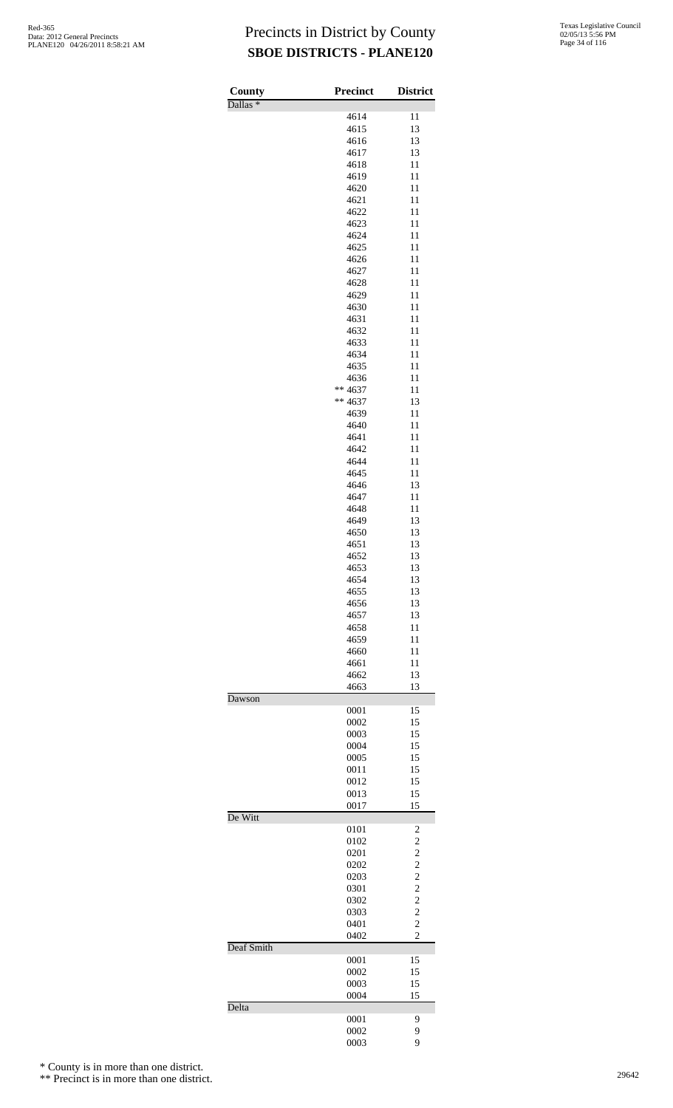| Texas Legislative Council |
|---------------------------|
| 02/05/13 5:56 PM          |
| Page 34 of 116            |

| County              | Precinct     | <b>District</b>                  |
|---------------------|--------------|----------------------------------|
| Dallas <sup>*</sup> |              |                                  |
|                     | 4614<br>4615 | 11<br>13                         |
|                     | 4616         | 13                               |
|                     | 4617         | 13                               |
|                     | 4618         | 11                               |
|                     | 4619         | 11                               |
|                     | 4620<br>4621 | 11<br>11                         |
|                     | 4622         | 11                               |
|                     | 4623         | 11                               |
|                     | 4624         | 11                               |
|                     | 4625         | 11                               |
|                     | 4626<br>4627 | 11<br>11                         |
|                     | 4628         | 11                               |
|                     | 4629         | 11                               |
|                     | 4630         | 11                               |
|                     | 4631         | 11                               |
|                     | 4632         | 11                               |
|                     | 4633<br>4634 | 11<br>11                         |
|                     | 4635         | 11                               |
|                     | 4636         | 11                               |
|                     | ** 4637      | 11                               |
|                     | ** 4637      | 13                               |
|                     | 4639<br>4640 | 11<br>11                         |
|                     | 4641         | 11                               |
|                     | 4642         | 11                               |
|                     | 4644         | 11                               |
|                     | 4645         | 11                               |
|                     | 4646<br>4647 | 13<br>11                         |
|                     | 4648         | 11                               |
|                     | 4649         | 13                               |
|                     | 4650         | 13                               |
|                     | 4651         | 13                               |
|                     | 4652<br>4653 | 13<br>13                         |
|                     | 4654         | 13                               |
|                     | 4655         | 13                               |
|                     | 4656         | 13                               |
|                     | 4657<br>4658 | 13<br>11                         |
|                     | 4659         | 11                               |
|                     | 4660         | 11                               |
|                     | 4661         | 11                               |
|                     | 4662         | 13                               |
| Dawson              | 4663         | 13                               |
|                     | 0001         | 15                               |
|                     | 0002         | 15                               |
|                     | 0003         | 15                               |
|                     | 0004         | 15<br>15                         |
|                     | 0005<br>0011 | 15                               |
|                     | 0012         | 15                               |
|                     | 0013         | 15                               |
|                     | 0017         | 15                               |
| De Witt             | 0101         | 2                                |
|                     | 0102         | $\overline{c}$                   |
|                     | 0201         | $\overline{c}$                   |
|                     | 0202         | $\overline{c}$                   |
|                     | 0203         | $\overline{c}$                   |
|                     | 0301<br>0302 | $\overline{c}$<br>$\overline{c}$ |
|                     | 0303         | $\overline{c}$                   |
|                     | 0401         | $\overline{c}$                   |
|                     | 0402         | $\overline{c}$                   |
| Deaf Smith          |              |                                  |
|                     | 0001<br>0002 | 15<br>15                         |
|                     | 0003         | 15                               |
|                     | 0004         | 15                               |
| Delta               |              |                                  |
|                     | 0001         | 9                                |
|                     | 0002<br>0003 | 9<br>9                           |
|                     |              |                                  |

\* County is in more than one district.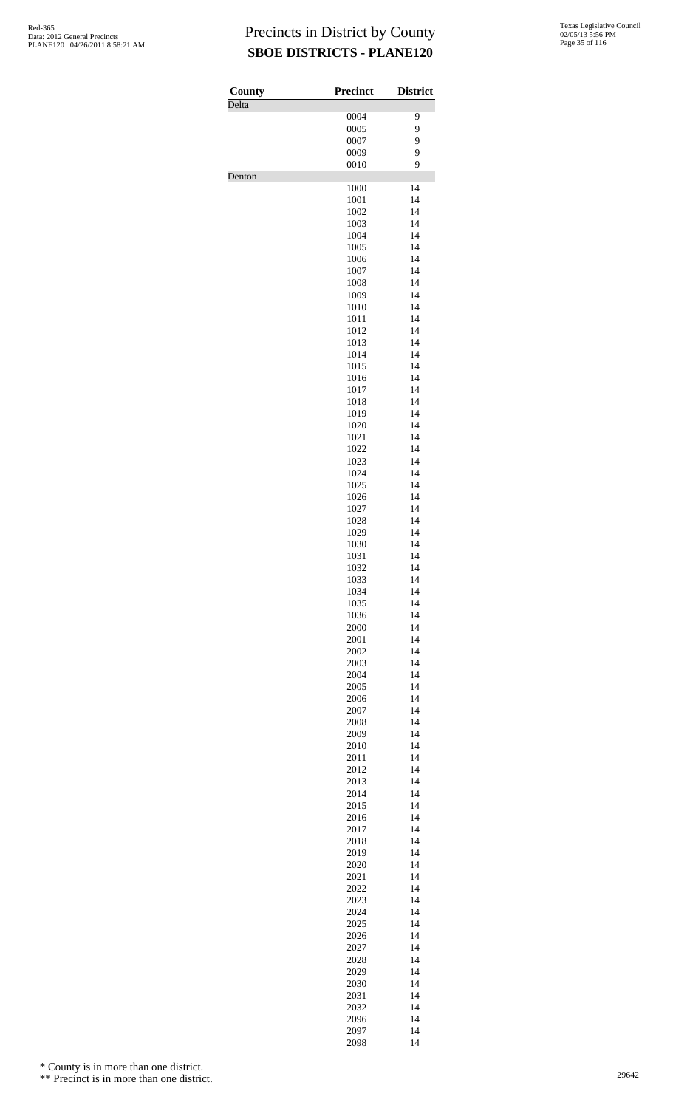| County<br>Delta | <b>Precinct</b> | <b>District</b> |
|-----------------|-----------------|-----------------|
|                 | 0004            | 9               |
|                 | 0005            | 9               |
|                 | 0007            | 9               |
|                 | 0009<br>0010    | 9<br>9          |
| Denton          |                 |                 |
|                 | 1000<br>1001    | 14<br>14        |
|                 | 1002            | 14              |
|                 | 1003            | 14              |
|                 | 1004            | 14              |
|                 | 1005            | 14              |
|                 | 1006<br>1007    | 14<br>14        |
|                 | 1008            | 14              |
|                 | 1009            | 14              |
|                 | 1010            | 14              |
|                 | 1011<br>1012    | 14<br>14        |
|                 | 1013            | 14              |
|                 | 1014            | 14              |
|                 | 1015            | 14              |
|                 | 1016            | 14              |
|                 | 1017<br>1018    | 14<br>14        |
|                 | 1019            | 14              |
|                 | 1020            | 14              |
|                 | 1021            | 14              |
|                 | 1022<br>1023    | 14<br>14        |
|                 | 1024            | 14              |
|                 | 1025            | 14              |
|                 | 1026            | 14              |
|                 | 1027            | 14              |
|                 | 1028<br>1029    | 14<br>14        |
|                 | 1030            | 14              |
|                 | 1031            | 14              |
|                 | 1032            | 14              |
|                 | 1033            | 14<br>14        |
|                 | 1034<br>1035    | 14              |
|                 | 1036            | 14              |
|                 | 2000            | 14              |
|                 | 2001            | 14              |
|                 | 2002<br>2003    | 14<br>14        |
|                 | 2004            | 14              |
|                 | 2005            | 14              |
|                 | 2006            | 14              |
|                 | 2007            | 14              |
|                 | 2008<br>2009    | 14<br>14        |
|                 | 2010            | 14              |
|                 | 2011            | 14              |
|                 | 2012            | 14              |
|                 | 2013<br>2014    | 14<br>14        |
|                 | 2015            | 14              |
|                 | 2016            | 14              |
|                 | 2017            | 14              |
|                 | 2018<br>2019    | 14<br>14        |
|                 | 2020            | 14              |
|                 | 2021            | 14              |
|                 | 2022            | 14              |
|                 | 2023            | 14              |
|                 | 2024<br>2025    | 14<br>14        |
|                 | 2026            | 14              |
|                 | 2027            | 14              |
|                 | 2028            | 14              |
|                 | 2029            | 14              |
|                 | 2030<br>2031    | 14<br>14        |
|                 | 2032            | 14              |
|                 | 2096            | 14              |
|                 | 2097            | 14              |

2097 14<br>2098 14

\* County is in more than one district.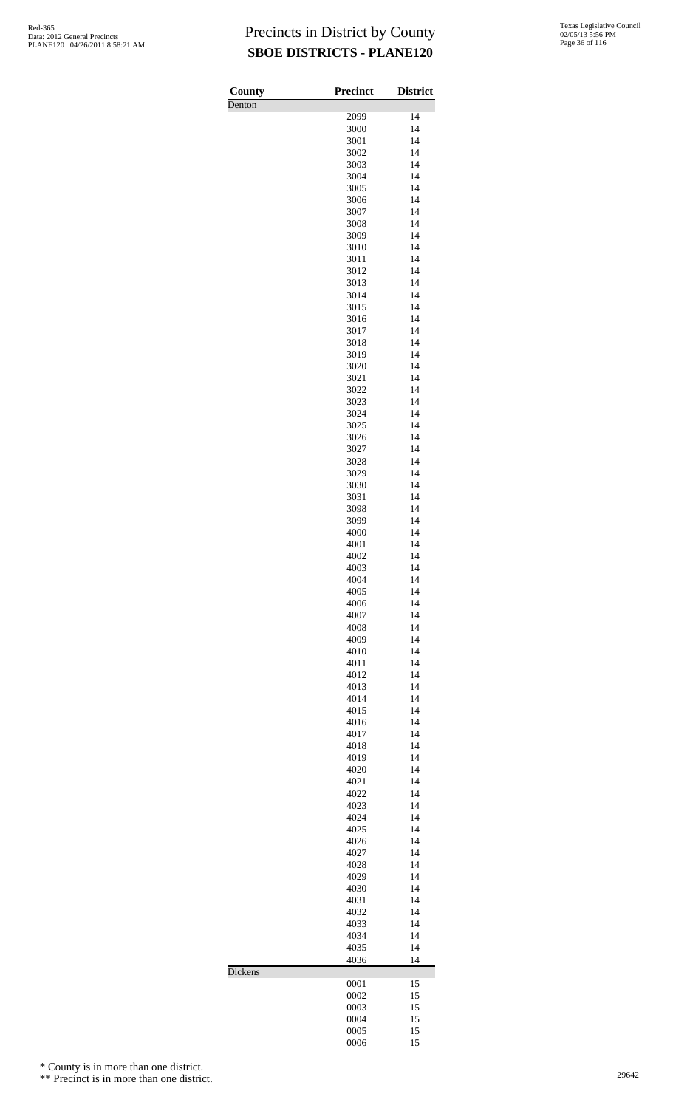| County  | Precinct     | <b>District</b> |
|---------|--------------|-----------------|
| Denton  |              |                 |
|         | 2099<br>3000 | 14<br>14        |
|         | 3001         | 14              |
|         | 3002         | 14              |
|         | 3003         | 14              |
|         | 3004         | 14              |
|         | 3005         | 14              |
|         | 3006<br>3007 | 14<br>14        |
|         | 3008         | 14              |
|         | 3009         | 14              |
|         | 3010         | 14              |
|         | 3011         | 14<br>14        |
|         | 3012<br>3013 | 14              |
|         | 3014         | 14              |
|         | 3015         | 14              |
|         | 3016         | 14              |
|         | 3017<br>3018 | 14<br>14        |
|         | 3019         | 14              |
|         | 3020         | 14              |
|         | 3021         | 14              |
|         | 3022         | 14              |
|         | 3023<br>3024 | 14<br>14        |
|         | 3025         | 14              |
|         | 3026         | 14              |
|         | 3027         | 14              |
|         | 3028         | 14              |
|         | 3029<br>3030 | 14<br>14        |
|         | 3031         | 14              |
|         | 3098         | 14              |
|         | 3099         | 14              |
|         | 4000         | 14              |
|         | 4001         | 14              |
|         | 4002<br>4003 | 14<br>14        |
|         | 4004         | 14              |
|         | 4005         | 14              |
|         | 4006         | 14              |
|         | 4007<br>4008 | 14<br>14        |
|         | 4009         | 14              |
|         | 4010         | 14              |
|         | 4011         | 14              |
|         | 4012         | 14              |
|         | 4013<br>4014 | 14<br>14        |
|         | 4015         | 14              |
|         | 4016         | 14              |
|         | 4017         | 14              |
|         | 4018         | 14              |
|         | 4019<br>4020 | 14<br>14        |
|         | 4021         | 14              |
|         | 4022         | 14              |
|         | 4023         | 14              |
|         | 4024         | 14              |
|         | 4025<br>4026 | 14<br>14        |
|         | 4027         | 14              |
|         | 4028         | 14              |
|         | 4029         | 14              |
|         | 4030         | 14              |
|         | 4031<br>4032 | 14<br>14        |
|         | 4033         | 14              |
|         | 4034         | 14              |
|         | 4035         | 14              |
|         | 4036         | 14              |
| Dickens | 0001         | 15              |
|         | 0002         | 15              |
|         | 0003         | 15              |
|         | 0004         | 15              |
|         | 0005<br>0006 | 15<br>15        |
|         |              |                 |

\* County is in more than one district.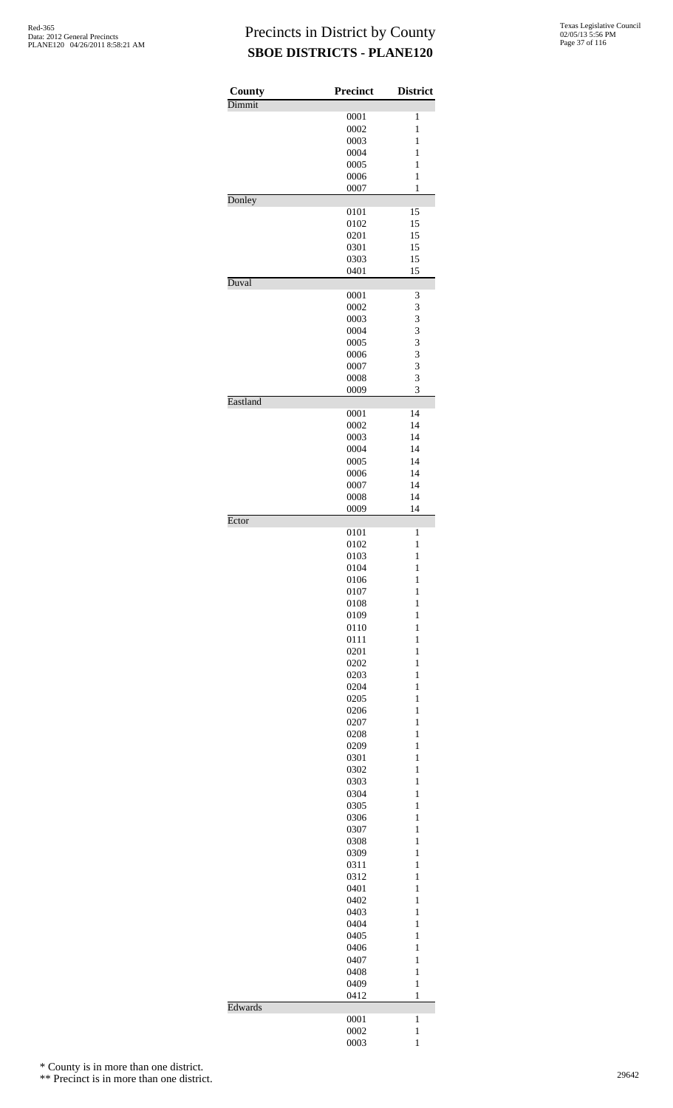| County   | Precinct     | <b>District</b>              |
|----------|--------------|------------------------------|
| Dimmit   |              |                              |
|          | 0001         | 1                            |
|          | 0002         | 1<br>$\mathbf{1}$            |
|          | 0003<br>0004 | $\mathbf{1}$                 |
|          | 0005         | 1                            |
|          | 0006         | $\mathbf{1}$                 |
|          | 0007         | 1                            |
| Donley   |              |                              |
|          | 0101         | 15                           |
|          | 0102         | 15                           |
|          | 0201         | 15<br>15                     |
|          | 0301<br>0303 | 15                           |
|          | 0401         | 15                           |
| Duval    |              |                              |
|          | 0001         | 3                            |
|          | 0002         | 3                            |
|          | 0003         | 3                            |
|          | 0004         | 3                            |
|          | 0005<br>0006 | 3<br>3                       |
|          | 0007         | 3                            |
|          | 0008         | 3                            |
|          | 0009         | 3                            |
| Eastland |              |                              |
|          | 0001         | 14                           |
|          | 0002         | 14                           |
|          | 0003         | 14                           |
|          | 0004         | 14                           |
|          | 0005<br>0006 | 14<br>14                     |
|          | 0007         | 14                           |
|          | 0008         | 14                           |
|          | 0009         | 14                           |
| Ector    |              |                              |
|          | 0101         | 1                            |
|          | 0102         | 1                            |
|          | 0103         | $\mathbf{1}$<br>$\mathbf{1}$ |
|          | 0104<br>0106 | 1                            |
|          | 0107         | $\mathbf{1}$                 |
|          | 0108         | $\mathbf{1}$                 |
|          | 0109         | $\mathbf{1}$                 |
|          | 0110         | $\mathbf{1}$                 |
|          | 0111         | 1                            |
|          | 0201         | $\mathbf{1}$                 |
|          | 0202         | 1                            |
|          | 0203         | $\mathbf{1}$<br>$\mathbf{1}$ |
|          | 0204<br>0205 | $\mathbf{1}$                 |
|          | 0206         | $\mathbf{1}$                 |
|          | 0207         | 1                            |
|          | 0208         | $\mathbf{1}$                 |
|          | 0209         | $\mathbf{1}$                 |
|          | 0301         | 1                            |
|          | 0302         | $\mathbf{1}$                 |
|          | 0303         | 1                            |
|          | 0304<br>0305 | $\mathbf{1}$<br>$\mathbf{1}$ |
|          | 0306         | $\mathbf{1}$                 |
|          | 0307         | $\mathbf{1}$                 |
|          | 0308         | 1                            |
|          | 0309         | $\mathbf{1}$                 |
|          | 0311         | $\mathbf{1}$                 |
|          | 0312         | 1                            |
|          | 0401         | $\mathbf{1}$                 |
|          | 0402         | $\mathbf{1}$                 |
|          | 0403<br>0404 | $\mathbf{1}$<br>$\mathbf{1}$ |
|          | 0405         | $\mathbf{1}$                 |
|          | 0406         | $\mathbf{1}$                 |
|          | 0407         | $\mathbf{1}$                 |
|          | 0408         | $\mathbf{1}$                 |
|          | 0409         | $\mathbf{1}$                 |
|          | 0412         | $\mathbf{1}$                 |
| Edwards  |              |                              |
|          | 0001<br>0002 | 1<br>$\mathbf{1}$            |
|          | 0003         | $\mathbf{1}$                 |
|          |              |                              |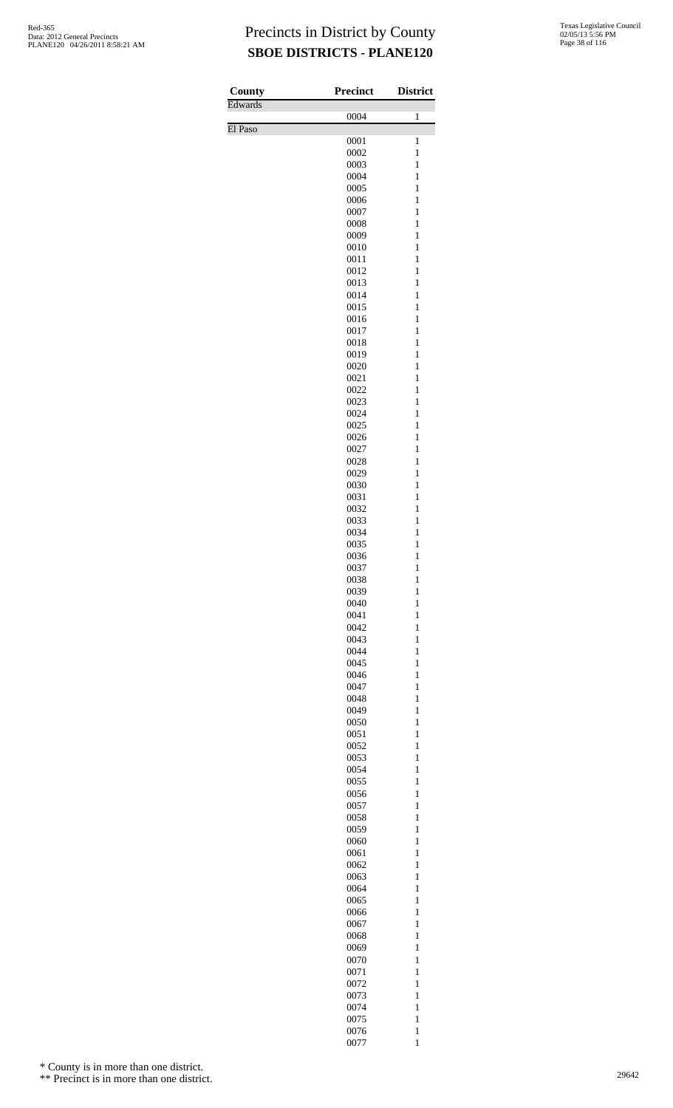| County  | Precinct     | <b>District</b>              |
|---------|--------------|------------------------------|
| Edwards | 0004         | $\mathbf{1}$                 |
| El Paso |              |                              |
|         | 0001         | $\mathbf{1}$                 |
|         | 0002<br>0003 | $\mathbf{1}$<br>$\mathbf{1}$ |
|         | 0004         | $\mathbf{1}$                 |
|         | 0005         | $\mathbf{1}$                 |
|         | 0006         | $\mathbf{1}$                 |
|         | 0007<br>0008 | $\mathbf{1}$<br>$\mathbf{1}$ |
|         | 0009         | $\mathbf{1}$                 |
|         | 0010         | $\mathbf{1}$                 |
|         | 0011         | $\mathbf{1}$                 |
|         | 0012<br>0013 | $\mathbf{1}$<br>$\mathbf{1}$ |
|         | 0014         | $\mathbf{1}$                 |
|         | 0015         | $\mathbf{1}$                 |
|         | 0016         | $\mathbf{1}$                 |
|         | 0017         | $\mathbf{1}$                 |
|         | 0018<br>0019 | $\mathbf{1}$<br>$\mathbf{1}$ |
|         | 0020         | $\mathbf{1}$                 |
|         | 0021         | $\mathbf{1}$                 |
|         | 0022         | $\mathbf{1}$                 |
|         | 0023         | $\mathbf{1}$                 |
|         | 0024<br>0025 | $\mathbf{1}$<br>$\mathbf{1}$ |
|         | 0026         | $\mathbf{1}$                 |
|         | 0027         | $\mathbf{1}$                 |
|         | 0028         | $\mathbf{1}$                 |
|         | 0029<br>0030 | $\,1$<br>$\mathbf{1}$        |
|         | 0031         | $\mathbf{1}$                 |
|         | 0032         | $\mathbf{1}$                 |
|         | 0033         | $\mathbf{1}$                 |
|         | 0034<br>0035 | $\mathbf{1}$<br>$\mathbf{1}$ |
|         | 0036         | $\mathbf{1}$                 |
|         | 0037         | $\mathbf{1}$                 |
|         | 0038         | $\mathbf{1}$                 |
|         | 0039         | $\mathbf{1}$                 |
|         | 0040<br>0041 | $\mathbf{1}$<br>$\mathbf{1}$ |
|         | 0042         | $\mathbf{1}$                 |
|         | 0043         | $\mathbf{1}$                 |
|         | 0044         | $\mathbf{1}$                 |
|         | 0045<br>0046 | $\mathbf{1}$<br>$\mathbf{1}$ |
|         | 0047         | $\mathbf{1}$                 |
|         | 0048         | $\mathbf{1}$                 |
|         | 0049         | $\mathbf{1}$                 |
|         | 0050<br>0051 | $\mathbf{1}$<br>$\mathbf{1}$ |
|         | 0052         | $\mathbf{1}$                 |
|         | 0053         | $\mathbf{1}$                 |
|         | 0054         | $\mathbf{1}$                 |
|         | 0055         | $\mathbf{1}$                 |
|         | 0056<br>0057 | $\mathbf{1}$<br>$\mathbf{1}$ |
|         | 0058         | $\mathbf{1}$                 |
|         | 0059         | $\mathbf{1}$                 |
|         | 0060         | $\mathbf{1}$                 |
|         | 0061<br>0062 | $\mathbf{1}$<br>$\mathbf{1}$ |
|         | 0063         | $\mathbf{1}$                 |
|         | 0064         | $\mathbf{1}$                 |
|         | 0065         | $\mathbf{1}$                 |
|         | 0066         | $\mathbf{1}$<br>$\mathbf{1}$ |
|         | 0067<br>0068 | $\mathbf{1}$                 |
|         | 0069         | $\mathbf{1}$                 |
|         | 0070         | $\mathbf{1}$                 |
|         | 0071         | $\mathbf{1}$                 |
|         | 0072<br>0073 | $\mathbf{1}$<br>$\mathbf{1}$ |
|         | 0074         | $\mathbf{1}$                 |
|         | 0075         | $\mathbf{1}$                 |
|         | 0076         | $\mathbf{1}$                 |
|         | 0077         | $\mathbf{1}$                 |

\* County is in more than one district.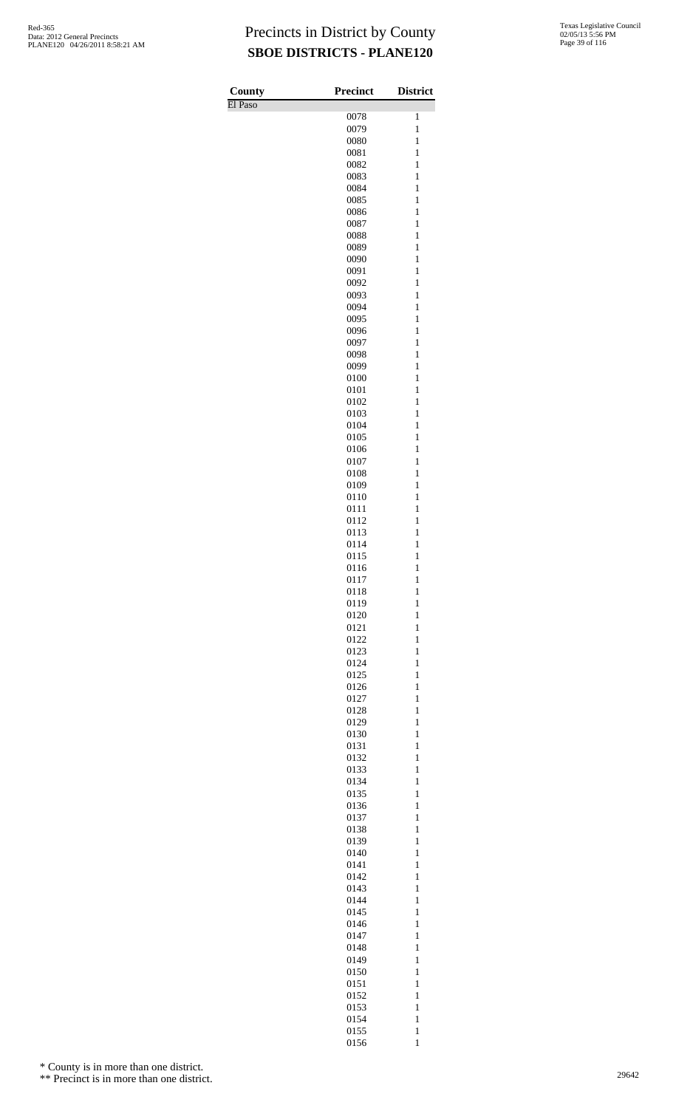| County  | <b>Precinct</b> | <b>District</b>              |
|---------|-----------------|------------------------------|
| El Paso |                 |                              |
|         | 0078<br>0079    | 1<br>$\mathbf{1}$            |
|         | 0080            | $\mathbf{1}$                 |
|         | 0081            | $\mathbf{1}$                 |
|         | 0082            | $\mathbf{1}$                 |
|         | 0083            | 1                            |
|         | 0084            | $\mathbf{1}$                 |
|         | 0085<br>0086    | $\mathbf{1}$<br>$\mathbf{1}$ |
|         | 0087            | $\mathbf{1}$                 |
|         | 0088            | 1                            |
|         | 0089            | $\mathbf{1}$                 |
|         | 0090            | $\mathbf{1}$                 |
|         | 0091            | $\mathbf{1}$                 |
|         | 0092<br>0093    | $\mathbf{1}$<br>1            |
|         | 0094            | $\mathbf{1}$                 |
|         | 0095            | $\mathbf{1}$                 |
|         | 0096            | $\mathbf{1}$                 |
|         | 0097            | $\mathbf{1}$                 |
|         | 0098            | 1                            |
|         | 0099<br>0100    | $\mathbf{1}$<br>$\mathbf{1}$ |
|         | 0101            | $\mathbf{1}$                 |
|         | 0102            | $\mathbf{1}$                 |
|         | 0103            | 1                            |
|         | 0104            | $\mathbf{1}$                 |
|         | 0105            | $\mathbf{1}$                 |
|         | 0106<br>0107    | $\mathbf{1}$<br>$\mathbf{1}$ |
|         | 0108            | 1                            |
|         | 0109            | $\mathbf{1}$                 |
|         | 0110            | $\mathbf{1}$                 |
|         | 0111            | $\mathbf{1}$                 |
|         | 0112            | $\mathbf{1}$<br>$\mathbf{1}$ |
|         | 0113<br>0114    | $\mathbf{1}$                 |
|         | 0115            | $\mathbf{1}$                 |
|         | 0116            | $\mathbf{1}$                 |
|         | 0117            | $\mathbf{1}$                 |
|         | 0118            | $\mathbf{1}$                 |
|         | 0119<br>0120    | $\mathbf{1}$<br>$\mathbf{1}$ |
|         | 0121            | $\mathbf{1}$                 |
|         | 0122            | $\mathbf{1}$                 |
|         | 0123            | $\mathbf{1}$                 |
|         | 0124            | $\mathbf{1}$                 |
|         | 0125            | $\mathbf{1}$<br>$\mathbf{1}$ |
|         | 0126<br>0127    | $\mathbf{1}$                 |
|         | 0128            | $\mathbf{1}$                 |
|         | 0129            | $\mathbf{1}$                 |
|         | 0130            | $\mathbf{1}$                 |
|         | 0131            | $\mathbf{1}$                 |
|         | 0132<br>0133    | $\mathbf{1}$<br>$\mathbf{1}$ |
|         | 0134            | $\mathbf{1}$                 |
|         | 0135            | $\mathbf{1}$                 |
|         | 0136            | $\mathbf{1}$                 |
|         | 0137            | $\mathbf{1}$                 |
|         | 0138            | $\mathbf{1}$                 |
|         | 0139<br>0140    | $\mathbf{1}$<br>$\mathbf{1}$ |
|         | 0141            | $\mathbf{1}$                 |
|         | 0142            | $\mathbf{1}$                 |
|         | 0143            | $\mathbf{1}$                 |
|         | 0144            | $\mathbf{1}$                 |
|         | 0145<br>0146    | $\mathbf{1}$<br>$\mathbf{1}$ |
|         | 0147            | $\mathbf{1}$                 |
|         | 0148            | $\mathbf{1}$                 |
|         | 0149            | $\mathbf{1}$                 |
|         | 0150            | $\mathbf{1}$                 |
|         | 0151<br>0152    | $\mathbf{1}$<br>$\mathbf{1}$ |
|         | 0153            | $\mathbf{1}$                 |
|         | 0154            | $\mathbf{1}$                 |
|         | 0155            | $\mathbf 1$                  |

1

\* County is in more than one district.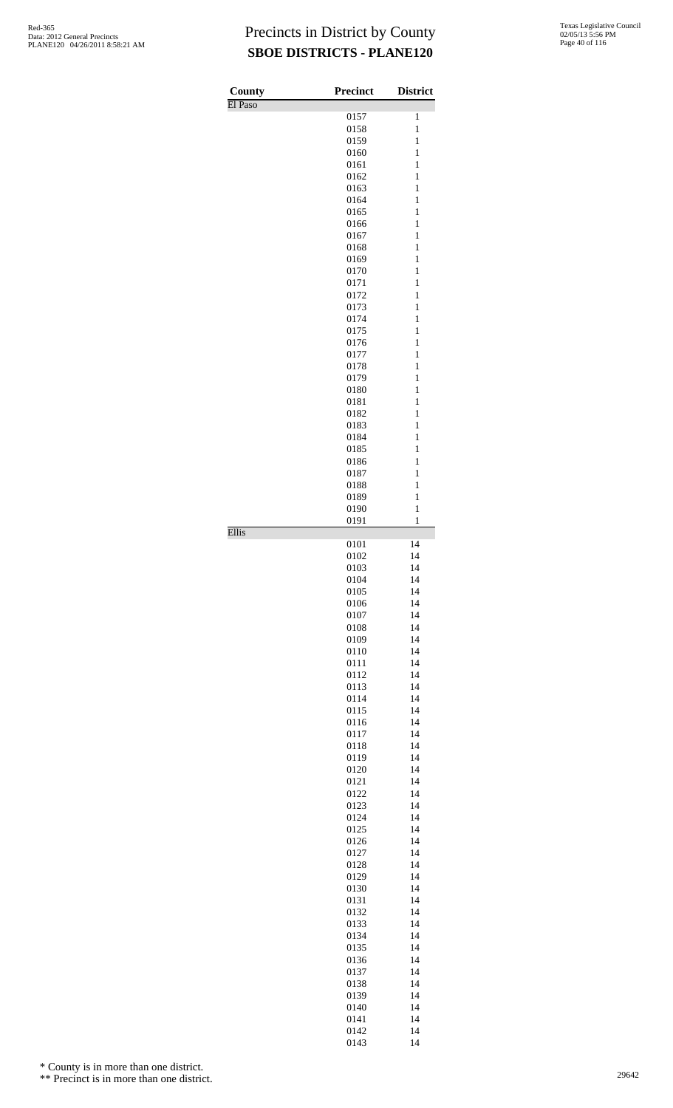| County       | <b>Precinct</b> | <b>District</b>              |
|--------------|-----------------|------------------------------|
| El Paso      | 0157            | 1                            |
|              | 0158            | $\mathbf{1}$                 |
|              | 0159            | $\mathbf{1}$                 |
|              | 0160            | $\mathbf{1}$                 |
|              | 0161            | 1                            |
|              | 0162<br>0163    | 1<br>1                       |
|              | 0164            | $\mathbf{1}$                 |
|              | 0165            | $\mathbf{1}$                 |
|              | 0166            | $\mathbf{1}$                 |
|              | 0167            | 1                            |
|              | 0168            | 1                            |
|              | 0169<br>0170    | $\mathbf{1}$<br>$\mathbf{1}$ |
|              | 0171            | 1                            |
|              | 0172            | 1                            |
|              | 0173            | 1                            |
|              | 0174            | $\mathbf{1}$                 |
|              | 0175            | $\mathbf{1}$                 |
|              | 0176<br>0177    | $\mathbf{1}$<br>1            |
|              | 0178            | 1                            |
|              | 0179            | $\mathbf{1}$                 |
|              | 0180            | $\mathbf{1}$                 |
|              | 0181            | 1                            |
|              | 0182            | 1                            |
|              | 0183<br>0184    | 1<br>$\mathbf{1}$            |
|              | 0185            | $\mathbf{1}$                 |
|              | 0186            | $\mathbf{1}$                 |
|              | 0187            | 1                            |
|              | 0188            | 1                            |
|              | 0189            | $\mathbf{1}$                 |
|              | 0190<br>0191    | $\mathbf{1}$<br>1            |
| <b>Ellis</b> |                 |                              |
|              | 0101            | 14                           |
|              | 0102            | 14                           |
|              | 0103<br>0104    | 14<br>14                     |
|              | 0105            | 14                           |
|              | 0106            | 14                           |
|              | 0107            | 14                           |
|              | 0108            | 14                           |
|              | 0109<br>0110    | 14<br>14                     |
|              | 0111            | 14                           |
|              | 0112            | 14                           |
|              | 0113            | 14                           |
|              | 0114            | 14                           |
|              | 0115            | 14                           |
|              | 0116<br>0117    | 14<br>14                     |
|              |                 |                              |
|              |                 | 14                           |
|              | 0118<br>0119    | 14                           |
|              | 0120            | 14                           |
|              | 0121            | 14                           |
|              | 0122            | 14                           |
|              | 0123            | 14                           |
|              | 0124<br>0125    | 14<br>14                     |
|              | 0126            | 14                           |
|              | 0127            | 14                           |
|              | 0128            | 14                           |
|              | 0129            | 14                           |
|              | 0130            | 14                           |
|              | 0131<br>0132    | 14<br>14                     |
|              | 0133            | 14                           |
|              | 0134            | 14                           |
|              | 0135            | 14                           |
|              | 0136            | 14                           |
|              | 0137            | 14                           |
|              | 0138<br>0139    | 14<br>14                     |
|              | 0140            | 14                           |
|              | 0141<br>0142    | 14<br>14                     |

\* County is in more than one district.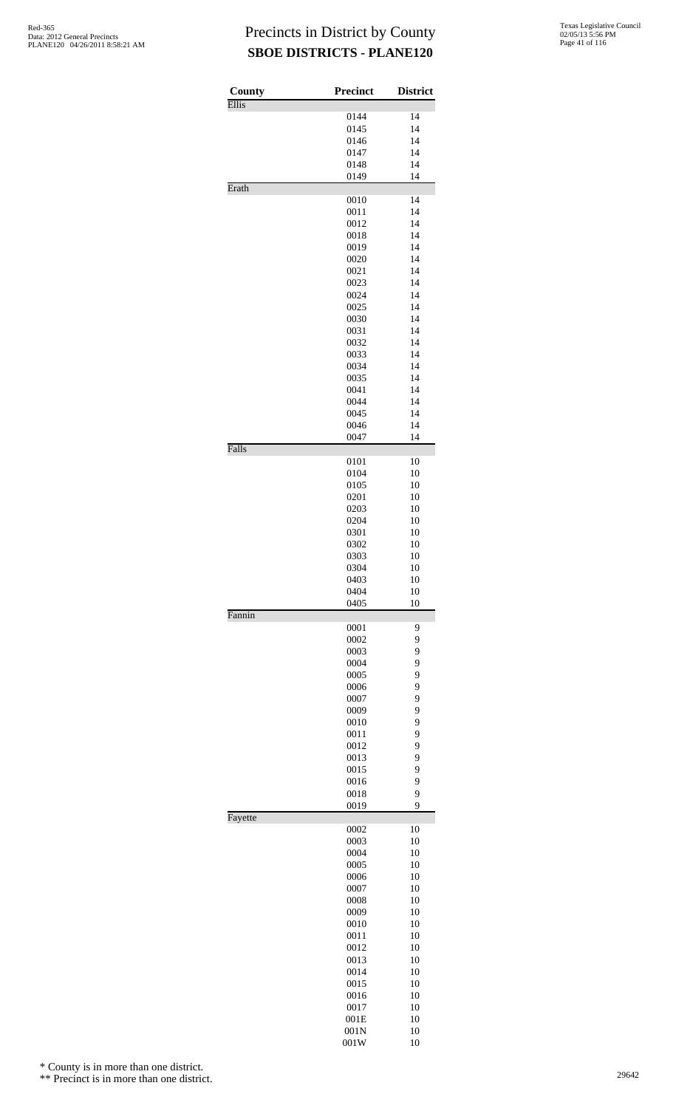| County  | <b>Precinct</b> | <b>District</b> |
|---------|-----------------|-----------------|
| Ellis   | 0144            | 14              |
|         | 0145            | 14              |
|         | 0146            | 14              |
|         | 0147            | 14              |
|         | 0148<br>0149    | 14<br>14        |
| Erath   |                 |                 |
|         | 0010            | 14              |
|         | 0011            | 14              |
|         | 0012<br>0018    | 14<br>14        |
|         | 0019            | 14              |
|         | 0020            | 14              |
|         | 0021            | 14              |
|         | 0023            | 14              |
|         | 0024<br>0025    | 14<br>14        |
|         | 0030            | 14              |
|         | 0031            | 14              |
|         | 0032            | 14              |
|         | 0033            | 14              |
|         | 0034<br>0035    | 14<br>14        |
|         | 0041            | 14              |
|         | 0044            | 14              |
|         | 0045            | 14              |
|         | 0046            | 14              |
| Falls   | 0047            | 14              |
|         | 0101            | 10              |
|         | 0104            | 10              |
|         | 0105            | 10              |
|         | 0201<br>0203    | 10<br>10        |
|         | 0204            | 10              |
|         | 0301            | 10              |
|         | 0302            | 10              |
|         | 0303<br>0304    | 10              |
|         | 0403            | 10<br>10        |
|         | 0404            | 10              |
|         | 0405            | 10              |
| Fannin  | 0001            | 9               |
|         | 0002            | 9               |
|         | 0003            | 9               |
|         | 0004            | 9               |
|         | 0005<br>0006    | 9<br>9          |
|         | 0007            | 9               |
|         | 0009            | 9               |
|         | 0010            | 9               |
|         | 0011            | 9               |
|         | 0012<br>0013    | 9<br>9          |
|         | 0015            | 9               |
|         | 0016            | 9               |
|         | 0018            | 9               |
|         | 0019            | 9               |
| Fayette | 0002            | 10              |
|         | 0003            | 10              |
|         | 0004            | 10              |
|         | 0005<br>0006    | 10<br>10        |
|         | 0007            | 10              |
|         | 0008            | 10              |
|         | 0009            | 10              |
|         | 0010            | 10              |
|         | 0011<br>0012    | 10<br>10        |
|         | 0013            | 10              |
|         | 0014            | 10              |
|         | 0015            | 10              |
|         | 0016            | 10              |
|         | 0017<br>001E    | 10<br>10        |
|         | 001N            | 10              |
|         | 001W            | 10              |

\* County is in more than one district.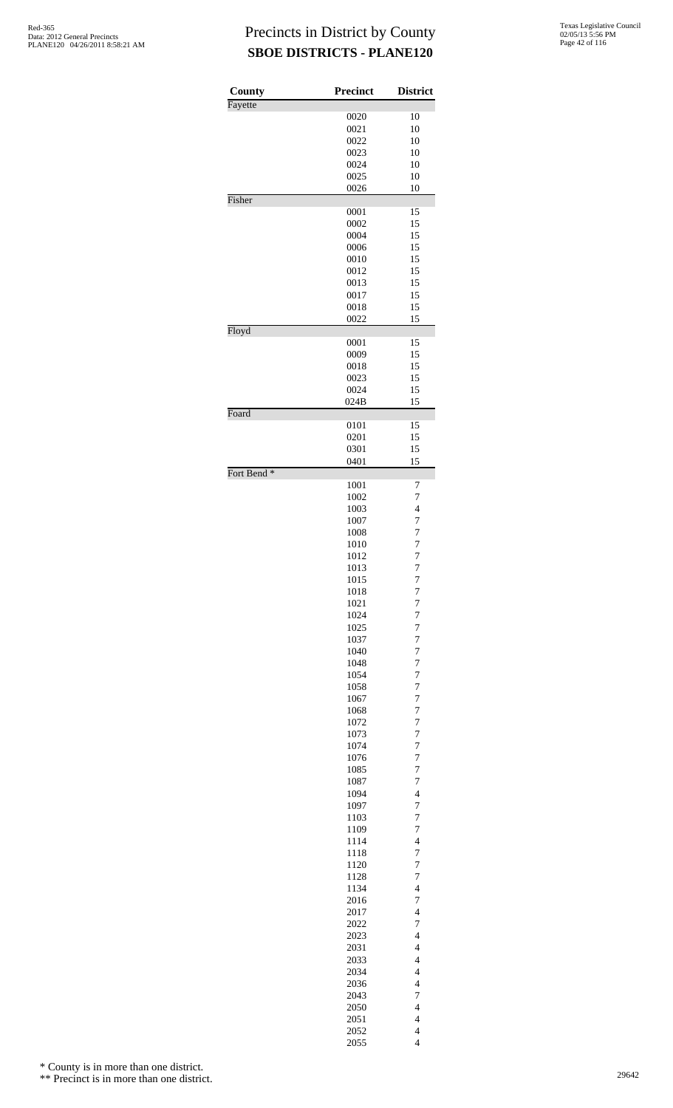| County                 | <b>Precinct</b> | <b>District</b>                  |
|------------------------|-----------------|----------------------------------|
| Fayette                |                 |                                  |
|                        | 0020<br>0021    | 10<br>10                         |
|                        | 0022            | 10                               |
|                        | 0023            | 10                               |
|                        | 0024            | 10                               |
|                        | 0025            | 10                               |
|                        | 0026            | 10                               |
| Fisher                 |                 |                                  |
|                        | 0001            | 15                               |
|                        | 0002            | 15                               |
|                        | 0004            | 15                               |
|                        | 0006            | 15                               |
|                        | 0010<br>0012    | 15<br>15                         |
|                        | 0013            | 15                               |
|                        | 0017            | 15                               |
|                        | 0018            | 15                               |
|                        | 0022            | 15                               |
| Floyd                  |                 |                                  |
|                        | 0001            | 15                               |
|                        | 0009            | 15                               |
|                        | 0018            | 15                               |
|                        | 0023<br>0024    | 15                               |
|                        | 024B            | 15<br>15                         |
| Foard                  |                 |                                  |
|                        | 0101            | 15                               |
|                        | 0201            | 15                               |
|                        | 0301            | 15                               |
|                        | 0401            | 15                               |
| Fort Bend <sup>*</sup> |                 |                                  |
|                        | 1001            | 7<br>7                           |
|                        | 1002<br>1003    | $\overline{\mathcal{L}}$         |
|                        | 1007            | 7                                |
|                        | 1008            | $\overline{7}$                   |
|                        | 1010            | $\overline{7}$                   |
|                        | 1012            | 7                                |
|                        | 1013            | $\overline{7}$                   |
|                        | 1015            | $\overline{7}$                   |
|                        | 1018            | $\overline{7}$                   |
|                        | 1021            | $\overline{7}$                   |
|                        | 1024            | $\overline{7}$                   |
|                        | 1025            | $\overline{7}$                   |
|                        | 1037            | $\overline{7}$                   |
|                        | 1040            | $\overline{7}$                   |
|                        | 1048<br>1054    | $\overline{7}$<br>$\overline{7}$ |
|                        | 1058            | $\overline{7}$                   |
|                        | 1067            | $\overline{7}$                   |
|                        | 1068            | $\overline{7}$                   |
|                        | 1072            | $\overline{7}$                   |
|                        | 1073            | $\overline{7}$                   |
|                        | 1074            | $\overline{7}$                   |
|                        | 1076            | $\overline{7}$                   |
|                        | 1085            | $\overline{7}$                   |
|                        | 1087            | $\overline{7}$                   |
|                        | 1094            | $\overline{4}$                   |
|                        | 1097            | $\overline{7}$                   |
|                        | 1103            | $\overline{7}$                   |
|                        | 1109            | $\overline{7}$                   |
|                        | 1114<br>1118    | $\overline{4}$<br>$\overline{7}$ |
|                        | 1120            | $\overline{7}$                   |
|                        | 1128            | $\overline{7}$                   |
|                        | 1134            | $\overline{4}$                   |
|                        | 2016            | $\overline{7}$                   |
|                        | 2017            | $\overline{4}$                   |
|                        | 2022            | $\overline{7}$                   |
|                        | 2023            | $\overline{4}$                   |
|                        | 2031            | $\overline{4}$                   |
|                        | 2033            | $\overline{\mathcal{L}}$         |
|                        | 2034            | $\overline{4}$                   |
|                        | 2036            | $\overline{4}$                   |
|                        | 2043            | $\overline{7}$                   |
|                        | 2050            | $\overline{4}$                   |
|                        | 2051            | $\overline{4}$                   |
|                        | 2052<br>2055    | $\overline{4}$<br>$\overline{4}$ |
|                        |                 |                                  |

\* County is in more than one district.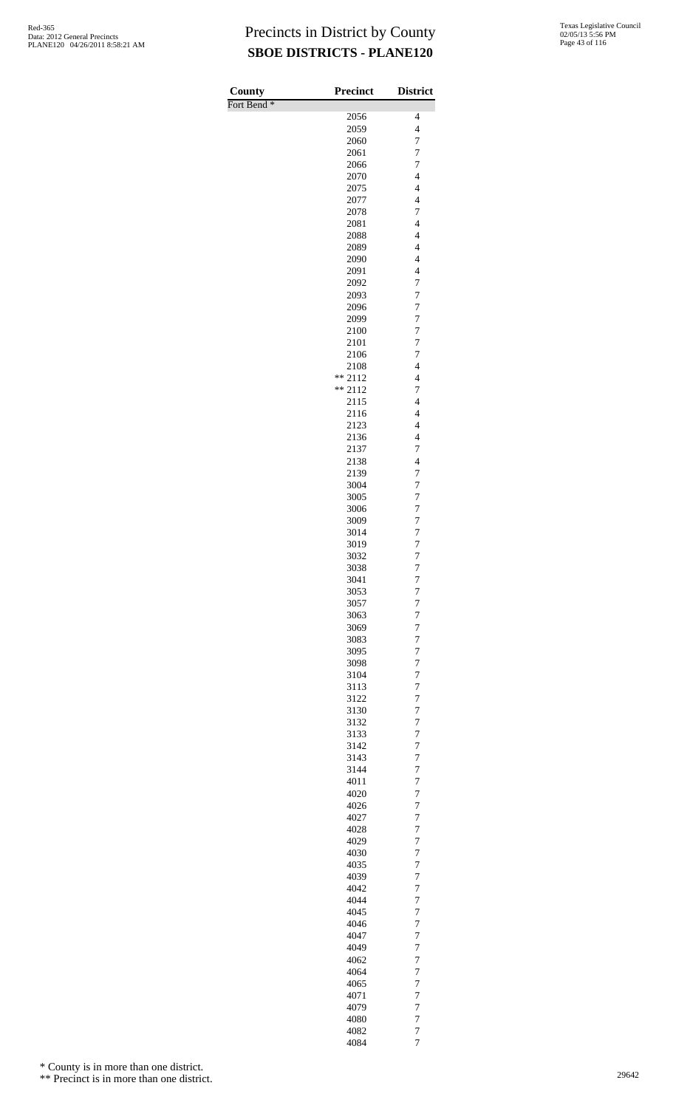| County                 | <b>Precinct</b>   | <b>District</b>                            |
|------------------------|-------------------|--------------------------------------------|
| Fort Bend <sup>*</sup> | 2056              | 4                                          |
|                        | 2059              | $\overline{\mathcal{L}}$                   |
|                        | 2060              | 7                                          |
|                        | 2061              | $\overline{7}$                             |
|                        | 2066<br>2070      | 7<br>$\overline{\mathcal{L}}$              |
|                        | 2075              | $\overline{4}$                             |
|                        | 2077              | $\overline{\mathcal{L}}$                   |
|                        | 2078              | $\overline{7}$                             |
|                        | 2081              | $\overline{4}$                             |
|                        | 2088<br>2089      | $\overline{4}$<br>$\overline{\mathcal{L}}$ |
|                        | 2090              | $\overline{\mathcal{L}}$                   |
|                        | 2091              | $\overline{4}$                             |
|                        | 2092              | $\overline{7}$                             |
|                        | 2093<br>2096      | $\overline{7}$<br>$\overline{7}$           |
|                        | 2099              | $\overline{7}$                             |
|                        | 2100              | $\overline{7}$                             |
|                        | 2101              | 7                                          |
|                        | 2106              | 7                                          |
|                        | 2108<br>$** 2112$ | $\overline{\mathcal{L}}$<br>$\overline{4}$ |
|                        | $** 2112$         | $\overline{7}$                             |
|                        | 2115              | $\overline{4}$                             |
|                        | 2116              | $\overline{\mathcal{L}}$                   |
|                        | 2123              | $\overline{4}$                             |
|                        | 2136<br>2137      | $\overline{\mathcal{L}}$<br>$\overline{7}$ |
|                        | 2138              | $\overline{4}$                             |
|                        | 2139              | 7                                          |
|                        | 3004              | $\overline{7}$                             |
|                        | 3005<br>3006      | 7<br>$\overline{7}$                        |
|                        | 3009              | $\overline{7}$                             |
|                        | 3014              | $\overline{7}$                             |
|                        | 3019              | $\overline{7}$                             |
|                        | 3032              | $\overline{7}$                             |
|                        | 3038<br>3041      | 7<br>7                                     |
|                        | 3053              | 7                                          |
|                        | 3057              | $\overline{7}$                             |
|                        | 3063              | $\overline{7}$                             |
|                        | 3069              | $\overline{7}$                             |
|                        | 3083<br>3095      | $\overline{7}$<br>7                        |
|                        | 3098              | $\overline{7}$                             |
|                        | 3104              | 7                                          |
|                        | 3113              | $\overline{7}$                             |
|                        | 3122<br>3130      | $\overline{7}$<br>$\overline{7}$           |
|                        | 3132              | $\overline{7}$                             |
|                        | 3133              | $\overline{7}$                             |
|                        | 3142              | $\overline{7}$                             |
|                        | 3143              | $\overline{7}$                             |
|                        | 3144<br>4011      | 7<br>$\overline{7}$                        |
|                        | 4020              | 7                                          |
|                        | 4026              | $\overline{7}$                             |
|                        | 4027              | $\overline{7}$                             |
|                        | 4028<br>4029      | $\overline{7}$<br>$\overline{7}$           |
|                        | 4030              | $\overline{7}$                             |
|                        | 4035              | $\overline{7}$                             |
|                        | 4039              | $\overline{7}$                             |
|                        | 4042              | 7                                          |
|                        | 4044<br>4045      | $\overline{7}$<br>7                        |
|                        | 4046              | $\overline{7}$                             |
|                        | 4047              | $\overline{7}$                             |
|                        | 4049              | 7                                          |
|                        | 4062<br>4064      | $\overline{7}$<br>7                        |
|                        | 4065              | $\overline{7}$                             |
|                        | 4071              | $\overline{7}$                             |
|                        | 4079              | 7                                          |
|                        | 4080              | $\overline{7}$                             |
|                        | 4082<br>4084      | $\overline{7}$<br>$\overline{7}$           |
|                        |                   |                                            |

\* County is in more than one district.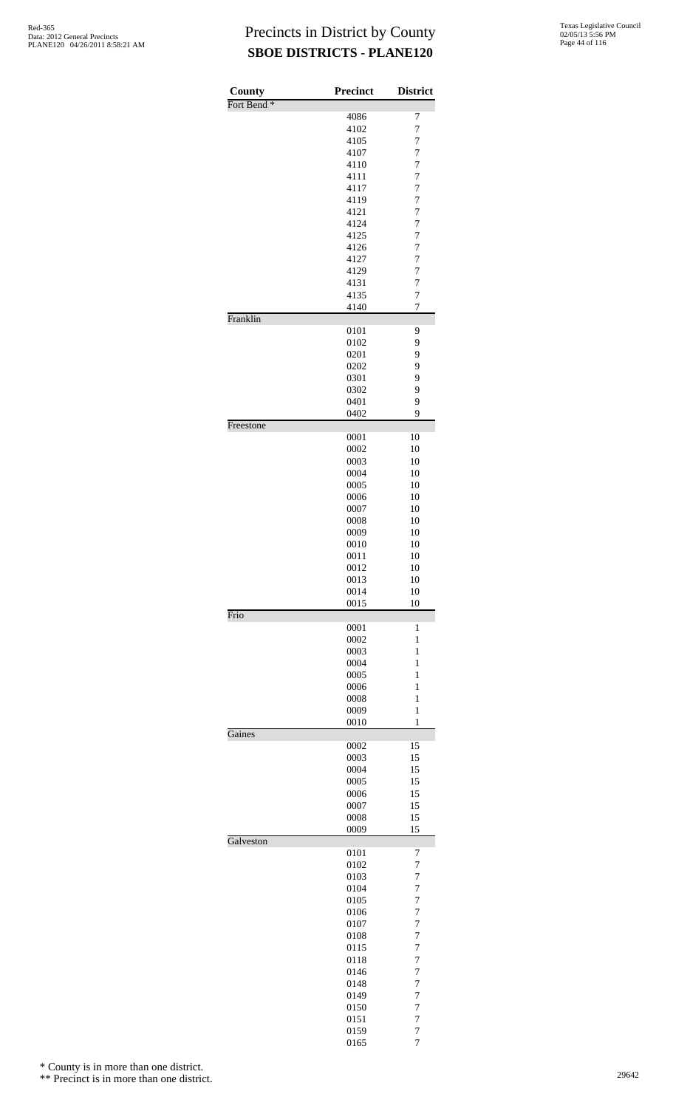| County                 | <b>Precinct</b> | <b>District</b>                  |
|------------------------|-----------------|----------------------------------|
| Fort Bend <sup>*</sup> |                 |                                  |
|                        | 4086<br>4102    | 7<br>$\overline{7}$              |
|                        | 4105            | $\overline{7}$                   |
|                        | 4107            | $\overline{7}$                   |
|                        | 4110            | $\overline{7}$                   |
|                        | 4111            | $\overline{7}$                   |
|                        | 4117            | $\overline{7}$                   |
|                        | 4119<br>4121    | $\overline{7}$<br>$\overline{7}$ |
|                        | 4124            | $\overline{7}$                   |
|                        | 4125            | $\overline{7}$                   |
|                        | 4126            | $\overline{7}$                   |
|                        | 4127            | $\overline{7}$                   |
|                        | 4129<br>4131    | $\overline{7}$<br>$\overline{7}$ |
|                        | 4135            | 7                                |
|                        | 4140            | $\overline{7}$                   |
| Franklin               |                 |                                  |
|                        | 0101<br>0102    | 9<br>9                           |
|                        | 0201            | 9                                |
|                        | 0202            | 9                                |
|                        | 0301            | 9                                |
|                        | 0302            | 9                                |
|                        | 0401<br>0402    | 9<br>9                           |
| Freestone              |                 |                                  |
|                        | 0001            | 10                               |
|                        | 0002            | 10                               |
|                        | 0003            | 10                               |
|                        | 0004<br>0005    | 10<br>10                         |
|                        | 0006            | 10                               |
|                        | 0007            | 10                               |
|                        | 0008            | 10                               |
|                        | 0009            | 10                               |
|                        | 0010            | 10                               |
|                        | 0011<br>0012    | 10<br>10                         |
|                        | 0013            | 10                               |
|                        | 0014            | 10                               |
| Frio                   | 0015            | 10                               |
|                        | 0001            | 1                                |
|                        | 0002            | $\mathbf{1}$                     |
|                        | 0003            | $\mathbf{1}$                     |
|                        | 0004            | 1                                |
|                        | 0005<br>0006    | 1<br>$\mathbf{1}$                |
|                        | 0008            | $\mathbf{1}$                     |
|                        | 0009            | 1                                |
|                        | 0010            | 1                                |
| Gaines                 | 0002            | 15                               |
|                        | 0003            | 15                               |
|                        | 0004            | 15                               |
|                        | 0005            | 15                               |
|                        | 0006            | 15                               |
|                        | 0007<br>0008    | 15<br>15                         |
|                        | 0009            | 15                               |
| Galveston              |                 |                                  |
|                        | 0101<br>0102    | 7<br>7                           |
|                        | 0103            | $\overline{7}$                   |
|                        | 0104            | 7                                |
|                        | 0105            | $\overline{7}$                   |
|                        | 0106            | 7                                |
|                        | 0107<br>0108    | $\overline{7}$<br>$\overline{7}$ |
|                        | 0115            | 7                                |
|                        | 0118            | $\overline{7}$                   |
|                        | 0146            | 7                                |
|                        | 0148            | $\overline{7}$                   |
|                        | 0149<br>0150    | $\overline{7}$<br>$\overline{7}$ |
|                        | 0151            | $\overline{7}$                   |
|                        | 0159            | 7                                |
|                        | 0165            | $\overline{7}$                   |

\* County is in more than one district.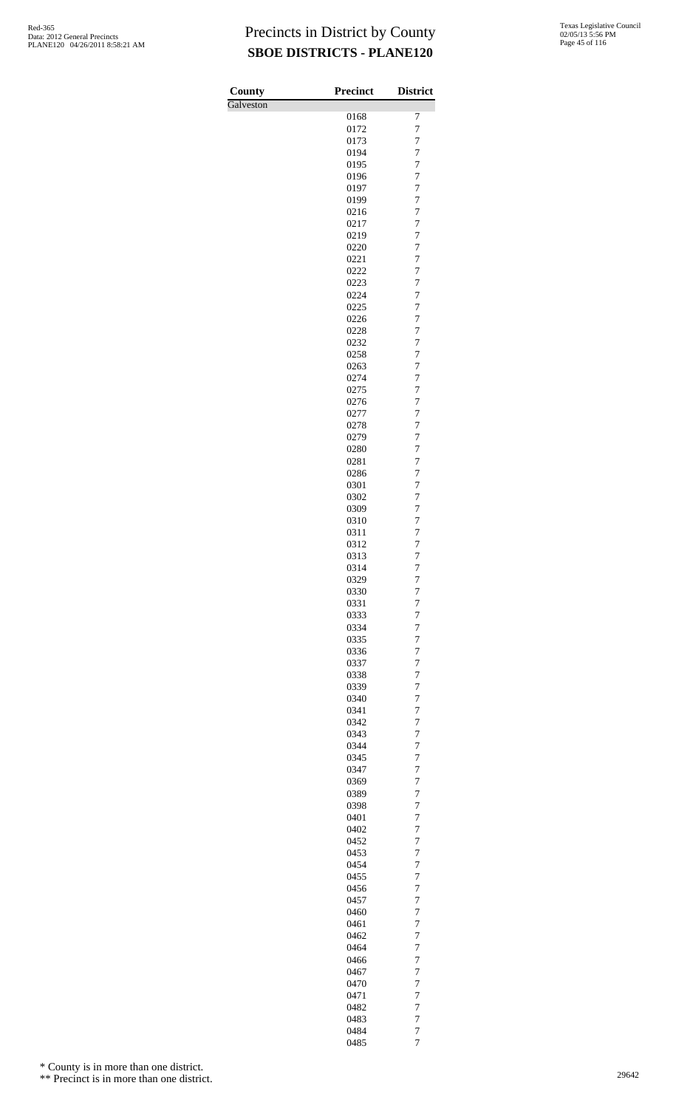| County    | <b>Precinct</b> | <b>District</b>                  |
|-----------|-----------------|----------------------------------|
| Galveston |                 |                                  |
|           | 0168<br>0172    | 7<br>7                           |
|           | 0173            | 7                                |
|           | 0194            | $\overline{7}$                   |
|           | 0195            | 7                                |
|           | 0196            | $\overline{7}$                   |
|           | 0197<br>0199    | $\overline{7}$<br>$\overline{7}$ |
|           | 0216            | $\overline{7}$                   |
|           | 0217            | 7                                |
|           | 0219            | 7                                |
|           | 0220<br>0221    | $\overline{7}$<br>$\overline{7}$ |
|           | 0222            | $\overline{7}$                   |
|           | 0223            | 7                                |
|           | 0224            | $\overline{7}$                   |
|           | 0225            | $\overline{7}$                   |
|           | 0226<br>0228    | $\overline{7}$<br>$\overline{7}$ |
|           | 0232            | 7                                |
|           | 0258            | 7                                |
|           | 0263            | $\overline{7}$                   |
|           | 0274<br>0275    | $\overline{7}$<br>$\overline{7}$ |
|           | 0276            | 7                                |
|           | 0277            | $\overline{7}$                   |
|           | 0278            | $\overline{7}$                   |
|           | 0279            | $\overline{7}$                   |
|           | 0280<br>0281    | $\overline{7}$<br>7              |
|           | 0286            | 7                                |
|           | 0301            | $\overline{7}$                   |
|           | 0302            | $\overline{7}$                   |
|           | 0309            | $\overline{7}$                   |
|           | 0310<br>0311    | 7<br>$\overline{7}$              |
|           | 0312            | $\overline{7}$                   |
|           | 0313            | 7                                |
|           | 0314            | 7                                |
|           | 0329<br>0330    | 7<br>$\overline{7}$              |
|           | 0331            | $\overline{7}$                   |
|           | 0333            | $\overline{7}$                   |
|           | 0334            | $\overline{7}$                   |
|           | 0335            | 7                                |
|           | 0336<br>0337    | 7<br>$\overline{7}$              |
|           | 0338            | $\overline{7}$                   |
|           | 0339            | $\overline{7}$                   |
|           | 0340            | 7                                |
|           | 0341<br>0342    | $\overline{7}$<br>$\overline{7}$ |
|           | 0343            | $\overline{7}$                   |
|           | 0344            | $\overline{7}$                   |
|           | 0345            | 7                                |
|           | 0347            | 7                                |
|           | 0369<br>0389    | $\overline{7}$<br>$\overline{7}$ |
|           | 0398            | $\overline{7}$                   |
|           | 0401            | 7                                |
|           | 0402            | $\overline{7}$                   |
|           | 0452<br>0453    | $\overline{7}$<br>$\overline{7}$ |
|           | 0454            | $\overline{7}$                   |
|           | 0455            | 7                                |
|           | 0456            | 7                                |
|           | 0457            | $\overline{7}$                   |
|           | 0460<br>0461    | $\overline{7}$<br>$\overline{7}$ |
|           | 0462            | 7                                |
|           | 0464            | $\overline{7}$                   |
|           | 0466            | $\overline{7}$                   |
|           | 0467<br>0470    | $\overline{7}$<br>$\overline{7}$ |
|           | 0471            | 7                                |
|           | 0482            | 7                                |
|           | 0483            | $\overline{7}$                   |
|           | 0484            | $\overline{7}$                   |
|           | 0485            | $\overline{7}$                   |

\* County is in more than one district.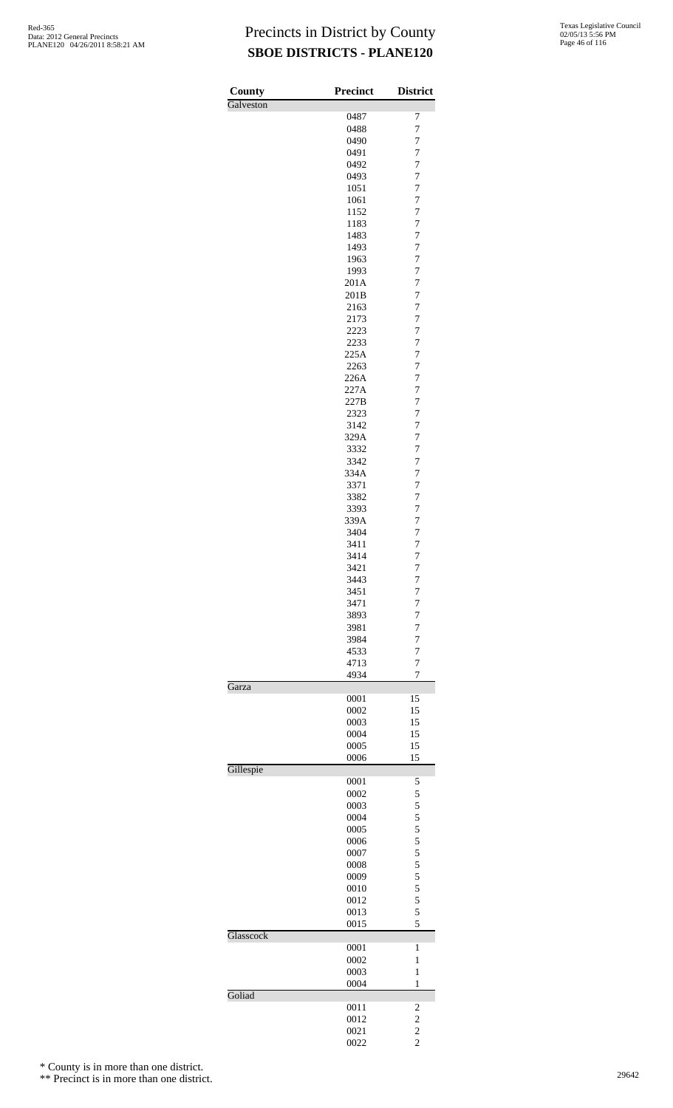| County<br>Galveston | <b>Precinct</b> | <b>District</b>                  |
|---------------------|-----------------|----------------------------------|
|                     | 0487            | 7                                |
|                     | 0488            | $\overline{7}$                   |
|                     | 0490            | 7                                |
|                     | 0491            | $\overline{7}$                   |
|                     | 0492            | $\overline{7}$                   |
|                     | 0493            | $\overline{7}$                   |
|                     | 1051            | $\overline{7}$                   |
|                     | 1061<br>1152    | $\overline{7}$<br>$\overline{7}$ |
|                     | 1183            | $\overline{7}$                   |
|                     | 1483            | $\overline{7}$                   |
|                     | 1493            | $\overline{7}$                   |
|                     | 1963            | 7                                |
|                     | 1993            | $\overline{7}$                   |
|                     | 201A            | $\overline{7}$                   |
|                     | 201B            | $\overline{7}$                   |
|                     | 2163            | $\overline{7}$                   |
|                     | 2173<br>2223    | $\overline{7}$<br>$\overline{7}$ |
|                     | 2233            | $\overline{7}$                   |
|                     | 225A            | $\overline{7}$                   |
|                     | 2263            | $\overline{7}$                   |
|                     | 226A            | $\overline{7}$                   |
|                     | 227A            | $\overline{7}$                   |
|                     | 227B            | $\overline{7}$                   |
|                     | 2323            | $\overline{7}$                   |
|                     | 3142            | $\overline{7}$                   |
|                     | 329A<br>3332    | $\overline{7}$<br>$\overline{7}$ |
|                     | 3342            | $\overline{7}$                   |
|                     | 334A            | $\overline{7}$                   |
|                     | 3371            | $\overline{7}$                   |
|                     | 3382            | $\overline{7}$                   |
|                     | 3393            | $\overline{7}$                   |
|                     | 339A            | $\overline{7}$                   |
|                     | 3404            | $\overline{7}$                   |
|                     | 3411            | $\overline{7}$                   |
|                     | 3414<br>3421    | 7<br>7                           |
|                     | 3443            | 7                                |
|                     | 3451            | 7                                |
|                     | 3471            | $\overline{7}$                   |
|                     | 3893            | 7                                |
|                     | 3981            | $\overline{7}$                   |
|                     | 3984            | $\overline{7}$                   |
|                     | 4533            | $\overline{7}$<br>$\overline{7}$ |
|                     | 4713<br>4934    | 7                                |
| Garza               |                 |                                  |
|                     | 0001            | 15                               |
|                     | 0002            | 15                               |
|                     | 0003            | 15                               |
|                     | 0004            | 15                               |
|                     | 0005            | 15                               |
| Gillespie           | 0006            | 15                               |
|                     | 0001            | 5                                |
|                     | 0002            | 5                                |
|                     | 0003            | 5                                |
|                     | 0004            | 5                                |
|                     | 0005            | 5                                |
|                     | 0006            | 5                                |
|                     | 0007            | 5                                |
|                     | 0008<br>0009    | 5<br>5                           |
|                     | 0010            | 5                                |
|                     | 0012            | 5                                |
|                     | 0013            | 5                                |
|                     | 0015            | 5                                |
| Glasscock           |                 |                                  |
|                     | 0001            | 1                                |
|                     | 0002            | $\mathbf{1}$                     |
|                     | 0003            | $\mathbf{1}$<br>$\mathbf{1}$     |
| Goliad              | 0004            |                                  |
|                     | 0011            | 2                                |
|                     | 0012            | $\overline{\mathbf{c}}$          |
|                     | 0021            | $\frac{2}{2}$                    |
|                     | 0022            |                                  |

\* County is in more than one district.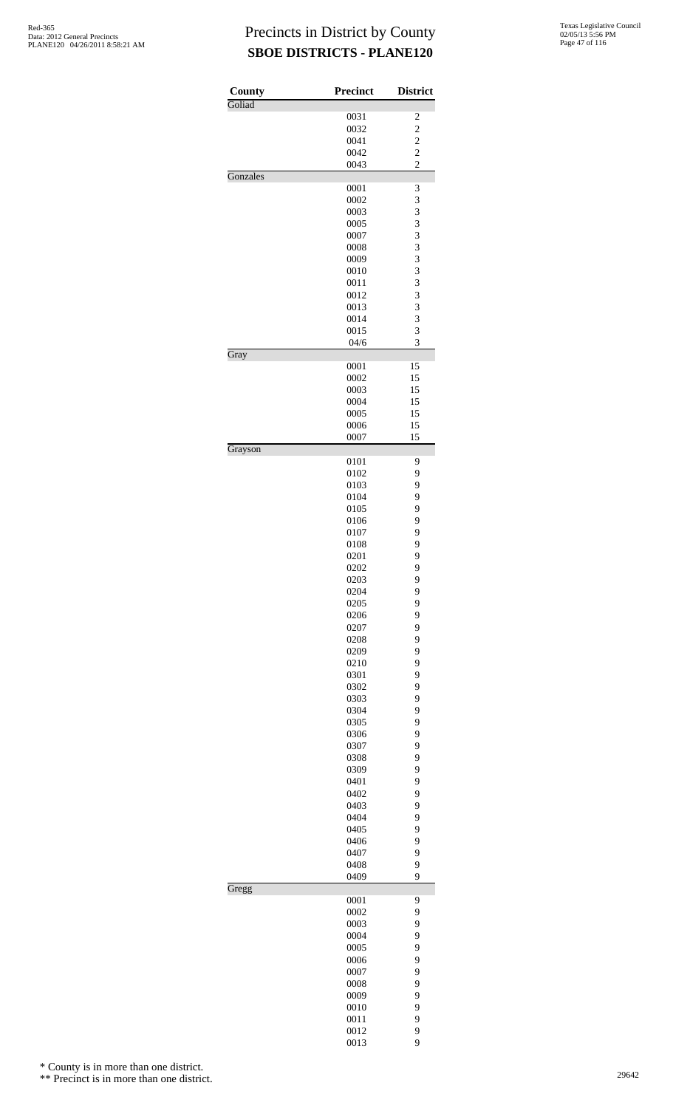| County   | Precinct     | <b>District</b>         |
|----------|--------------|-------------------------|
| Goliad   | 0031         | $\overline{\mathbf{c}}$ |
|          | 0032         | $\overline{c}$          |
|          | 0041         |                         |
|          | 0042         | $\frac{2}{2}$           |
|          | 0043         | $\overline{c}$          |
| Gonzales |              |                         |
|          | 0001         | 3                       |
|          | 0002         | 3                       |
|          | 0003         | 3                       |
|          | 0005<br>0007 | 3<br>3                  |
|          | 0008         | 3                       |
|          | 0009         | 3                       |
|          | 0010         | 3                       |
|          | 0011         | 3                       |
|          | 0012         | 3                       |
|          | 0013         | 3                       |
|          | 0014         | 3                       |
|          | 0015         | 3                       |
|          | 04/6         | 3                       |
| Gray     | 0001         | 15                      |
|          | 0002         | 15                      |
|          | 0003         | 15                      |
|          | 0004         | 15                      |
|          | 0005         | 15                      |
|          | 0006         | 15                      |
|          | 0007         | 15                      |
| Grayson  |              |                         |
|          | 0101<br>0102 | 9<br>9                  |
|          | 0103         | 9                       |
|          | 0104         | 9                       |
|          | 0105         | 9                       |
|          | 0106         | 9                       |
|          | 0107         | 9                       |
|          | 0108         | 9                       |
|          | 0201         | 9                       |
|          | 0202         | 9                       |
|          | 0203         | 9                       |
|          | 0204         | 9                       |
|          | 0205         | 9                       |
|          | 0206         | 9<br>9                  |
|          | 0207<br>0208 | 9                       |
|          | 0209         | 9                       |
|          | 0210         | 9                       |
|          | 0301         | 9                       |
|          | 0302         | 9                       |
|          | 0303         | 9                       |
|          | 0304         | 9                       |
|          | 0305         | 9                       |
|          | 0306         | 9                       |
|          | 0307         | 9                       |
|          | 0308         | 9                       |
|          | 0309         | 9                       |
|          | 0401         | 9                       |
|          | 0402<br>0403 | 9<br>9                  |
|          | 0404         | 9                       |
|          | 0405         | 9                       |
|          | 0406         | 9                       |
|          | 0407         | 9                       |
|          | 0408         | 9                       |
|          | 0409         | 9                       |
| Gregg    |              |                         |
|          | 0001         | 9                       |
|          | 0002<br>0003 | 9<br>9                  |
|          | 0004         | 9                       |
|          | 0005         | 9                       |
|          | 0006         | 9                       |
|          | 0007         | 9                       |
|          | 0008         | 9                       |
|          | 0009         | 9                       |
|          | 0010         | 9                       |
|          | 0011         | 9                       |
|          | 0012         | 9                       |
|          | 0013         | 9                       |

\* County is in more than one district.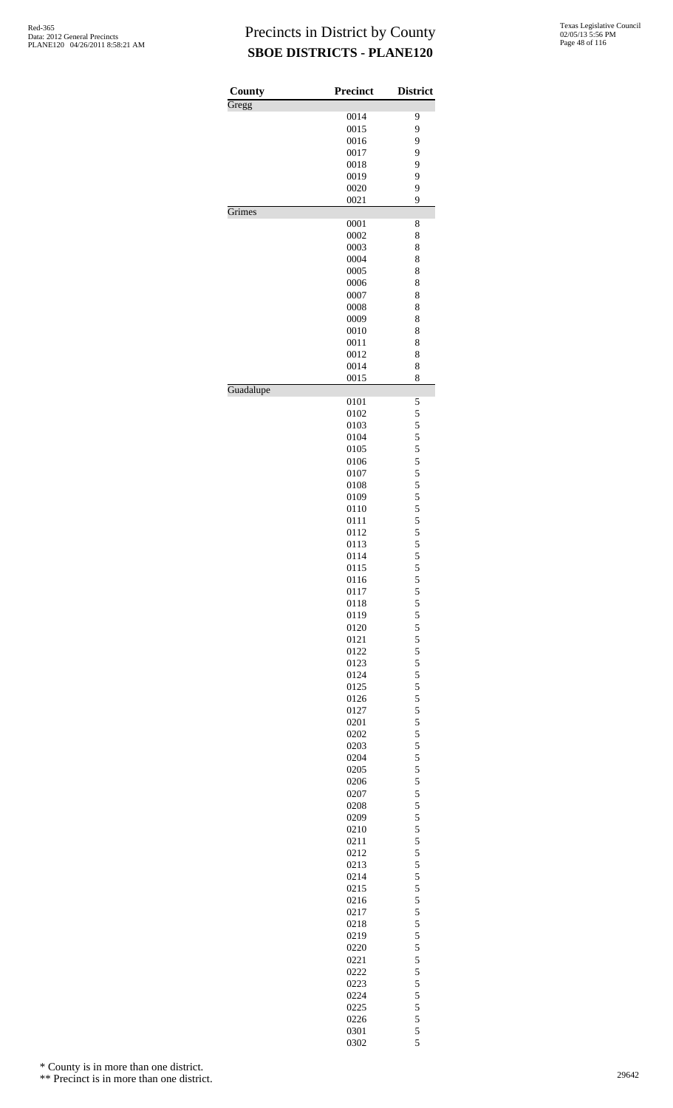| County    | <b>Precinct</b> | <b>District</b> |
|-----------|-----------------|-----------------|
| Gregg     |                 |                 |
|           | 0014            | 9               |
|           | 0015            | 9               |
|           | 0016<br>0017    | 9<br>9          |
|           | 0018            | 9               |
|           | 0019            | 9               |
|           | 0020            | 9               |
|           | 0021            | 9               |
| Grimes    |                 |                 |
|           | 0001            | 8               |
|           | 0002            | 8               |
|           | 0003            | 8               |
|           | 0004            | 8               |
|           | 0005            | 8               |
|           | 0006            | 8               |
|           | 0007            | 8               |
|           | 0008            | 8               |
|           | 0009            | 8               |
|           | 0010            | 8               |
|           | 0011            | 8               |
|           | 0012<br>0014    | 8<br>8          |
|           | 0015            | 8               |
| Guadalupe |                 |                 |
|           | 0101            | 5               |
|           | 0102            | 5               |
|           | 0103            | 5               |
|           | 0104            | 5               |
|           | 0105            | 5               |
|           | 0106            | 5               |
|           | 0107            | 5               |
|           | 0108            | 5               |
|           | 0109<br>0110    | 5<br>5          |
|           | 0111            | 5               |
|           | 0112            | 5               |
|           | 0113            | 5               |
|           | 0114            | 5               |
|           | 0115            | 5               |
|           | 0116            | 5               |
|           | 0117            | 5               |
|           | 0118            | 5               |
|           | 0119            |                 |
|           | 0120            | $\frac{5}{5}$   |
|           | 0121            | 5               |
|           | 0122            | 5               |
|           | 0123            | 5               |
|           | 0124            | 5               |
|           | 0125            | 5               |
|           | 0126            | 5               |
|           | 0127            | $\frac{5}{5}$   |
|           | 0201            |                 |
|           | 0202            | $\frac{5}{5}$   |
|           | 0203<br>0204    | 5               |
|           | 0205            | 5               |
|           | 0206            | 5               |
|           | 0207            | 5               |
|           | 0208            | 5               |
|           | 0209            | 5               |
|           | 0210            |                 |
|           | 0211            | $\frac{5}{5}$   |
|           | 0212            |                 |
|           | 0213            | $\frac{5}{5}$   |
|           | 0214            | 5               |
|           | 0215            | 5               |
|           | 0216            | 5               |
|           | 0217            |                 |
|           | 0218            | $\frac{5}{5}$   |
|           | 0219            | 5               |
|           | 0220            | 5               |
|           | 0221            | 5               |
|           | 0222            | $\frac{5}{5}$   |
|           | 0223            |                 |
|           | 0224            | 5               |
|           | 0225            | 5               |
|           | 0226            | $\frac{5}{5}$   |
|           | 0301            |                 |

5

\* County is in more than one district.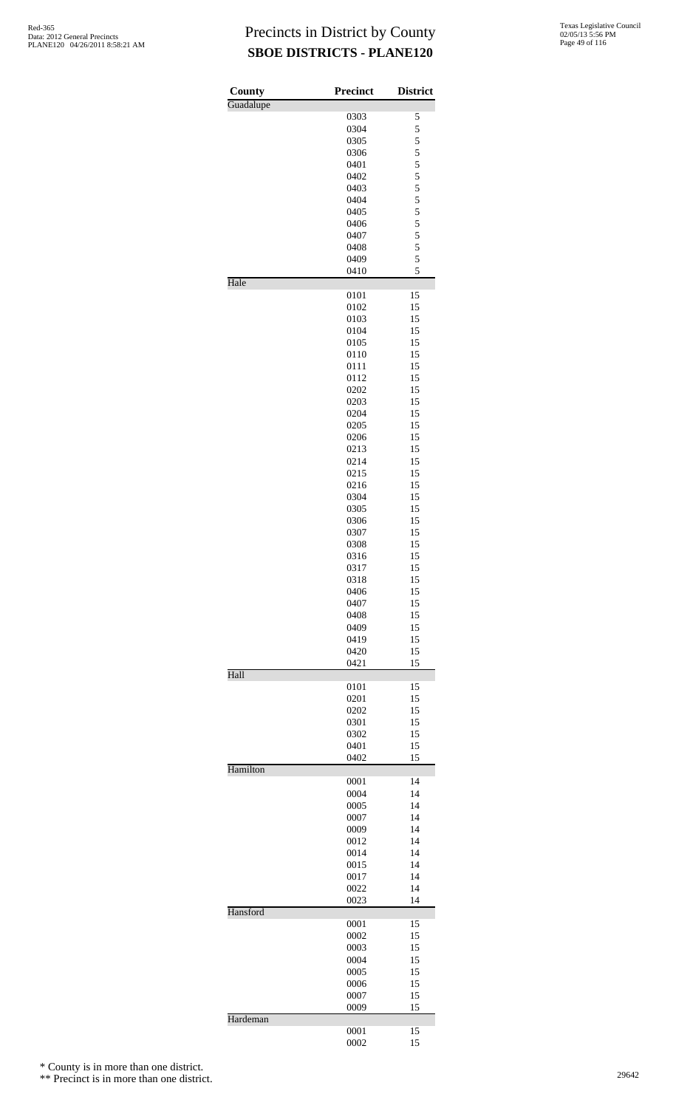| County    | <b>Precinct</b> | <b>District</b> |
|-----------|-----------------|-----------------|
| Guadalupe | 0303            | 5               |
|           | 0304            | 5               |
|           | 0305            | 5               |
|           | 0306            | 5               |
|           | 0401            | 5               |
|           | 0402            | 5               |
|           | 0403            | 5               |
|           | 0404<br>0405    | 5<br>5          |
|           | 0406            | 5               |
|           | 0407            | 5               |
|           | 0408            | 5               |
|           | 0409            | 5               |
| Hale      | 0410            | 5               |
|           | 0101            | 15              |
|           | 0102            | 15              |
|           | 0103            | 15              |
|           | 0104            | 15              |
|           | 0105<br>0110    | 15<br>15        |
|           | 0111            | 15              |
|           | 0112            | 15              |
|           | 0202            | 15              |
|           | 0203            | 15              |
|           | 0204            | 15              |
|           | 0205            | 15              |
|           | 0206            | 15              |
|           | 0213<br>0214    | 15<br>15        |
|           | 0215            | 15              |
|           | 0216            | 15              |
|           | 0304            | 15              |
|           | 0305            | 15              |
|           | 0306            | 15              |
|           | 0307            | 15              |
|           | 0308            | 15              |
|           | 0316            | 15              |
|           | 0317<br>0318    | 15<br>15        |
|           | 0406            | 15              |
|           | 0407            | 15              |
|           | 0408            | 15              |
|           | 0409            | 15              |
|           | 0419            | 15              |
|           | 0420            | 15              |
| Hall      | 0421            | 15              |
|           | 0101            | 15              |
|           | 0201            | 15              |
|           | 0202            | 15              |
|           | 0301<br>0302    | 15<br>15        |
|           | 0401            | 15              |
|           | 0402            | 15              |
| Hamilton  | 0001            | 14              |
|           | 0004            | 14              |
|           | 0005            | 14              |
|           | 0007            | 14              |
|           | 0009            | 14              |
|           | 0012            | 14              |
|           | 0014            | 14<br>14        |
|           | 0015<br>0017    | 14              |
|           | 0022            | 14              |
|           | 0023            | 14              |
| Hansford  | 0001            | 15              |
|           | 0002            | 15              |
|           | 0003            | 15              |
|           | 0004            | 15              |
|           | 0005            | 15              |
|           | 0006            | 15              |
|           | 0007<br>0009    | 15<br>15        |
| Hardeman  |                 |                 |
|           | 0001<br>0002    | 15<br>15        |
|           |                 |                 |

\* County is in more than one district.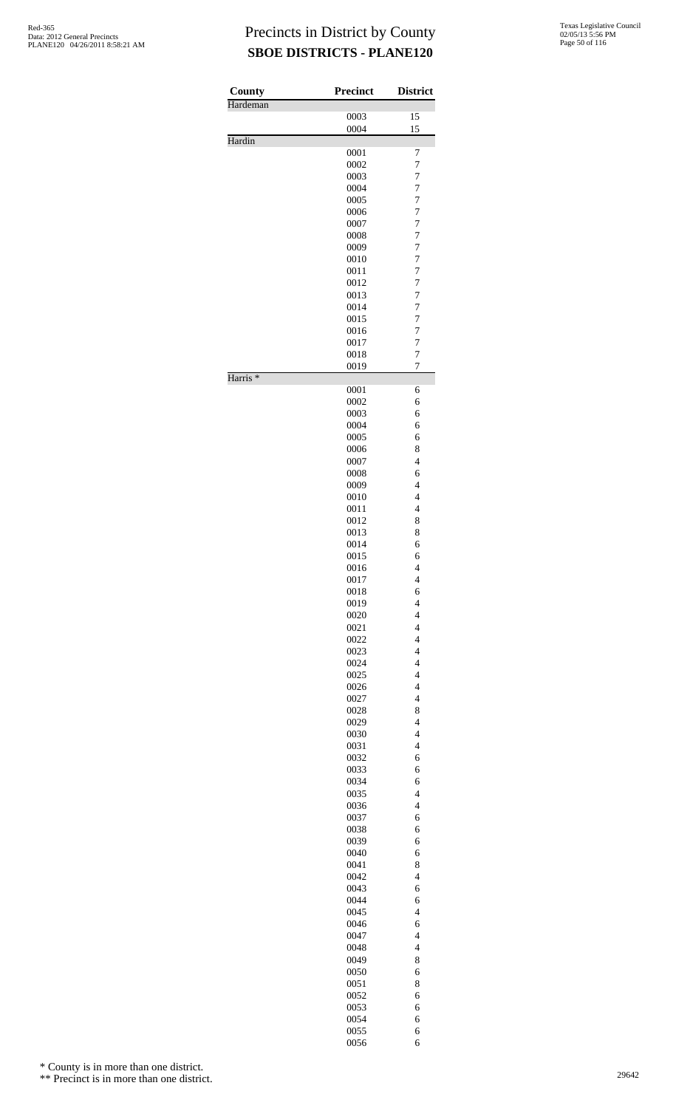| County              | <b>Precinct</b> | <b>District</b>                                     |
|---------------------|-----------------|-----------------------------------------------------|
| Hardeman            |                 |                                                     |
|                     | 0003            | 15                                                  |
|                     | 0004            | 15                                                  |
| Hardin              |                 |                                                     |
|                     | 0001            | 7                                                   |
|                     | 0002            | 7                                                   |
|                     | 0003<br>0004    | $\overline{7}$<br>7                                 |
|                     | 0005            | $\overline{7}$                                      |
|                     | 0006            | $\overline{7}$                                      |
|                     | 0007            | 7                                                   |
|                     | 0008            | $\overline{7}$                                      |
|                     | 0009            | $\overline{7}$                                      |
|                     | 0010            | $\overline{7}$                                      |
|                     | 0011            | $\overline{7}$                                      |
|                     | 0012            | 7                                                   |
|                     | 0013            | $\overline{7}$                                      |
|                     | 0014            | 7                                                   |
|                     | 0015            | $\overline{7}$                                      |
|                     | 0016            | $\overline{7}$                                      |
|                     | 0017            | $\overline{7}$                                      |
|                     | 0018            | $\overline{7}$                                      |
| Harris <sup>*</sup> | 0019            | 7                                                   |
|                     | 0001            | 6                                                   |
|                     | 0002            | 6                                                   |
|                     | 0003            | 6                                                   |
|                     | 0004            | 6                                                   |
|                     | 0005            | 6                                                   |
|                     | 0006            | 8                                                   |
|                     | 0007            | $\overline{4}$                                      |
|                     | 0008            | 6                                                   |
|                     | 0009            | $\overline{4}$                                      |
|                     | 0010            | $\overline{4}$                                      |
|                     | 0011            | $\overline{4}$                                      |
|                     | 0012            | 8                                                   |
|                     | 0013            | 8                                                   |
|                     | 0014            | 6                                                   |
|                     | 0015<br>0016    | 6<br>4                                              |
|                     | 0017            | 4                                                   |
|                     | 0018            | 6                                                   |
|                     | 0019            | $\overline{4}$                                      |
|                     | 0020            | $\overline{\mathbf{4}}$                             |
|                     | 0021            | $\overline{\mathcal{L}}$                            |
|                     | 0022            | $\overline{\mathcal{L}}$                            |
|                     | 0023            | $\overline{4}$                                      |
|                     | 0024            | $\overline{4}$                                      |
|                     | 0025            | $\overline{\mathbf{4}}$                             |
|                     | 0026            | $\overline{\mathcal{L}}$                            |
|                     | 0027            | $\overline{4}$                                      |
|                     | 0028            | 8                                                   |
|                     | 0029            | $\overline{4}$                                      |
|                     | 0030            | $\overline{\mathbf{4}}$                             |
|                     | 0031            | $\overline{\mathcal{L}}$                            |
|                     | 0032            | 6                                                   |
|                     | 0033            | 6                                                   |
|                     | 0034            | 6                                                   |
|                     | 0035            | $\overline{\mathbf{4}}$<br>$\overline{\mathcal{L}}$ |
|                     | 0036            |                                                     |
|                     | 0037            | 6                                                   |
|                     | 0038<br>0039    | 6<br>6                                              |
|                     | 0040            | 6                                                   |
|                     | 0041            | 8                                                   |
|                     | 0042            | $\overline{\mathcal{L}}$                            |
|                     | 0043            | 6                                                   |
|                     | 0044            | 6                                                   |
|                     | 0045            | $\overline{\mathbf{4}}$                             |
|                     | 0046            | 6                                                   |
|                     | 0047            | $\overline{4}$                                      |
|                     | 0048            | $\overline{4}$                                      |
|                     | 0049            | 8                                                   |
|                     | 0050            | 6                                                   |
|                     | 0051            | 8                                                   |
|                     | 0052            | 6                                                   |
|                     | 0053            | 6                                                   |
|                     | 0054            | 6                                                   |
|                     | 0055            | 6                                                   |
|                     | 0056            | 6                                                   |

\* County is in more than one district.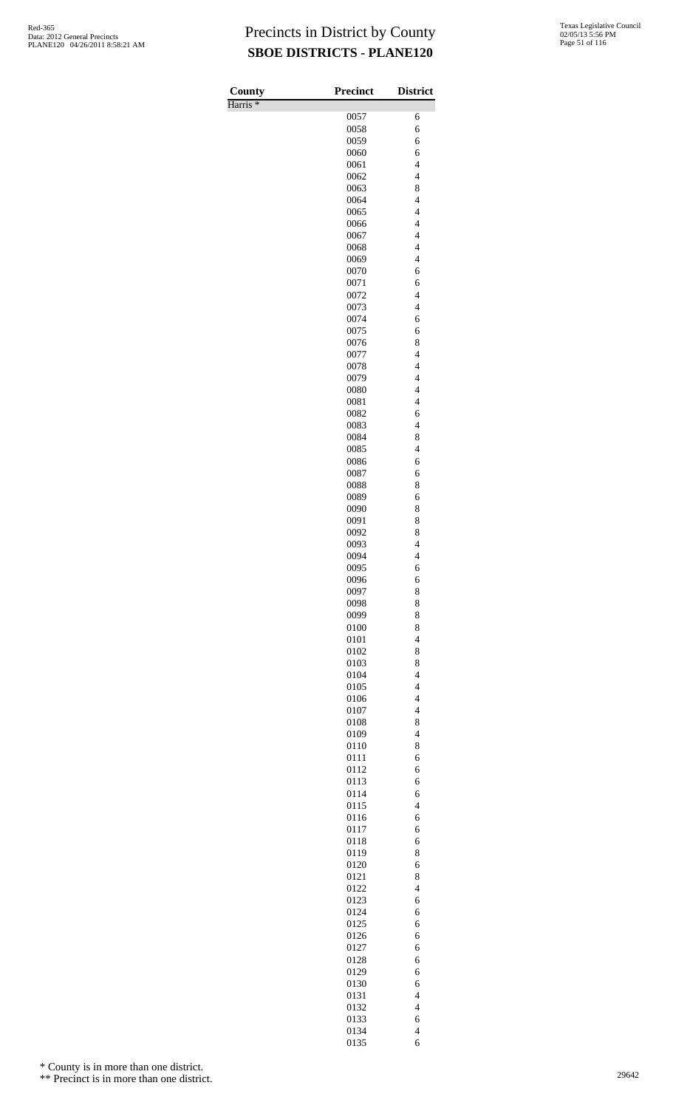| County              | Precinct     | <b>District</b>                            |
|---------------------|--------------|--------------------------------------------|
| Harris <sup>*</sup> |              |                                            |
|                     | 0057         | 6                                          |
|                     | 0058<br>0059 | 6<br>6                                     |
|                     | 0060         | 6                                          |
|                     | 0061         | $\overline{4}$                             |
|                     | 0062         | $\overline{\mathcal{L}}$                   |
|                     | 0063         | 8                                          |
|                     | 0064         | $\overline{\mathcal{L}}$                   |
|                     | 0065         | $\overline{4}$<br>$\overline{4}$           |
|                     | 0066<br>0067 | $\overline{\mathcal{L}}$                   |
|                     | 0068         | $\overline{\mathcal{L}}$                   |
|                     | 0069         | $\overline{4}$                             |
|                     | 0070         | 6                                          |
|                     | 0071         | 6                                          |
|                     | 0072         | $\overline{4}$                             |
|                     | 0073<br>0074 | $\overline{\mathcal{L}}$<br>6              |
|                     | 0075         | 6                                          |
|                     | 0076         | 8                                          |
|                     | 0077         | $\overline{4}$                             |
|                     | 0078         | $\overline{\mathcal{L}}$                   |
|                     | 0079         | $\overline{\mathcal{L}}$                   |
|                     | 0080<br>0081 | $\overline{\mathcal{L}}$<br>$\overline{4}$ |
|                     | 0082         | 6                                          |
|                     | 0083         | $\overline{4}$                             |
|                     | 0084         | 8                                          |
|                     | 0085         | $\overline{\mathcal{L}}$                   |
|                     | 0086         | 6                                          |
|                     | 0087<br>0088 | 6<br>8                                     |
|                     | 0089         | 6                                          |
|                     | 0090         | 8                                          |
|                     | 0091         | 8                                          |
|                     | 0092         | 8                                          |
|                     | 0093         | $\overline{\mathcal{L}}$                   |
|                     | 0094         | $\overline{\mathcal{L}}$                   |
|                     | 0095<br>0096 | 6<br>6                                     |
|                     | 0097         | 8                                          |
|                     | 0098         | 8                                          |
|                     | 0099         | 8                                          |
|                     | 0100         | 8                                          |
|                     | 0101         | $\overline{\mathcal{L}}$                   |
|                     | 0102<br>0103 | 8<br>8                                     |
|                     | 0104         | $\overline{4}$                             |
|                     | 0105         | $\overline{\mathcal{L}}$                   |
|                     | 0106         | $\overline{\mathcal{L}}$                   |
|                     | 0107         | $\overline{4}$                             |
|                     | 0108         | 8                                          |
|                     | 0109<br>0110 | $\overline{4}$<br>8                        |
|                     | 0111         | 6                                          |
|                     | 0112         | 6                                          |
|                     | 0113         | 6                                          |
|                     | 0114         | 6                                          |
|                     | 0115         | $\overline{\mathcal{L}}$                   |
|                     | 0116<br>0117 | 6<br>6                                     |
|                     | 0118         | 6                                          |
|                     | 0119         | 8                                          |
|                     | 0120         | 6                                          |
|                     | 0121         | 8                                          |
|                     | 0122         | $\overline{\mathcal{L}}$                   |
|                     | 0123<br>0124 | 6<br>6                                     |
|                     | 0125         | 6                                          |
|                     | 0126         | 6                                          |
|                     | 0127         | 6                                          |
|                     | 0128         | 6                                          |
|                     | 0129         | 6                                          |
|                     | 0130         | 6                                          |
|                     | 0131<br>0132 | $\overline{\mathcal{L}}$<br>$\overline{4}$ |
|                     | 0133         | 6                                          |
|                     | 0134         | $\overline{4}$                             |
|                     | 0135         | 6                                          |

\* County is in more than one district.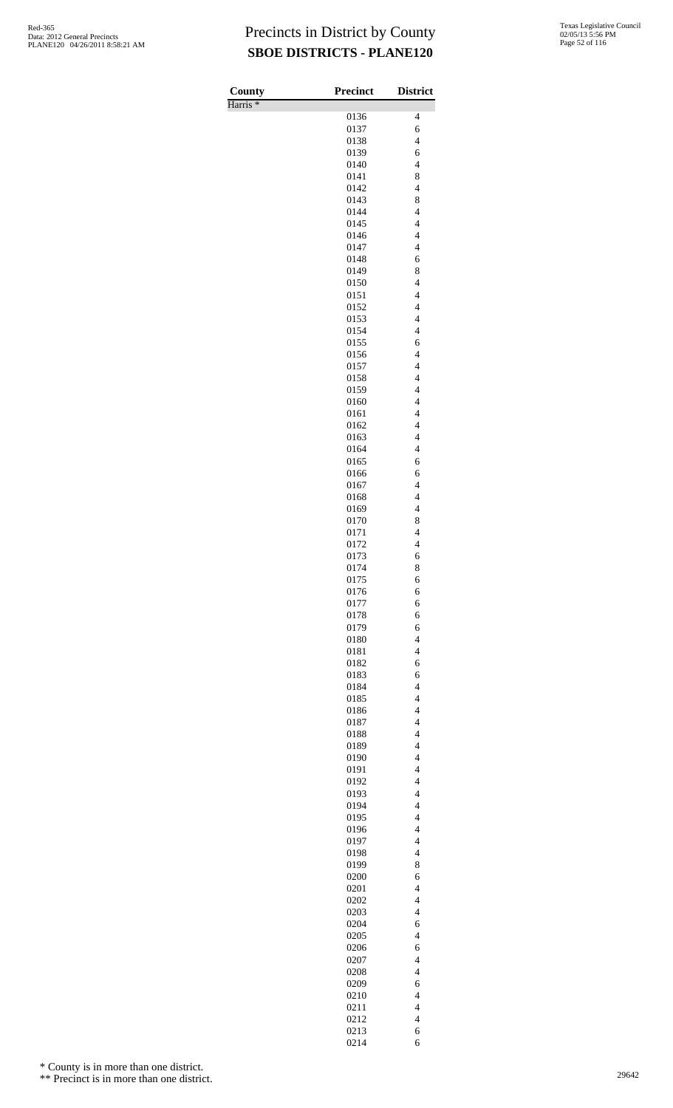| County              | Precinct     | <b>District</b>                                      |
|---------------------|--------------|------------------------------------------------------|
| Harris <sup>*</sup> |              |                                                      |
|                     | 0136<br>0137 | 4<br>6                                               |
|                     | 0138         | $\overline{\mathcal{L}}$                             |
|                     | 0139         | 6                                                    |
|                     | 0140         | $\overline{4}$                                       |
|                     | 0141         | 8                                                    |
|                     | 0142         | $\overline{\mathcal{L}}$                             |
|                     | 0143<br>0144 | 8<br>$\overline{\mathcal{L}}$                        |
|                     | 0145         | $\overline{4}$                                       |
|                     | 0146         | $\overline{4}$                                       |
|                     | 0147         | $\overline{\mathcal{L}}$                             |
|                     | 0148         | 6                                                    |
|                     | 0149         | 8                                                    |
|                     | 0150<br>0151 | $\overline{4}$<br>$\overline{\mathcal{L}}$           |
|                     | 0152         | $\overline{\mathcal{L}}$                             |
|                     | 0153         | $\overline{4}$                                       |
|                     | 0154         | $\overline{\mathcal{L}}$                             |
|                     | 0155         | 6                                                    |
|                     | 0156         | $\overline{4}$                                       |
|                     | 0157<br>0158 | $\overline{\mathcal{L}}$<br>$\overline{\mathcal{L}}$ |
|                     | 0159         | $\overline{\mathcal{L}}$                             |
|                     | 0160         | $\overline{4}$                                       |
|                     | 0161         | $\overline{\mathcal{L}}$                             |
|                     | 0162         | $\overline{\mathcal{L}}$                             |
|                     | 0163         | $\overline{4}$                                       |
|                     | 0164<br>0165 | $\overline{\mathcal{L}}$<br>6                        |
|                     | 0166         | 6                                                    |
|                     | 0167         | $\overline{4}$                                       |
|                     | 0168         | $\overline{\mathcal{L}}$                             |
|                     | 0169         | $\overline{\mathcal{L}}$                             |
|                     | 0170         | 8                                                    |
|                     | 0171<br>0172 | $\overline{4}$<br>$\overline{\mathcal{L}}$           |
|                     | 0173         | 6                                                    |
|                     | 0174         | 8                                                    |
|                     | 0175         | 6                                                    |
|                     | 0176         | 6                                                    |
|                     | 0177         | 6                                                    |
|                     | 0178<br>0179 | 6<br>6                                               |
|                     | 0180         | $\overline{\mathcal{L}}$                             |
|                     | 0181         | $\overline{\mathcal{L}}$                             |
|                     | 0182         | 6                                                    |
|                     | 0183         | 6                                                    |
|                     | 0184         | $\overline{\mathcal{L}}$<br>$\overline{4}$           |
|                     | 0185<br>0186 | $\overline{\mathbf{4}}$                              |
|                     | 0187         | $\overline{\mathbf{4}}$                              |
|                     | 0188         | $\overline{4}$                                       |
|                     | 0189         | $\overline{\mathcal{L}}$                             |
|                     | 0190         | $\overline{4}$                                       |
|                     | 0191         | $\overline{4}$<br>$\overline{\mathbf{4}}$            |
|                     | 0192<br>0193 | $\overline{\mathcal{L}}$                             |
|                     | 0194         | $\overline{\mathcal{L}}$                             |
|                     | 0195         | $\overline{4}$                                       |
|                     | 0196         | $\overline{\mathbf{4}}$                              |
|                     | 0197         | $\overline{\mathbf{4}}$                              |
|                     | 0198<br>0199 | $\overline{\mathcal{L}}$<br>8                        |
|                     | 0200         | 6                                                    |
|                     | 0201         | $\overline{\mathcal{L}}$                             |
|                     | 0202         | $\overline{\mathcal{L}}$                             |
|                     | 0203         | $\overline{\mathcal{L}}$                             |
|                     | 0204         | 6                                                    |
|                     | 0205<br>0206 | $\overline{\mathcal{L}}$<br>6                        |
|                     | 0207         | $\overline{\mathcal{L}}$                             |
|                     | 0208         | $\overline{\mathcal{L}}$                             |
|                     | 0209         | 6                                                    |
|                     | 0210         | $\overline{\mathcal{L}}$                             |
|                     | 0211         | $\overline{\mathcal{L}}$                             |
|                     | 0212<br>0213 | $\overline{\mathbf{4}}$<br>6                         |
|                     | 0214         | 6                                                    |

\* County is in more than one district.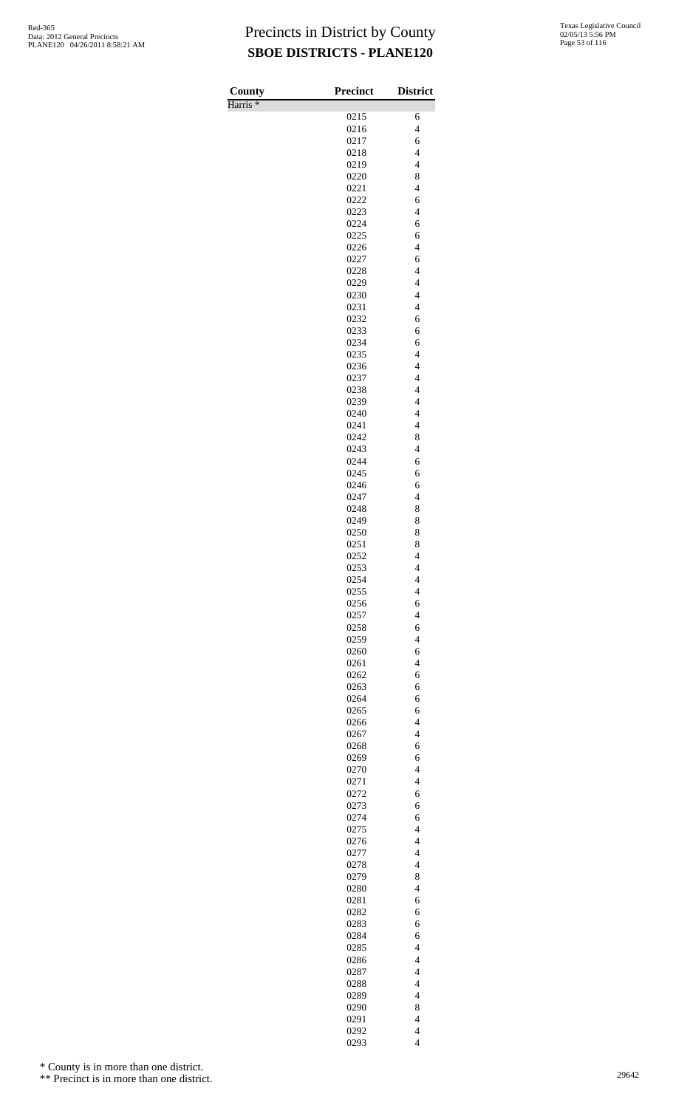| County              | Precinct     | <b>District</b>                                    |
|---------------------|--------------|----------------------------------------------------|
| Harris <sup>*</sup> |              |                                                    |
|                     | 0215         | 6<br>$\overline{\mathbf{4}}$                       |
|                     | 0216<br>0217 | 6                                                  |
|                     | 0218         | $\overline{4}$                                     |
|                     | 0219         | $\overline{4}$                                     |
|                     | 0220         | 8                                                  |
|                     | 0221         | $\overline{\mathbf{4}}$                            |
|                     | 0222<br>0223 | 6<br>$\overline{4}$                                |
|                     | 0224         | 6                                                  |
|                     | 0225         | 6                                                  |
|                     | 0226         | $\overline{\mathbf{4}}$                            |
|                     | 0227         | 6                                                  |
|                     | 0228         | $\overline{4}$<br>$\overline{\mathbf{4}}$          |
|                     | 0229<br>0230 | $\overline{\mathbf{4}}$                            |
|                     | 0231         | $\overline{\mathbf{4}}$                            |
|                     | 0232         | 6                                                  |
|                     | 0233         | 6                                                  |
|                     | 0234         | 6<br>$\overline{\mathbf{4}}$                       |
|                     | 0235<br>0236 | $\overline{\mathbf{4}}$                            |
|                     | 0237         | $\overline{\mathbf{4}}$                            |
|                     | 0238         | $\overline{4}$                                     |
|                     | 0239         | $\overline{\mathbf{4}}$                            |
|                     | 0240<br>0241 | $\overline{\mathbf{4}}$<br>$\overline{\mathbf{4}}$ |
|                     | 0242         | 8                                                  |
|                     | 0243         | $\overline{4}$                                     |
|                     | 0244         | 6                                                  |
|                     | 0245         | 6                                                  |
|                     | 0246<br>0247 | 6<br>$\overline{\mathcal{L}}$                      |
|                     | 0248         | 8                                                  |
|                     | 0249         | 8                                                  |
|                     | 0250         | 8                                                  |
|                     | 0251<br>0252 | 8<br>$\overline{\mathcal{L}}$                      |
|                     | 0253         | 4                                                  |
|                     | 0254         | $\overline{\mathcal{L}}$                           |
|                     | 0255         | $\overline{\mathbf{4}}$                            |
|                     | 0256         | 6<br>$\overline{4}$                                |
|                     | 0257<br>0258 | 6                                                  |
|                     | 0259         | $\overline{4}$                                     |
|                     | 0260         | 6                                                  |
|                     | 0261         | $\overline{\mathbf{4}}$                            |
|                     | 0262<br>0263 | 6<br>6                                             |
|                     | 0264         | 6                                                  |
|                     | 0265         | 6                                                  |
|                     | 0266         | $\overline{\mathbf{4}}$                            |
|                     | 0267         | $\overline{4}$                                     |
|                     | 0268<br>0269 | 6<br>6                                             |
|                     | 0270         | $\overline{\mathbf{4}}$                            |
|                     | 0271         | $\overline{\mathbf{4}}$                            |
|                     | 0272         | 6                                                  |
|                     | 0273<br>0274 | 6<br>6                                             |
|                     | 0275         | $\overline{\mathbf{4}}$                            |
|                     | 0276         | $\overline{\mathbf{4}}$                            |
|                     | 0277         | $\overline{\mathcal{L}}$                           |
|                     | 0278<br>0279 | $\overline{4}$<br>8                                |
|                     | 0280         | $\overline{\mathbf{4}}$                            |
|                     | 0281         | 6                                                  |
|                     | 0282         | 6                                                  |
|                     | 0283         | 6                                                  |
|                     | 0284<br>0285 | 6<br>$\overline{\mathbf{4}}$                       |
|                     | 0286         | $\overline{\mathbf{4}}$                            |
|                     | 0287         | $\overline{\mathbf{4}}$                            |
|                     | 0288         | $\overline{4}$                                     |
|                     | 0289         | $\overline{4}$<br>8                                |
|                     | 0290<br>0291 | $\overline{\mathbf{4}}$                            |
|                     | 0292         | $\overline{\mathbf{4}}$                            |
|                     | 0293         | $\overline{\mathbf{4}}$                            |

\* County is in more than one district.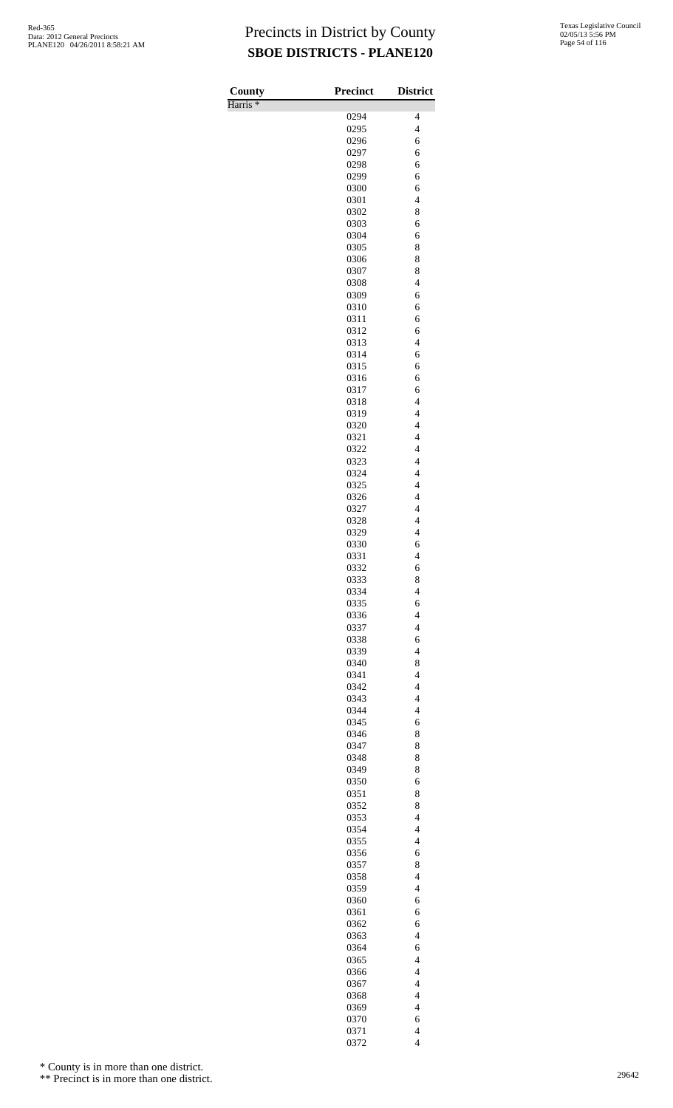| County              | <b>Precinct</b> | <b>District</b>                                      |
|---------------------|-----------------|------------------------------------------------------|
| Harris <sup>*</sup> | 0294            | $\overline{4}$                                       |
|                     | 0295            | $\overline{4}$                                       |
|                     | 0296            | 6                                                    |
|                     | 0297            | 6                                                    |
|                     | 0298            | 6                                                    |
|                     | 0299<br>0300    | 6<br>6                                               |
|                     | 0301            | $\overline{4}$                                       |
|                     | 0302            | 8                                                    |
|                     | 0303            | 6                                                    |
|                     | 0304            | 6                                                    |
|                     | 0305<br>0306    | 8<br>8                                               |
|                     | 0307            | 8                                                    |
|                     | 0308            | $\overline{\mathcal{L}}$                             |
|                     | 0309            | 6                                                    |
|                     | 0310<br>0311    | 6<br>6                                               |
|                     | 0312            | 6                                                    |
|                     | 0313            | $\overline{4}$                                       |
|                     | 0314            | 6                                                    |
|                     | 0315            | 6                                                    |
|                     | 0316<br>0317    | 6<br>6                                               |
|                     | 0318            | $\overline{\mathcal{L}}$                             |
|                     | 0319            | $\overline{\mathcal{L}}$                             |
|                     | 0320            | $\overline{\mathcal{L}}$                             |
|                     | 0321            | $\overline{4}$                                       |
|                     | 0322<br>0323    | $\overline{4}$<br>$\overline{4}$                     |
|                     | 0324            | $\overline{\mathcal{L}}$                             |
|                     | 0325            | $\overline{\mathcal{L}}$                             |
|                     | 0326            | 4                                                    |
|                     | 0327            | $\overline{4}$                                       |
|                     | 0328<br>0329    | $\overline{\mathcal{L}}$<br>$\overline{\mathcal{L}}$ |
|                     | 0330            | 6                                                    |
|                     | 0331            | $\overline{4}$                                       |
|                     | 0332            | 6                                                    |
|                     | 0333            | 8                                                    |
|                     | 0334<br>0335    | $\overline{4}$<br>6                                  |
|                     | 0336            | $\overline{4}$                                       |
|                     | 0337            | $\overline{4}$                                       |
|                     | 0338            | 6                                                    |
|                     | 0339            | $\overline{\mathcal{L}}$                             |
|                     | 0340<br>0341    | 8<br>$\overline{4}$                                  |
|                     | 0342            | $\overline{4}$                                       |
|                     | 0343            | $\overline{4}$                                       |
|                     | 0344            | $\overline{4}$                                       |
|                     | 0345            | 6                                                    |
|                     | 0346<br>0347    | 8<br>8                                               |
|                     | 0348            | 8                                                    |
|                     | 0349            | 8                                                    |
|                     | 0350            | 6                                                    |
|                     | 0351            | 8                                                    |
|                     | 0352<br>0353    | 8<br>$\overline{4}$                                  |
|                     | 0354            | $\overline{4}$                                       |
|                     | 0355            | $\overline{4}$                                       |
|                     | 0356            | 6                                                    |
|                     | 0357<br>0358    | 8<br>$\overline{4}$                                  |
|                     | 0359            | $\overline{4}$                                       |
|                     | 0360            | 6                                                    |
|                     | 0361            | 6                                                    |
|                     | 0362            | 6                                                    |
|                     | 0363            | $\overline{4}$                                       |
|                     | 0364<br>0365    | 6<br>$\overline{4}$                                  |
|                     | 0366            | $\overline{\mathcal{L}}$                             |
|                     | 0367            | $\overline{4}$                                       |
|                     | 0368            | $\overline{4}$                                       |
|                     | 0369            | $\overline{4}$                                       |
|                     | 0370<br>0371    | 6<br>$\overline{\mathcal{L}}$                        |
|                     | 0372            | $\overline{4}$                                       |

\* County is in more than one district.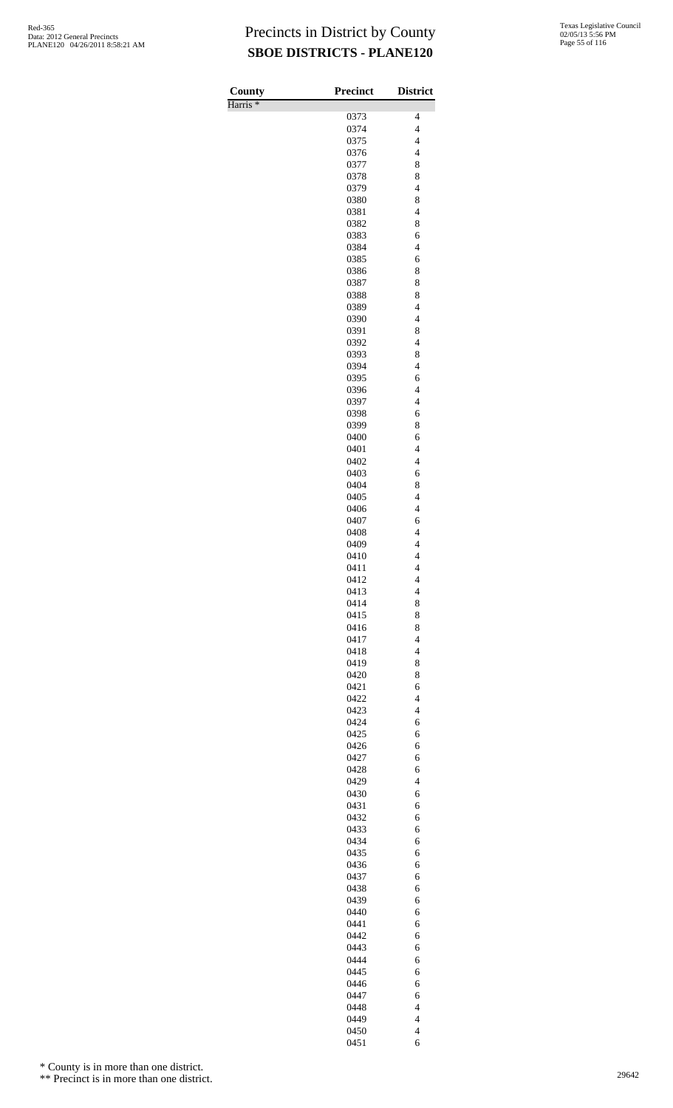| County              | <b>Precinct</b> | <b>District</b>                            |
|---------------------|-----------------|--------------------------------------------|
| Harris <sup>*</sup> |                 | 4                                          |
|                     | 0373<br>0374    | $\overline{4}$                             |
|                     | 0375            | $\overline{\mathcal{L}}$                   |
|                     | 0376            | $\overline{4}$                             |
|                     | 0377            | 8                                          |
|                     | 0378            | 8                                          |
|                     | 0379<br>0380    | $\overline{4}$<br>8                        |
|                     | 0381            | $\overline{\mathcal{L}}$                   |
|                     | 0382            | 8                                          |
|                     | 0383            | 6                                          |
|                     | 0384            | $\overline{4}$                             |
|                     | 0385            | 6<br>8                                     |
|                     | 0386<br>0387    | 8                                          |
|                     | 0388            | 8                                          |
|                     | 0389            | $\overline{4}$                             |
|                     | 0390            | $\overline{\mathcal{L}}$                   |
|                     | 0391            | 8                                          |
|                     | 0392<br>0393    | $\overline{4}$<br>8                        |
|                     | 0394            | $\overline{4}$                             |
|                     | 0395            | 6                                          |
|                     | 0396            | $\overline{4}$                             |
|                     | 0397            | $\overline{4}$                             |
|                     | 0398            | 6                                          |
|                     | 0399<br>0400    | 8<br>6                                     |
|                     | 0401            | $\overline{4}$                             |
|                     | 0402            | $\overline{4}$                             |
|                     | 0403            | 6                                          |
|                     | 0404            | 8<br>$\overline{\mathcal{L}}$              |
|                     | 0405<br>0406    | $\overline{4}$                             |
|                     | 0407            | 6                                          |
|                     | 0408            | $\overline{4}$                             |
|                     | 0409            | $\overline{4}$                             |
|                     | 0410            | $\overline{\mathcal{L}}$<br>$\overline{4}$ |
|                     | 0411<br>0412    | 4                                          |
|                     | 0413            | $\overline{\mathcal{L}}$                   |
|                     | 0414            | 8                                          |
|                     | 0415            | 8                                          |
|                     | 0416            | 8<br>$\overline{\mathcal{L}}$              |
|                     | 0417<br>0418    | $\overline{\mathcal{L}}$                   |
|                     | 0419            | 8                                          |
|                     | 0420            | 8                                          |
|                     | 0421            | 6                                          |
|                     | 0422            | $\overline{\mathcal{L}}$                   |
|                     | 0423<br>0424    | $\overline{\mathcal{L}}$<br>6              |
|                     | 0425            | 6                                          |
|                     | 0426            | 6                                          |
|                     | 0427            | 6                                          |
|                     | 0428            | 6                                          |
|                     | 0429<br>0430    | $\overline{\mathcal{L}}$<br>6              |
|                     | 0431            | 6                                          |
|                     | 0432            | 6                                          |
|                     | 0433            | 6                                          |
|                     | 0434            | 6                                          |
|                     | 0435<br>0436    | 6<br>6                                     |
|                     | 0437            | 6                                          |
|                     | 0438            | 6                                          |
|                     | 0439            | 6                                          |
|                     | 0440<br>0441    | 6<br>6                                     |
|                     | 0442            | 6                                          |
|                     | 0443            | 6                                          |
|                     | 0444            | 6                                          |
|                     | 0445            | 6                                          |
|                     | 0446<br>0447    | 6<br>6                                     |
|                     | 0448            | $\overline{\mathcal{L}}$                   |
|                     | 0449            | $\overline{\mathcal{L}}$                   |
|                     | 0450            | $\overline{\mathbf{4}}$                    |
|                     | 0451            | 6                                          |

\* County is in more than one district.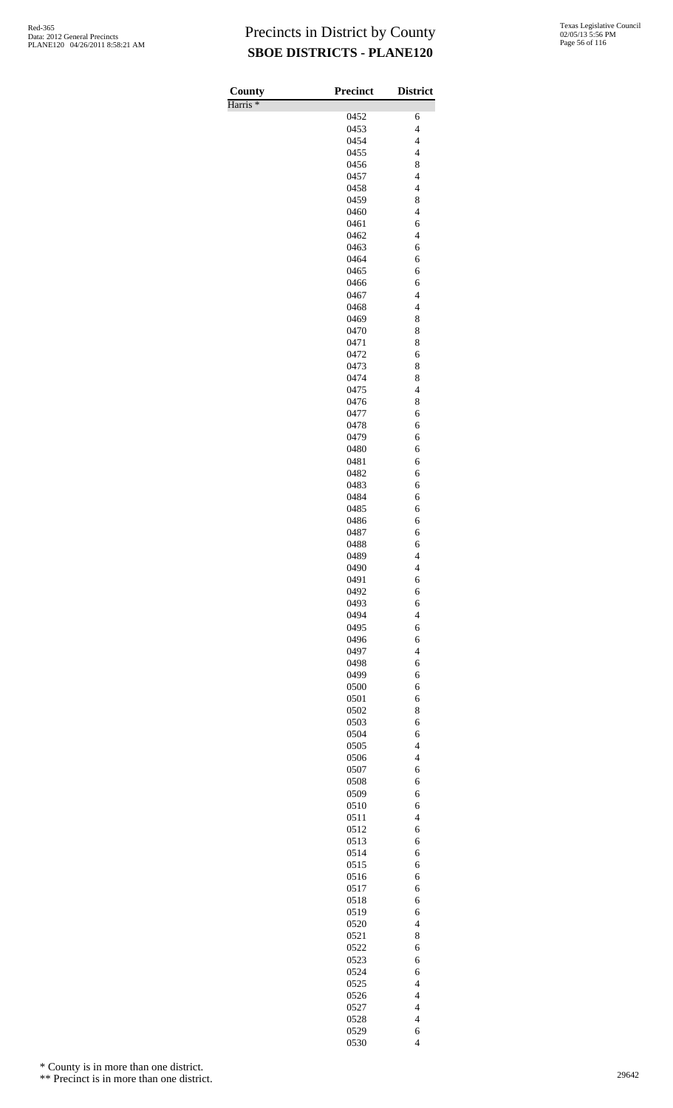Harris \*

| County              | <b>Precinct</b> | <b>District</b>                            |
|---------------------|-----------------|--------------------------------------------|
| Harris <sup>*</sup> |                 |                                            |
|                     | 0452            | 6                                          |
|                     | 0453            | $\overline{\mathbf{4}}$                    |
|                     | 0454<br>0455    | $\overline{\mathcal{L}}$<br>$\overline{4}$ |
|                     | 0456            | 8                                          |
|                     | 0457            | $\overline{\mathbf{4}}$                    |
|                     | 0458            | $\overline{\mathbf{4}}$                    |
|                     | 0459            | 8                                          |
|                     | 0460            | $\overline{4}$                             |
|                     | 0461            | 6                                          |
|                     | 0462            | $\overline{\mathbf{4}}$                    |
|                     | 0463            | 6                                          |
|                     | 0464<br>0465    | 6                                          |
|                     | 0466            | 6<br>6                                     |
|                     | 0467            | $\overline{\mathbf{4}}$                    |
|                     | 0468            | $\overline{\mathbf{4}}$                    |
|                     | 0469            | 8                                          |
|                     | 0470            | 8                                          |
|                     | 0471            | 8                                          |
|                     | 0472            | 6                                          |
|                     | 0473            | 8                                          |
|                     | 0474<br>0475    | 8<br>$\overline{4}$                        |
|                     | 0476            | 8                                          |
|                     | 0477            | 6                                          |
|                     | 0478            | 6                                          |
|                     | 0479            | 6                                          |
|                     | 0480            | 6                                          |
|                     | 0481            | 6                                          |
|                     | 0482            | 6                                          |
|                     | 0483            | 6                                          |
|                     | 0484<br>0485    | 6                                          |
|                     | 0486            | 6<br>6                                     |
|                     | 0487            | 6                                          |
|                     | 0488            | 6                                          |
|                     | 0489            | $\overline{\mathcal{L}}$                   |
|                     | 0490            | 4                                          |
|                     | 0491            | 6                                          |
|                     | 0492            | 6                                          |
|                     | 0493            | 6                                          |
|                     | 0494<br>0495    | $\overline{4}$<br>6                        |
|                     | 0496            | 6                                          |
|                     | 0497            | $\overline{\mathcal{L}}$                   |
|                     | 0498            | 6                                          |
|                     | 0499            | 6                                          |
|                     | 0500            | 6                                          |
|                     | 0501            | 6                                          |
|                     | 0502            | 8                                          |
|                     | 0503<br>0504    | 6<br>6                                     |
|                     | 0505            | $\overline{4}$                             |
|                     | 0506            | $\overline{4}$                             |
|                     | 0507            | 6                                          |
|                     | 0508            | 6                                          |
|                     | 0509            | 6                                          |
|                     | 0510            | 6                                          |
|                     | 0511            | $\overline{4}$                             |
|                     | 0512<br>0513    | 6<br>6                                     |
|                     | 0514            | 6                                          |
|                     | 0515            | 6                                          |
|                     | 0516            | 6                                          |
|                     | 0517            | 6                                          |
|                     | 0518            | 6                                          |
|                     | 0519            | 6                                          |
|                     | 0520            | $\overline{4}$                             |
|                     | 0521            | 8                                          |
|                     | 0522<br>0523    | 6<br>6                                     |
|                     | 0524            | 6                                          |
|                     | 0525            | $\overline{4}$                             |
|                     | 0526            | $\overline{4}$                             |
|                     | 0527            | $\overline{\mathcal{L}}$                   |
|                     | 0528            | $\overline{\mathcal{L}}$                   |
|                     | 0529            | 6                                          |
|                     | 0530            | $\overline{4}$                             |

\* County is in more than one district.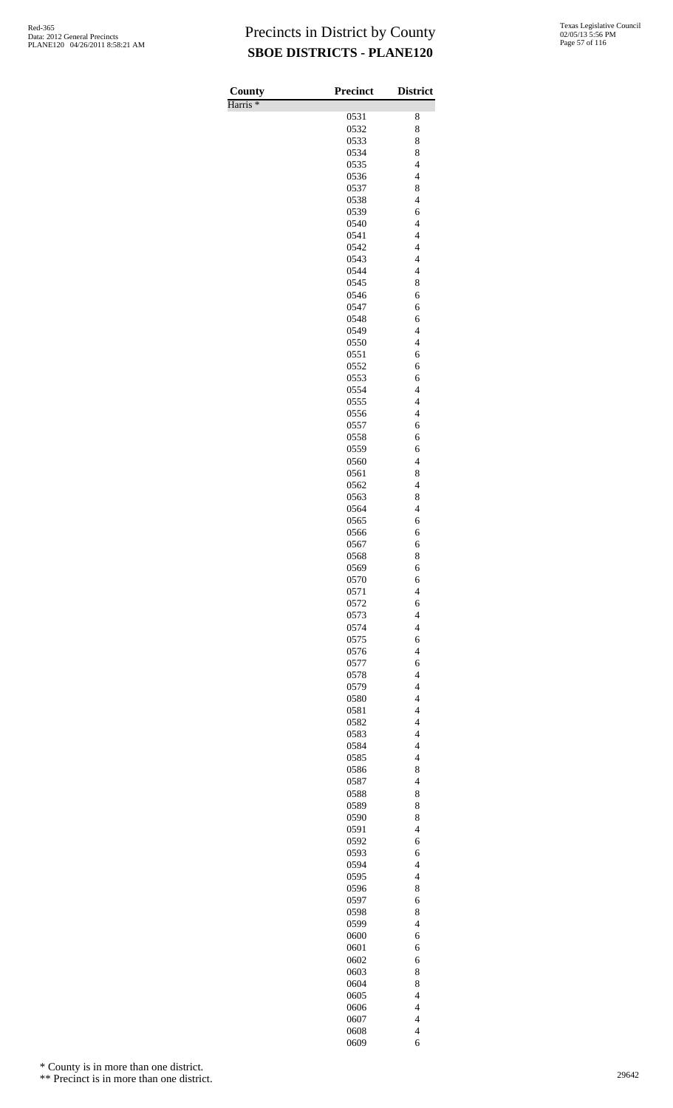| County              | Precinct     | <b>District</b>                                     |
|---------------------|--------------|-----------------------------------------------------|
| Harris <sup>*</sup> |              |                                                     |
|                     | 0531         | 8                                                   |
|                     | 0532         | 8                                                   |
|                     | 0533         | 8                                                   |
|                     | 0534<br>0535 | 8<br>$\overline{\mathcal{L}}$                       |
|                     | 0536         | $\overline{\mathcal{L}}$                            |
|                     | 0537         | 8                                                   |
|                     | 0538         | $\overline{\mathcal{L}}$                            |
|                     | 0539         | 6                                                   |
|                     | 0540         | $\overline{4}$                                      |
|                     | 0541         | $\overline{\mathbf{4}}$                             |
|                     | 0542<br>0543 | $\overline{\mathbf{4}}$<br>$\overline{\mathcal{L}}$ |
|                     | 0544         | $\overline{\mathcal{L}}$                            |
|                     | 0545         | 8                                                   |
|                     | 0546         | 6                                                   |
|                     | 0547         | 6                                                   |
|                     | 0548         | 6                                                   |
|                     | 0549         | $\overline{4}$<br>$\overline{4}$                    |
|                     | 0550<br>0551 | 6                                                   |
|                     | 0552         | 6                                                   |
|                     | 0553         | 6                                                   |
|                     | 0554         | $\overline{4}$                                      |
|                     | 0555         | $\overline{4}$                                      |
|                     | 0556         | $\overline{\mathcal{L}}$                            |
|                     | 0557         | 6                                                   |
|                     | 0558<br>0559 | 6<br>6                                              |
|                     | 0560         | $\overline{4}$                                      |
|                     | 0561         | 8                                                   |
|                     | 0562         | $\overline{4}$                                      |
|                     | 0563         | 8                                                   |
|                     | 0564         | $\overline{4}$                                      |
|                     | 0565         | 6<br>6                                              |
|                     | 0566<br>0567 | 6                                                   |
|                     | 0568         | 8                                                   |
|                     | 0569         | 6                                                   |
|                     | 0570         | 6                                                   |
|                     | 0571         | $\overline{\mathbf{4}}$                             |
|                     | 0572         | 6                                                   |
|                     | 0573<br>0574 | $\overline{\mathbf{4}}$<br>$\overline{\mathbf{4}}$  |
|                     | 0575         | 6                                                   |
|                     | 0576         | $\overline{4}$                                      |
|                     | 0577         | 6                                                   |
|                     | 0578         | $\overline{\mathbf{4}}$                             |
|                     | 0579         | $\overline{\mathbf{4}}$                             |
|                     | 0580<br>0581 | $\overline{\mathcal{L}}$<br>$\overline{\mathbf{4}}$ |
|                     | 0582         | $\overline{\mathbf{4}}$                             |
|                     | 0583         | $\overline{\mathbf{4}}$                             |
|                     | 0584         | $\overline{\mathbf{4}}$                             |
|                     | 0585         | $\overline{\mathcal{L}}$                            |
|                     | 0586         | 8                                                   |
|                     | 0587         | $\overline{\mathbf{4}}$                             |
|                     | 0588<br>0589 | 8<br>8                                              |
|                     | 0590         | 8                                                   |
|                     | 0591         | $\overline{\mathbf{4}}$                             |
|                     | 0592         | 6                                                   |
|                     | 0593         | 6                                                   |
|                     | 0594         | $\overline{\mathcal{L}}$                            |
|                     | 0595         | $\overline{\mathcal{L}}$                            |
|                     | 0596<br>0597 | 8<br>6                                              |
|                     | 0598         | 8                                                   |
|                     | 0599         | $\overline{4}$                                      |
|                     | 0600         | 6                                                   |
|                     | 0601         | 6                                                   |
|                     | 0602         | 6                                                   |
|                     | 0603         | 8                                                   |
|                     | 0604<br>0605 | 8<br>$\overline{\mathbf{4}}$                        |
|                     | 0606         | $\overline{\mathbf{4}}$                             |
|                     | 0607         | $\overline{\mathbf{4}}$                             |
|                     | 0608         | $\overline{\mathbf{4}}$                             |

6

\* County is in more than one district.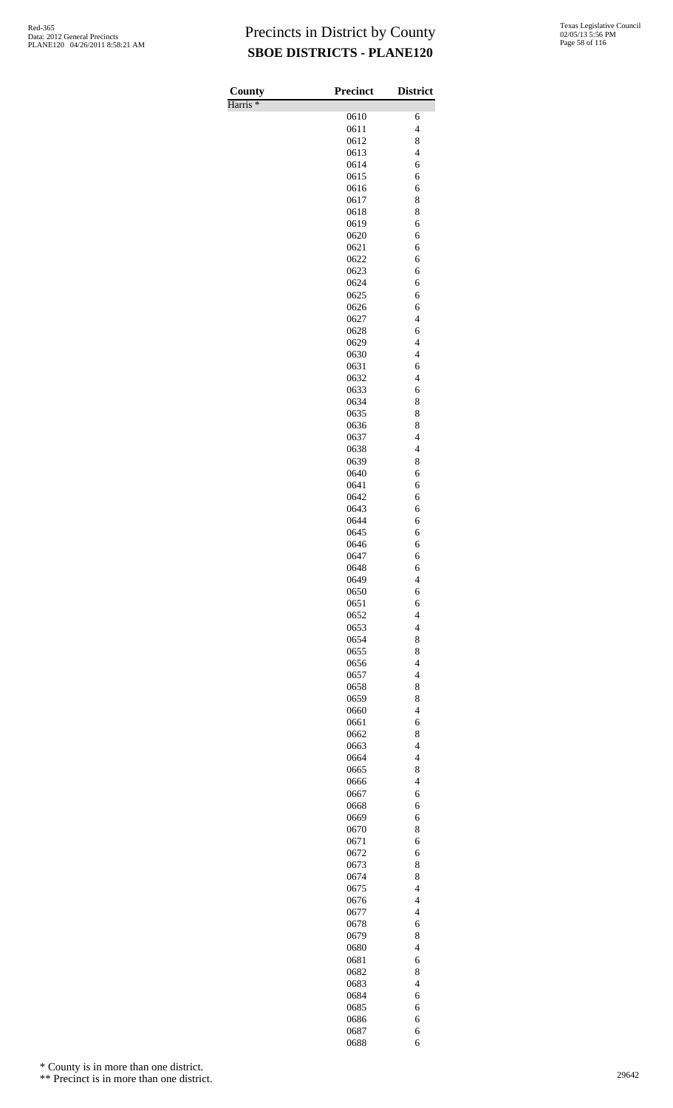| County              | <b>Precinct</b> | <b>District</b>               |
|---------------------|-----------------|-------------------------------|
| Harris <sup>*</sup> |                 |                               |
|                     | 0610            | 6                             |
|                     | 0611            | $\overline{4}$                |
|                     | 0612            | 8<br>$\overline{4}$           |
|                     | 0613<br>0614    | 6                             |
|                     | 0615            | 6                             |
|                     | 0616            | 6                             |
|                     | 0617            | 8                             |
|                     | 0618            | 8                             |
|                     | 0619            | 6                             |
|                     | 0620            | 6                             |
|                     | 0621            | 6                             |
|                     | 0622            | 6                             |
|                     | 0623<br>0624    | 6<br>6                        |
|                     | 0625            | 6                             |
|                     | 0626            | 6                             |
|                     | 0627            | $\overline{4}$                |
|                     | 0628            | 6                             |
|                     | 0629            | $\overline{4}$                |
|                     | 0630            | $\overline{4}$                |
|                     | 0631            | 6                             |
|                     | 0632            | $\overline{4}$                |
|                     | 0633            | 6                             |
|                     | 0634<br>0635    | 8<br>8                        |
|                     | 0636            | 8                             |
|                     | 0637            | $\overline{4}$                |
|                     | 0638            | $\overline{4}$                |
|                     | 0639            | 8                             |
|                     | 0640            | 6                             |
|                     | 0641            | 6                             |
|                     | 0642            | 6                             |
|                     | 0643<br>0644    | 6<br>6                        |
|                     | 0645            | 6                             |
|                     | 0646            | 6                             |
|                     | 0647            | 6                             |
|                     | 0648            | 6                             |
|                     | 0649            | $\overline{4}$                |
|                     | 0650            | 6                             |
|                     | 0651<br>0652    | 6<br>$\overline{\mathcal{L}}$ |
|                     | 0653            | $\overline{\mathcal{L}}$      |
|                     | 0654            | 8                             |
|                     | 0655            | 8                             |
|                     | 0656            | $\overline{4}$                |
|                     | 0657            | $\overline{\mathcal{L}}$      |
|                     | 0658            | 8                             |
|                     | 0659            | 8                             |
|                     | 0660<br>0661    | $\overline{4}$<br>6           |
|                     | 0662            | 8                             |
|                     | 0663            | $\overline{\mathcal{L}}$      |
|                     | 0664            | $\overline{\mathcal{L}}$      |
|                     | 0665            | 8                             |
|                     | 0666            | $\overline{4}$                |
|                     | 0667            | 6                             |
|                     | 0668            | 6                             |
|                     | 0669<br>0670    | 6<br>8                        |
|                     | 0671            | 6                             |
|                     | 0672            | 6                             |
|                     | 0673            | 8                             |
|                     | 0674            | 8                             |
|                     | 0675            | $\overline{4}$                |
|                     | 0676            | $\overline{4}$                |
|                     | 0677            | $\overline{\mathcal{L}}$      |
|                     | 0678<br>0679    | 6<br>8                        |
|                     | 0680            | $\overline{4}$                |
|                     | 0681            | 6                             |
|                     | 0682            | 8                             |
|                     | 0683            | $\overline{\mathcal{L}}$      |
|                     | 0684            | 6                             |
|                     | 0685            | 6                             |
|                     |                 |                               |
|                     | 0686<br>0687    | 6<br>6                        |

\* County is in more than one district.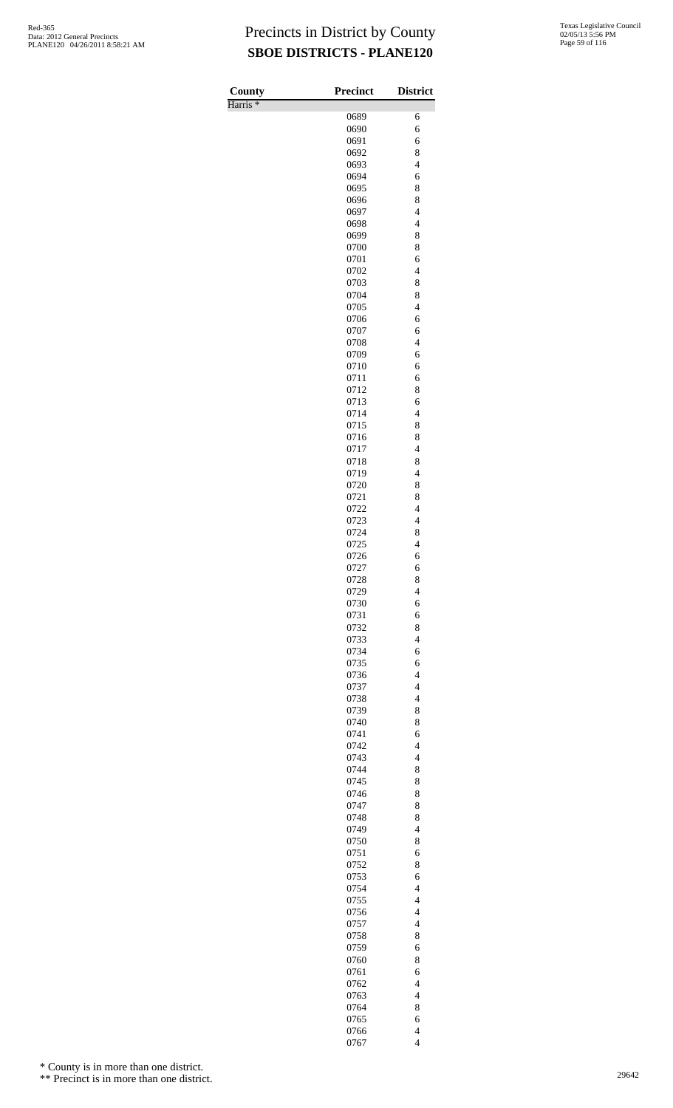Harris \*

| County              | <b>Precinct</b> | <b>District</b>               |
|---------------------|-----------------|-------------------------------|
| Harris <sup>*</sup> | 0689            | 6                             |
|                     | 0690            | 6                             |
|                     | 0691            | 6                             |
|                     | 0692            | 8                             |
|                     | 0693            | $\overline{4}$                |
|                     | 0694            | 6<br>8                        |
|                     | 0695<br>0696    | 8                             |
|                     | 0697            | $\overline{4}$                |
|                     | 0698            | $\overline{4}$                |
|                     | 0699            | 8                             |
|                     | 0700            | 8                             |
|                     | 0701<br>0702    | 6<br>$\overline{4}$           |
|                     | 0703            | 8                             |
|                     | 0704            | 8                             |
|                     | 0705            | $\overline{4}$                |
|                     | 0706            | 6<br>6                        |
|                     | 0707<br>0708    | $\overline{4}$                |
|                     | 0709            | 6                             |
|                     | 0710            | 6                             |
|                     | 0711            | 6                             |
|                     | 0712            | 8                             |
|                     | 0713<br>0714    | 6<br>$\overline{4}$           |
|                     | 0715            | 8                             |
|                     | 0716            | 8                             |
|                     | 0717            | $\overline{4}$                |
|                     | 0718            | 8<br>$\overline{4}$           |
|                     | 0719<br>0720    | 8                             |
|                     | 0721            | 8                             |
|                     | 0722            | 4                             |
|                     | 0723            | $\overline{4}$                |
|                     | 0724<br>0725    | 8<br>$\overline{\mathcal{L}}$ |
|                     | 0726            | 6                             |
|                     | 0727            | 6                             |
|                     | 0728            | 8                             |
|                     | 0729            | $\overline{4}$                |
|                     | 0730<br>0731    | 6<br>6                        |
|                     | 0732            | 8                             |
|                     | 0733            | $\overline{\mathcal{L}}$      |
|                     | 0734            | 6                             |
|                     | 0735<br>0736    | 6<br>$\overline{4}$           |
|                     | 0737            | $\overline{\mathcal{L}}$      |
|                     | 0738            | $\overline{4}$                |
|                     | 0739            | 8                             |
|                     | 0740            | 8                             |
|                     | 0741<br>0742    | 6<br>$\overline{\mathcal{L}}$ |
|                     | 0743            | $\overline{\mathcal{L}}$      |
|                     | 0744            | 8                             |
|                     | 0745            | 8                             |
|                     | 0746<br>0747    | 8<br>8                        |
|                     | 0748            | 8                             |
|                     | 0749            | $\overline{4}$                |
|                     | 0750            | 8                             |
|                     | 0751            | 6                             |
|                     | 0752<br>0753    | 8<br>6                        |
|                     | 0754            | $\overline{4}$                |
|                     | 0755            | $\overline{4}$                |
|                     | 0756            | $\overline{4}$                |
|                     | 0757<br>0758    | $\overline{4}$<br>8           |
|                     | 0759            | 6                             |
|                     | 0760            | 8                             |
|                     | 0761            | 6                             |
|                     | 0762            | $\overline{\mathcal{L}}$      |
|                     | 0763<br>0764    | $\overline{4}$<br>8           |
|                     | 0765            | 6                             |
|                     | 0766            | $\overline{4}$                |
|                     | 0767            | $\overline{4}$                |

\* County is in more than one district.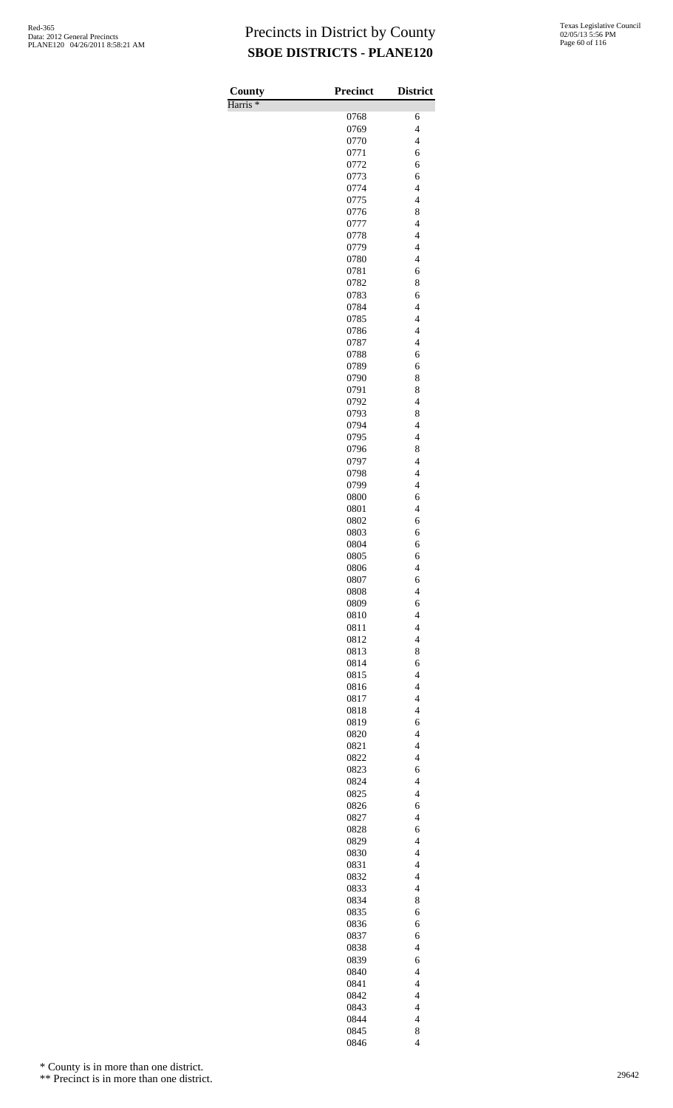| County              | <b>Precinct</b> | <b>District</b>                            |
|---------------------|-----------------|--------------------------------------------|
| Harris <sup>*</sup> | 0768            | 6                                          |
|                     | 0769            | $\overline{\mathcal{L}}$                   |
|                     | 0770            | $\overline{4}$                             |
|                     | 0771            | 6                                          |
|                     | 0772            | 6                                          |
|                     | 0773            | 6                                          |
|                     | 0774            | $\overline{\mathcal{L}}$                   |
|                     | 0775            | $\overline{4}$                             |
|                     | 0776<br>0777    | 8<br>$\overline{4}$                        |
|                     | 0778            | $\overline{4}$                             |
|                     | 0779            | $\overline{\mathcal{L}}$                   |
|                     | 0780            | $\overline{4}$                             |
|                     | 0781            | 6                                          |
|                     | 0782            | 8                                          |
|                     | 0783            | 6                                          |
|                     | 0784            | $\overline{\mathcal{L}}$                   |
|                     | 0785            | $\overline{4}$<br>$\overline{\mathcal{L}}$ |
|                     | 0786<br>0787    | $\overline{4}$                             |
|                     | 0788            | 6                                          |
|                     | 0789            | 6                                          |
|                     | 0790            | 8                                          |
|                     | 0791            | 8                                          |
|                     | 0792            | $\overline{\mathcal{L}}$                   |
|                     | 0793            | 8                                          |
|                     | 0794            | $\overline{\mathcal{L}}$                   |
|                     | 0795<br>0796    | $\overline{4}$<br>8                        |
|                     | 0797            | $\overline{4}$                             |
|                     | 0798            | $\overline{4}$                             |
|                     | 0799            | $\overline{4}$                             |
|                     | 0800            | 6                                          |
|                     | 0801            | $\overline{4}$                             |
|                     | 0802            | 6                                          |
|                     | 0803            | 6                                          |
|                     | 0804<br>0805    | 6<br>6                                     |
|                     | 0806            | $\overline{\mathcal{L}}$                   |
|                     | 0807            | 6                                          |
|                     | 0808            | $\overline{4}$                             |
|                     | 0809            | 6                                          |
|                     | 0810            | $\overline{4}$                             |
|                     | 0811            | $\overline{\mathcal{L}}$                   |
|                     | 0812            | $\overline{\mathcal{L}}$                   |
|                     | 0813<br>0814    | 8<br>6                                     |
|                     | 0815            | $\overline{\mathcal{L}}$                   |
|                     | 0816            | $\overline{4}$                             |
|                     | 0817            | $\overline{4}$                             |
|                     | 0818            | $\overline{4}$                             |
|                     | 0819            | 6                                          |
|                     | 0820            | $\overline{\mathcal{L}}$                   |
|                     | 0821            | $\overline{4}$                             |
|                     | 0822<br>0823    | $\overline{4}$<br>6                        |
|                     | 0824            | $\overline{4}$                             |
|                     | 0825            | $\overline{4}$                             |
|                     | 0826            | 6                                          |
|                     | 0827            | $\overline{4}$                             |
|                     | 0828            | 6                                          |
|                     | 0829            | $\overline{4}$                             |
|                     | 0830            | $\overline{\mathcal{L}}$                   |
|                     | 0831<br>0832    | $\overline{4}$<br>$\overline{4}$           |
|                     | 0833            | $\overline{4}$                             |
|                     | 0834            | 8                                          |
|                     | 0835            | 6                                          |
|                     | 0836            | 6                                          |
|                     | 0837            | 6                                          |
|                     | 0838            | $\overline{4}$                             |
|                     | 0839            | 6                                          |
|                     | 0840<br>0841    | $\overline{\mathcal{L}}$<br>$\overline{4}$ |
|                     | 0842            | $\overline{4}$                             |
|                     | 0843            | $\overline{4}$                             |
|                     | 0844            | $\overline{\mathbf{4}}$                    |
|                     | 0845            | 8                                          |
|                     | 0846            | $\overline{4}$                             |

\* County is in more than one district.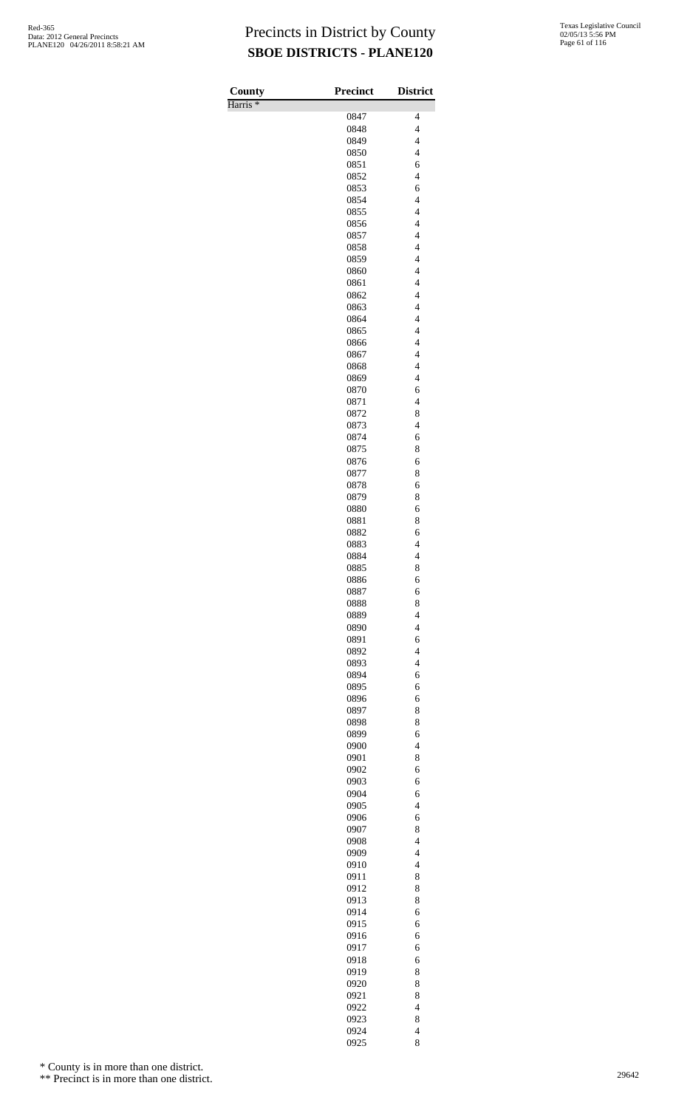| County              | <b>Precinct</b> | <b>District</b>                                      |
|---------------------|-----------------|------------------------------------------------------|
| Harris <sup>*</sup> |                 |                                                      |
|                     | 0847            | 4                                                    |
|                     | 0848<br>0849    | $\overline{4}$<br>$\overline{\mathcal{L}}$           |
|                     | 0850            | $\overline{4}$                                       |
|                     | 0851            | 6                                                    |
|                     | 0852            | $\overline{4}$                                       |
|                     | 0853            | 6                                                    |
|                     | 0854            | $\overline{\mathcal{L}}$                             |
|                     | 0855<br>0856    | $\overline{4}$<br>$\overline{4}$                     |
|                     | 0857            | $\overline{4}$                                       |
|                     | 0858            | $\overline{\mathcal{L}}$                             |
|                     | 0859            | $\overline{\mathcal{L}}$                             |
|                     | 0860            | $\overline{4}$                                       |
|                     | 0861            | $\overline{4}$<br>$\overline{4}$                     |
|                     | 0862<br>0863    | $\overline{\mathcal{L}}$                             |
|                     | 0864            | $\overline{\mathcal{L}}$                             |
|                     | 0865            | $\overline{4}$                                       |
|                     | 0866            | $\overline{4}$                                       |
|                     | 0867            | $\overline{4}$                                       |
|                     | 0868            | $\overline{\mathcal{L}}$<br>$\overline{\mathcal{L}}$ |
|                     | 0869<br>0870    | 6                                                    |
|                     | 0871            | $\overline{4}$                                       |
|                     | 0872            | 8                                                    |
|                     | 0873            | $\overline{\mathcal{L}}$                             |
|                     | 0874            | 6                                                    |
|                     | 0875<br>0876    | 8<br>6                                               |
|                     | 0877            | 8                                                    |
|                     | 0878            | 6                                                    |
|                     | 0879            | 8                                                    |
|                     | 0880            | 6                                                    |
|                     | 0881            | 8                                                    |
|                     | 0882<br>0883    | 6<br>$\overline{4}$                                  |
|                     | 0884            | $\overline{\mathcal{L}}$                             |
|                     | 0885            | 8                                                    |
|                     | 0886            | 6                                                    |
|                     | 0887            | 6                                                    |
|                     | 0888            | 8                                                    |
|                     | 0889<br>0890    | $\overline{4}$<br>$\overline{\mathcal{L}}$           |
|                     | 0891            | 6                                                    |
|                     | 0892            | $\overline{\mathcal{L}}$                             |
|                     | 0893            | $\overline{\mathcal{L}}$                             |
|                     | 0894            | 6                                                    |
|                     | 0895            | 6                                                    |
|                     | 0896<br>0897    | 6<br>8                                               |
|                     | 0898            | 8                                                    |
|                     | 0899            | 6                                                    |
|                     | 0900            | $\overline{\mathcal{L}}$                             |
|                     | 0901            | 8                                                    |
|                     | 0902            | 6                                                    |
|                     | 0903<br>0904    | 6<br>6                                               |
|                     | 0905            | $\overline{\mathcal{L}}$                             |
|                     | 0906            | 6                                                    |
|                     | 0907            | 8                                                    |
|                     | 0908            | $\overline{\mathcal{L}}$                             |
|                     | 0909<br>0910    | $\overline{4}$<br>$\overline{\mathcal{L}}$           |
|                     | 0911            | 8                                                    |
|                     | 0912            | 8                                                    |
|                     | 0913            | 8                                                    |
|                     | 0914            | 6                                                    |
|                     | 0915            | 6                                                    |
|                     | 0916<br>0917    | 6<br>6                                               |
|                     | 0918            | 6                                                    |
|                     | 0919            | 8                                                    |
|                     | 0920            | 8                                                    |
|                     | 0921            | 8                                                    |
|                     | 0922            | $\overline{\mathcal{L}}$                             |
|                     | 0923<br>0924    | 8<br>$\overline{4}$                                  |
|                     | 0925            | 8                                                    |

\* County is in more than one district.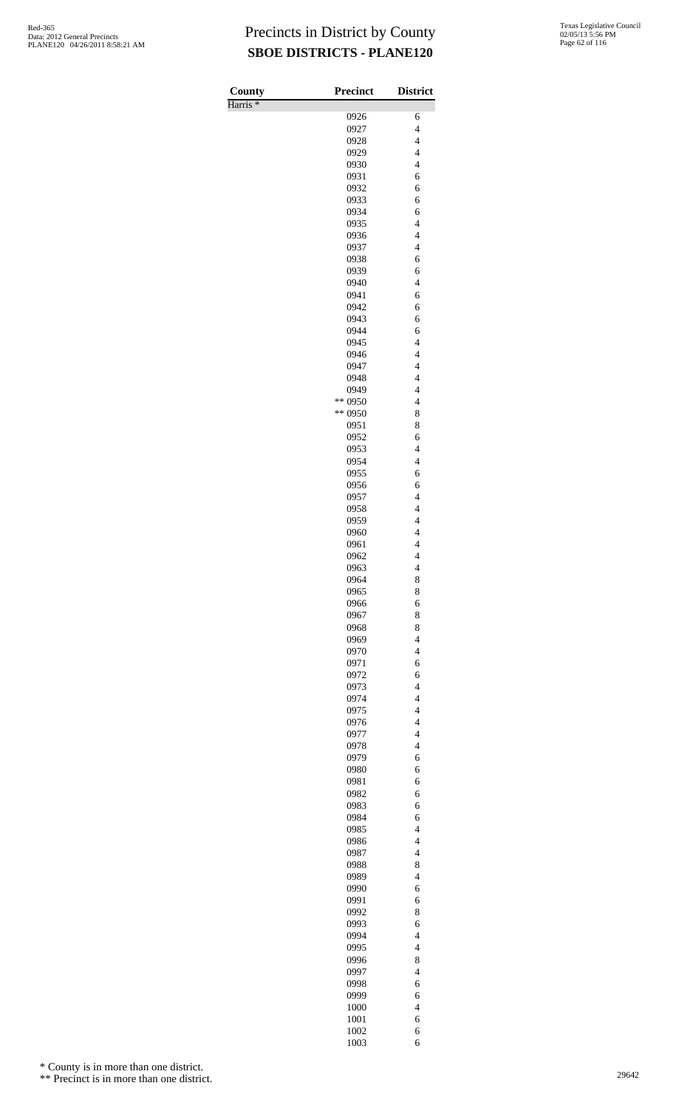Harris \*

| County<br>Harris <sup>*</sup> | <b>Precinct</b>    | <b>District</b>                            |
|-------------------------------|--------------------|--------------------------------------------|
|                               | 0926               | 6                                          |
|                               | 0927               | $\overline{4}$                             |
|                               | 0928               | $\overline{4}$                             |
|                               | 0929               | $\overline{4}$                             |
|                               | 0930<br>0931       | $\overline{4}$<br>6                        |
|                               | 0932               | 6                                          |
|                               | 0933               | 6                                          |
|                               | 0934               | 6                                          |
|                               | 0935               | $\overline{4}$                             |
|                               | 0936               | $\overline{\mathcal{L}}$                   |
|                               | 0937<br>0938       | $\overline{4}$<br>6                        |
|                               | 0939               | 6                                          |
|                               | 0940               | $\overline{4}$                             |
|                               | 0941               | 6                                          |
|                               | 0942               | 6                                          |
|                               | 0943<br>0944       | 6<br>6                                     |
|                               | 0945               | $\overline{4}$                             |
|                               | 0946               | $\overline{\mathcal{L}}$                   |
|                               | 0947               | $\overline{4}$                             |
|                               | 0948               | $\overline{4}$                             |
|                               | 0949               | $\overline{4}$                             |
|                               | ** 0950<br>** 0950 | $\overline{\mathcal{L}}$<br>8              |
|                               | 0951               | 8                                          |
|                               | 0952               | 6                                          |
|                               | 0953               | $\overline{4}$                             |
|                               | 0954               | $\overline{4}$                             |
|                               | 0955               | 6                                          |
|                               | 0956<br>0957       | 6<br>$\overline{4}$                        |
|                               | 0958               | $\overline{4}$                             |
|                               | 0959               | $\overline{4}$                             |
|                               | 0960               | $\overline{4}$                             |
|                               | 0961               | $\overline{4}$                             |
|                               | 0962<br>0963       | $\overline{4}$<br>$\overline{\mathcal{L}}$ |
|                               | 0964               | 8                                          |
|                               | 0965               | 8                                          |
|                               | 0966               | 6                                          |
|                               | 0967<br>0968       | 8<br>8                                     |
|                               | 0969               | $\overline{\mathcal{L}}$                   |
|                               | 0970               | $\overline{4}$                             |
|                               | 0971               | 6                                          |
|                               | 0972               | 6                                          |
|                               | 0973<br>0974       | $\overline{4}$<br>$\overline{4}$           |
|                               | 0975               | $\overline{\mathcal{L}}$                   |
|                               | 0976               | $\overline{\mathcal{L}}$                   |
|                               | 0977               | $\overline{\mathcal{L}}$                   |
|                               | 0978               | $\overline{4}$                             |
|                               | 0979<br>0980       | 6<br>6                                     |
|                               | 0981               | 6                                          |
|                               | 0982               | 6                                          |
|                               | 0983               | 6                                          |
|                               | 0984               | 6                                          |
|                               | 0985               | $\overline{4}$<br>$\overline{\mathcal{L}}$ |
|                               | 0986<br>0987       | $\overline{\mathcal{L}}$                   |
|                               | 0988               | 8                                          |
|                               | 0989               | $\overline{4}$                             |
|                               | 0990               | 6                                          |
|                               | 0991<br>0992       | 6<br>8                                     |
|                               | 0993               | 6                                          |
|                               | 0994               | $\overline{\mathcal{L}}$                   |
|                               | 0995               | $\overline{4}$                             |
|                               | 0996               | 8                                          |
|                               | 0997               | $\overline{\mathcal{L}}$                   |
|                               | 0998<br>0999       | 6<br>6                                     |
|                               | 1000               | $\overline{4}$                             |
|                               | 1001               | 6                                          |
|                               | 1002               | 6                                          |
|                               | 1003               | 6                                          |

\* County is in more than one district.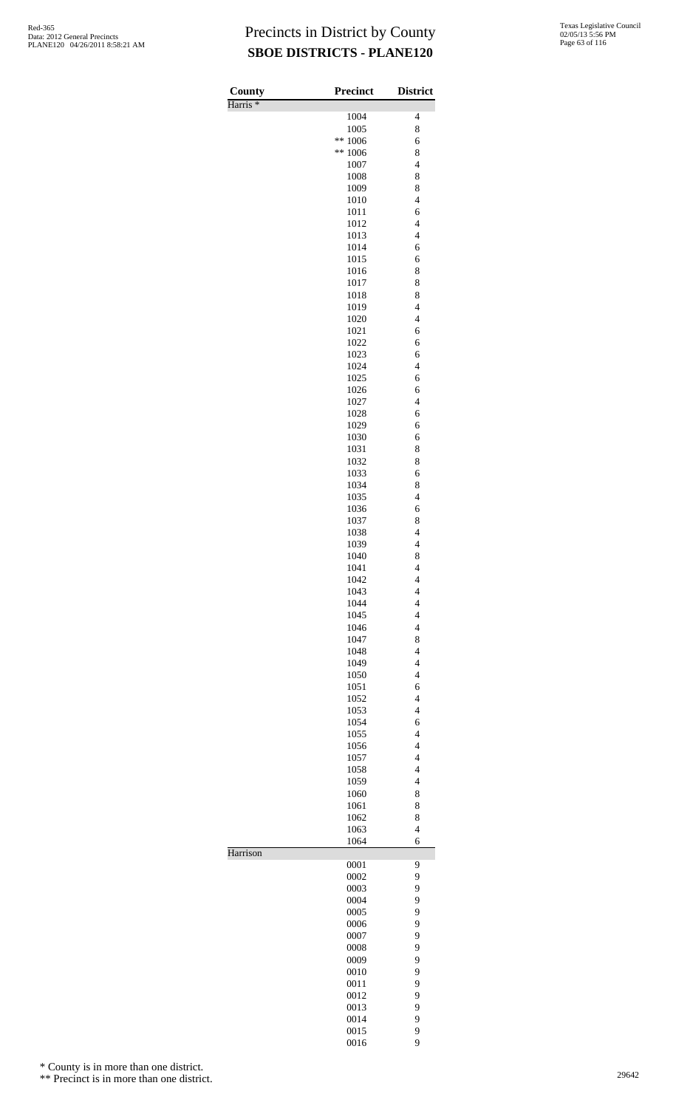| County              | <b>Precinct</b> | <b>District</b>                                      |
|---------------------|-----------------|------------------------------------------------------|
| Harris <sup>*</sup> | 1004            | $\overline{\mathcal{L}}$                             |
|                     | 1005            | 8                                                    |
|                     | **<br>1006      | 6                                                    |
|                     | **<br>1006      | 8                                                    |
|                     | 1007<br>1008    | $\overline{\mathcal{L}}$<br>8                        |
|                     | 1009            | 8                                                    |
|                     | 1010            | $\overline{\mathcal{L}}$                             |
|                     | 1011            | 6                                                    |
|                     | 1012<br>1013    | $\overline{4}$<br>$\overline{\mathcal{L}}$           |
|                     | 1014            | 6                                                    |
|                     | 1015            | 6                                                    |
|                     | 1016            | 8                                                    |
|                     | 1017            | 8                                                    |
|                     | 1018<br>1019    | 8<br>$\overline{4}$                                  |
|                     | 1020            | $\overline{4}$                                       |
|                     | 1021            | 6                                                    |
|                     | 1022            | 6                                                    |
|                     | 1023<br>1024    | 6<br>$\overline{4}$                                  |
|                     | 1025            | 6                                                    |
|                     | 1026            | 6                                                    |
|                     | 1027            | $\overline{4}$                                       |
|                     | 1028<br>1029    | 6                                                    |
|                     | 1030            | 6<br>6                                               |
|                     | 1031            | 8                                                    |
|                     | 1032            | 8                                                    |
|                     | 1033            | 6                                                    |
|                     | 1034<br>1035    | 8<br>$\overline{\mathcal{L}}$                        |
|                     | 1036            | 6                                                    |
|                     | 1037            | 8                                                    |
|                     | 1038            | $\overline{4}$                                       |
|                     | 1039<br>1040    | $\overline{4}$<br>8                                  |
|                     | 1041            | $\overline{\mathcal{L}}$                             |
|                     | 1042            | 4                                                    |
|                     | 1043            | $\overline{\mathcal{L}}$                             |
|                     | 1044            | $\overline{4}$                                       |
|                     | 1045<br>1046    | $\overline{4}$<br>$\overline{\mathcal{L}}$           |
|                     | 1047            | 8                                                    |
|                     | 1048            | $\overline{\mathcal{L}}$                             |
|                     | 1049            | $\overline{4}$                                       |
|                     | 1050<br>1051    | $\overline{4}$<br>6                                  |
|                     | 1052            | $\overline{\mathcal{L}}$                             |
|                     | 1053            | $\overline{\mathcal{L}}$                             |
|                     | 1054            | 6                                                    |
|                     | 1055            | $\overline{4}$                                       |
|                     | 1056<br>1057    | $\overline{\mathcal{L}}$<br>$\overline{\mathcal{L}}$ |
|                     | 1058            | $\overline{\mathcal{L}}$                             |
|                     | 1059            | $\overline{4}$                                       |
|                     | 1060            | 8                                                    |
|                     | 1061<br>1062    | 8<br>8                                               |
|                     | 1063            | $\overline{4}$                                       |
|                     | 1064            | 6                                                    |
| Harrison            |                 |                                                      |
|                     | 0001<br>0002    | 9<br>9                                               |
|                     | 0003            | 9                                                    |
|                     | 0004            | 9                                                    |
|                     | 0005            | 9                                                    |
|                     | 0006<br>0007    | 9<br>9                                               |
|                     | 0008            | 9                                                    |
|                     | 0009            | 9                                                    |
|                     | 0010            | 9                                                    |
|                     | 0011<br>0012    | 9<br>9                                               |
|                     | 0013            | 9                                                    |
|                     | 0014            | 9                                                    |
|                     | 0015            | 9                                                    |
|                     | 0016            | 9                                                    |

\* County is in more than one district.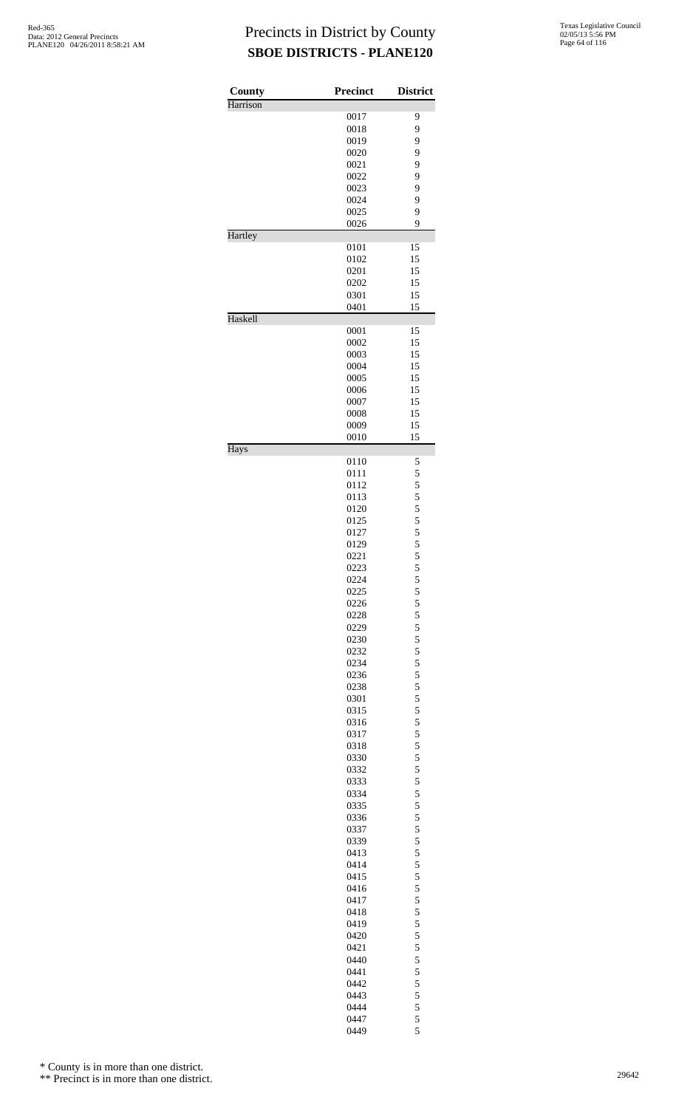| County   | <b>Precinct</b> | <b>District</b> |
|----------|-----------------|-----------------|
| Harrison |                 |                 |
|          | 0017            | 9               |
|          | 0018<br>0019    | 9<br>9          |
|          | 0020            | 9               |
|          | 0021            | 9               |
|          | 0022            | 9               |
|          | 0023            | 9               |
|          | 0024            | 9               |
|          | 0025            | 9               |
| Hartley  | 0026            | 9               |
|          | 0101            | 15              |
|          | 0102            | 15              |
|          | 0201            | 15              |
|          | 0202            | 15              |
|          | 0301            | 15              |
|          | 0401            | 15              |
| Haskell  | 0001            | 15              |
|          | 0002            | 15              |
|          | 0003            | 15              |
|          | 0004            | 15              |
|          | 0005            | 15              |
|          | 0006            | 15              |
|          | 0007            | 15              |
|          | 0008            | 15              |
|          | 0009<br>0010    | 15<br>15        |
| Hays     |                 |                 |
|          | 0110<br>0111    | 5<br>5          |
|          | 0112            | 5               |
|          | 0113            |                 |
|          | 0120            | 5 5 5 5 5 5     |
|          | 0125            |                 |
|          | 0127            |                 |
|          | 0129            |                 |
|          | 0221            | 5               |
|          | 0223<br>0224    | 5<br>5          |
|          | 0225            | 5               |
|          | 0226            | 5               |
|          | 0228            | $\frac{5}{5}$   |
|          | 0229            |                 |
|          | 0230            | 5               |
|          | 0232            | 5               |
|          | 0234<br>0236    | 5               |
|          | 0238            | $\frac{5}{5}$   |
|          | 0301            | 5               |
|          | 0315            | 5               |
|          | 0316            | 5               |
|          | 0317            | $\frac{5}{5}$   |
|          | 0318            |                 |
|          | 0330            | 5               |
|          | 0332<br>0333    | 5<br>5          |
|          | 0334            |                 |
|          | 0335            | $\frac{5}{5}$   |
|          | 0336            | 5               |
|          | 0337            | 5               |
|          | 0339            | 5               |
|          | 0413            | $\frac{5}{5}$   |
|          | 0414<br>0415    | 5               |
|          | 0416            | 5               |
|          | 0417            | 5               |
|          | 0418            |                 |
|          | 0419            | $\frac{5}{5}$   |
|          | 0420            | 5               |
|          | 0421            | 5               |
|          | 0440            | 5               |
|          | 0441            | 5               |
|          | 0442<br>0443    | 5               |
|          | 0444            | 5<br>5          |
|          | 0447            | 5               |
|          | 0449            | 5               |

\* County is in more than one district.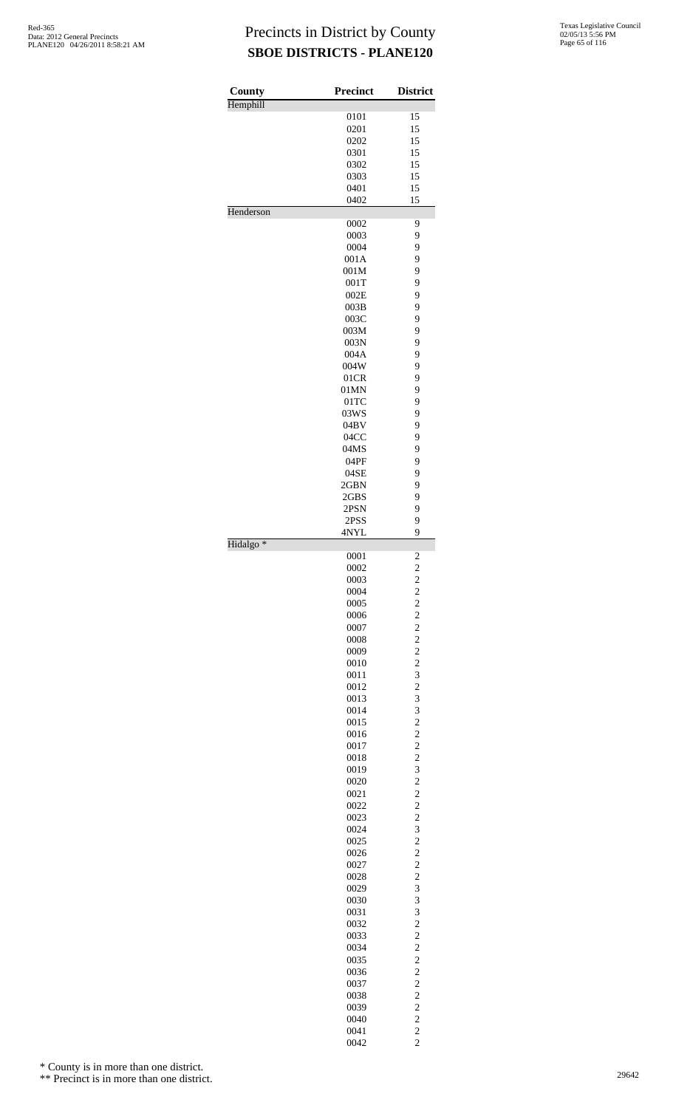| County               | <b>Precinct</b> | <b>District</b>              |
|----------------------|-----------------|------------------------------|
| Hemphill             |                 |                              |
|                      | 0101            | 15                           |
|                      | 0201            | 15                           |
|                      | 0202            | 15                           |
|                      | 0301            | 15                           |
|                      | 0302<br>0303    | 15<br>15                     |
|                      | 0401            | 15                           |
|                      | 0402            | 15                           |
| Henderson            |                 |                              |
|                      | 0002            | 9                            |
|                      | 0003            | 9                            |
|                      | 0004<br>001A    | 9<br>9                       |
|                      | 001M            | 9                            |
|                      | 001T            | 9                            |
|                      | 002E            | 9                            |
|                      | 003B            | 9                            |
|                      | 003C            | 9                            |
|                      | 003M            | 9                            |
|                      | 003N<br>004A    | 9<br>9                       |
|                      | 004W            | 9                            |
|                      | 01CR            | 9                            |
|                      | 01MN            | 9                            |
|                      | $01$ TC         | 9                            |
|                      | 03WS            | 9                            |
|                      | 04BV            | 9                            |
|                      | 04CC            | 9                            |
|                      | 04MS            | 9<br>9                       |
|                      | 04PF<br>04SE    | 9                            |
|                      | 2GBN            | 9                            |
|                      | 2GBS            | 9                            |
|                      | 2PSN            | 9                            |
|                      | 2PSS            | 9                            |
|                      | 4NYL            | 9                            |
| Hidalgo <sup>*</sup> | 0001            |                              |
|                      | 0002            | 2<br>$\overline{\mathbf{c}}$ |
|                      | 0003            | $\overline{\mathbf{c}}$      |
|                      | 0004            |                              |
|                      | 0005            | $\frac{2}{2}$                |
|                      | 0006            | $\frac{2}{2}$                |
|                      | 0007            |                              |
|                      | 0008<br>0009    | $\overline{c}$               |
|                      | 0010            | $\frac{2}{2}$                |
|                      | 0011            | 3                            |
|                      | 0012            | $\overline{c}$               |
|                      | 0013            | 3                            |
|                      | 0014            | 3                            |
|                      | 0015            | $\overline{c}$               |
|                      | 0016            | $\frac{2}{2}$                |
|                      | 0017            | $\overline{c}$               |
|                      | 0018<br>0019    | 3                            |
|                      | 0020            | $\overline{c}$               |
|                      | 0021            | $\overline{\mathbf{c}}$      |
|                      | 0022            | $\overline{c}$               |
|                      | 0023            | $\overline{c}$               |
|                      | 0024            | 3                            |
|                      | 0025            | $\overline{c}$               |
|                      | 0026            | $\frac{2}{2}$                |
|                      | 0027<br>0028    | $\overline{c}$               |
|                      | 0029            | 3                            |
|                      | 0030            | 3                            |
|                      | 0031            | 3                            |
|                      | 0032            | $\overline{c}$               |
|                      | 0033            | $\overline{c}$               |
|                      | 0034            | $\frac{2}{2}$                |
|                      | 0035            |                              |
|                      | 0036<br>0037    | $\frac{2}{2}$                |
|                      | 0038            | $\overline{c}$               |
|                      | 0039            |                              |
|                      | 0040            | $\frac{2}{2}$                |
|                      | 0041            | $\frac{2}{2}$                |
|                      | 0042            |                              |

\* County is in more than one district.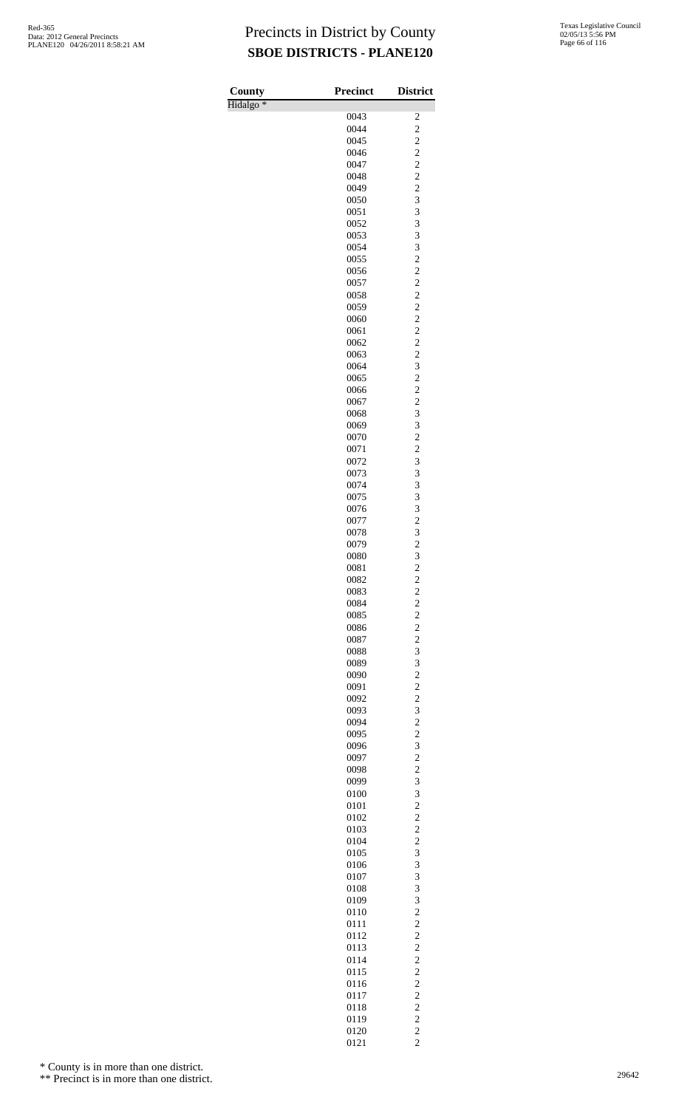| County               | <b>Precinct</b> | <b>District</b>                            |
|----------------------|-----------------|--------------------------------------------|
| Hidalgo <sup>*</sup> |                 |                                            |
|                      | 0043<br>0044    | $\overline{\mathbf{c}}$<br>$\overline{c}$  |
|                      | 0045            | $\overline{c}$                             |
|                      | 0046            | $\overline{\mathbf{c}}$                    |
|                      | 0047            | $\overline{c}$                             |
|                      | 0048            | $\overline{c}$                             |
|                      | 0049<br>0050    | $\overline{\mathbf{c}}$<br>3               |
|                      | 0051            | 3                                          |
|                      | 0052            | 3                                          |
|                      | 0053            | 3                                          |
|                      | 0054            | 3                                          |
|                      | 0055<br>0056    | $\overline{c}$<br>$\overline{\mathbf{c}}$  |
|                      | 0057            | $\overline{c}$                             |
|                      | 0058            | $\overline{c}$                             |
|                      | 0059            | $\overline{c}$                             |
|                      | 0060            | $\overline{c}$                             |
|                      | 0061<br>0062    | $\overline{\mathbf{c}}$<br>$\overline{c}$  |
|                      | 0063            | $\overline{c}$                             |
|                      | 0064            | 3                                          |
|                      | 0065            | $\overline{c}$                             |
|                      | 0066            | $\overline{\mathbf{c}}$                    |
|                      | 0067<br>0068    | $\overline{c}$<br>3                        |
|                      | 0069            | 3                                          |
|                      | 0070            | $\overline{c}$                             |
|                      | 0071            | $\overline{\mathbf{c}}$                    |
|                      | 0072<br>0073    | 3<br>3                                     |
|                      | 0074            | 3                                          |
|                      | 0075            | 3                                          |
|                      | 0076            |                                            |
|                      | 0077            |                                            |
|                      | 0078            | $\begin{array}{c} 3 \\ 2 \\ 3 \end{array}$ |
|                      | 0079<br>0080    | 3                                          |
|                      | 0081            | $\overline{c}$                             |
|                      | 0082            | $\overline{\mathbf{c}}$                    |
|                      | 0083            |                                            |
|                      | 0084<br>0085    | $\begin{array}{c} 2 \\ 2 \\ 2 \end{array}$ |
|                      | 0086            |                                            |
|                      | 0087            | $\frac{2}{2}$                              |
|                      | 0088            | 3                                          |
|                      | 0089            | 3                                          |
|                      | 0090<br>0091    | $\overline{\mathbf{c}}$                    |
|                      | 0092            | $\frac{2}{2}$                              |
|                      | 0093            | 3                                          |
|                      | 0094            | $\frac{2}{2}$                              |
|                      | 0095            |                                            |
|                      | 0096<br>0097    | $\frac{3}{2}$                              |
|                      | 0098            |                                            |
|                      | 0099            | $\frac{2}{3}$                              |
|                      | 0100            | 3                                          |
|                      | 0101            | $\overline{\mathbf{c}}$                    |
|                      | 0102<br>0103    | $\overline{c}$<br>$\overline{\mathbf{c}}$  |
|                      | 0104            |                                            |
|                      | 0105            | $\frac{2}{3}$                              |
|                      | 0106            | 3                                          |
|                      | 0107            | 3                                          |
|                      | 0108<br>0109    | 3<br>3                                     |
|                      | 0110            | $\overline{c}$                             |
|                      | 0111            | $\overline{\mathbf{c}}$                    |
|                      | 0112            | $\overline{c}$                             |
|                      | 0113            | $\overline{\mathbf{c}}$                    |
|                      | 0114<br>0115    | $\frac{2}{2}$                              |
|                      | 0116            |                                            |
|                      | 0117            | $\frac{2}{2}$                              |
|                      | 0118            |                                            |
|                      | 0119            | $\begin{array}{c} 2 \\ 2 \\ 2 \end{array}$ |
|                      | 0120<br>0121    | $\overline{c}$                             |
|                      |                 |                                            |

\* County is in more than one district.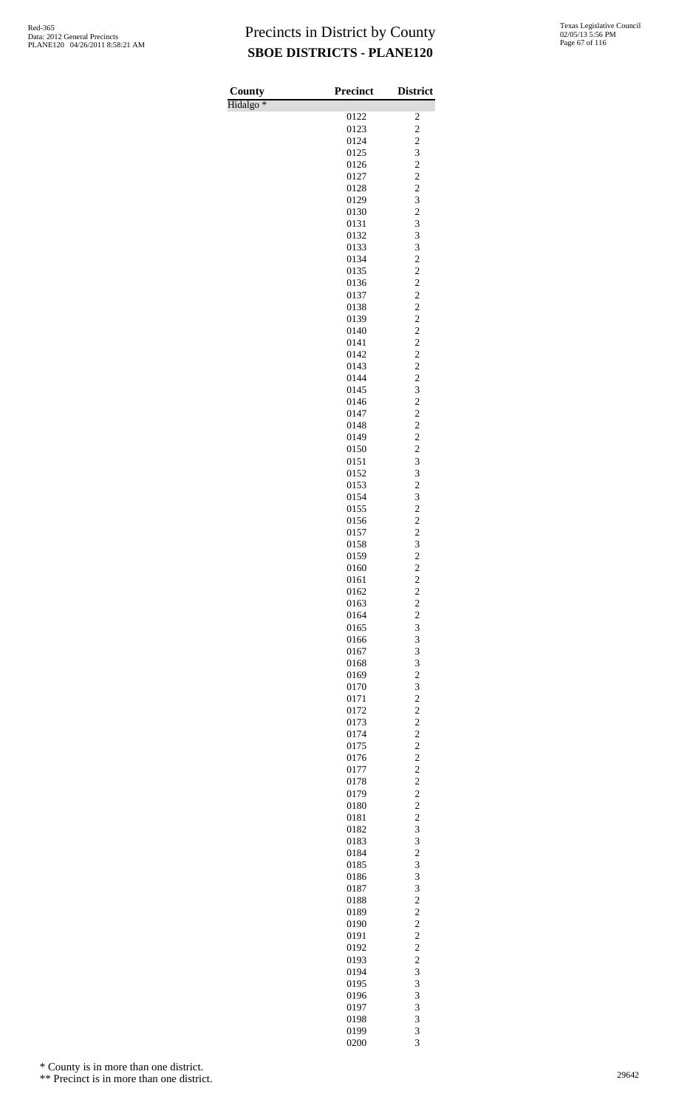| County               | <b>Precinct</b> | <b>District</b>                                    |
|----------------------|-----------------|----------------------------------------------------|
| Hidalgo <sup>*</sup> |                 |                                                    |
|                      | 0122            | 2                                                  |
|                      | 0123<br>0124    | $\overline{c}$<br>$\overline{\mathbf{c}}$          |
|                      | 0125            | 3                                                  |
|                      | 0126            | $\overline{\mathbf{c}}$                            |
|                      | 0127            | $\overline{c}$                                     |
|                      | 0128            | $\overline{c}$                                     |
|                      | 0129<br>0130    | $\begin{array}{c} 3 \\ 2 \\ 3 \\ 3 \end{array}$    |
|                      | 0131            |                                                    |
|                      | 0132            |                                                    |
|                      | 0133            | $\overline{\mathbf{3}}$                            |
|                      | 0134<br>0135    | $\frac{2}{2}$                                      |
|                      | 0136            |                                                    |
|                      | 0137            | $\frac{2}{2}$                                      |
|                      | 0138            | $\overline{\mathbf{c}}$                            |
|                      | 0139            | $\frac{2}{2}$                                      |
|                      | 0140<br>0141    | $\overline{\mathbf{c}}$                            |
|                      | 0142            | $\overline{c}$                                     |
|                      | 0143            | $\overline{c}$                                     |
|                      | 0144            | $\frac{2}{3}$                                      |
|                      | 0145            |                                                    |
|                      | 0146<br>0147    | $\overline{c}$<br>$\overline{c}$                   |
|                      | 0148            | $\overline{c}$                                     |
|                      | 0149            |                                                    |
|                      | 0150            | $\begin{array}{c} 2 \\ 2 \\ 3 \\ 3 \end{array}$    |
|                      | 0151            |                                                    |
|                      | 0152<br>0153    | $\overline{c}$                                     |
|                      | 0154            |                                                    |
|                      | 0155            | $\frac{3}{2}$                                      |
|                      | 0156            | $\frac{2}{2}$                                      |
|                      | 0157            |                                                    |
|                      | 0158<br>0159    | $\overline{\mathbf{3}}$<br>$\overline{\mathbf{c}}$ |
|                      | 0160            | $\overline{c}$                                     |
|                      | 0161            | $\overline{\mathbf{c}}$                            |
|                      | 0162            | $\overline{c}$                                     |
|                      | 0163            | $\overline{c}$                                     |
|                      | 0164<br>0165    | $\frac{2}{3}$                                      |
|                      | 0166            | 3                                                  |
|                      | 0167            | 3                                                  |
|                      | 0168            | 3                                                  |
|                      | 0169            | $\overline{c}$                                     |
|                      | 0170<br>0171    | 3<br>$\overline{\mathbf{c}}$                       |
|                      | 0172            | $\overline{c}$                                     |
|                      | 0173            | $\overline{c}$                                     |
|                      | 0174            | $\frac{2}{2}$                                      |
|                      | 0175            |                                                    |
|                      | 0176<br>0177    | $\overline{c}$<br>$\overline{c}$                   |
|                      | 0178            | $\overline{c}$                                     |
|                      | 0179            | $\frac{2}{2}$                                      |
|                      | 0180            |                                                    |
|                      | 0181            | $\overline{c}$                                     |
|                      | 0182<br>0183    | 3<br>3                                             |
|                      | 0184            | $\overline{\mathbf{c}}$                            |
|                      | 0185            | 3                                                  |
|                      | 0186            | 3                                                  |
|                      | 0187            | 3                                                  |
|                      | 0188<br>0189    | $\overline{c}$                                     |
|                      | 0190            | $\frac{2}{2}$                                      |
|                      | 0191            | $\overline{c}$                                     |
|                      | 0192            | $\overline{c}$                                     |
|                      | 0193            | $\overline{c}$                                     |
|                      | 0194<br>0195    | 3<br>3                                             |
|                      | 0196            | 3                                                  |
|                      | 0197            | 3                                                  |
|                      | 0198            | 3                                                  |
|                      | 0199            | 3<br>$\overline{\mathbf{3}}$                       |
|                      | 0200            |                                                    |

\* County is in more than one district.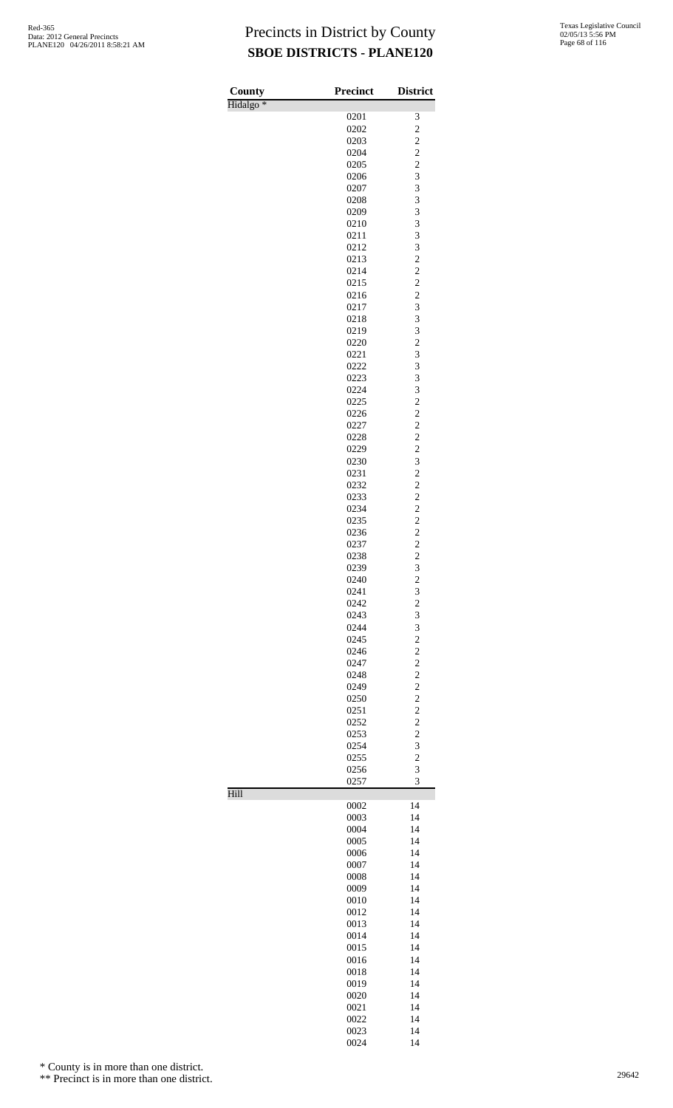| County               | <b>Precinct</b> | <b>District</b>                                   |
|----------------------|-----------------|---------------------------------------------------|
| Hidalgo <sup>*</sup> |                 |                                                   |
|                      | 0201<br>0202    | 3<br>$\overline{\mathbf{c}}$                      |
|                      | 0203            |                                                   |
|                      | 0204            |                                                   |
|                      | 0205            | $\frac{2}{2}$                                     |
|                      | 0206            | 3                                                 |
|                      | 0207            | 3                                                 |
|                      | 0208            | $\frac{3}{3}$                                     |
|                      | 0209            |                                                   |
|                      | 0210            | 3                                                 |
|                      | 0211            | 3                                                 |
|                      | 0212            | $\overline{\mathbf{3}}$                           |
|                      | 0213<br>0214    | $\frac{2}{2}$                                     |
|                      | 0215            |                                                   |
|                      | 0216            | $\overline{c}$                                    |
|                      | 0217            | 3                                                 |
|                      | 0218            | 3                                                 |
|                      | 0219            | 3                                                 |
|                      | 0220            | $\overline{c}$                                    |
|                      | 0221            | 3                                                 |
|                      | 0222            | 3                                                 |
|                      | 0223            | 3                                                 |
|                      | 0224            | 3                                                 |
|                      | 0225            | $\overline{\mathbf{c}}$                           |
|                      | 0226<br>0227    | $\overline{\mathbf{c}}$<br>$\overline{c}$         |
|                      | 0228            |                                                   |
|                      | 0229            |                                                   |
|                      | 0230            |                                                   |
|                      | 0231            | $\begin{array}{c} 2 \\ 2 \\ 3 \\ 2 \end{array}$   |
|                      | 0232            |                                                   |
|                      | 0233            | $\begin{array}{c}\n2 \\ 2 \\ 2 \\ 2\n\end{array}$ |
|                      | 0234            |                                                   |
|                      | 0235            |                                                   |
|                      | 0236<br>0237    |                                                   |
|                      | 0238            | $\overline{c}$                                    |
|                      | 0239            | 3                                                 |
|                      | 0240            | $\overline{\mathbf{c}}$                           |
|                      | 0241            | 3                                                 |
|                      | 0242            | $\overline{c}$                                    |
|                      | 0243            | 3                                                 |
|                      | 0244            | 3                                                 |
|                      | 0245<br>0246    | $\overline{c}$<br>$\overline{c}$                  |
|                      | 0247            | $\overline{c}$                                    |
|                      | 0248            |                                                   |
|                      | 0249            | $\frac{2}{2}$                                     |
|                      | 0250            | $\overline{c}$                                    |
|                      | 0251            | $\overline{c}$                                    |
|                      | 0252            | $\overline{c}$                                    |
|                      | 0253            | $\overline{\mathbf{c}}$                           |
|                      | 0254            | 3                                                 |
|                      | 0255<br>0256    | $\overline{c}$<br>3                               |
|                      | 0257            | $\overline{3}$                                    |
| Hill                 |                 |                                                   |
|                      | 0002            | 14                                                |
|                      | 0003            | 14                                                |
|                      | 0004<br>0005    | 14<br>14                                          |
|                      | 0006            | 14                                                |
|                      | 0007            | 14                                                |
|                      | 0008            | 14                                                |
|                      | 0009            | 14                                                |
|                      | 0010            | 14                                                |
|                      | 0012            | 14                                                |
|                      | 0013            | 14                                                |
|                      | 0014<br>0015    | 14<br>14                                          |
|                      | 0016            | 14                                                |
|                      | 0018            | 14                                                |
|                      | 0019            | 14                                                |
|                      | 0020            | 14                                                |
|                      | 0021            | 14                                                |
|                      | 0022            | 14                                                |
|                      | 0023            | 14                                                |

14

\* County is in more than one district.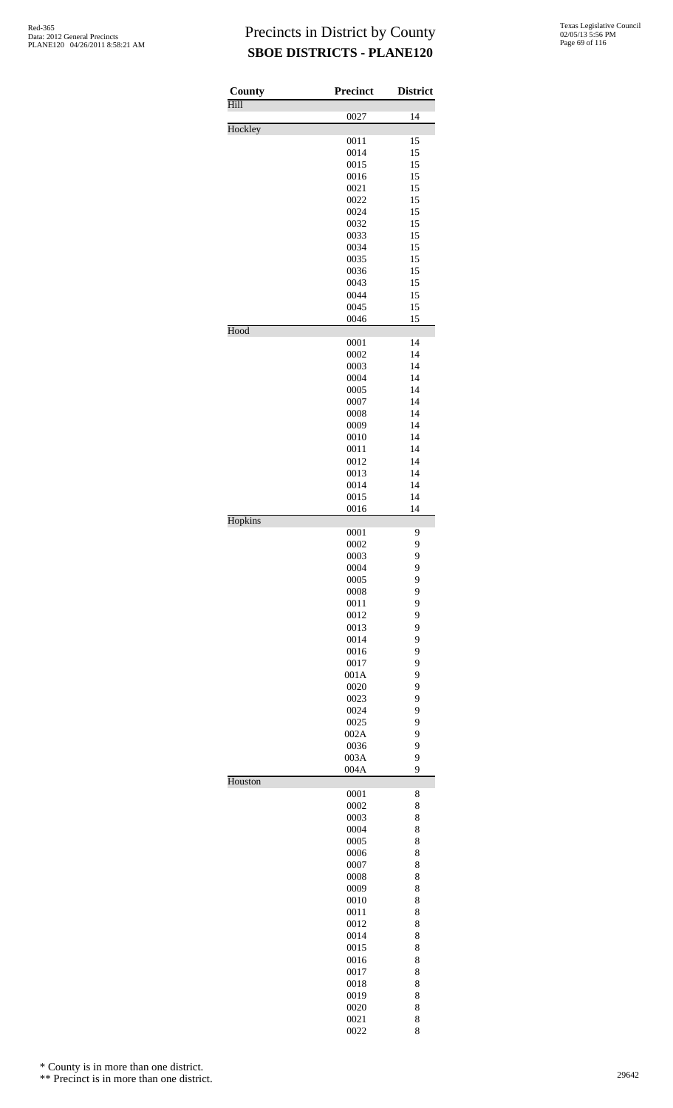| County  | <b>Precinct</b> | <b>District</b> |
|---------|-----------------|-----------------|
| Hill    | 0027            | 14              |
| Hockley | 0011            | 15              |
|         | 0014            | 15              |
|         | 0015            | 15              |
|         | 0016<br>0021    | 15<br>15        |
|         | 0022            | 15              |
|         | 0024            | 15              |
|         | 0032            | 15              |
|         | 0033            | 15              |
|         | 0034<br>0035    | 15<br>15        |
|         | 0036            | 15              |
|         | 0043            | 15              |
|         | 0044            | 15              |
|         | 0045            | 15              |
| Hood    | 0046            | 15              |
|         | 0001            | 14              |
|         | 0002            | 14              |
|         | 0003            | 14              |
|         | 0004            | 14              |
|         | 0005            | 14              |
|         | 0007<br>0008    | 14<br>14        |
|         | 0009            | 14              |
|         | 0010            | 14              |
|         | 0011            | 14              |
|         | 0012            | 14              |
|         | 0013            | 14              |
|         | 0014            | 14              |
|         | 0015<br>0016    | 14<br>14        |
| Hopkins |                 |                 |
|         | 0001            | 9               |
|         | 0002            | 9               |
|         | 0003<br>0004    | 9<br>9          |
|         | 0005            | 9               |
|         | 0008            | 9               |
|         | 0011            | 9               |
|         | 0012            | 9               |
|         | 0013            | 9               |
|         | 0014<br>0016    | 9<br>9          |
|         | 0017            | 9               |
|         | 001A            | 9               |
|         | 0020            | 9               |
|         | 0023            | 9               |
|         | 0024            | 9               |
|         | 0025            | 9               |
|         | 002A<br>0036    | 9<br>9          |
|         | 003A            | 9               |
|         | 004A            | 9               |
| Houston |                 |                 |
|         | 0001<br>0002    | 8<br>8          |
|         | 0003            | 8               |
|         | 0004            | 8               |
|         | 0005            | 8               |
|         | 0006            | 8               |
|         | 0007            | 8               |
|         | 0008<br>0009    | 8<br>8          |
|         | 0010            | 8               |
|         | 0011            | 8               |
|         | 0012            | 8               |
|         | 0014            | 8               |
|         | 0015            | 8               |
|         | 0016            | 8               |
|         | 0017<br>0018    | 8<br>8          |
|         | 0019            | 8               |
|         | 0020            | 8               |
|         | 0021            | 8               |
|         | 0022            | 8               |

\* County is in more than one district.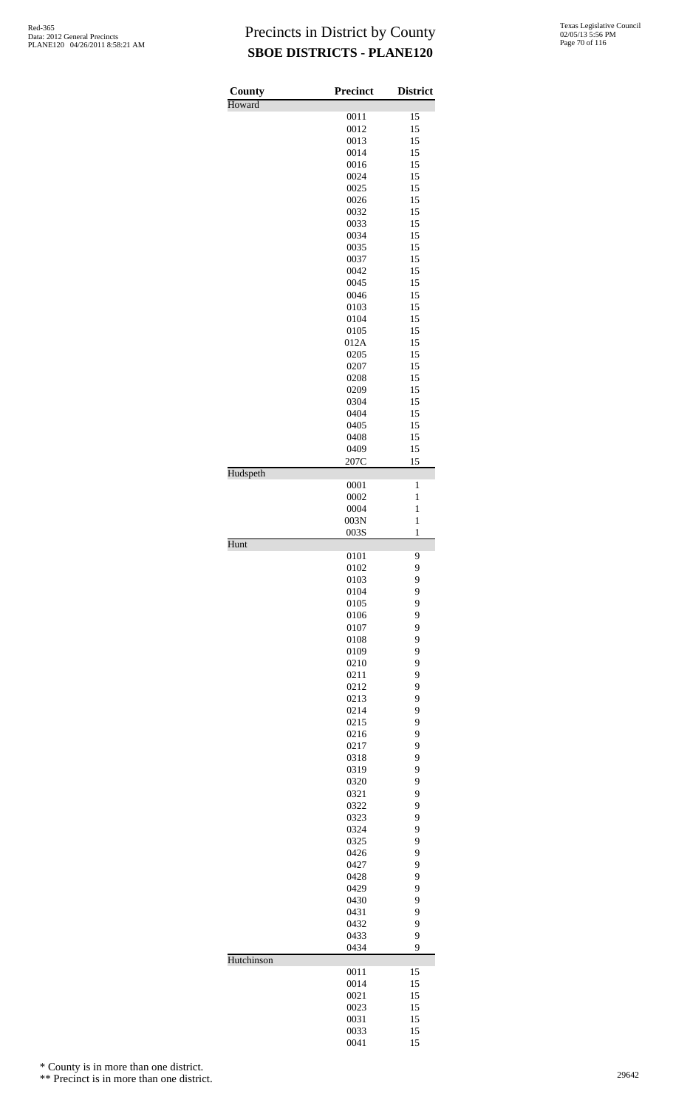| Texas Legislative Council |
|---------------------------|
| 02/05/13 5:56 PM          |
| Page 70 of 116            |

| <b>County</b> | <b>Precinct</b> | <b>District</b> |
|---------------|-----------------|-----------------|
| Howard        |                 |                 |
|               | 0011<br>0012    | 15<br>15        |
|               | 0013            | 15              |
|               | 0014            | 15              |
|               | 0016            | 15              |
|               | 0024            | 15              |
|               | 0025            | 15              |
|               | 0026            | 15              |
|               | 0032            | 15              |
|               | 0033            | 15              |
|               | 0034<br>0035    | 15<br>15        |
|               | 0037            | 15              |
|               | 0042            | 15              |
|               | 0045            | 15              |
|               | 0046            | 15              |
|               | 0103            | 15              |
|               | 0104            | 15              |
|               | 0105            | 15              |
|               | 012A            | 15              |
|               | 0205            | 15              |
|               | 0207<br>0208    | 15<br>15        |
|               | 0209            | 15              |
|               | 0304            | 15              |
|               | 0404            | 15              |
|               | 0405            | 15              |
|               | 0408            | 15              |
|               | 0409            | 15              |
|               | 207C            | 15              |
| Hudspeth      | 0001            | 1               |
|               | 0002            | 1               |
|               | 0004            | $\mathbf{1}$    |
|               | 003N            | $\mathbf{1}$    |
|               | 003S            | $\mathbf{1}$    |
| Hunt          | 0101            | 9               |
|               | 0102            | 9               |
|               | 0103            | 9               |
|               | 0104            | 9               |
|               | 0105            | 9               |
|               | 0106            | 9               |
|               | 0107            | 9               |
|               | 0108            | 9               |
|               | 0109            | 9               |
|               | 0210            | 9               |
|               | 0211<br>0212    | 9<br>9          |
|               | 0213            | 9               |
|               | 0214            | 9               |
|               | 0215            | 9               |
|               | 0216            | 9               |
|               | 0217            | 9               |
|               | 0318            | 9               |
|               | 0319            | 9               |
|               | 0320            | 9               |
|               | 0321<br>0322    | 9<br>9          |
|               | 0323            | 9               |
|               | 0324            | 9               |
|               | 0325            | 9               |
|               | 0426            | 9               |
|               | 0427            | 9               |
|               | 0428            | 9               |
|               | 0429            | 9               |
|               | 0430            | 9               |
|               | 0431<br>0432    | 9<br>9          |
|               | 0433            | 9               |
|               | 0434            | 9               |
| Hutchinson    |                 |                 |
|               | 0011            | 15              |
|               | 0014<br>0021    | 15<br>15        |
|               | 0023            | 15              |
|               | 0031            | 15              |
|               | 0033            | 15              |
|               | 0041            | 15              |

\* County is in more than one district.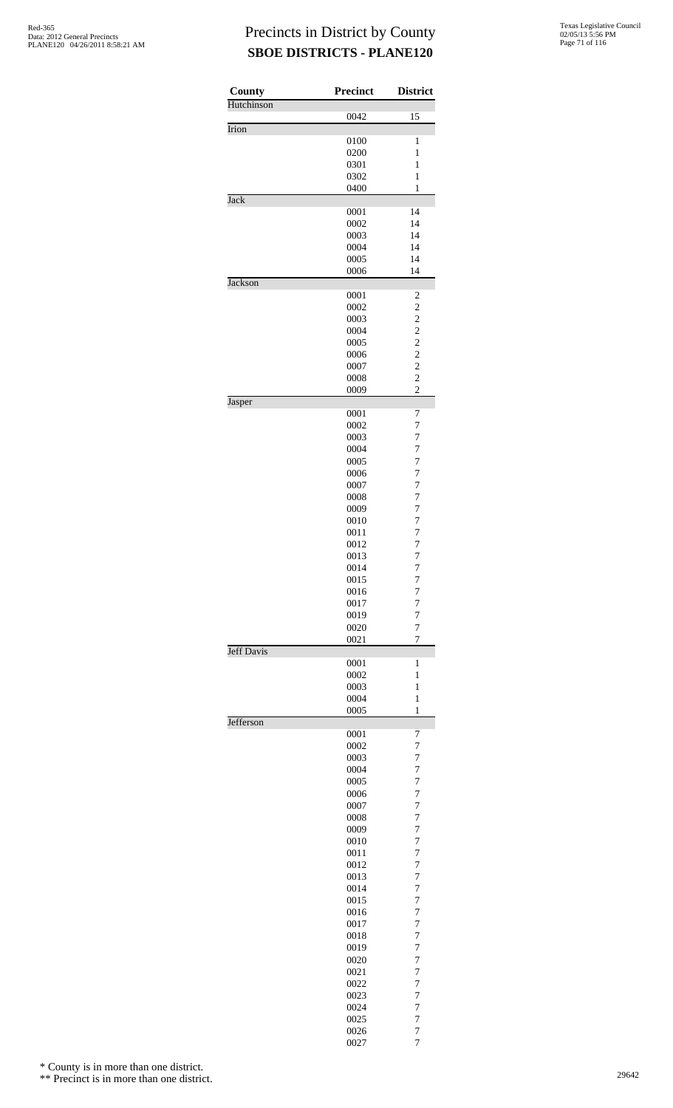| County            | <b>Precinct</b> | <b>District</b>                           |
|-------------------|-----------------|-------------------------------------------|
| Hutchinson        | 0042            | 15                                        |
| Irion             |                 |                                           |
|                   | 0100<br>0200    | $\mathbf{1}$<br>1                         |
|                   | 0301            | 1                                         |
|                   | 0302            | $\mathbf{1}$                              |
| Jack              | 0400            | $\mathbf{1}$                              |
|                   | 0001            | 14                                        |
|                   | 0002            | 14                                        |
|                   | 0003            | 14                                        |
|                   | 0004<br>0005    | 14<br>14                                  |
|                   | 0006            | 14                                        |
| <b>Jackson</b>    |                 |                                           |
|                   | 0001<br>0002    | 2<br>$\overline{c}$                       |
|                   | 0003            | $\overline{c}$                            |
|                   | 0004            | $\overline{\mathbf{c}}$                   |
|                   | 0005            | $\overline{\mathbf{c}}$<br>$\overline{c}$ |
|                   | 0006<br>0007    | $\overline{c}$                            |
|                   | 0008            | $\overline{2}$                            |
|                   | 0009            | $\overline{c}$                            |
| Jasper            | 0001            | 7                                         |
|                   | 0002            | 7                                         |
|                   | 0003            | $\overline{7}$                            |
|                   | 0004            | $\overline{7}$                            |
|                   | 0005<br>0006    | $\overline{7}$<br>$\overline{7}$          |
|                   | 0007            | 7                                         |
|                   | 0008            | $\overline{7}$                            |
|                   | 0009            | $\overline{7}$                            |
|                   | 0010<br>0011    | $\overline{7}$<br>$\overline{7}$          |
|                   | 0012            | 7                                         |
|                   | 0013            | $\overline{7}$                            |
|                   | 0014            | 7                                         |
|                   | 0015<br>0016    | 7<br>7                                    |
|                   | 0017            | 7                                         |
|                   | 0019            | $\overline{7}$                            |
|                   | 0020<br>0021    | $\overline{7}$<br>7                       |
| <b>Jeff Davis</b> |                 |                                           |
|                   | 0001            | 1                                         |
|                   | 0002<br>0003    | 1<br>1                                    |
|                   | 0004            | 1                                         |
|                   | 0005            | $\mathbf{1}$                              |
| Jefferson         |                 |                                           |
|                   | 0001<br>0002    | 7<br>$\overline{7}$                       |
|                   | 0003            | 7                                         |
|                   | 0004            | $\overline{7}$                            |
|                   | 0005<br>0006    | 7<br>7                                    |
|                   | 0007            | $\overline{7}$                            |
|                   | 0008            | 7                                         |
|                   | 0009            | $\overline{7}$                            |
|                   | 0010<br>0011    | 7<br>7                                    |
|                   | 0012            | $\overline{7}$                            |
|                   | 0013            | 7                                         |
|                   | 0014<br>0015    | $\overline{7}$<br>7                       |
|                   | 0016            | 7                                         |
|                   | 0017            | $\overline{7}$                            |
|                   | 0018            | 7                                         |
|                   | 0019<br>0020    | $\overline{7}$<br>7                       |
|                   | 0021            | 7                                         |
|                   | 0022            | $\overline{7}$                            |
|                   | 0023            | 7                                         |
|                   | 0024            | $\overline{7}$<br>7                       |
|                   | 0025<br>0026    | $\overline{7}$                            |
|                   | 0027            | 7                                         |

\* County is in more than one district.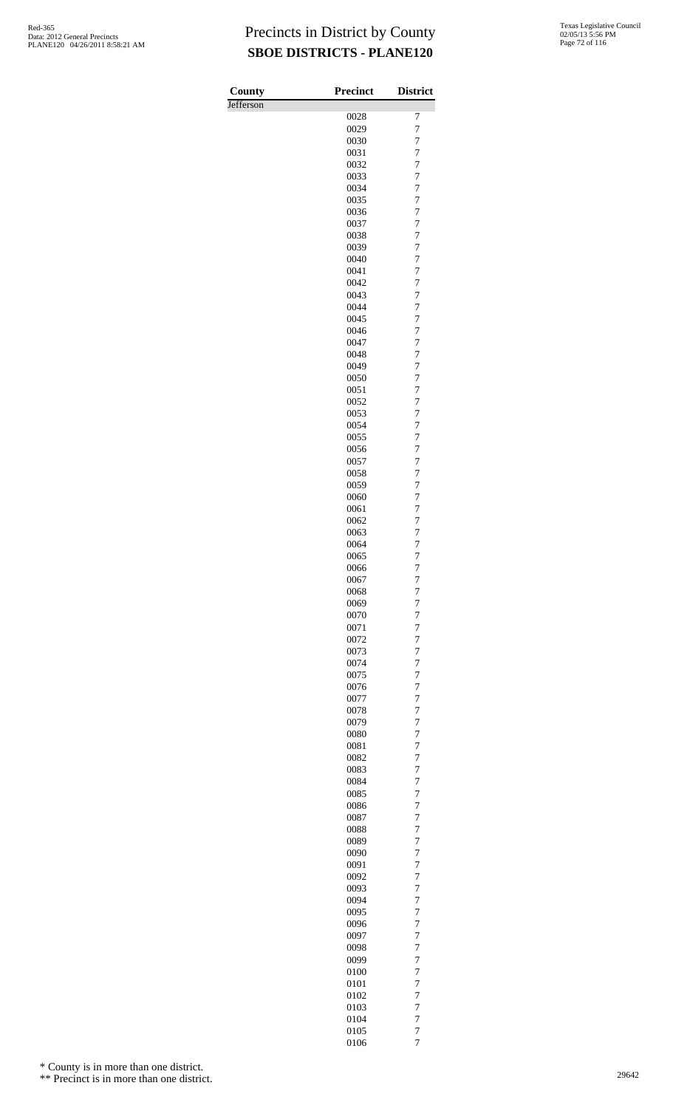| County    | <b>Precinct</b> | <b>District</b>                  |
|-----------|-----------------|----------------------------------|
| Jefferson |                 |                                  |
|           | 0028            | 7                                |
|           | 0029            | 7                                |
|           | 0030            | 7                                |
|           | 0031            | 7                                |
|           | 0032            | $\overline{7}$                   |
|           | 0033            | 7                                |
|           | 0034            | 7                                |
|           | 0035            | 7<br>$\overline{7}$              |
|           | 0036<br>0037    | $\overline{7}$                   |
|           | 0038            | $\overline{7}$                   |
|           | 0039            | $\overline{7}$                   |
|           | 0040            | $\overline{7}$                   |
|           | 0041            | $\overline{7}$                   |
|           | 0042            | $\overline{7}$                   |
|           | 0043            | 7                                |
|           | 0044            | 7                                |
|           | 0045            | $\overline{7}$                   |
|           | 0046            | 7                                |
|           | 0047            | $\overline{7}$                   |
|           | 0048            | $\overline{7}$                   |
|           | 0049            | $\overline{7}$                   |
|           | 0050            | 7                                |
|           | 0051            | $\overline{7}$                   |
|           | 0052            | $\overline{7}$                   |
|           | 0053            | 7                                |
|           | 0054            | 7                                |
|           | 0055            | $\overline{7}$                   |
|           | 0056            | 7                                |
|           | 0057            | $\overline{7}$                   |
|           | 0058            | $\overline{7}$                   |
|           | 0059<br>0060    | $\overline{7}$<br>7              |
|           | 0061            | 7                                |
|           | 0062            | $\overline{7}$                   |
|           | 0063            | 7                                |
|           | 0064            | 7                                |
|           | 0065            | $\overline{7}$                   |
|           | 0066            | $\overline{7}$                   |
|           | 0067            | 7                                |
|           | 0068            | 7                                |
|           | 0069            | 7                                |
|           | 0070            | $\overline{7}$                   |
|           | 0071            | 7                                |
|           | 0072            | 7                                |
|           | 0073            | 7                                |
|           | 0074            | 7                                |
|           | 0075            | $\overline{7}$                   |
|           | 0076            | $\overline{7}$                   |
|           | 0077            | $\overline{7}$                   |
|           | 0078            | 7                                |
|           | 0079            | 7                                |
|           | 0080            | $\overline{7}$                   |
|           | 0081<br>0082    | 7<br>$\overline{7}$              |
|           | 0083            | 7                                |
|           | 0084            | 7                                |
|           | 0085            | $\overline{7}$                   |
|           | 0086            | $\overline{7}$                   |
|           | 0087            | $\overline{7}$                   |
|           | 0088            | 7                                |
|           | 0089            | 7                                |
|           | 0090            | $\overline{7}$                   |
|           | 0091            | 7                                |
|           | 0092            | $\overline{7}$                   |
|           | 0093            | 7                                |
|           | 0094            | 7                                |
|           | 0095            | $\overline{7}$                   |
|           | 0096            | $\overline{7}$                   |
|           | 0097            | $\overline{7}$                   |
|           | 0098            | 7                                |
|           | 0099            | 7                                |
|           | 0100            | $\overline{7}$                   |
|           | 0101            | 7                                |
|           | 0102            | $\overline{7}$                   |
|           | 0103            | 7                                |
|           | 0104            | 7                                |
|           | 0105<br>0106    | $\overline{7}$<br>$\overline{7}$ |
|           |                 |                                  |

\* County is in more than one district.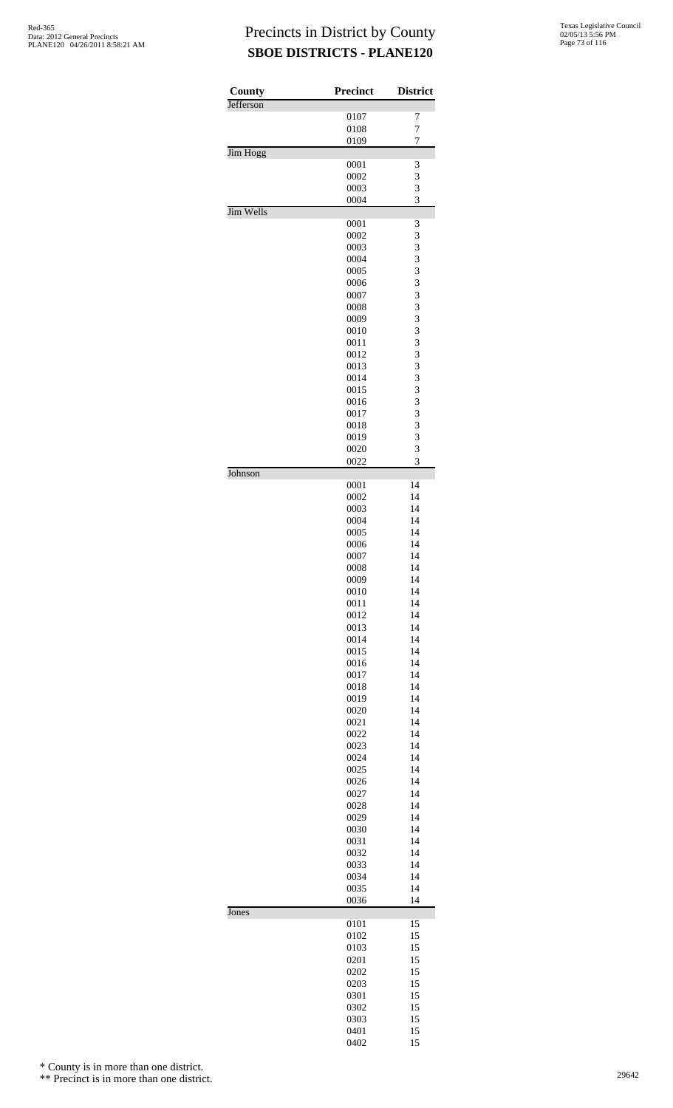| County    | <b>Precinct</b> | <b>District</b> |
|-----------|-----------------|-----------------|
| Jefferson | 0107            | 7               |
|           | 0108            | $\overline{7}$  |
|           | 0109            | $\overline{7}$  |
| Jim Hogg  |                 |                 |
|           | 0001            | 3               |
|           | 0002            | 3<br>3          |
|           | 0003<br>0004    | 3               |
| Jim Wells |                 |                 |
|           | 0001            | 3               |
|           | 0002            | 3               |
|           | 0003<br>0004    | 3<br>3          |
|           | 0005            | 3               |
|           | 0006            | 3               |
|           | 0007            | 3               |
|           | 0008            | 3               |
|           | 0009<br>0010    | 3<br>3          |
|           | 0011            | 3               |
|           | 0012            | 3               |
|           | 0013            | 3               |
|           | 0014            | 3               |
|           | 0015            | 3<br>3          |
|           | 0016<br>0017    | 3               |
|           | 0018            | 3               |
|           | 0019            | 3               |
|           | 0020            | 3               |
| Johnson   | 0022            | 3               |
|           | 0001            | 14              |
|           | 0002            | 14              |
|           | 0003<br>0004    | 14<br>14        |
|           | 0005            | 14              |
|           | 0006            | 14              |
|           | 0007            | 14              |
|           | 0008<br>0009    | 14<br>14        |
|           | 0010            | 14              |
|           | 0011            | 14              |
|           | 0012            | 14              |
|           | 0013<br>0014    | 14<br>14        |
|           | 0015            | 14              |
|           | 0016            | 14              |
|           | 0017            | 14              |
|           | 0018            | 14              |
|           | 0019<br>0020    | 14<br>14        |
|           | 0021            | 14              |
|           | 0022            | 14              |
|           | 0023            | 14              |
|           | 0024            | 14              |
|           | 0025<br>0026    | 14<br>14        |
|           | 0027            | 14              |
|           | 0028            | 14              |
|           | 0029            | 14              |
|           | 0030<br>0031    | 14<br>14        |
|           | 0032            | 14              |
|           | 0033            | 14              |
|           | 0034            | 14              |
|           | 0035<br>0036    | 14<br>14        |
| Jones     |                 |                 |
|           | 0101            | 15              |
|           | 0102<br>0103    | 15<br>15        |
|           | 0201            | 15              |
|           | 0202            | 15              |
|           | 0203            | 15              |
|           | 0301<br>0302    | 15<br>15        |
|           | 0303            | 15              |
|           | 0401            | 15              |
|           | 0402            | 15              |

\* County is in more than one district.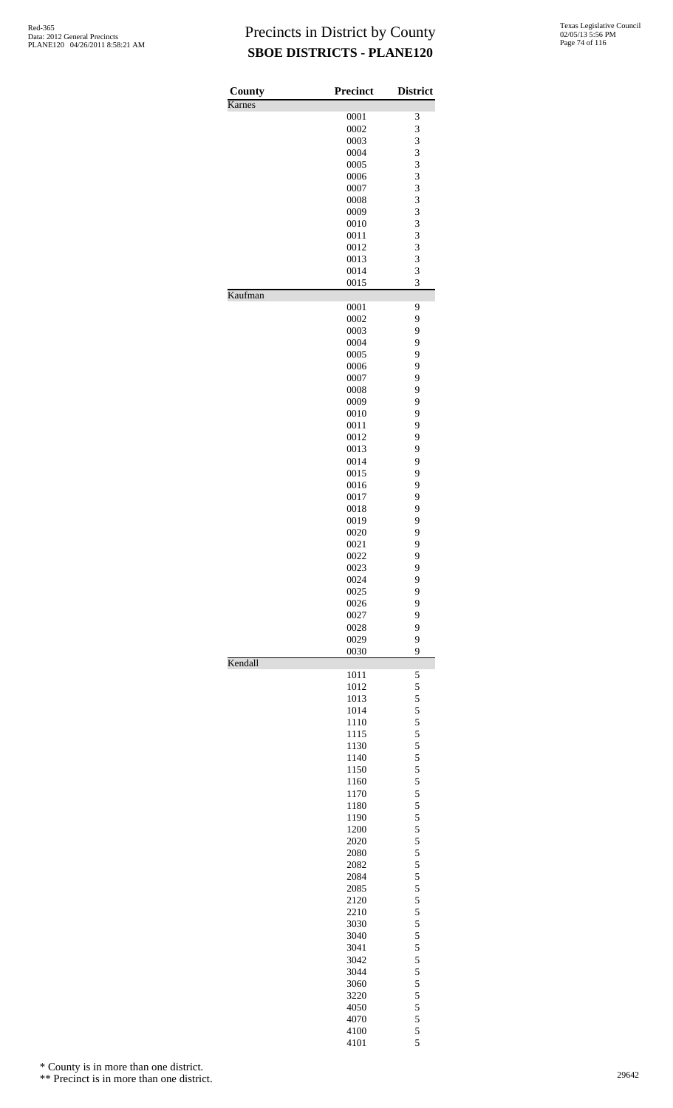| County  | <b>Precinct</b> | <b>District</b> |
|---------|-----------------|-----------------|
| Karnes  |                 |                 |
|         | 0001            | 3               |
|         | 0002            | 3               |
|         | 0003            | 3               |
|         | 0004            | 3               |
|         | 0005            | 3               |
|         | 0006            | 3               |
|         | 0007            | 3               |
|         | 0008            | 3               |
|         | 0009            | 3               |
|         | 0010            | 3               |
|         | 0011            | 3               |
|         | 0012            | 3               |
|         | 0013            | 3               |
|         | 0014            | 3               |
| Kaufman | 0015            | 3               |
|         | 0001            | 9               |
|         | 0002            | 9               |
|         | 0003            | 9               |
|         | 0004            | 9               |
|         | 0005            | 9               |
|         | 0006            | 9               |
|         | 0007            | 9               |
|         | 0008            | 9               |
|         | 0009            | 9               |
|         | 0010            | 9               |
|         | 0011            | 9               |
|         | 0012            | 9               |
|         | 0013            | 9               |
|         | 0014            | 9               |
|         | 0015            | 9               |
|         | 0016            | 9               |
|         | 0017            | 9               |
|         |                 | 9               |
|         | 0018            |                 |
|         | 0019            | 9               |
|         | 0020            | 9               |
|         | 0021            | 9               |
|         | 0022            | 9<br>9          |
|         | 0023            |                 |
|         | 0024            | 9               |
|         | 0025            | 9               |
|         | 0026            | 9               |
|         | 0027            | 9               |
|         | 0028            | 9               |
|         | 0029<br>0030    | 9<br>9          |
| Kendall |                 |                 |
|         | 1011            | 5               |
|         | 1012            | 5               |
|         | 1013            | 5               |
|         | 1014            | 5               |
|         | 1110            | 5               |
|         | 1115            | 5               |
|         | 1130            | 5               |
|         | 1140            | 5               |
|         | 1150            | 5               |
|         | 1160            | 5               |
|         | 1170            | 5               |
|         | 1180            | 5               |
|         | 1190            | 5               |
|         | 1200            | $\frac{5}{5}$   |
|         | 2020            |                 |
|         | 2080            | 5               |
|         | 2082            | 5               |
|         | 2084            | 5               |
|         | 2085            | 5               |
|         | 2120            | 5               |
|         | 2210            | 5               |
|         | 3030            | 5               |
|         | 3040            | 5               |
|         | 3041            | 5               |
|         | 3042            | 5               |
|         | 3044            | 5               |
|         | 3060            |                 |
|         | 3220            | $\frac{5}{5}$   |
|         |                 |                 |
|         | 4050            | 5               |
|         | 4070            | 5<br>5          |
|         | 4100            |                 |

5

\* County is in more than one district.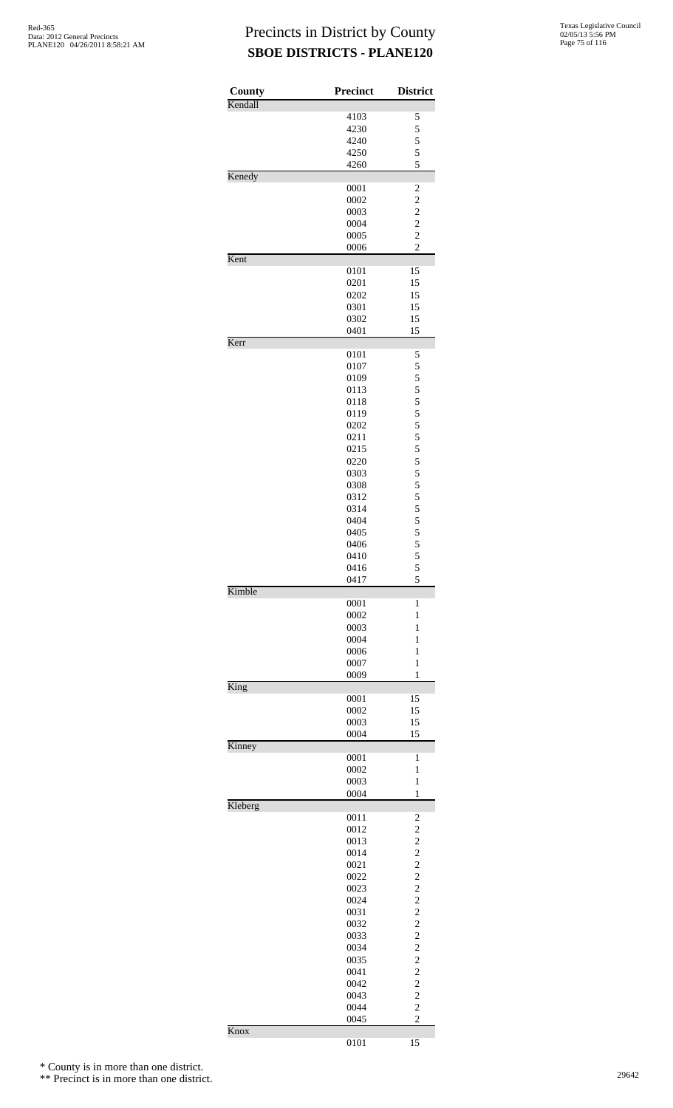| County  | Precinct     | <b>District</b>                            |
|---------|--------------|--------------------------------------------|
| Kendall |              |                                            |
|         | 4103<br>4230 | 5                                          |
|         | 4240         | 5                                          |
|         | 4250         | $\frac{5}{5}$                              |
|         | 4260         | 5                                          |
| Kenedy  |              |                                            |
|         | 0001         | $\overline{\mathbf{c}}$                    |
|         | 0002         | $\overline{c}$                             |
|         | 0003         | $\overline{c}$                             |
|         | 0004         | $\overline{\mathbf{c}}$                    |
|         | 0005         | $\overline{2}$                             |
| Kent    | 0006         | $\overline{c}$                             |
|         | 0101         | 15                                         |
|         | 0201         | 15                                         |
|         | 0202         | 15                                         |
|         | 0301         | 15                                         |
|         | 0302         | 15                                         |
|         | 0401         | 15                                         |
| Kerr    |              |                                            |
|         | 0101         | 5                                          |
|         | 0107         | 5                                          |
|         | 0109         | $\frac{5}{5}$                              |
|         | 0113         | 5                                          |
|         | 0118<br>0119 |                                            |
|         | 0202         | $\frac{5}{5}$                              |
|         | 0211         |                                            |
|         | 0215         | $\frac{5}{5}$                              |
|         | 0220         | 5                                          |
|         | 0303         |                                            |
|         | 0308         | $\frac{5}{5}$                              |
|         | 0312         | $\frac{5}{5}$                              |
|         | 0314         |                                            |
|         | 0404         | $\begin{array}{c} 5 \\ 5 \\ 5 \end{array}$ |
|         | 0405         |                                            |
|         | 0406         |                                            |
|         | 0410<br>0416 | 5<br>5                                     |
|         | 0417         | 5                                          |
| Kimble  |              |                                            |
|         | 0001         | 1                                          |
|         | 0002         | 1                                          |
|         | 0003         | $\mathbf{1}$                               |
|         | 0004         | 1                                          |
|         | 0006         | 1                                          |
|         | 0007         | 1                                          |
| King    | 0009         | 1                                          |
|         | 0001         | 15                                         |
|         | 0002         | 15                                         |
|         | 0003         | 15                                         |
|         | 0004         | 15                                         |
| Kinney  |              |                                            |
|         | 0001         | 1                                          |
|         | 0002         | 1                                          |
|         | 0003         | $\mathbf{1}$                               |
| Kleberg | 0004         | 1                                          |
|         | 0011         | $\overline{\mathbf{c}}$                    |
|         | 0012         | $\overline{c}$                             |
|         | 0013         | $\overline{\mathbf{c}}$                    |
|         | 0014         | $\overline{\mathbf{c}}$                    |
|         | 0021         | $\overline{c}$                             |
|         | 0022         | $\overline{c}$                             |
|         | 0023         | $\overline{c}$                             |
|         | 0024         | $\overline{\mathbf{c}}$                    |
|         | 0031         | $\overline{c}$                             |
|         | 0032         | $\overline{c}$<br>$\overline{c}$           |
|         | 0033         | $\overline{c}$                             |
|         | 0034         | $\overline{c}$                             |
|         | 0035<br>0041 | $\overline{c}$                             |
|         | 0042         | $\overline{c}$                             |
|         | 0043         | $\overline{c}$                             |
|         | 0044         | $\overline{c}$                             |
|         | 0045         | $\overline{c}$                             |
| Knox    |              |                                            |
|         | 0101         | 15                                         |

\* County is in more than one district.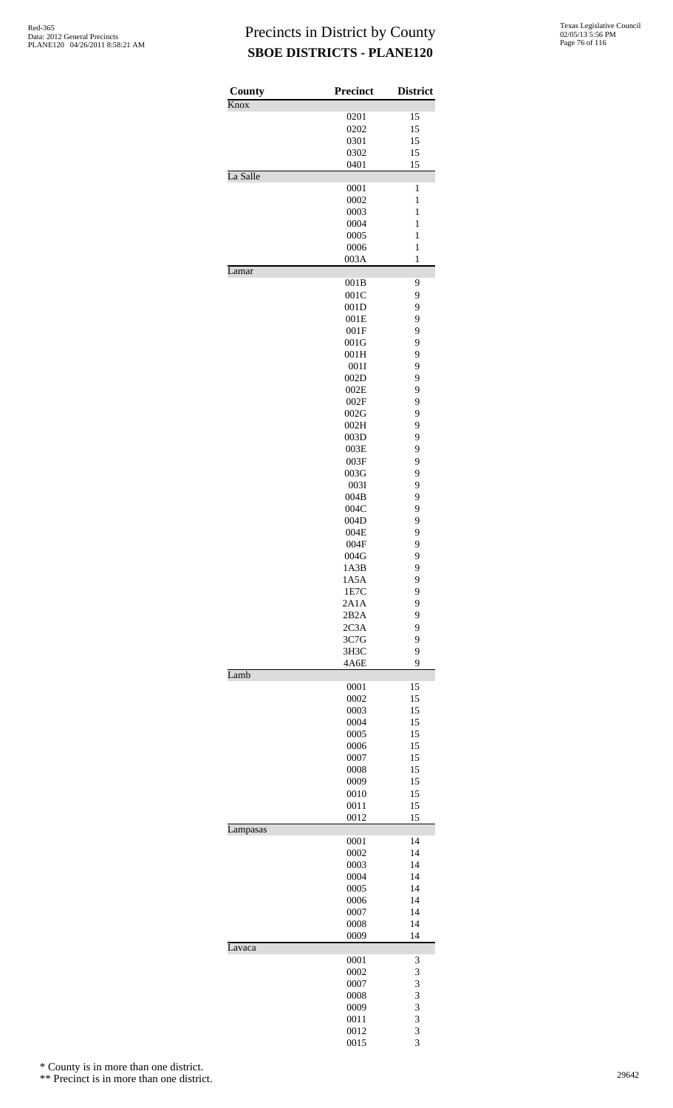| County   | <b>Precinct</b> | <b>District</b> |
|----------|-----------------|-----------------|
| Knox     | 0201            | 15              |
|          | 0202            | 15              |
|          | 0301            | 15              |
|          | 0302            | 15              |
|          | 0401            | 15              |
| La Salle |                 |                 |
|          | 0001            | 1               |
|          | 0002            | 1               |
|          | 0003            | $\mathbf{1}$    |
|          | 0004            | $\mathbf{1}$    |
|          | 0005            | $\mathbf{1}$    |
|          | 0006            | $\mathbf{1}$    |
|          | 003A            | $\mathbf{1}$    |
| Lamar    | 001B            | 9               |
|          | 001C            | 9               |
|          | 001D            | 9               |
|          | 001E            | 9               |
|          | 001F            | 9               |
|          |                 | 9               |
|          | 001G            |                 |
|          | 001H            | 9               |
|          | 001I            | 9               |
|          | 002D            | 9               |
|          | 002E            | 9               |
|          | 002F            | 9               |
|          | 002G            | 9               |
|          | 002H            | 9               |
|          | 003D            | 9               |
|          | 003E            | 9               |
|          | 003F            | 9               |
|          | 003G            | 9               |
|          | 003I            | 9               |
|          | 004B            | 9               |
|          | 004C            | 9               |
|          | 004D            | 9               |
|          | 004E            | 9               |
|          | 004F            | 9               |
|          | 004G            | 9               |
|          | 1A3B            | 9               |
|          | 1A5A            | 9               |
|          | 1E7C            | 9               |
|          | 2A1A            | 9               |
|          | 2B2A            | 9               |
|          | 2C3A            | 9               |
|          | 3C7G            | 9               |
|          | 3H3C            | 9               |
|          | 4A6E            | 9               |
| Lamb     |                 |                 |
|          | 0001            | 15              |
|          | 0002            | 15              |
|          | 0003            | 15              |
|          | 0004            | 15              |
|          | 0005            | 15              |
|          | 0006            | 15              |
|          | 0007            | 15              |
|          | 0008            | 15              |
|          | 0009            | 15              |
|          | 0010            | 15              |
|          | 0011            | 15              |
|          | 0012            | 15              |
| Lampasas |                 |                 |
|          | 0001            | 14              |
|          | 0002            | 14              |
|          | 0003            | 14              |
|          | 0004            | 14              |
|          | 0005            | 14              |
|          | 0006            | 14              |
|          | 0007            | 14              |
|          | 0008            | 14              |
| Lavaca   | 0009            | 14              |
|          | 0001            | 3               |
|          | 0002            | 3               |
|          | 0007            | 3               |
|          | 0008            | 3               |
|          | 0009            | 3               |
|          | 0011            | 3               |
|          | 0012            | 3               |
|          | 0015            | $\overline{3}$  |
|          |                 |                 |

\* County is in more than one district.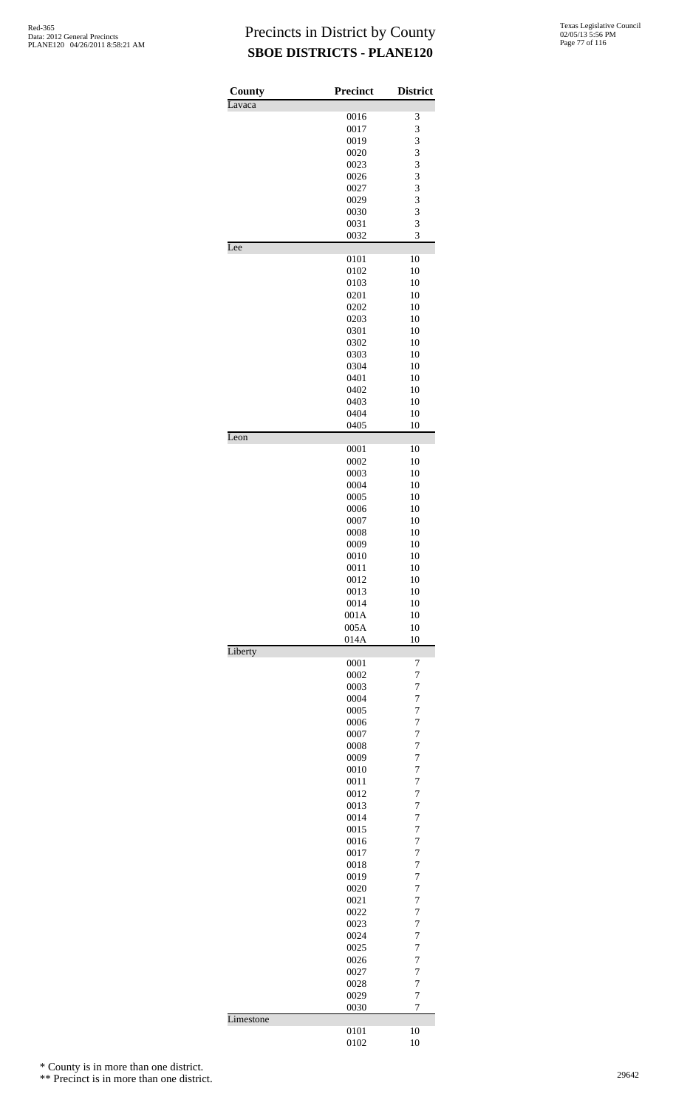| County                   | Precinct     | <b>District</b>                            |
|--------------------------|--------------|--------------------------------------------|
| Lavaca                   |              |                                            |
|                          | 0016         | 3                                          |
|                          | 0017         | 3                                          |
|                          | 0019         |                                            |
|                          | 0020         |                                            |
|                          | 0023         | $\begin{array}{c} 3 \\ 3 \\ 3 \end{array}$ |
|                          | 0026         |                                            |
|                          | 0027         | $\overline{\mathbf{3}}$                    |
|                          | 0029         | $\frac{3}{3}$                              |
|                          | 0030         | 3                                          |
|                          | 0031<br>0032 | 3                                          |
| Lee                      |              |                                            |
|                          | 0101         | 10                                         |
|                          | 0102         | 10                                         |
|                          | 0103         | 10                                         |
|                          | 0201         | 10                                         |
|                          | 0202         | 10                                         |
|                          | 0203         | 10                                         |
|                          | 0301         | 10                                         |
|                          | 0302         | 10                                         |
|                          | 0303         | 10                                         |
|                          | 0304         | 10                                         |
|                          | 0401         | 10                                         |
|                          | 0402         | 10                                         |
|                          | 0403         | 10                                         |
|                          | 0404         | 10                                         |
|                          | 0405         | 10                                         |
| $\overline{\text{Leon}}$ |              |                                            |
|                          | 0001         | 10                                         |
|                          | 0002         | 10                                         |
|                          | 0003         | 10                                         |
|                          | 0004         | 10                                         |
|                          | 0005<br>0006 | 10<br>10                                   |
|                          | 0007         | 10                                         |
|                          | 0008         | 10                                         |
|                          | 0009         | 10                                         |
|                          | 0010         | 10                                         |
|                          | 0011         | 10                                         |
|                          | 0012         | 10                                         |
|                          | 0013         | 10                                         |
|                          | 0014         | 10                                         |
|                          | 001A         | 10                                         |
|                          | 005A         | 10                                         |
|                          | 014A         | 10                                         |
| Liberty                  |              |                                            |
|                          | 0001         | 7                                          |
|                          | 0002         | $\overline{7}$                             |
|                          | 0003         | $\overline{7}$                             |
|                          | 0004         | $\overline{7}$                             |
|                          | 0005         | $\overline{7}$                             |
|                          | 0006         | $\overline{7}$                             |
|                          | 0007         | $\overline{7}$                             |
|                          | 0008         | $\overline{7}$                             |
|                          | 0009         | $\overline{7}$<br>7                        |
|                          | 0010<br>0011 | $\overline{7}$                             |
|                          | 0012         | $\overline{7}$                             |
|                          | 0013         | $\overline{7}$                             |
|                          | 0014         | $\overline{7}$                             |
|                          | 0015         | 7                                          |
|                          | 0016         | $\overline{7}$                             |
|                          | 0017         | $\overline{7}$                             |
|                          | 0018         | $\overline{7}$                             |
|                          | 0019         | $\overline{7}$                             |
|                          | 0020         | 7                                          |
|                          | 0021         | $\overline{7}$                             |
|                          | 0022         | $\overline{7}$                             |
|                          | 0023         | $\overline{7}$                             |
|                          | 0024         | $\overline{7}$                             |
|                          | 0025         | 7                                          |
|                          | 0026         | $\overline{7}$                             |
|                          | 0027         | $\overline{7}$                             |
|                          | 0028         | 7                                          |
|                          | 0029         | $\overline{7}$                             |
|                          | 0030         | 7                                          |
| Limestone                |              |                                            |
|                          | 0101         | 10                                         |
|                          | 0102         | 10                                         |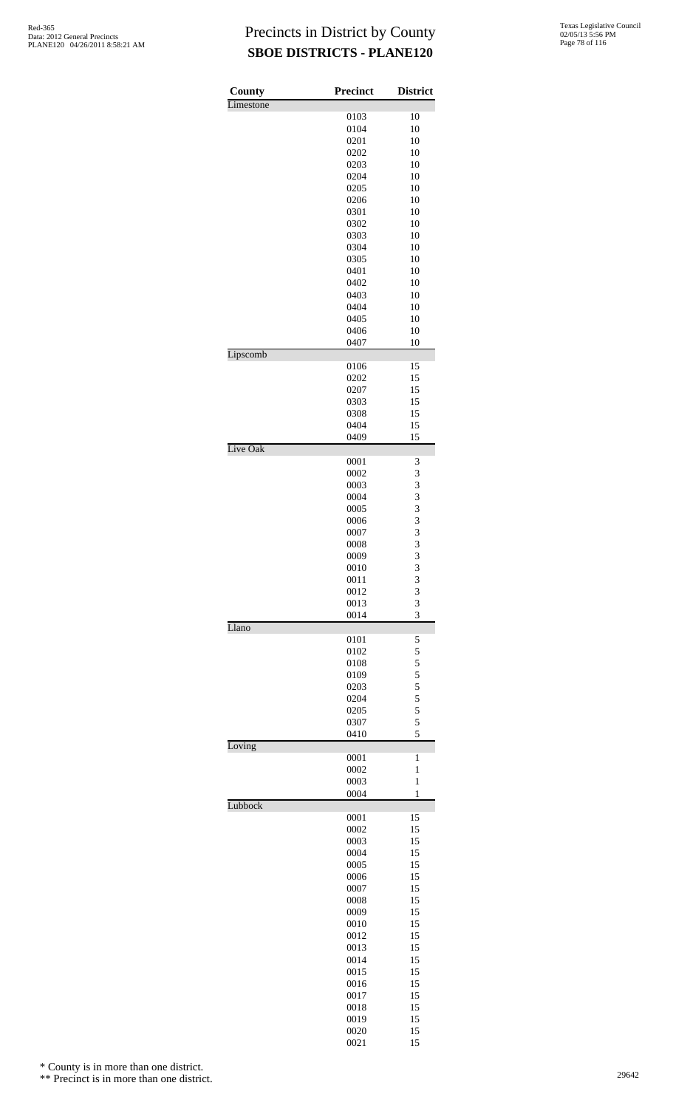| County    | <b>Precinct</b> | <b>District</b>     |
|-----------|-----------------|---------------------|
| Limestone |                 |                     |
|           | 0103            | 10                  |
|           | 0104            | 10                  |
|           | 0201            | 10                  |
|           | 0202            | 10                  |
|           | 0203<br>0204    | 10<br>10            |
|           | 0205            | 10                  |
|           | 0206            | 10                  |
|           | 0301            | 10                  |
|           | 0302            | 10                  |
|           | 0303            | 10                  |
|           | 0304            | 10                  |
|           | 0305            | 10                  |
|           | 0401            | 10                  |
|           | 0402            | 10                  |
|           | 0403            | 10                  |
|           | 0404            | 10                  |
|           | 0405            | 10                  |
|           | 0406            | 10                  |
|           | 0407            | 10                  |
| Lipscomb  |                 |                     |
|           | 0106<br>0202    | 15<br>15            |
|           | 0207            | 15                  |
|           | 0303            | 15                  |
|           | 0308            | 15                  |
|           | 0404            | 15                  |
|           | 0409            | 15                  |
| Live Oak  |                 |                     |
|           | 0001            | 3                   |
|           | 0002            | 3                   |
|           | 0003            | 3                   |
|           | 0004            | $\frac{3}{3}$       |
|           | 0005            |                     |
|           | 0006            | 3<br>3              |
|           | 0007            |                     |
|           | 0008<br>0009    | $\overline{3}$<br>3 |
|           | 0010            | 3                   |
|           | 0011            | 3                   |
|           | 0012            | 3                   |
|           | 0013            | 3                   |
|           | 0014            | 3                   |
| Llano     |                 |                     |
|           | 0101            | 5                   |
|           | 0102            | 5                   |
|           | 0108            | 5                   |
|           | 0109            | $\frac{5}{5}$       |
|           | 0203            |                     |
|           | 0204            | 5                   |
|           | 0205            | 5                   |
|           | 0307<br>0410    | 5<br>5              |
| Loving    |                 |                     |
|           | 0001            | 1                   |
|           | 0002            | $\mathbf{1}$        |
|           | 0003            | $\mathbf{1}$        |
|           | 0004            | $\mathbf{1}$        |
| Lubbock   |                 |                     |
|           | 0001            | 15                  |
|           | 0002<br>0003    | 15<br>15            |
|           | 0004            | 15                  |
|           | 0005            | 15                  |
|           | 0006            | 15                  |
|           | 0007            | 15                  |
|           | 0008            | 15                  |
|           | 0009            | 15                  |
|           | 0010            | 15                  |
|           | 0012            | 15                  |
|           | 0013            | 15                  |
|           | 0014            | 15                  |
|           | 0015            | 15                  |
|           | 0016            | 15                  |
|           | 0017            | 15                  |
|           | 0018            | 15                  |
|           | 0019            | 15                  |
|           | 0020            | 15                  |
|           | 0021            | 15                  |

\* County is in more than one district.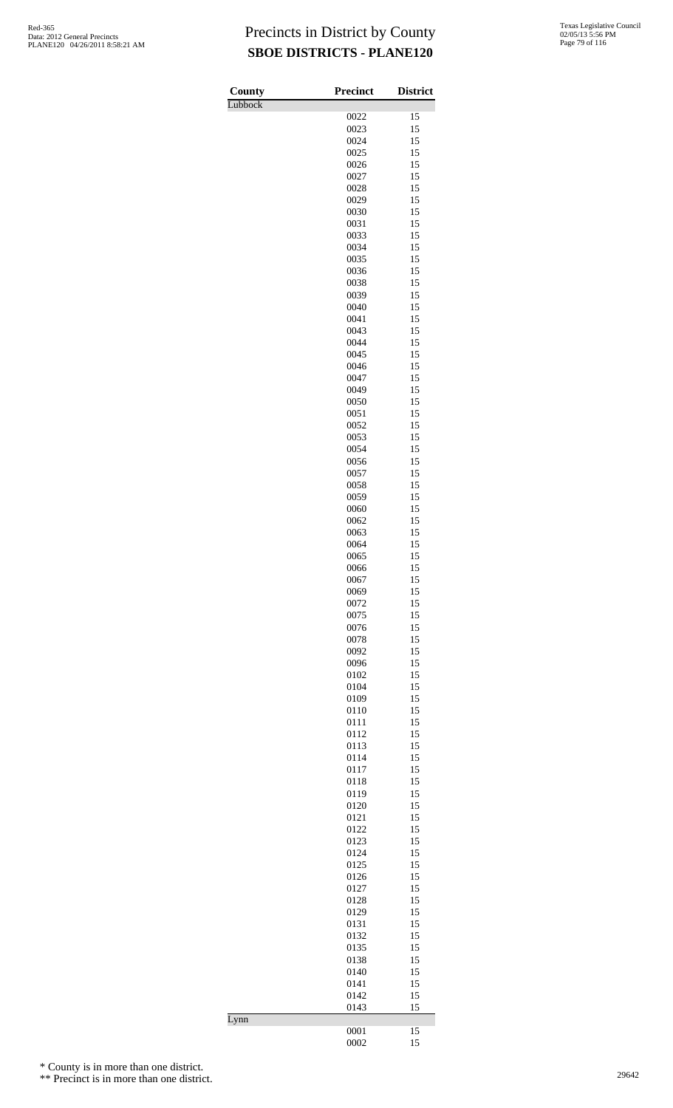| County  | Precinct     | <b>District</b> |
|---------|--------------|-----------------|
| Lubbock |              |                 |
|         | 0022         | 15              |
|         | 0023<br>0024 | 15<br>15        |
|         | 0025         | 15              |
|         | 0026         | 15              |
|         | 0027         | 15              |
|         | 0028         | 15              |
|         | 0029         | 15              |
|         | 0030         | 15              |
|         | 0031<br>0033 | 15<br>15        |
|         | 0034         | 15              |
|         | 0035         | 15              |
|         | 0036         | 15              |
|         | 0038         | 15              |
|         | 0039         | 15              |
|         | 0040         | 15              |
|         | 0041         | 15              |
|         | 0043<br>0044 | 15<br>15        |
|         | 0045         | 15              |
|         | 0046         | 15              |
|         | 0047         | 15              |
|         | 0049         | 15              |
|         | 0050         | 15              |
|         | 0051         | 15              |
|         | 0052         | 15              |
|         | 0053<br>0054 | 15<br>15        |
|         | 0056         | 15              |
|         | 0057         | 15              |
|         | 0058         | 15              |
|         | 0059         | 15              |
|         | 0060         | 15              |
|         | 0062         | 15              |
|         | 0063         | 15              |
|         | 0064<br>0065 | 15              |
|         | 0066         | 15<br>15        |
|         | 0067         | 15              |
|         | 0069         | 15              |
|         | 0072         | 15              |
|         | 0075         | 15              |
|         | 0076         | 15              |
|         | 0078         | 15              |
|         | 0092         | 15              |
|         | 0096<br>0102 | 15<br>15        |
|         | 0104         | 15              |
|         | 0109         | 15              |
|         | 0110         | 15              |
|         | 0111         | 15              |
|         | 0112         | 15              |
|         | 0113         | 15              |
|         | 0114         | 15              |
|         | 0117         | 15              |
|         | 0118<br>0119 | 15<br>15        |
|         | 0120         | 15              |
|         | 0121         | 15              |
|         | 0122         | 15              |
|         | 0123         | 15              |
|         | 0124         | 15              |
|         | 0125         | 15              |
|         | 0126         | 15              |
|         | 0127         | 15              |
|         | 0128<br>0129 | 15<br>15        |
|         | 0131         | 15              |
|         | 0132         | 15              |
|         | 0135         | 15              |
|         | 0138         | 15              |
|         | 0140         | 15              |
|         | 0141         | 15              |
|         | 0142         | 15              |
| Lynn    | 0143         | 15              |
|         | 0001         | 15              |
|         | 0002         | 15              |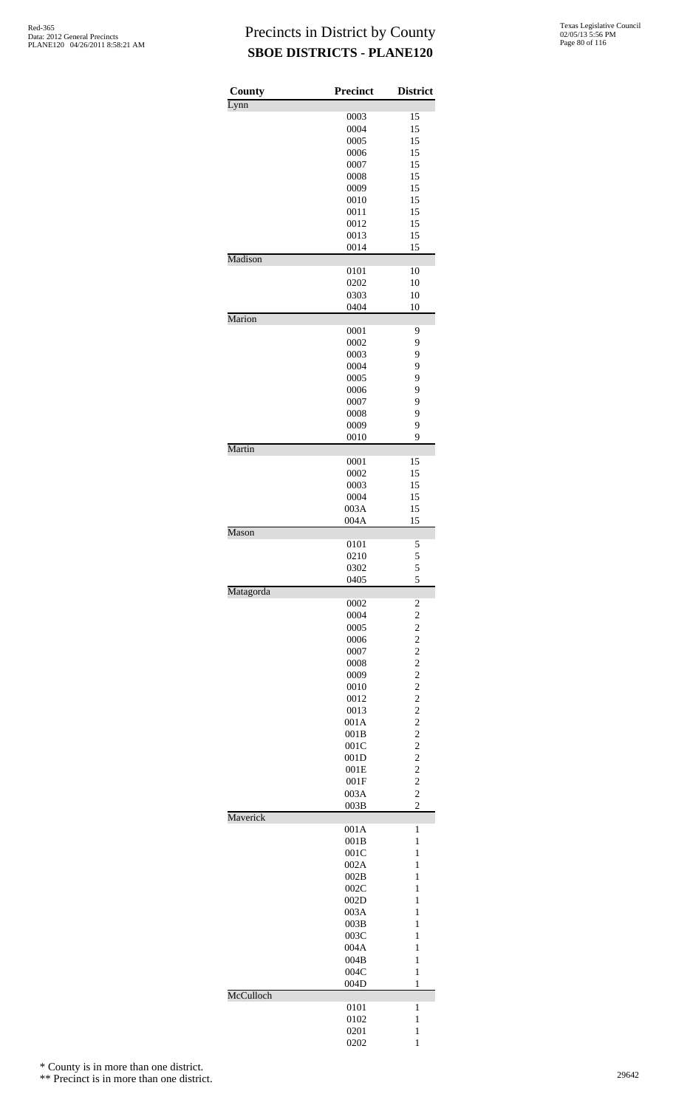| County    | Precinct     | <b>District</b>                           |
|-----------|--------------|-------------------------------------------|
| Lynn      |              |                                           |
|           | 0003         | 15                                        |
|           | 0004<br>0005 | 15<br>15                                  |
|           | 0006         | 15                                        |
|           | 0007         | 15                                        |
|           | 0008         | 15                                        |
|           | 0009         | 15                                        |
|           | 0010         | 15                                        |
|           | 0011         | 15                                        |
|           | 0012<br>0013 | 15<br>15                                  |
|           | 0014         | 15                                        |
| Madison   |              |                                           |
|           | 0101         | 10                                        |
|           | 0202         | 10                                        |
|           | 0303         | 10                                        |
| Marion    | 0404         | 10                                        |
|           | 0001         | 9                                         |
|           | 0002         | 9                                         |
|           | 0003         | 9                                         |
|           | 0004         | 9                                         |
|           | 0005         | 9                                         |
|           | 0006         | 9                                         |
|           | 0007         | 9<br>9                                    |
|           | 0008<br>0009 | 9                                         |
|           | 0010         | 9                                         |
| Martin    |              |                                           |
|           | 0001         | 15                                        |
|           | 0002         | 15                                        |
|           | 0003<br>0004 | 15<br>15                                  |
|           | 003A         | 15                                        |
|           | 004A         | 15                                        |
| Mason     |              |                                           |
|           | 0101         | 5                                         |
|           | 0210         | 5                                         |
|           | 0302<br>0405 | 5                                         |
| Matagorda |              | 5                                         |
|           | 0002         | 2                                         |
|           | 0004         | $\overline{c}$                            |
|           | 0005         | $\overline{c}$                            |
|           | 0006         | $\overline{\mathbf{c}}$<br>$\overline{c}$ |
|           | 0007<br>0008 | $\overline{c}$                            |
|           | 0009         | $\overline{c}$                            |
|           | 0010         | $\overline{c}$                            |
|           | 0012         | $\overline{c}$                            |
|           | 0013         | $\overline{c}$                            |
|           | 001A         | $\overline{c}$                            |
|           | 001B         | $\overline{c}$                            |
|           | 001C         | $\overline{c}$                            |
|           | 001D<br>001E | $\overline{\mathbf{c}}$<br>$\overline{c}$ |
|           | 001F         | $\overline{c}$                            |
|           | 003A         | $\overline{c}$                            |
|           | 003B         | $\overline{c}$                            |
| Maverick  |              |                                           |
|           | 001A         | $\mathbf{1}$                              |
|           | 001B<br>001C | 1<br>1                                    |
|           | 002A         | 1                                         |
|           | 002B         | 1                                         |
|           | 002C         | $\mathbf{1}$                              |
|           | 002D         | $\mathbf{1}$                              |
|           | 003A         | 1                                         |
|           | 003B         | 1                                         |
|           | 003C         | 1<br>1                                    |
|           | 004A<br>004B | $\mathbf{1}$                              |
|           | 004C         | 1                                         |
|           | 004D         | 1                                         |
| McCulloch |              |                                           |
|           | 0101         | 1                                         |
|           | 0102<br>0201 | 1<br>1                                    |
|           | 0202         | 1                                         |
|           |              |                                           |

\* County is in more than one district.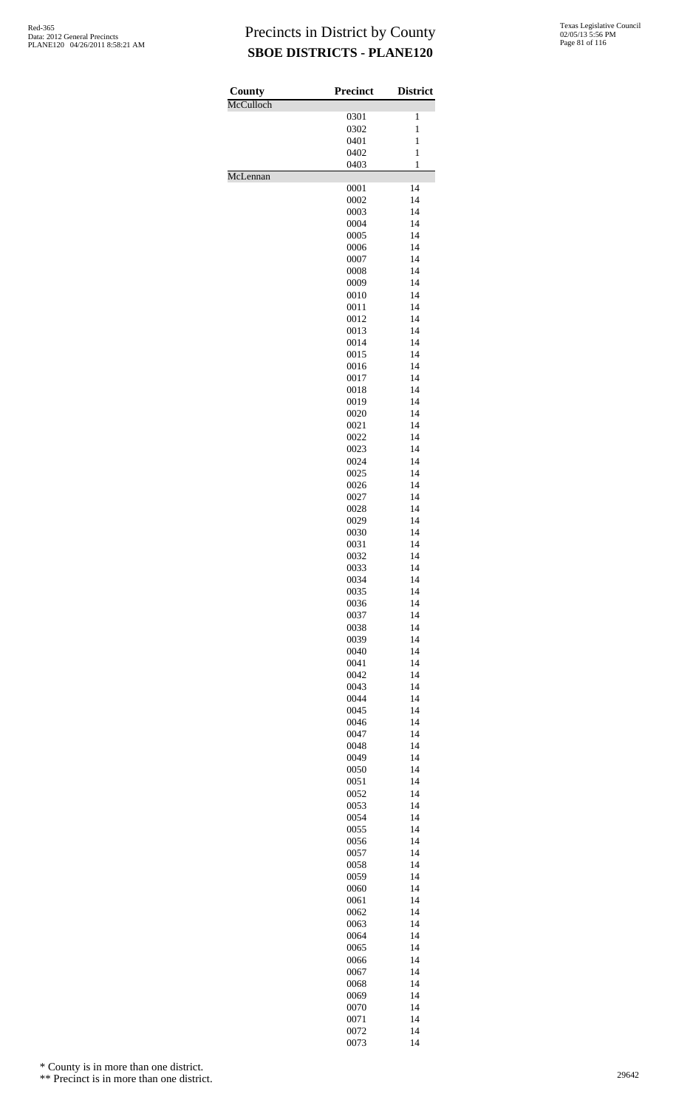| County<br>McCulloch | <b>Precinct</b> | <b>District</b>              |
|---------------------|-----------------|------------------------------|
|                     | 0301            | 1                            |
|                     | 0302            | $\mathbf{1}$                 |
|                     | 0401<br>0402    | $\mathbf{1}$<br>$\mathbf{1}$ |
|                     | 0403            | $\mathbf{1}$                 |
| McLennan            |                 |                              |
|                     | 0001<br>0002    | 14<br>14                     |
|                     | 0003            | 14                           |
|                     | 0004            | 14                           |
|                     | 0005<br>0006    | 14<br>14                     |
|                     | 0007            | 14                           |
|                     | 0008            | 14                           |
|                     | 0009<br>0010    | 14<br>14                     |
|                     | 0011            | 14                           |
|                     | 0012            | 14                           |
|                     | 0013<br>0014    | 14<br>14                     |
|                     | 0015            | 14                           |
|                     | 0016            | 14                           |
|                     | 0017            | 14                           |
|                     | 0018<br>0019    | 14<br>14                     |
|                     | 0020            | 14                           |
|                     | 0021            | 14                           |
|                     | 0022<br>0023    | 14<br>14                     |
|                     | 0024            | 14                           |
|                     | 0025            | 14                           |
|                     | 0026<br>0027    | 14<br>14                     |
|                     | 0028            | 14                           |
|                     | 0029            | 14                           |
|                     | 0030<br>0031    | 14<br>14                     |
|                     | 0032            | 14                           |
|                     | 0033            | 14                           |
|                     | 0034<br>0035    | 14<br>14                     |
|                     | 0036            | 14                           |
|                     | 0037            | 14                           |
|                     | 0038<br>0039    | 14<br>14                     |
|                     | 0040            | 14                           |
|                     | 0041            | 14                           |
|                     | 0042<br>0043    | 14<br>14                     |
|                     | 0044            | 14                           |
|                     | 0045            | 14                           |
|                     | 0046<br>0047    | 14<br>14                     |
|                     | 0048            | 14                           |
|                     | 0049            | 14                           |
|                     | 0050<br>0051    | 14<br>14                     |
|                     | 0052            | 14                           |
|                     | 0053            | 14                           |
|                     | 0054<br>0055    | 14<br>14                     |
|                     | 0056            | 14                           |
|                     | 0057            | 14                           |
|                     | 0058<br>0059    | 14<br>14                     |
|                     | 0060            | 14                           |
|                     | 0061            | 14                           |
|                     | 0062<br>0063    | 14<br>14                     |
|                     | 0064            | 14                           |
|                     | 0065            | 14                           |
|                     | 0066<br>0067    | 14<br>14                     |
|                     | 0068            | 14                           |
|                     | 0069            | 14                           |
|                     | 0070            | 14                           |
|                     | 0071<br>0072    | 14<br>14                     |
|                     | 0073            | 14                           |

\* County is in more than one district.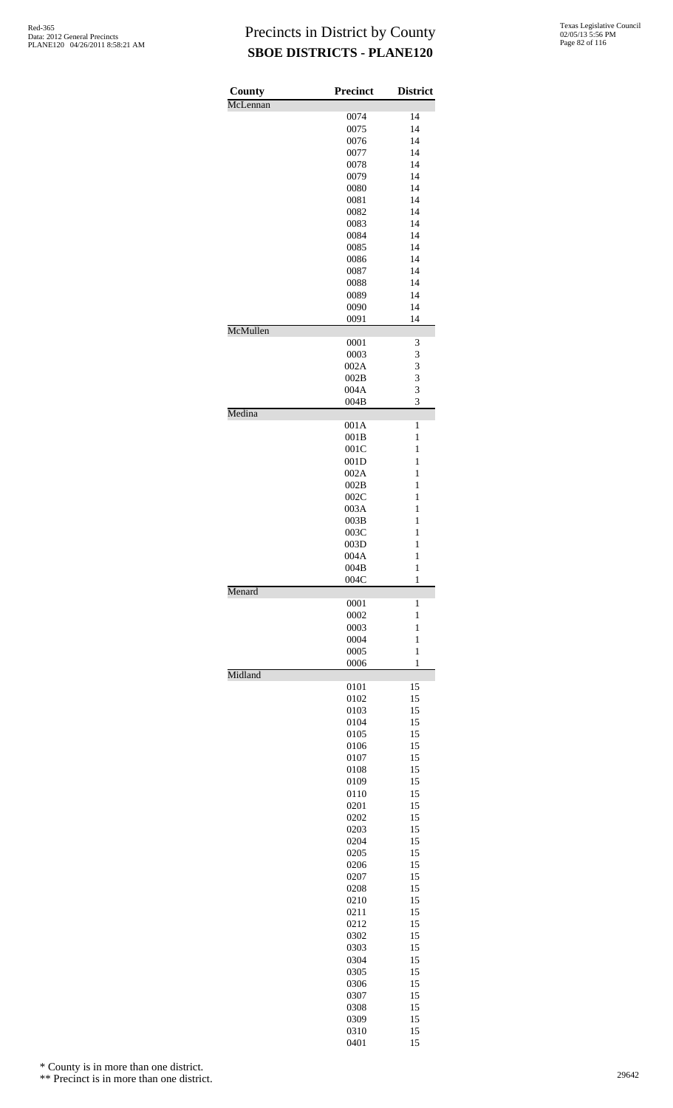| County   | <b>Precinct</b> | <b>District</b>              |
|----------|-----------------|------------------------------|
| McLennan |                 |                              |
|          | 0074<br>0075    | 14<br>14                     |
|          | 0076            | 14                           |
|          | 0077            | 14                           |
|          | 0078            | 14                           |
|          | 0079            | 14                           |
|          | 0080            | 14                           |
|          | 0081            | 14                           |
|          | 0082            | 14                           |
|          | 0083<br>0084    | 14<br>14                     |
|          | 0085            | 14                           |
|          | 0086            | 14                           |
|          | 0087            | 14                           |
|          | 0088            | 14                           |
|          | 0089            | 14                           |
|          | 0090            | 14                           |
| McMullen | 0091            | 14                           |
|          |                 |                              |
|          | 0001<br>0003    | 3<br>3                       |
|          | 002A            | 3                            |
|          | 002B            | 3                            |
|          | 004A            | 3                            |
|          | 004B            | 3                            |
| Medina   |                 |                              |
|          | 001A            | 1                            |
|          | 001B            | $\mathbf{1}$<br>1            |
|          | 001C<br>001D    | $\mathbf{1}$                 |
|          | 002A            | $\mathbf{1}$                 |
|          | 002B            | $\mathbf{1}$                 |
|          | 002C            | 1                            |
|          | 003A            | 1                            |
|          | 003B            | $\mathbf{1}$                 |
|          | 003C            | $\mathbf{1}$                 |
|          | 003D            | $\mathbf{1}$                 |
|          | 004A            | $\mathbf{1}$                 |
|          | 004B<br>004C    | $\mathbf{1}$<br>1            |
| Menard   |                 |                              |
|          | 0001            | 1                            |
|          | 0002            | 1                            |
|          | 0003            | 1                            |
|          | 0004            | $\mathbf{1}$                 |
|          | 0005            | $\mathbf{1}$<br>$\mathbf{1}$ |
| Midland  | 0006            |                              |
|          | 0101            | 15                           |
|          | 0102            | 15                           |
|          | 0103            | 15                           |
|          | 0104            | 15                           |
|          | 0105            | 15                           |
|          | 0106            | 15                           |
|          | 0107<br>0108    | 15<br>15                     |
|          | 0109            | 15                           |
|          | 0110            | 15                           |
|          | 0201            | 15                           |
|          | 0202            | 15                           |
|          | 0203            | 15                           |
|          | 0204            | 15                           |
|          | 0205            | 15                           |
|          | 0206            | 15                           |
|          | 0207<br>0208    | 15<br>15                     |
|          | 0210            | 15                           |
|          | 0211            | 15                           |
|          | 0212            | 15                           |
|          | 0302            | 15                           |
|          | 0303            | 15                           |
|          | 0304            | 15                           |
|          | 0305            | 15                           |
|          | 0306            | 15                           |
|          | 0307<br>0308    | 15<br>15                     |
|          | 0309            | 15                           |
|          | 0310            | 15                           |
|          | 0401            | 15                           |

\* County is in more than one district.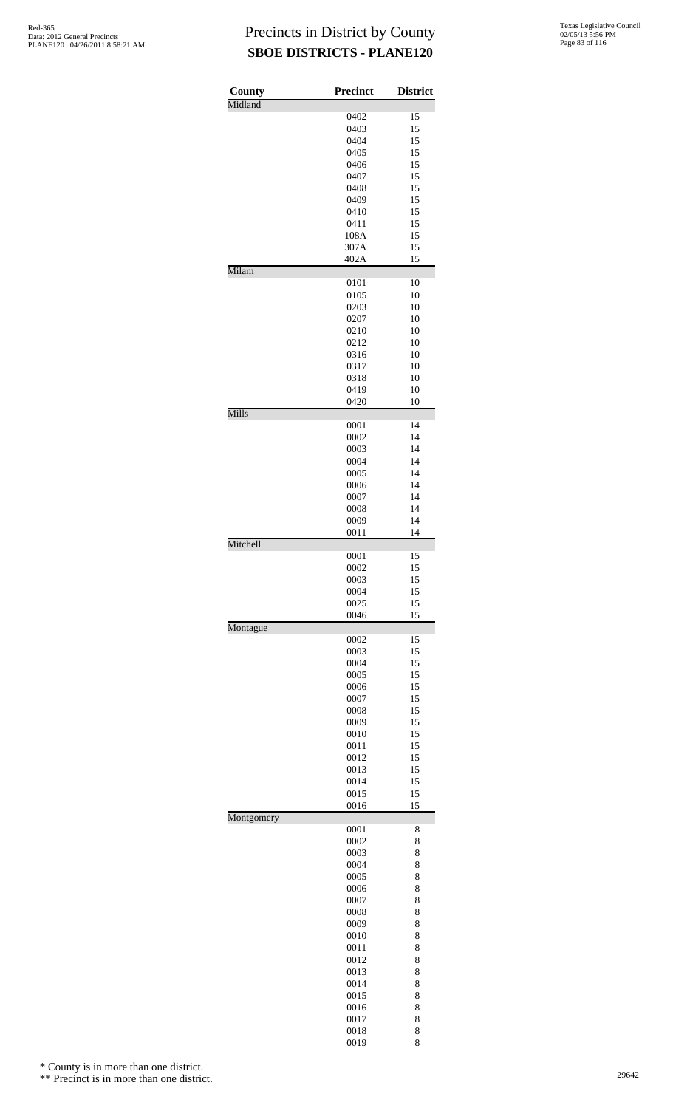| County<br>Midland | <b>Precinct</b> | <b>District</b> |
|-------------------|-----------------|-----------------|
|                   | 0402            | 15              |
|                   | 0403            | 15              |
|                   | 0404            | 15              |
|                   | 0405            | 15              |
|                   | 0406            | 15              |
|                   | 0407            | 15              |
|                   | 0408            | 15              |
|                   | 0409            | 15              |
|                   | 0410            | 15              |
|                   | 0411            | 15              |
|                   | 108A            | 15              |
|                   | 307A            | 15              |
|                   | 402A            | 15              |
| Milam             |                 |                 |
|                   | 0101            | 10<br>10        |
|                   | 0105<br>0203    | 10              |
|                   | 0207            | 10              |
|                   | 0210            | 10              |
|                   | 0212            | 10              |
|                   | 0316            | 10              |
|                   | 0317            | 10              |
|                   | 0318            | 10              |
|                   | 0419            | 10              |
|                   | 0420            | 10              |
| Mills             |                 |                 |
|                   | 0001            | 14              |
|                   | 0002            | 14              |
|                   | 0003            | 14              |
|                   | 0004            | 14              |
|                   | 0005            | 14              |
|                   | 0006            | 14              |
|                   | 0007            | 14<br>14        |
|                   | 0008            | 14              |
|                   | 0009<br>0011    | 14              |
| Mitchell          |                 |                 |
|                   | 0001            | 15              |
|                   | 0002            | 15              |
|                   | 0003            | 15              |
|                   | 0004            | 15              |
|                   | 0025            | 15              |
| Montague          | 0046            | 15              |
|                   | 0002            | 15              |
|                   | 0003            | 15              |
|                   | 0004            | 15              |
|                   | 0005            | 15              |
|                   | 0006            | 15              |
|                   | 0007            | 15              |
|                   | 0008            | 15              |
|                   | 0009            | 15              |
|                   | 0010            | 15              |
|                   | 0011            | 15              |
|                   | 0012            | 15              |
|                   | 0013            | 15              |
|                   | 0014            | 15              |
|                   | 0015            | 15              |
| Montgomery        | 0016            | 15              |
|                   | 0001            | 8               |
|                   | 0002            | 8               |
|                   | 0003            | 8               |
|                   | 0004            | 8               |
|                   | 0005            | 8               |
|                   | 0006            | 8               |
|                   | 0007            | 8               |
|                   | 0008            | 8               |
|                   | 0009            | 8               |
|                   | 0010            | 8               |
|                   | 0011            | 8               |
|                   | 0012            | 8               |
|                   | 0013            | 8               |
|                   | 0014            | 8               |
|                   | 0015            | 8               |
|                   | 0016            | 8               |
|                   | 0017            | 8               |
|                   | 0018            | 8               |
|                   | 0019            | 8               |

\* County is in more than one district.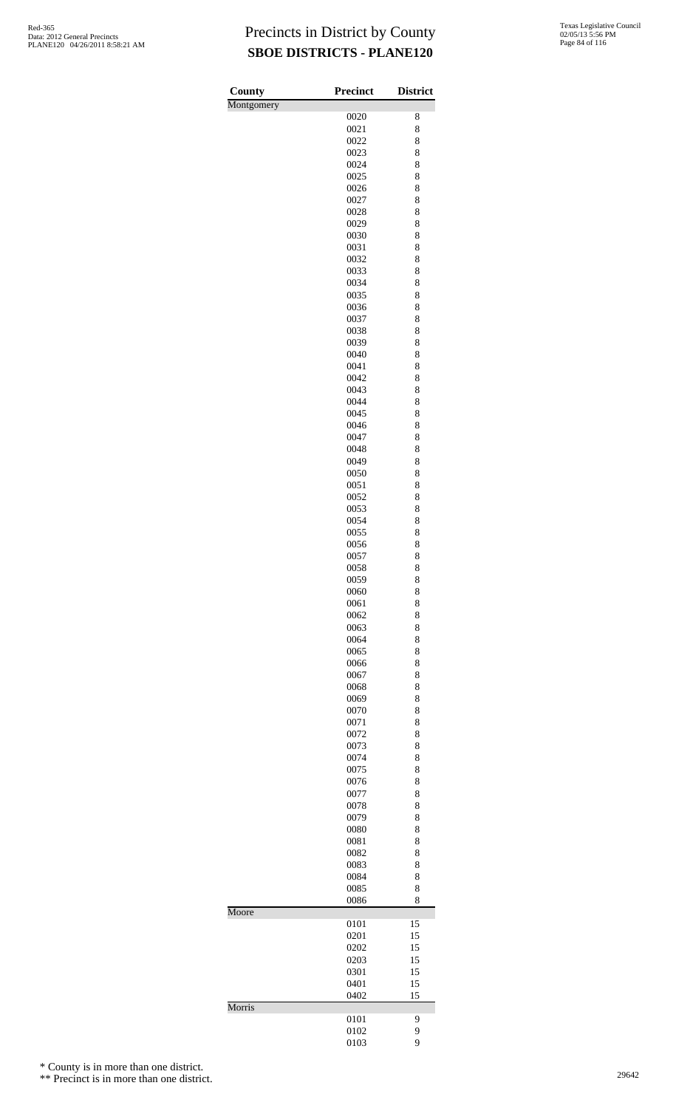| <b>County</b> | <b>Precinct</b> | <b>District</b> |
|---------------|-----------------|-----------------|
| Montgomery    |                 |                 |
|               | 0020            | 8               |
|               | 0021<br>0022    | 8<br>8          |
|               | 0023            | 8               |
|               | 0024            | 8               |
|               | 0025            | 8               |
|               | 0026            | 8               |
|               | 0027            | 8               |
|               | 0028            | 8               |
|               | 0029<br>0030    | 8<br>8          |
|               | 0031            | 8               |
|               | 0032            | 8               |
|               | 0033            | 8               |
|               | 0034            | 8               |
|               | 0035            | 8               |
|               | 0036<br>0037    | 8<br>8          |
|               | 0038            | 8               |
|               | 0039            | 8               |
|               | 0040            | 8               |
|               | 0041            | 8               |
|               | 0042            | 8               |
|               | 0043<br>0044    | 8<br>8          |
|               | 0045            | 8               |
|               | 0046            | 8               |
|               | 0047            | 8               |
|               | 0048            | 8               |
|               | 0049            | 8               |
|               | 0050<br>0051    | 8<br>8          |
|               | 0052            | 8               |
|               | 0053            | 8               |
|               | 0054            | 8               |
|               | 0055            | 8               |
|               | 0056            | 8               |
|               | 0057<br>0058    | 8<br>8          |
|               | 0059            | 8               |
|               | 0060            | 8               |
|               | 0061            | 8               |
|               | 0062            | 8               |
|               | 0063            | 8               |
|               | 0064<br>0065    | 8<br>8          |
|               | 0066            | 8               |
|               | 0067            | 8               |
|               | 0068            | 8               |
|               | 0069            | 8               |
|               | 0070            | 8               |
|               | 0071<br>0072    | 8<br>8          |
|               | 0073            | 8               |
|               | 0074            | 8               |
|               | 0075            | 8               |
|               | 0076            | 8               |
|               | 0077            | 8<br>8          |
|               | 0078<br>0079    | 8               |
|               | 0080            | 8               |
|               | 0081            | 8               |
|               | 0082            | 8               |
|               | 0083            | 8               |
|               | 0084<br>0085    | 8<br>8          |
|               | 0086            | 8               |
| Moore         |                 |                 |
|               | 0101            | 15              |
|               | 0201            | 15              |
|               | 0202<br>0203    | 15<br>15        |
|               | 0301            | 15              |
|               | 0401            | 15              |
|               | 0402            | 15              |
| Morris        | 0101            | 9               |
|               | 0102            | 9               |
|               | 0103            | 9               |

\* County is in more than one district.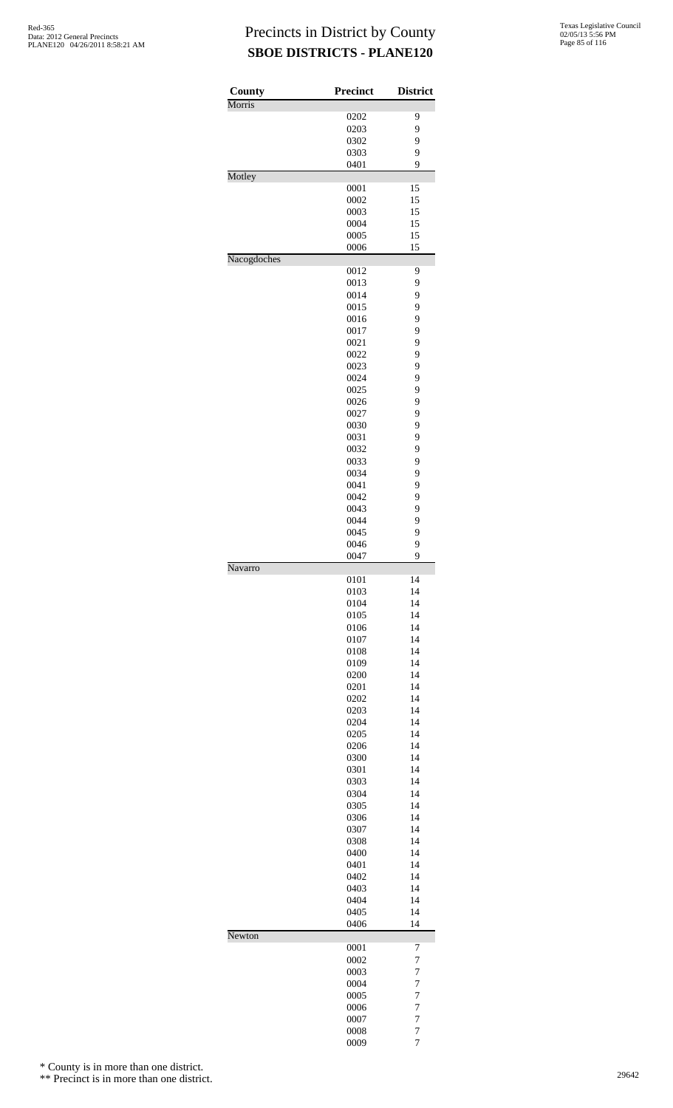| County      | <b>Precinct</b> | <b>District</b>     |
|-------------|-----------------|---------------------|
| Morris      |                 |                     |
|             | 0202            | 9                   |
|             | 0203<br>0302    | 9<br>9              |
|             | 0303            | 9                   |
|             | 0401            | 9                   |
| Motley      |                 |                     |
|             | 0001            | 15                  |
|             | 0002            | 15                  |
|             | 0003            | 15                  |
|             | 0004            | 15                  |
|             | 0005            | 15                  |
|             | 0006            | 15                  |
| Nacogdoches | 0012            | 9                   |
|             | 0013            | 9                   |
|             | 0014            | 9                   |
|             | 0015            | 9                   |
|             | 0016            | 9                   |
|             | 0017            | 9                   |
|             | 0021            | 9                   |
|             | 0022            | 9                   |
|             | 0023            | 9                   |
|             | 0024            | 9                   |
|             | 0025            | 9                   |
|             | 0026            | 9                   |
|             | 0027            | 9                   |
|             | 0030            | 9                   |
|             | 0031            | 9<br>9              |
|             | 0032<br>0033    | 9                   |
|             | 0034            | 9                   |
|             | 0041            | 9                   |
|             | 0042            | 9                   |
|             | 0043            | 9                   |
|             | 0044            | 9                   |
|             | 0045            | 9                   |
|             | 0046            | 9                   |
|             | 0047            | 9                   |
| Navarro     |                 |                     |
|             | 0101            | 14                  |
|             | 0103            | 14                  |
|             | 0104<br>0105    | 14<br>14            |
|             | 0106            | 14                  |
|             | 0107            | 14                  |
|             | 0108            | 14                  |
|             | 0109            | 14                  |
|             | 0200            | 14                  |
|             | 0201            | 14                  |
|             | 0202            | 14                  |
|             | 0203            | 14                  |
|             | 0204            | 14                  |
|             | 0205            | 14                  |
|             | 0206            | 14                  |
|             | 0300            | 14                  |
|             | 0301            | 14                  |
|             | 0303            | 14                  |
|             | 0304<br>0305    | 14<br>14            |
|             | 0306            | 14                  |
|             | 0307            | 14                  |
|             | 0308            | 14                  |
|             | 0400            | 14                  |
|             | 0401            | 14                  |
|             | 0402            | 14                  |
|             | 0403            | 14                  |
|             | 0404            | 14                  |
|             | 0405            | 14                  |
|             | 0406            | 14                  |
| Newton      |                 |                     |
|             | 0001<br>0002    | 7<br>$\overline{7}$ |
|             | 0003            | 7                   |
|             | 0004            | $\overline{7}$      |
|             | 0005            | $\overline{7}$      |
|             | 0006            | $\overline{7}$      |
|             | 0007            | $\overline{7}$      |
|             | 0008            | 7                   |
|             | 0009            | 7                   |

\* County is in more than one district.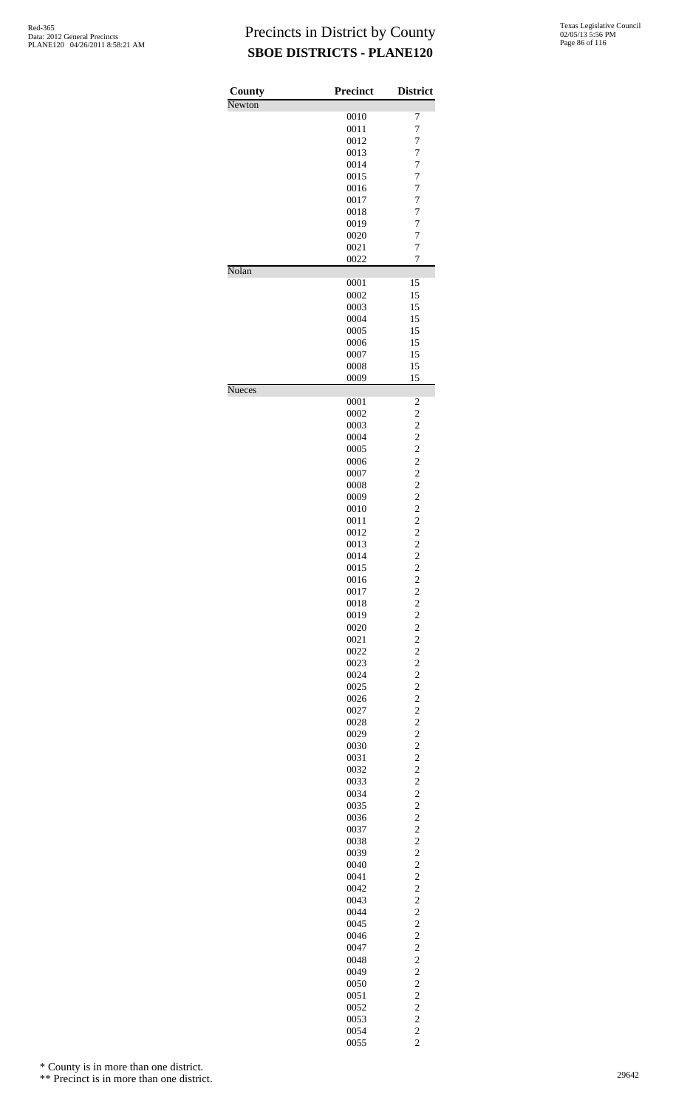| County        | <b>Precinct</b> | <b>District</b>                                   |
|---------------|-----------------|---------------------------------------------------|
| Newton        |                 | 7                                                 |
|               | 0010<br>0011    | $\overline{7}$                                    |
|               | 0012            | $\overline{7}$                                    |
|               | 0013            | 7                                                 |
|               | 0014            | 7                                                 |
|               | 0015            | $\overline{7}$                                    |
|               | 0016            | $\overline{7}$                                    |
|               | 0017            | $\overline{7}$                                    |
|               | 0018            | 7                                                 |
|               | 0019            | 7                                                 |
|               | 0020            | $\overline{7}$                                    |
|               | 0021            | $\overline{7}$                                    |
|               | 0022            | $\overline{7}$                                    |
| Nolan         | 0001            | 15                                                |
|               | 0002            | 15                                                |
|               | 0003            | 15                                                |
|               | 0004            | 15                                                |
|               | 0005            | 15                                                |
|               | 0006            | 15                                                |
|               | 0007            | 15                                                |
|               | 0008            | 15                                                |
|               | 0009            | 15                                                |
| <b>Nueces</b> |                 |                                                   |
|               | 0001            | 2                                                 |
|               | 0002            | $\overline{c}$                                    |
|               | 0003            | $\overline{\mathbf{c}}$                           |
|               | 0004            | $\frac{2}{2}$                                     |
|               | 0005<br>0006    | $\overline{c}$                                    |
|               | 0007            | $\overline{c}$                                    |
|               | 0008            | $\overline{\mathbf{c}}$                           |
|               | 0009            |                                                   |
|               | 0010            |                                                   |
|               | 0011            | $\begin{array}{c} 2 \\ 2 \\ 2 \end{array}$        |
|               | 0012            |                                                   |
|               | 0013            |                                                   |
|               | 0014            | $\begin{array}{c} 2 \\ 2 \\ 2 \end{array}$        |
|               | 0015            | $\overline{c}$                                    |
|               | 0016            | $\overline{\mathbf{c}}$                           |
|               | 0017            |                                                   |
|               | 0018            | $\begin{array}{c}\n2 \\ 2 \\ 2 \\ 2\n\end{array}$ |
|               | 0019            |                                                   |
|               | 0020            |                                                   |
|               | 0021            |                                                   |
|               | 0022            | $\begin{array}{c}\n2 \\ 2 \\ 2 \\ 2\n\end{array}$ |
|               | 0023            |                                                   |
|               | 0024            |                                                   |
|               | 0025            |                                                   |
|               | 0026            |                                                   |
|               | 0027            |                                                   |
|               | 0028            | $\begin{array}{c} 2 \\ 2 \\ 2 \\ 2 \end{array}$   |
|               | 0029            |                                                   |
|               | 0030<br>0031    |                                                   |
|               | 0032            |                                                   |
|               | 0033            | $\begin{array}{c}\n2 \\ 2 \\ 2 \\ 2\n\end{array}$ |
|               | 0034            |                                                   |
|               | 0035            |                                                   |
|               | 0036            |                                                   |
|               | 0037            |                                                   |
|               | 0038            |                                                   |
|               | 0039            |                                                   |
|               | 0040            | $\begin{array}{c} 2 \\ 2 \\ 2 \\ 2 \end{array}$   |
|               | 0041            |                                                   |
|               | 0042            | $\begin{array}{c}\n2 \\ 2 \\ 2 \\ 2\n\end{array}$ |
|               | 0043            |                                                   |
|               | 0044            |                                                   |
|               | 0045            |                                                   |
|               | 0046            |                                                   |
|               | 0047            |                                                   |
|               | 0048            |                                                   |
|               | 0049            | $\begin{array}{c} 2 \\ 2 \\ 2 \\ 2 \end{array}$   |
|               | 0050            |                                                   |
|               | 0051<br>0052    |                                                   |
|               | 0053            | $\begin{array}{c} 2 \\ 2 \\ 2 \end{array}$        |
|               | 0054            |                                                   |
|               |                 |                                                   |

2

\* County is in more than one district.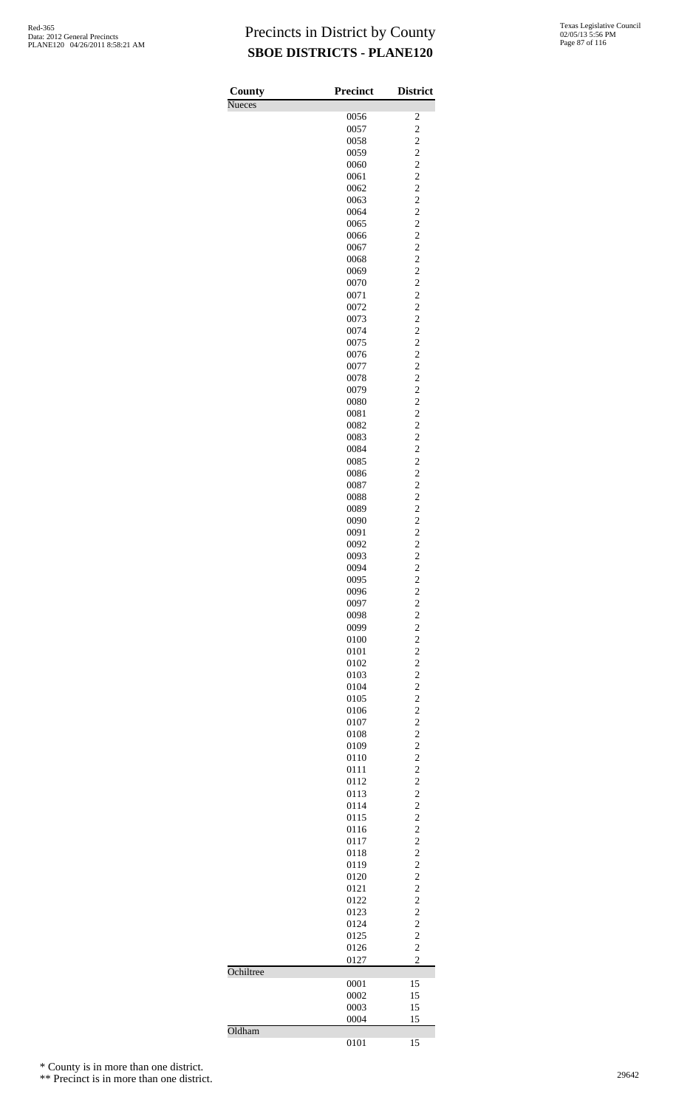| County        | Precinct     | <b>District</b>                                   |
|---------------|--------------|---------------------------------------------------|
| <b>Nueces</b> | 0056         | $\overline{\mathbf{c}}$                           |
|               | 0057         | $\overline{\mathbf{c}}$                           |
|               | 0058         |                                                   |
|               | 0059         | $\frac{2}{2}$                                     |
|               | 0060         | $\frac{1}{2}$                                     |
|               | 0061         | $\frac{2}{2}$                                     |
|               | 0062<br>0063 |                                                   |
|               | 0064         | $\frac{2}{2}$                                     |
|               | 0065         | $\overline{c}$                                    |
|               | 0066         |                                                   |
|               | 0067         | $222222$<br>$222$                                 |
|               | 0068         |                                                   |
|               | 0069         |                                                   |
|               | 0070         |                                                   |
|               | 0071         |                                                   |
|               | 0072<br>0073 |                                                   |
|               | 0074         | $\frac{2}{2}$                                     |
|               | 0075         | $\overline{c}$                                    |
|               | 0076         |                                                   |
|               | 0077         |                                                   |
|               | 0078         |                                                   |
|               | 0079         |                                                   |
|               | 0080         | $222222$<br>$222$                                 |
|               | 0081         |                                                   |
|               | 0082<br>0083 |                                                   |
|               | 0084         | $\frac{2}{2}$                                     |
|               | 0085         | $\overline{c}$                                    |
|               | 0086         |                                                   |
|               | 0087         | $\frac{2}{2}$                                     |
|               | 0088         |                                                   |
|               | 0089         |                                                   |
|               | 0090         |                                                   |
|               | 0091         | $\begin{array}{c}\n2 \\ 2 \\ 2 \\ 2\n\end{array}$ |
|               | 0092<br>0093 |                                                   |
|               | 0094         | $\frac{2}{2}$                                     |
|               | 0095         | $\overline{\mathbf{c}}$                           |
|               | 0096         |                                                   |
|               | 0097         | $\begin{array}{c} 2 \\ 2 \\ 2 \end{array}$        |
|               | 0098         |                                                   |
|               | 0099         |                                                   |
|               | 0100         | $\overline{\mathbf{c}}$                           |
|               | 0101         |                                                   |
|               | 0102<br>0103 |                                                   |
|               | 0104         |                                                   |
|               | 0105         |                                                   |
|               | 0106         | $222222$<br>$222$                                 |
|               | 0107         |                                                   |
|               | 0108         | $\frac{2}{2}$                                     |
|               | 0109         |                                                   |
|               | 0110         |                                                   |
|               | 0111         | 2222222                                           |
|               | 0112<br>0113 |                                                   |
|               | 0114         |                                                   |
|               | 0115         |                                                   |
|               | 0116         |                                                   |
|               | 0117         |                                                   |
|               | 0118         | $\frac{2}{2}$                                     |
|               | 0119         |                                                   |
|               | 0120         |                                                   |
|               | 0121<br>0122 |                                                   |
|               | 0123         |                                                   |
|               | 0124         |                                                   |
|               | 0125         | $2222$<br>$222$                                   |
|               | 0126         | $\overline{c}$                                    |
|               | 0127         | $\overline{c}$                                    |
| Ochiltree     |              |                                                   |
|               | 0001         | 15                                                |
|               | 0002         | 15                                                |
|               | 0003<br>0004 | 15<br>15                                          |
| Oldham        |              |                                                   |
|               | 0101         | 15                                                |

\* County is in more than one district.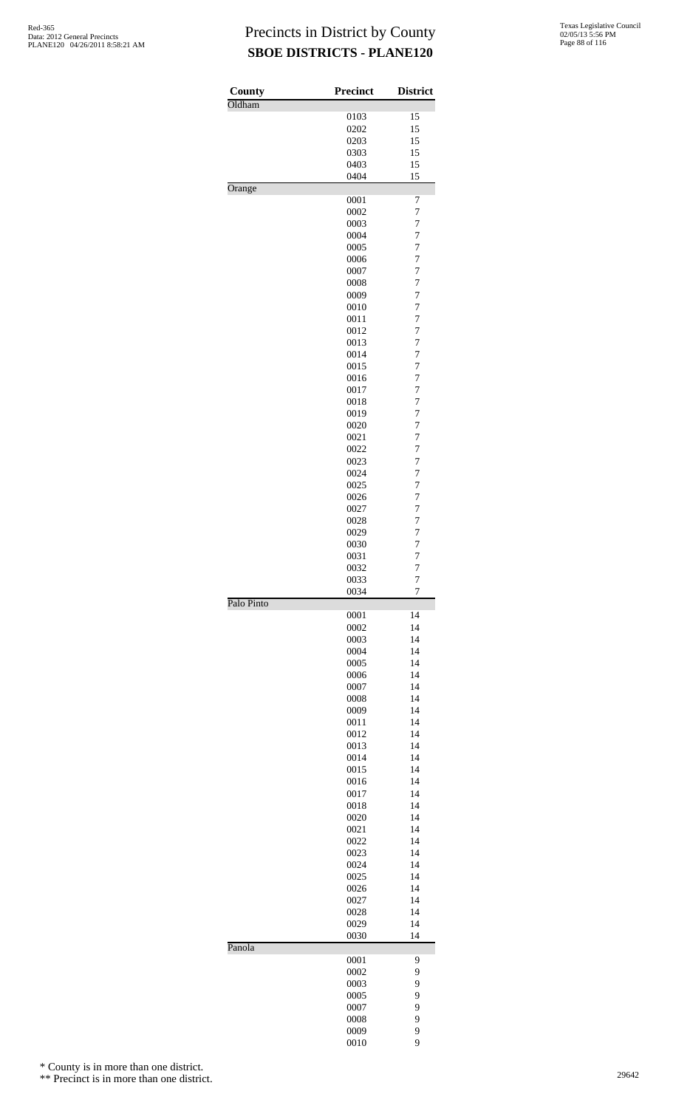| County     | <b>Precinct</b> | <b>District</b>                  |
|------------|-----------------|----------------------------------|
| Oldham     |                 |                                  |
|            | 0103            | 15                               |
|            | 0202            | 15                               |
|            | 0203            | 15                               |
|            | 0303            | 15                               |
|            | 0403            | 15                               |
|            | 0404            | 15                               |
| Orange     |                 |                                  |
|            | 0001            | 7                                |
|            | 0002            | 7                                |
|            | 0003            | $\overline{7}$                   |
|            | 0004            | 7                                |
|            | 0005            | 7                                |
|            | 0006            | $\overline{7}$                   |
|            | 0007            | $\overline{7}$                   |
|            | 0008            | $\overline{7}$                   |
|            | 0009            | $\overline{7}$                   |
|            | 0010            | $\overline{7}$                   |
|            | 0011            | $\overline{7}$                   |
|            | 0012            | $\overline{7}$                   |
|            | 0013            | $\overline{7}$                   |
|            | 0014            | 7                                |
|            | 0015            | 7                                |
|            | 0016            | $\overline{7}$                   |
|            | 0017            | $\overline{7}$                   |
|            | 0018            | $\overline{7}$                   |
|            | 0019<br>0020    | $\overline{7}$<br>$\overline{7}$ |
|            | 0021            | $\overline{7}$                   |
|            | 0022            | $\overline{7}$                   |
|            | 0023            | $\overline{7}$                   |
|            | 0024            | 7                                |
|            | 0025            | 7                                |
|            | 0026            | $\overline{7}$                   |
|            | 0027            | $\overline{7}$                   |
|            | 0028            | $\overline{7}$                   |
|            | 0029            | $\overline{7}$                   |
|            | 0030            | $\overline{7}$                   |
|            | 0031            | $\overline{7}$                   |
|            | 0032            | $\overline{7}$                   |
|            | 0033            | 7                                |
|            | 0034            | $\overline{7}$                   |
| Palo Pinto |                 |                                  |
|            | 0001            | 14                               |
|            | 0002            | 14                               |
|            | 0003<br>0004    | 14<br>14                         |
|            | 0005            | 14                               |
|            | 0006            | 14                               |
|            | 0007            | 14                               |
|            | 0008            | 14                               |
|            | 0009            | 14                               |
|            | 0011            | 14                               |
|            | 0012            | 14                               |
|            | 0013            | 14                               |
|            | 0014            | 14                               |
|            | 0015            | 14                               |
|            | 0016            | 14                               |
|            | 0017            | 14                               |
|            | 0018            | 14                               |
|            | 0020            | 14                               |
|            | 0021            | 14                               |
|            | 0022            | 14                               |
|            | 0023            | 14                               |
|            | 0024            | 14                               |
|            | 0025            | 14                               |
|            | 0026            | 14                               |
|            | 0027            | 14                               |
|            | 0028            | 14                               |
|            | 0029<br>0030    | 14<br>14                         |
| Panola     |                 |                                  |
|            | 0001            | 9                                |
|            | 0002            | 9                                |
|            | 0003            | 9                                |
|            | 0005            | 9                                |
|            | 0007            | 9                                |
|            | 0008            | 9                                |
|            | 0009            | 9                                |
|            | 0010            | 9                                |

\* County is in more than one district.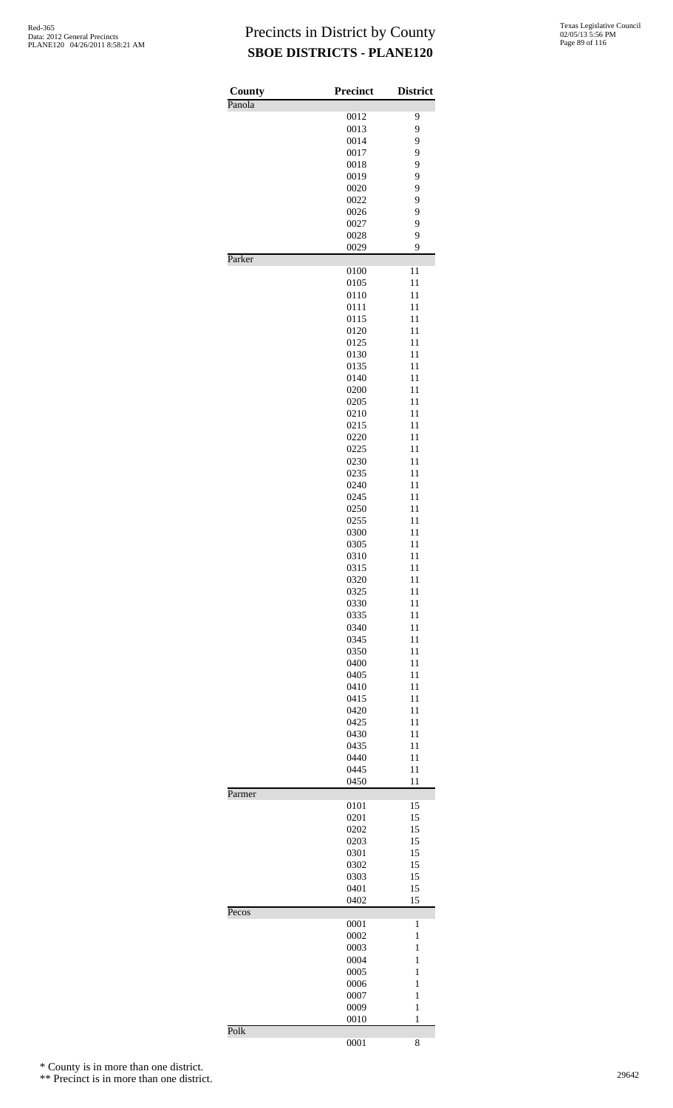| County | Precinct     | <b>District</b> |
|--------|--------------|-----------------|
| Panola | 0012         | 9               |
|        | 0013         | 9               |
|        | 0014         | 9               |
|        | 0017         | 9               |
|        | 0018         | 9               |
|        | 0019         | 9               |
|        | 0020         | 9               |
|        | 0022         | 9               |
|        | 0026         | 9               |
|        | 0027         | 9               |
|        | 0028         | 9               |
| Parker | 0029         | 9               |
|        | 0100         | 11              |
|        | 0105         | 11              |
|        | 0110         | 11              |
|        | 0111         | 11              |
|        | 0115         | 11              |
|        | 0120         | 11              |
|        | 0125         | 11              |
|        | 0130         | 11              |
|        | 0135         | 11              |
|        | 0140         | 11              |
|        | 0200         | 11              |
|        | 0205         | 11              |
|        | 0210         | 11              |
|        | 0215         | 11              |
|        | 0220<br>0225 | 11<br>11        |
|        | 0230         | 11              |
|        | 0235         | 11              |
|        | 0240         | 11              |
|        | 0245         | 11              |
|        | 0250         | 11              |
|        | 0255         | 11              |
|        | 0300         | 11              |
|        | 0305         | 11              |
|        | 0310         | 11              |
|        | 0315         | 11              |
|        | 0320         | 11              |
|        | 0325         | 11              |
|        | 0330         | 11              |
|        | 0335         | 11              |
|        | 0340         | 11              |
|        | 0345         | 11              |
|        | 0350         | 11              |
|        | 0400         | 11              |
|        | 0405         | 11              |
|        | 0410         | 11              |
|        | 0415         | 11              |
|        | 0420         | 11              |
|        | 0425         | 11              |
|        | 0430         | 11              |
|        | 0435         | 11              |
|        | 0440         | 11              |
|        | 0445<br>0450 | 11<br>11        |
| Parmer |              |                 |
|        | 0101         | 15              |
|        | 0201         | 15              |
|        | 0202         | 15              |
|        | 0203         | 15              |
|        | 0301         | 15              |
|        | 0302         | 15              |
|        | 0303         | 15              |
|        | 0401<br>0402 | 15<br>15        |
| Pecos  |              |                 |
|        | 0001         | 1               |
|        | 0002         | 1               |
|        | 0003         | 1               |
|        | 0004         | $\mathbf{1}$    |
|        | 0005         | $\mathbf{1}$    |
|        | 0006         | $\mathbf{1}$    |
|        | 0007         | 1               |
|        | 0009         | $\mathbf{1}$    |
| Polk   | 0010         | $\mathbf{1}$    |
|        | 0001         | 8               |

\* County is in more than one district.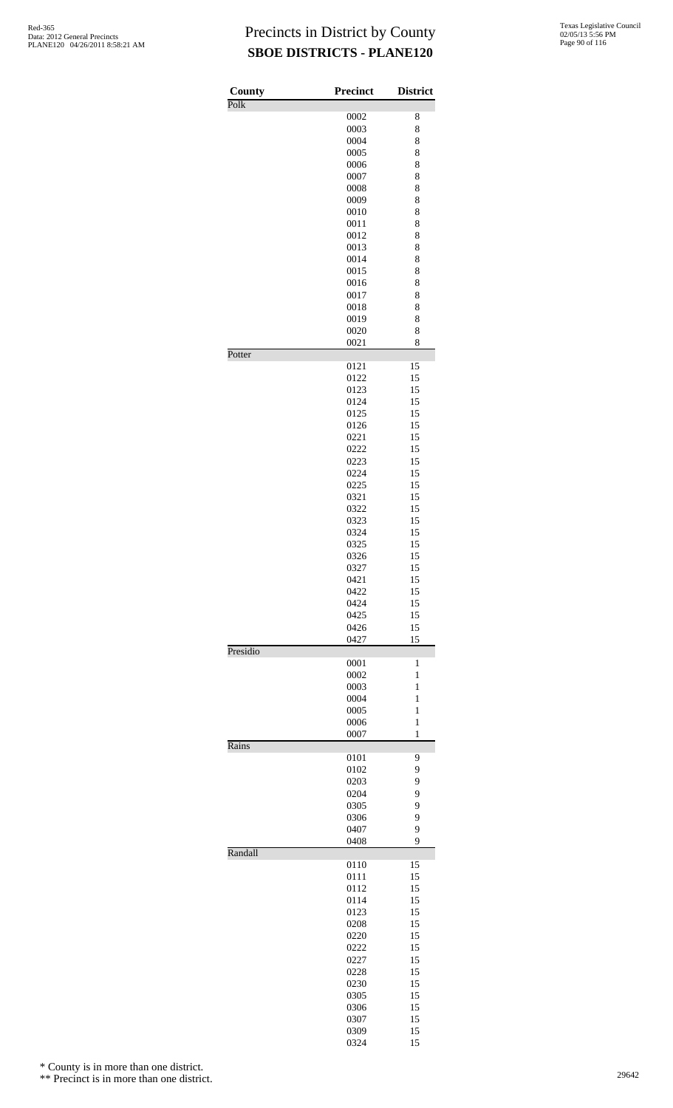| County   | <b>Precinct</b> | <b>District</b> |
|----------|-----------------|-----------------|
| Polk     |                 |                 |
|          | 0002            | 8               |
|          | 0003<br>0004    | 8<br>8          |
|          | 0005            | 8               |
|          | 0006            | 8               |
|          | 0007            | 8               |
|          | 0008            | 8               |
|          | 0009            | 8               |
|          | 0010            | 8               |
|          | 0011            | 8               |
|          | 0012<br>0013    | 8<br>8          |
|          | 0014            | 8               |
|          | 0015            | 8               |
|          | 0016            | 8               |
|          | 0017            | 8               |
|          | 0018            | 8               |
|          | 0019            | 8               |
|          | 0020<br>0021    | 8<br>8          |
| Potter   |                 |                 |
|          | 0121            | 15              |
|          | 0122            | 15              |
|          | 0123            | 15              |
|          | 0124            | 15              |
|          | 0125            | 15              |
|          | 0126<br>0221    | 15<br>15        |
|          | 0222            | 15              |
|          | 0223            | 15              |
|          | 0224            | 15              |
|          | 0225            | 15              |
|          | 0321            | 15              |
|          | 0322            | 15              |
|          | 0323            | 15              |
|          | 0324            | 15              |
|          | 0325<br>0326    | 15<br>15        |
|          | 0327            | 15              |
|          | 0421            | 15              |
|          | 0422            | 15              |
|          | 0424            | 15              |
|          | 0425            | 15              |
|          | 0426            | 15              |
| Presidio | 0427            | 15              |
|          | 0001            | 1               |
|          | 0002            | $\mathbf{1}$    |
|          | 0003            | $\mathbf{1}$    |
|          | 0004            | $\mathbf{1}$    |
|          | 0005            | 1               |
|          | 0006            | $\mathbf{1}$    |
| Rains    | 0007            | $\mathbf{1}$    |
|          | 0101            | 9               |
|          | 0102            | 9               |
|          | 0203            | 9               |
|          | 0204            | 9               |
|          | 0305            | 9               |
|          | 0306            | 9               |
|          | 0407            | 9<br>9          |
| Randall  | 0408            |                 |
|          | 0110            | 15              |
|          | 0111            | 15              |
|          | 0112            | 15              |
|          | 0114            | 15              |
|          | 0123<br>0208    | 15<br>15        |
|          | 0220            | 15              |
|          | 0222            | 15              |
|          | 0227            | 15              |
|          | 0228            | 15              |
|          | 0230            | 15              |
|          | 0305            | 15              |
|          | 0306            | 15              |
|          | 0307            | 15              |
|          | 0309<br>0324    | 15<br>15        |
|          |                 |                 |

\* County is in more than one district.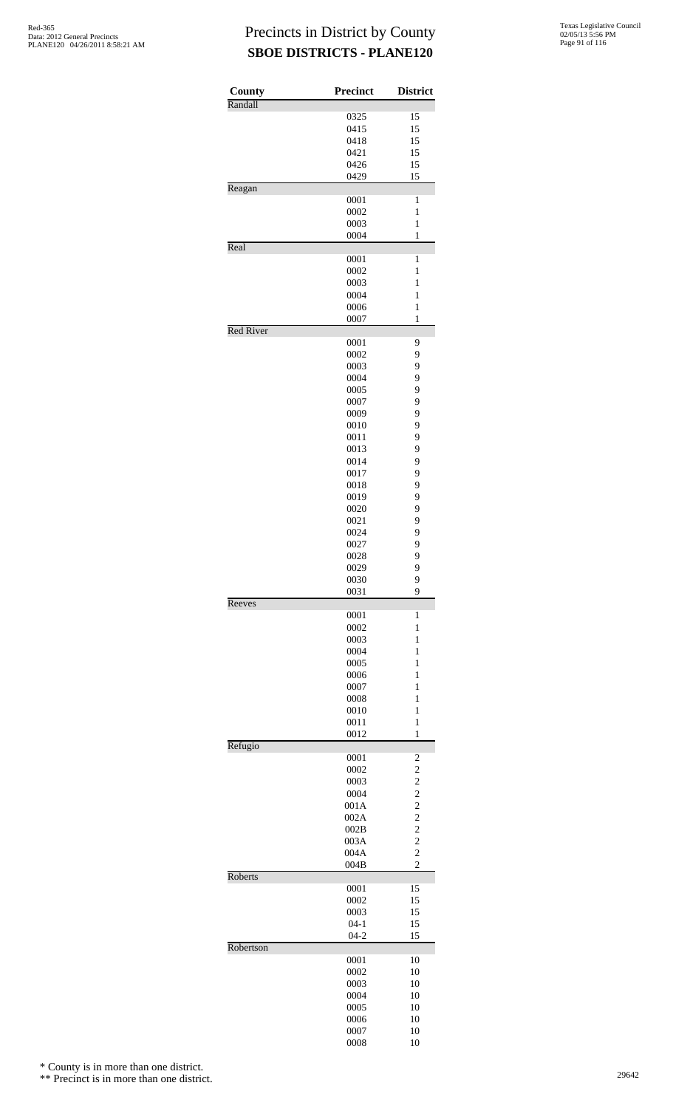| County           | <b>Precinct</b> | <b>District</b>                  |
|------------------|-----------------|----------------------------------|
| Randall          |                 |                                  |
|                  | 0325            | 15                               |
|                  | 0415            | 15                               |
|                  | 0418            | 15                               |
|                  | 0421<br>0426    | 15<br>15                         |
|                  | 0429            | 15                               |
| Reagan           |                 |                                  |
|                  | 0001            | 1                                |
|                  | 0002            | $\mathbf{1}$                     |
|                  | 0003            | $\mathbf{1}$                     |
|                  | 0004            | $\mathbf{1}$                     |
| Real             |                 |                                  |
|                  | 0001<br>0002    | $\mathbf{1}$<br>$\mathbf{1}$     |
|                  | 0003            | $\mathbf{1}$                     |
|                  | 0004            | 1                                |
|                  | 0006            | $\mathbf{1}$                     |
|                  | 0007            | $\mathbf{1}$                     |
| <b>Red River</b> |                 |                                  |
|                  | 0001            | 9                                |
|                  | 0002            | 9                                |
|                  | 0003            | 9                                |
|                  | 0004<br>0005    | 9<br>9                           |
|                  | 0007            | 9                                |
|                  | 0009            | 9                                |
|                  | 0010            | 9                                |
|                  | 0011            | 9                                |
|                  | 0013            | 9                                |
|                  | 0014            | 9                                |
|                  | 0017            | 9                                |
|                  | 0018            | 9                                |
|                  | 0019            | 9                                |
|                  | 0020            | 9                                |
|                  | 0021<br>0024    | 9<br>9                           |
|                  | 0027            | 9                                |
|                  | 0028            | 9                                |
|                  | 0029            | 9                                |
|                  | 0030            | 9                                |
|                  | 0031            | 9                                |
| Reeves           |                 |                                  |
|                  | 0001<br>0002    | $\mathbf{1}$<br>1                |
|                  | 0003            | 1                                |
|                  | 0004            | 1                                |
|                  | 0005            | $\mathbf{1}$                     |
|                  | 0006            | $\mathbf{1}$                     |
|                  | 0007            | 1                                |
|                  | 0008            | 1                                |
|                  | 0010            | 1                                |
|                  | 0011            | $\mathbf{1}$                     |
| Refugio          | 0012            | $\mathbf{1}$                     |
|                  | 0001            | $\overline{c}$                   |
|                  | 0002            | $\overline{c}$                   |
|                  | 0003            | $\overline{c}$                   |
|                  | 0004            | $\overline{\mathbf{c}}$          |
|                  | 001A            | $\frac{2}{2}$                    |
|                  | 002A            |                                  |
|                  | 002B            | $\overline{c}$                   |
|                  | 003A<br>004A    | $\overline{c}$<br>$\overline{c}$ |
|                  | 004B            | $\overline{c}$                   |
| Roberts          |                 |                                  |
|                  | 0001            | 15                               |
|                  | 0002            | 15                               |
|                  | 0003            | 15                               |
|                  | $04 - 1$        | 15                               |
|                  | $04 - 2$        | 15                               |
| Robertson        |                 |                                  |
|                  | 0001<br>0002    | 10<br>10                         |
|                  | 0003            | 10                               |
|                  | 0004            | 10                               |
|                  | 0005            | 10                               |
|                  | 0006            | 10                               |
|                  | 0007            | 10                               |
|                  | 0008            | 10                               |

\* County is in more than one district.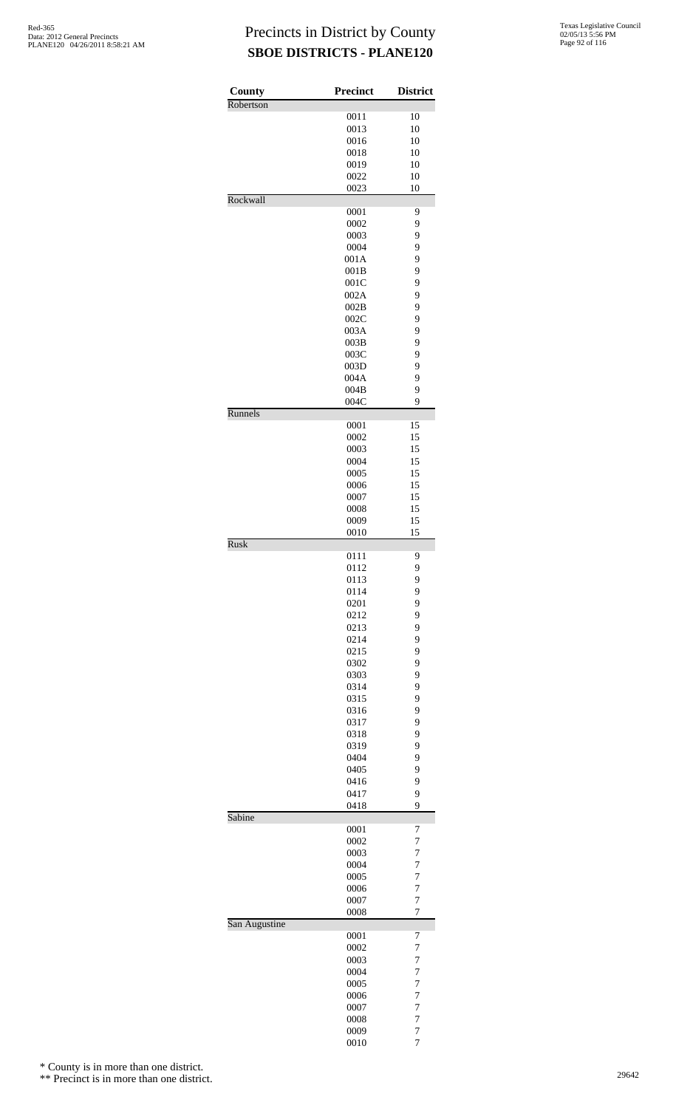| County        | <b>Precinct</b> | <b>District</b>     |
|---------------|-----------------|---------------------|
| Robertson     |                 |                     |
|               | 0011            | 10                  |
|               | 0013            | 10                  |
|               | 0016<br>0018    | 10<br>10            |
|               | 0019            | 10                  |
|               | 0022            | 10                  |
|               | 0023            | 10                  |
| Rockwall      |                 |                     |
|               | 0001            | 9                   |
|               | 0002            | 9                   |
|               | 0003            | 9                   |
|               | 0004<br>001A    | 9<br>9              |
|               | 001B            | 9                   |
|               | 001C            | 9                   |
|               | 002A            | 9                   |
|               | 002B            | 9                   |
|               | 002C            | 9                   |
|               | 003A            | 9                   |
|               | 003B            | 9                   |
|               | 003C            | 9                   |
|               | 003D<br>004A    | 9<br>9              |
|               | 004B            | 9                   |
|               | 004C            | 9                   |
| Runnels       |                 |                     |
|               | 0001            | 15                  |
|               | 0002            | 15                  |
|               | 0003            | 15                  |
|               | 0004<br>0005    | 15<br>15            |
|               | 0006            | 15                  |
|               | 0007            | 15                  |
|               | 0008            | 15                  |
|               | 0009            | 15                  |
|               | 0010            | 15                  |
| <b>Rusk</b>   |                 |                     |
|               | 0111<br>0112    | 9<br>9              |
|               | 0113            | 9                   |
|               | 0114            | 9                   |
|               | 0201            | 9                   |
|               | 0212            | 9                   |
|               | 0213            | 9                   |
|               | 0214            | 9                   |
|               | 0215            | 9                   |
|               | 0302            | 9                   |
|               | 0303<br>0314    | 9<br>9              |
|               | 0315            | 9                   |
|               | 0316            | 9                   |
|               | 0317            | 9                   |
|               | 0318            | 9                   |
|               | 0319            | 9                   |
|               | 0404            | 9                   |
|               | 0405<br>0416    | 9<br>9              |
|               | 0417            | 9                   |
|               | 0418            | 9                   |
| Sabine        |                 |                     |
|               | 0001            | 7                   |
|               | 0002            | 7                   |
|               | 0003<br>0004    | $\overline{7}$<br>7 |
|               | 0005            | 7                   |
|               | 0006            | 7                   |
|               | 0007            | 7                   |
|               | 0008            | $\overline{7}$      |
| San Augustine |                 |                     |
|               | 0001            | 7                   |
|               | 0002<br>0003    | 7<br>7              |
|               | 0004            | $\overline{7}$      |
|               | 0005            | 7                   |
|               | 0006            | 7                   |
|               | 0007            | 7                   |
|               | 0008            | $\overline{7}$      |
|               | 0009            | $\overline{7}$      |
|               | 0010            | 7                   |

\* County is in more than one district.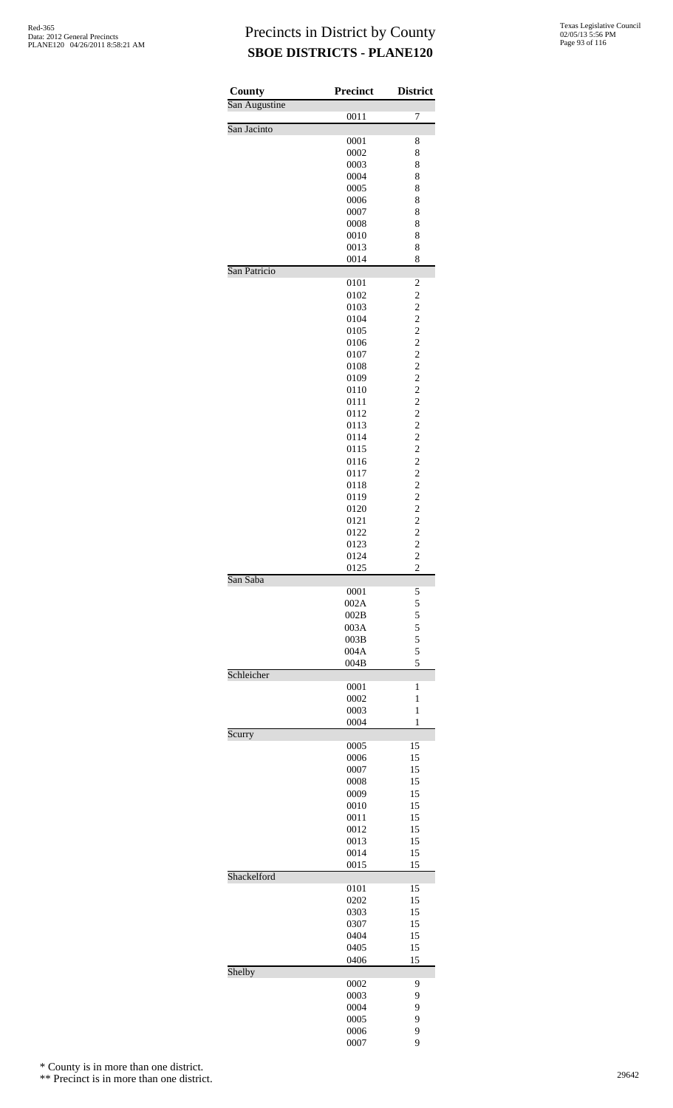| <b>County</b> | <b>Precinct</b> | <b>District</b>                                    |
|---------------|-----------------|----------------------------------------------------|
| San Augustine | 0011            | 7                                                  |
| San Jacinto   |                 |                                                    |
|               | 0001            | 8                                                  |
|               | 0002            | 8                                                  |
|               | 0003<br>0004    | 8<br>8                                             |
|               | 0005            | 8                                                  |
|               | 0006            | 8                                                  |
|               | 0007            | 8                                                  |
|               | 0008<br>0010    | 8<br>8                                             |
|               | 0013            | 8                                                  |
|               | 0014            | 8                                                  |
| San Patricio  |                 |                                                    |
|               | 0101<br>0102    | $\overline{\mathbf{c}}$<br>$\overline{\mathbf{c}}$ |
|               | 0103            | $\overline{c}$                                     |
|               | 0104            | $\overline{c}$                                     |
|               | 0105            | $\overline{c}$                                     |
|               | 0106<br>0107    | $\overline{\mathbf{c}}$<br>$\overline{\mathbf{c}}$ |
|               | 0108            | $\overline{\mathbf{c}}$                            |
|               | 0109            | $\frac{2}{2}$                                      |
|               | 0110            |                                                    |
|               | 0111<br>0112    | $\overline{c}$<br>$\overline{\mathbf{c}}$          |
|               | 0113            | $\overline{\mathbf{c}}$                            |
|               | 0114            | $\overline{c}$                                     |
|               | 0115            | $\overline{c}$                                     |
|               | 0116            | $\overline{c}$                                     |
|               | 0117<br>0118    | $\overline{\mathbf{c}}$<br>$\overline{\mathbf{c}}$ |
|               | 0119            | $\frac{2}{2}$                                      |
|               | 0120            |                                                    |
|               | 0121            | $\begin{array}{c} 2 \\ 2 \\ 2 \end{array}$         |
|               | 0122<br>0123    |                                                    |
|               | 0124            | $\overline{c}$                                     |
|               | 0125            | $\overline{c}$                                     |
| San Saba      | 0001            | 5                                                  |
|               | 002A            | 5                                                  |
|               | 002B            | $\frac{5}{5}$                                      |
|               | 003A            | 5                                                  |
|               | 003B<br>004A    | 5                                                  |
|               | 004B            | 5                                                  |
| Schleicher    |                 |                                                    |
|               | 0001<br>0002    | 1<br>1                                             |
|               | 0003            | 1                                                  |
|               | 0004            | 1                                                  |
| Scurry        | 0005            | 15                                                 |
|               | 0006            | 15                                                 |
|               | 0007            | 15                                                 |
|               | 0008            | 15                                                 |
|               | 0009<br>0010    | 15<br>15                                           |
|               | 0011            | 15                                                 |
|               | 0012            | 15                                                 |
|               | 0013            | 15                                                 |
|               | 0014<br>0015    | 15<br>15                                           |
| Shackelford   |                 |                                                    |
|               | 0101            | 15                                                 |
|               | 0202            | 15<br>15                                           |
|               | 0303<br>0307    | 15                                                 |
|               | 0404            | 15                                                 |
|               | 0405            | 15                                                 |
|               | 0406            | 15                                                 |
| Shelby        | 0002            | 9                                                  |
|               | 0003            | 9                                                  |
|               | 0004            | 9                                                  |
|               | 0005<br>0006    | 9<br>9                                             |
|               | 0007            | 9                                                  |

\* County is in more than one district.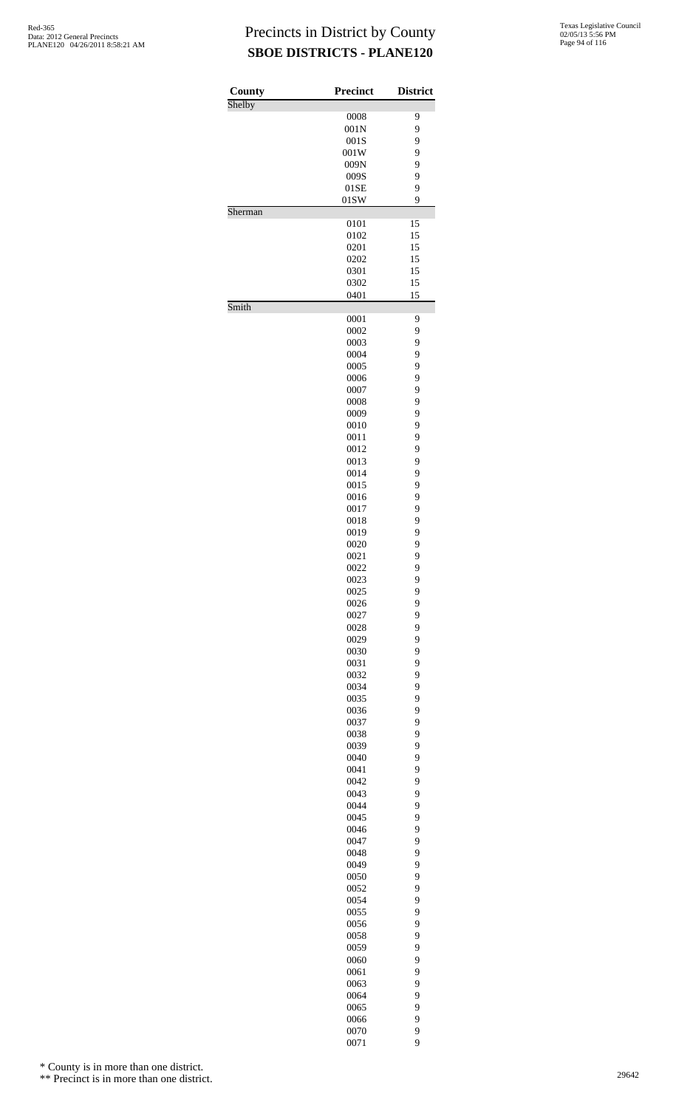| County  | <b>Precinct</b> | <b>District</b> |
|---------|-----------------|-----------------|
| Shelby  | 0008            | 9               |
|         | 001N            | 9               |
|         | 001S            | 9               |
|         | 001W            | 9               |
|         | 009N            | 9               |
|         | 009S            | 9               |
|         | 01SE            | 9               |
| Sherman | 01SW            | 9               |
|         | 0101            | 15              |
|         | 0102            | 15              |
|         | 0201            | 15              |
|         | 0202            | 15              |
|         | 0301            | 15              |
|         | 0302<br>0401    | 15<br>15        |
| Smith   |                 |                 |
|         | 0001            | 9               |
|         | 0002            | 9               |
|         | 0003            | 9               |
|         | 0004            | 9               |
|         | 0005            | 9               |
|         | 0006<br>0007    | 9<br>9          |
|         | 0008            | 9               |
|         | 0009            | 9               |
|         | 0010            | 9               |
|         | 0011            | 9               |
|         | 0012            | 9               |
|         | 0013            | 9               |
|         | 0014<br>0015    | 9<br>9          |
|         | 0016            | 9               |
|         | 0017            | 9               |
|         | 0018            | 9               |
|         | 0019            | 9               |
|         | 0020            | 9               |
|         | 0021            | 9               |
|         | 0022<br>0023    | 9               |
|         | 0025            | 9<br>9          |
|         | 0026            | 9               |
|         | 0027            | 9               |
|         | 0028            | 9               |
|         | 0029            | 9               |
|         | 0030            | 9               |
|         | 0031            | 9<br>9          |
|         | 0032<br>0034    | 9               |
|         | 0035            | 9               |
|         | 0036            | 9               |
|         | 0037            | 9               |
|         | 0038            | 9               |
|         | 0039            | 9               |
|         | 0040<br>0041    | 9<br>9          |
|         | 0042            | 9               |
|         | 0043            | 9               |
|         | 0044            | 9               |
|         | 0045            | 9               |
|         | 0046            | 9               |
|         | 0047            | 9               |
|         | 0048            | 9               |
|         | 0049<br>0050    | 9<br>9          |
|         | 0052            | 9               |
|         | 0054            | 9               |
|         | 0055            | 9               |
|         | 0056            | 9               |
|         | 0058            | 9               |
|         | 0059            | 9               |
|         | 0060            | 9<br>9          |
|         | 0061<br>0063    | 9               |
|         | 0064            | 9               |
|         | 0065            | 9               |
|         | 0066            | 9               |
|         | 0070            | 9               |
|         | 0071            | 9               |

\* County is in more than one district.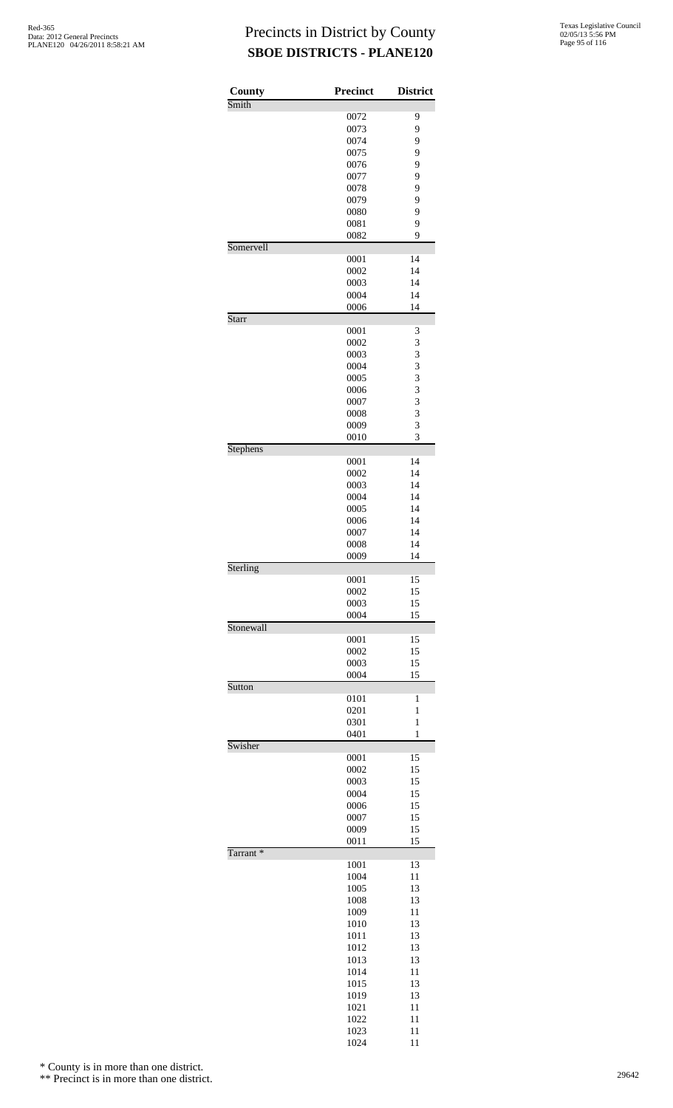| County               | <b>Precinct</b> | <b>District</b> |
|----------------------|-----------------|-----------------|
| Smith                |                 |                 |
|                      | 0072<br>0073    | 9<br>9          |
|                      | 0074            | 9               |
|                      | 0075            | 9               |
|                      | 0076            | 9               |
|                      | 0077            | 9               |
|                      | 0078<br>0079    | 9<br>9          |
|                      | 0080            | 9               |
|                      | 0081            | 9               |
|                      | 0082            | 9               |
| Somervell            | 0001            | 14              |
|                      | 0002            | 14              |
|                      | 0003            | 14              |
|                      | 0004            | 14              |
| Starr                | 0006            | 14              |
|                      | 0001            | 3               |
|                      | 0002            | 3               |
|                      | 0003            | 3               |
|                      | 0004            | 3               |
|                      | 0005<br>0006    | 3<br>3          |
|                      | 0007            | 3               |
|                      | 0008            | 3               |
|                      | 0009            | 3               |
| Stephens             | 0010            | 3               |
|                      | 0001            | 14              |
|                      | 0002            | 14              |
|                      | 0003            | 14              |
|                      | 0004<br>0005    | 14<br>14        |
|                      | 0006            | 14              |
|                      | 0007            | 14              |
|                      | 0008            | 14              |
|                      | 0009            | 14              |
| Sterling             | 0001            | 15              |
|                      | 0002            | 15              |
|                      | 0003            | 15              |
|                      | 0004            | 15              |
| Stonewall            | 0001            | 15              |
|                      | 0002            | 15              |
|                      | 0003            | 15              |
|                      | 0004            | 15              |
| Sutton               | 0101            | 1               |
|                      | 0201            | 1               |
|                      | 0301            | $\mathbf{1}$    |
|                      | 0401            | $\mathbf{1}$    |
| Swisher              | 0001            | 15              |
|                      | 0002            | 15              |
|                      | 0003            | 15              |
|                      | 0004            | 15              |
|                      | 0006<br>0007    | 15<br>15        |
|                      | 0009            | 15              |
|                      | 0011            | 15              |
| Tarrant <sup>*</sup> |                 |                 |
|                      | 1001<br>1004    | 13<br>11        |
|                      | 1005            | 13              |
|                      | 1008            | 13              |
|                      | 1009            | 11              |
|                      | 1010            | 13              |
|                      | 1011<br>1012    | 13<br>13        |
|                      | 1013            | 13              |
|                      | 1014            | 11              |
|                      | 1015            | 13              |
|                      | 1019            | 13              |
|                      | 1021<br>1022    | 11<br>11        |
|                      | 1023            | 11              |
|                      | 1024            | 11              |

\* County is in more than one district.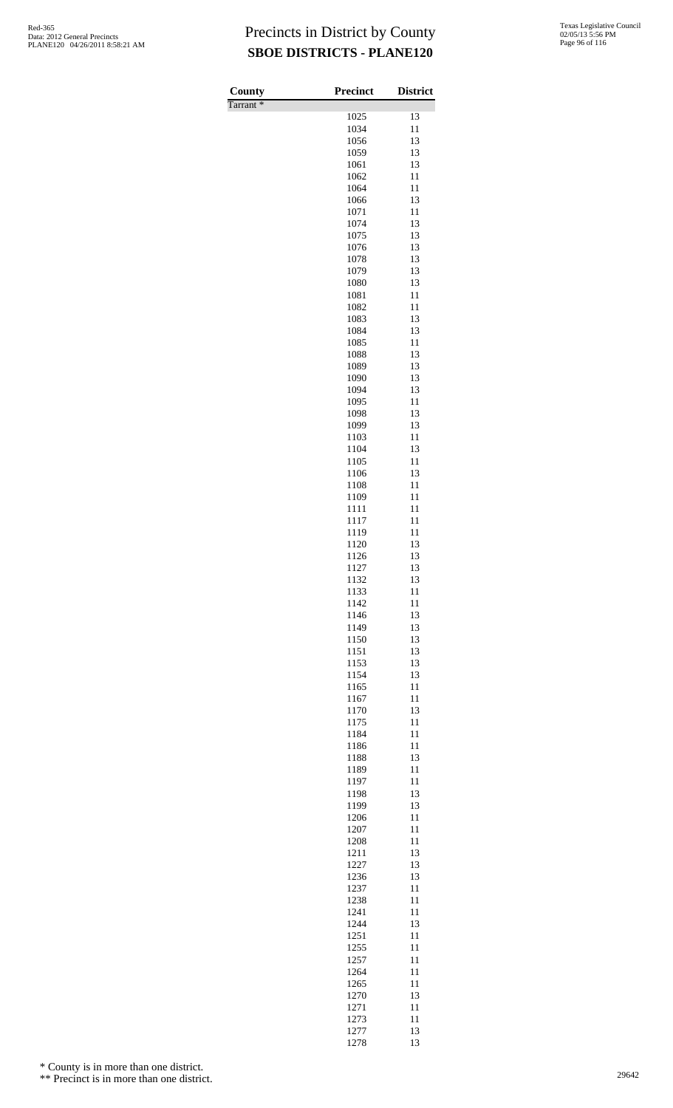| County<br>Tarrant <sup>*</sup> | <b>Precinct</b> | <b>District</b> |
|--------------------------------|-----------------|-----------------|
|                                | 1025            | 13              |
|                                | 1034            | 11              |
|                                | 1056            | 13              |
|                                | 1059            | 13              |
|                                | 1061            | 13              |
|                                | 1062            | 11              |
|                                | 1064            | 11<br>13        |
|                                | 1066<br>1071    | 11              |
|                                | 1074            | 13              |
|                                | 1075            | 13              |
|                                | 1076            | 13              |
|                                | 1078            | 13              |
|                                | 1079            | 13              |
|                                | 1080<br>1081    | 13<br>11        |
|                                | 1082            | 11              |
|                                | 1083            | 13              |
|                                | 1084            | 13              |
|                                | 1085            | 11              |
|                                | 1088            | 13              |
|                                | 1089            | 13              |
|                                | 1090<br>1094    | 13<br>13        |
|                                | 1095            | 11              |
|                                | 1098            | 13              |
|                                | 1099            | 13              |
|                                | 1103            | 11              |
|                                | 1104            | 13              |
|                                | 1105            | 11              |
|                                | 1106            | 13              |
|                                | 1108<br>1109    | 11<br>11        |
|                                | 1111            | 11              |
|                                | 1117            | 11              |
|                                | 1119            | 11              |
|                                | 1120            | 13              |
|                                | 1126            | 13              |
|                                | 1127            | 13              |
|                                | 1132<br>1133    | 13<br>11        |
|                                | 1142            | 11              |
|                                | 1146            | 13              |
|                                | 1149            | 13              |
|                                | 1150            | 13              |
|                                | 1151            | 13              |
|                                | 1153            | 13              |
|                                | 1154<br>1165    | 13<br>11        |
|                                | 1167            | 11              |
|                                | 1170            | 13              |
|                                | 1175            | 11              |
|                                | 1184            | 11              |
|                                | 1186            | 11              |
|                                | 1188            | 13              |
|                                | 1189            | 11              |
|                                | 1197<br>1198    | 11<br>13        |
|                                | 1199            | 13              |
|                                | 1206            | 11              |
|                                | 1207            | 11              |
|                                | 1208            | 11              |
|                                | 1211            | 13              |
|                                | 1227            | 13              |
|                                | 1236<br>1237    | 13<br>11        |
|                                | 1238            | 11              |
|                                | 1241            | 11              |
|                                | 1244            | 13              |
|                                | 1251            | 11              |
|                                | 1255            | 11              |
|                                | 1257            | 11              |
|                                | 1264            | 11<br>11        |
|                                | 1265<br>1270    | 13              |
|                                | 1271            | 11              |
|                                | 1273            | 11              |
|                                | 1277            | 13              |
|                                | 1278            | 13              |

\* County is in more than one district.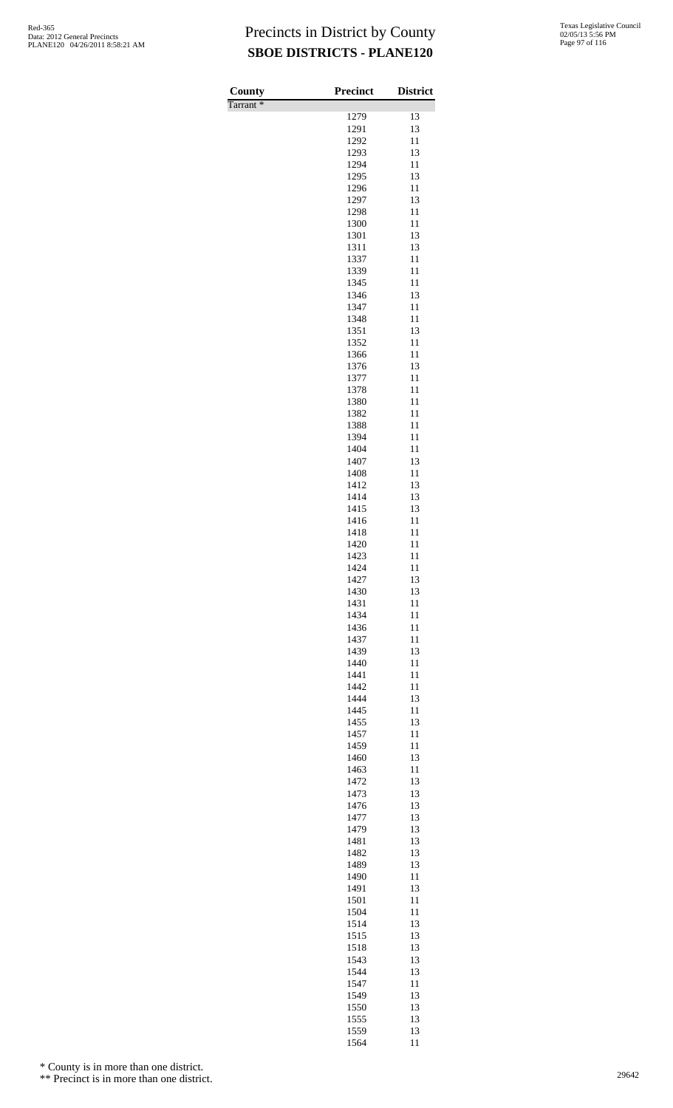| County               | <b>Precinct</b> | <b>District</b> |
|----------------------|-----------------|-----------------|
| Tarrant <sup>*</sup> |                 |                 |
|                      | 1279            | 13              |
|                      | 1291            | 13              |
|                      | 1292<br>1293    | 11<br>13        |
|                      | 1294            | 11              |
|                      | 1295            | 13              |
|                      | 1296            | 11              |
|                      | 1297            | 13              |
|                      | 1298            | 11              |
|                      | 1300<br>1301    | 11<br>13        |
|                      | 1311            | 13              |
|                      | 1337            | 11              |
|                      | 1339            | 11              |
|                      | 1345            | 11              |
|                      | 1346            | 13              |
|                      | 1347<br>1348    | 11<br>11        |
|                      | 1351            | 13              |
|                      | 1352            | 11              |
|                      | 1366            | 11              |
|                      | 1376            | 13              |
|                      | 1377            | 11              |
|                      | 1378<br>1380    | 11<br>11        |
|                      | 1382            | 11              |
|                      | 1388            | 11              |
|                      | 1394            | 11              |
|                      | 1404            | 11              |
|                      | 1407            | 13              |
|                      | 1408<br>1412    | 11<br>13        |
|                      | 1414            | 13              |
|                      | 1415            | 13              |
|                      | 1416            | 11              |
|                      | 1418            | 11              |
|                      | 1420            | 11              |
|                      | 1423<br>1424    | 11<br>11        |
|                      | 1427            | 13              |
|                      | 1430            | 13              |
|                      | 1431            | 11              |
|                      | 1434            | 11              |
|                      | 1436            | 11              |
|                      | 1437<br>1439    | 11<br>13        |
|                      | 1440            | 11              |
|                      | 1441            | 11              |
|                      | 1442            | 11              |
|                      | 1444            | 13              |
|                      | 1445            | 11              |
|                      | 1455<br>1457    | 13<br>11        |
|                      | 1459            | 11              |
|                      | 1460            | 13              |
|                      | 1463            | 11              |
|                      | 1472            | 13              |
|                      | 1473            | 13<br>13        |
|                      | 1476<br>1477    | 13              |
|                      | 1479            | 13              |
|                      | 1481            | 13              |
|                      | 1482            | 13              |
|                      | 1489            | 13              |
|                      | 1490<br>1491    | 11<br>13        |
|                      | 1501            | 11              |
|                      | 1504            | 11              |
|                      | 1514            | 13              |
|                      | 1515            | 13              |
|                      | 1518            | 13              |
|                      | 1543<br>1544    | 13<br>13        |
|                      | 1547            | 11              |
|                      | 1549            | 13              |
|                      | 1550            | 13              |
|                      | 1555            | 13              |
|                      | 1559<br>1564    | 13<br>11        |
|                      |                 |                 |

\* County is in more than one district.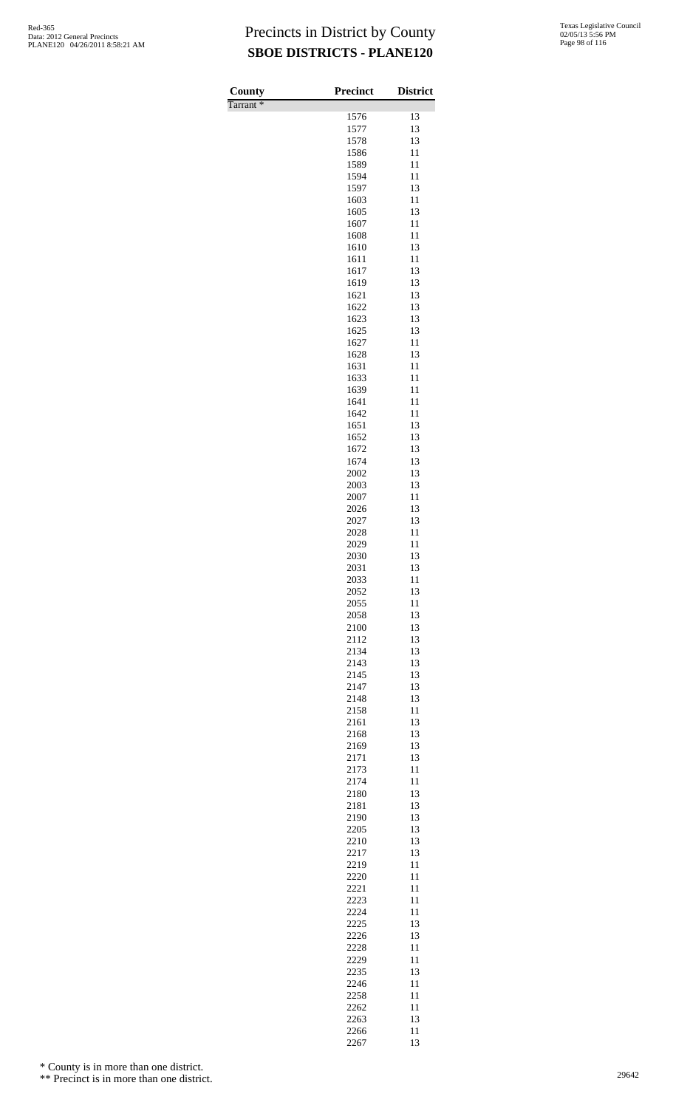| County               | <b>Precinct</b> | <b>District</b> |
|----------------------|-----------------|-----------------|
| Tarrant <sup>*</sup> |                 |                 |
|                      | 1576            | 13              |
|                      | 1577<br>1578    | 13<br>13        |
|                      | 1586            | 11              |
|                      | 1589            | 11              |
|                      | 1594            | 11              |
|                      | 1597<br>1603    | 13              |
|                      | 1605            | 11<br>13        |
|                      | 1607            | 11              |
|                      | 1608            | 11              |
|                      | 1610            | 13              |
|                      | 1611            | 11              |
|                      | 1617<br>1619    | 13<br>13        |
|                      | 1621            | 13              |
|                      | 1622            | 13              |
|                      | 1623            | 13              |
|                      | 1625            | 13              |
|                      | 1627<br>1628    | 11<br>13        |
|                      | 1631            | 11              |
|                      | 1633            | 11              |
|                      | 1639            | 11              |
|                      | 1641            | 11              |
|                      | 1642<br>1651    | 11<br>13        |
|                      | 1652            | 13              |
|                      | 1672            | 13              |
|                      | 1674            | 13              |
|                      | 2002<br>2003    | 13<br>13        |
|                      | 2007            | 11              |
|                      | 2026            | 13              |
|                      | 2027            | 13              |
|                      | 2028            | 11              |
|                      | 2029<br>2030    | 11<br>13        |
|                      | 2031            | 13              |
|                      | 2033            | 11              |
|                      | 2052            | 13              |
|                      | 2055<br>2058    | 11<br>13        |
|                      | 2100            | 13              |
|                      | 2112            | 13              |
|                      | 2134            | 13              |
|                      | 2143            | 13              |
|                      | 2145<br>2147    | 13<br>13        |
|                      | 2148            | 13              |
|                      | 2158            | 11              |
|                      | 2161            | 13              |
|                      | 2168            | 13              |
|                      | 2169<br>2171    | 13<br>13        |
|                      | 2173            | 11              |
|                      | 2174            | 11              |
|                      | 2180            | 13              |
|                      | 2181            | 13              |
|                      | 2190<br>2205    | 13<br>13        |
|                      | 2210            | 13              |
|                      | 2217            | 13              |
|                      | 2219            | 11              |
|                      | 2220<br>2221    | 11<br>11        |
|                      | 2223            | 11              |
|                      | 2224            | 11              |
|                      | 2225            | 13              |
|                      | 2226            | 13              |
|                      | 2228<br>2229    | 11<br>11        |
|                      | 2235            | 13              |
|                      | 2246            | 11              |
|                      | 2258            | 11              |
|                      | 2262            | 11              |
|                      | 2263<br>2266    | 13<br>11        |
|                      | 2267            | 13              |

\* County is in more than one district.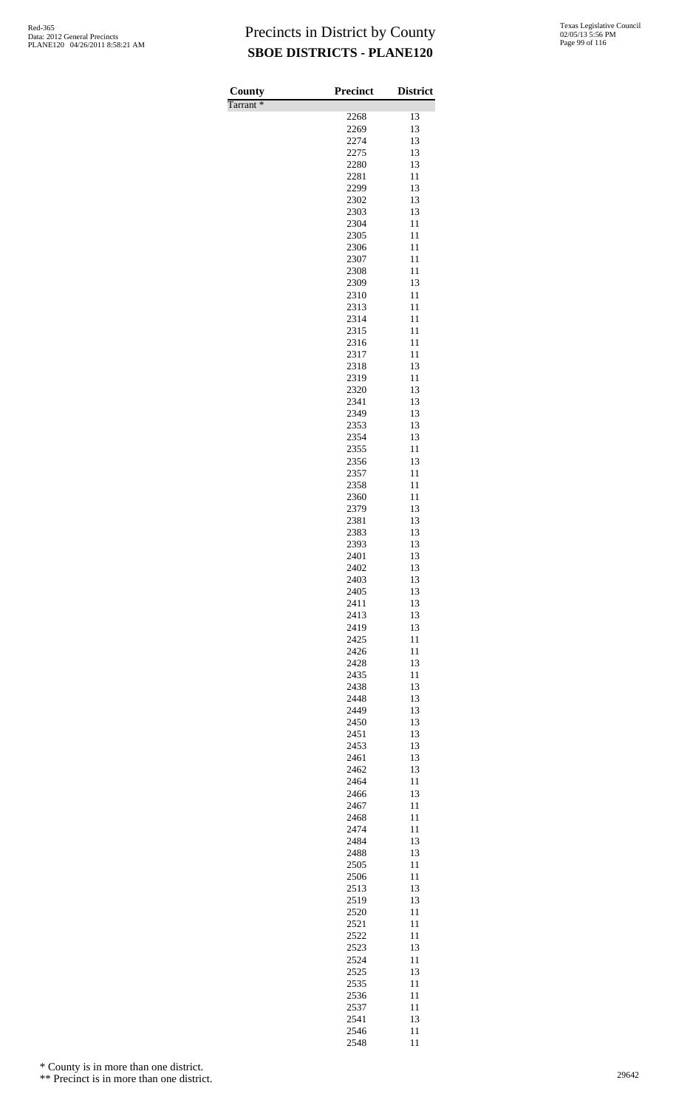Tarrant \*

| County               | <b>Precinct</b> | <b>District</b> |
|----------------------|-----------------|-----------------|
| Tarrant <sup>*</sup> | 2268            | 13              |
|                      | 2269            | 13              |
|                      | 2274            | 13              |
|                      | 2275            | 13              |
|                      | 2280            | 13              |
|                      | 2281<br>2299    | 11<br>13        |
|                      | 2302            | 13              |
|                      | 2303            | 13              |
|                      | 2304            | 11              |
|                      | 2305            | 11              |
|                      | 2306            | 11              |
|                      | 2307<br>2308    | 11<br>11        |
|                      | 2309            | 13              |
|                      | 2310            | 11              |
|                      | 2313            | 11              |
|                      | 2314<br>2315    | 11<br>11        |
|                      | 2316            | 11              |
|                      | 2317            | 11              |
|                      | 2318            | 13              |
|                      | 2319            | 11              |
|                      | 2320            | 13              |
|                      | 2341<br>2349    | 13<br>13        |
|                      | 2353            | 13              |
|                      | 2354            | 13              |
|                      | 2355            | 11              |
|                      | 2356            | 13              |
|                      | 2357<br>2358    | 11<br>11        |
|                      | 2360            | 11              |
|                      | 2379            | 13              |
|                      | 2381            | 13              |
|                      | 2383            | 13              |
|                      | 2393<br>2401    | 13<br>13        |
|                      | 2402            | 13              |
|                      | 2403            | 13              |
|                      | 2405            | 13              |
|                      | 2411<br>2413    | 13<br>13        |
|                      | 2419            | 13              |
|                      | 2425            | 11              |
|                      | 2426            | 11              |
|                      | 2428            | 13              |
|                      | 2435<br>2438    | 11<br>13        |
|                      | 2448            | 13              |
|                      | 2449            | 13              |
|                      | 2450            | 13              |
|                      | 2451<br>2453    | 13<br>13        |
|                      | 2461            | 13              |
|                      | 2462            | 13              |
|                      | 2464            | 11              |
|                      | 2466            | 13              |
|                      | 2467<br>2468    | 11<br>11        |
|                      | 2474            | 11              |
|                      | 2484            | 13              |
|                      | 2488            | 13              |
|                      | 2505            | 11              |
|                      | 2506<br>2513    | 11<br>13        |
|                      | 2519            | 13              |
|                      | 2520            | 11              |
|                      | 2521            | 11              |
|                      | 2522            | 11              |
|                      | 2523<br>2524    | 13<br>11        |
|                      | 2525            | 13              |
|                      | 2535            | 11              |
|                      | 2536            | 11              |
|                      | 2537            | 11              |
|                      | 2541<br>2546    | 13<br>11        |
|                      | 2548            | 11              |

\* County is in more than one district.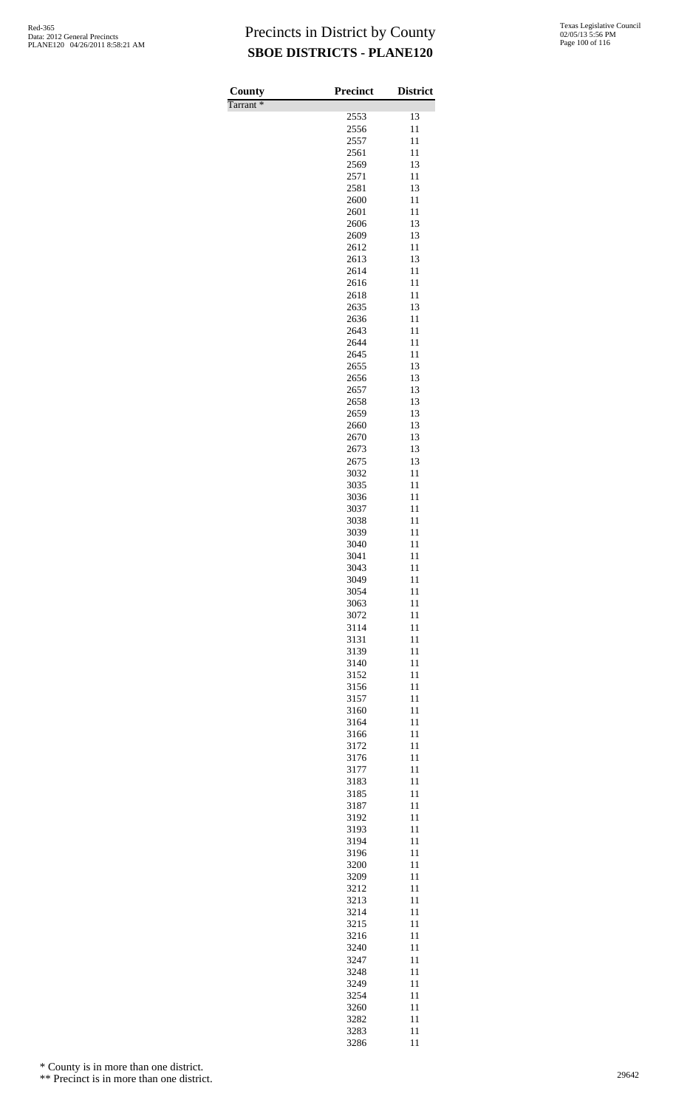| County               | <b>Precinct</b> | <b>District</b> |
|----------------------|-----------------|-----------------|
| Tarrant <sup>*</sup> |                 |                 |
|                      | 2553            | 13              |
|                      | 2556            | 11              |
|                      | 2557            | 11              |
|                      | 2561<br>2569    | 11<br>13        |
|                      | 2571            | 11              |
|                      | 2581            | 13              |
|                      | 2600            | 11              |
|                      | 2601            | 11              |
|                      | 2606            | 13              |
|                      | 2609<br>2612    | 13<br>11        |
|                      | 2613            | 13              |
|                      | 2614            | 11              |
|                      | 2616            | 11              |
|                      | 2618            | 11              |
|                      | 2635            | 13              |
|                      | 2636<br>2643    | 11<br>11        |
|                      | 2644            | 11              |
|                      | 2645            | 11              |
|                      | 2655            | 13              |
|                      | 2656            | 13              |
|                      | 2657            | 13              |
|                      | 2658<br>2659    | 13<br>13        |
|                      | 2660            | 13              |
|                      | 2670            | 13              |
|                      | 2673            | 13              |
|                      | 2675            | 13              |
|                      | 3032            | 11              |
|                      | 3035<br>3036    | 11<br>11        |
|                      | 3037            | 11              |
|                      | 3038            | 11              |
|                      | 3039            | 11              |
|                      | 3040            | 11              |
|                      | 3041<br>3043    | 11<br>11        |
|                      | 3049            | 11              |
|                      | 3054            | 11              |
|                      | 3063            | 11              |
|                      | 3072            | 11              |
|                      | 3114<br>3131    | 11<br>11        |
|                      | 3139            | 11              |
|                      | 3140            | 11              |
|                      | 3152            | 11              |
|                      | 3156            | 11              |
|                      | 3157<br>3160    | 11<br>11        |
|                      | 3164            | 11              |
|                      | 3166            | 11              |
|                      | 3172            | 11              |
|                      | 3176            | 11              |
|                      | 3177            | 11              |
|                      | 3183<br>3185    | 11<br>11        |
|                      | 3187            | 11              |
|                      | 3192            | 11              |
|                      | 3193            | 11              |
|                      | 3194            | 11              |
|                      | 3196<br>3200    | 11<br>11        |
|                      | 3209            | 11              |
|                      | 3212            | 11              |
|                      | 3213            | 11              |
|                      | 3214            | 11              |
|                      | 3215<br>3216    | 11<br>11        |
|                      | 3240            | 11              |
|                      | 3247            | 11              |
|                      | 3248            | 11              |
|                      | 3249            | 11              |
|                      | 3254<br>3260    | 11<br>11        |
|                      | 3282            | 11              |
|                      | 3283            | 11              |

11

\* County is in more than one district.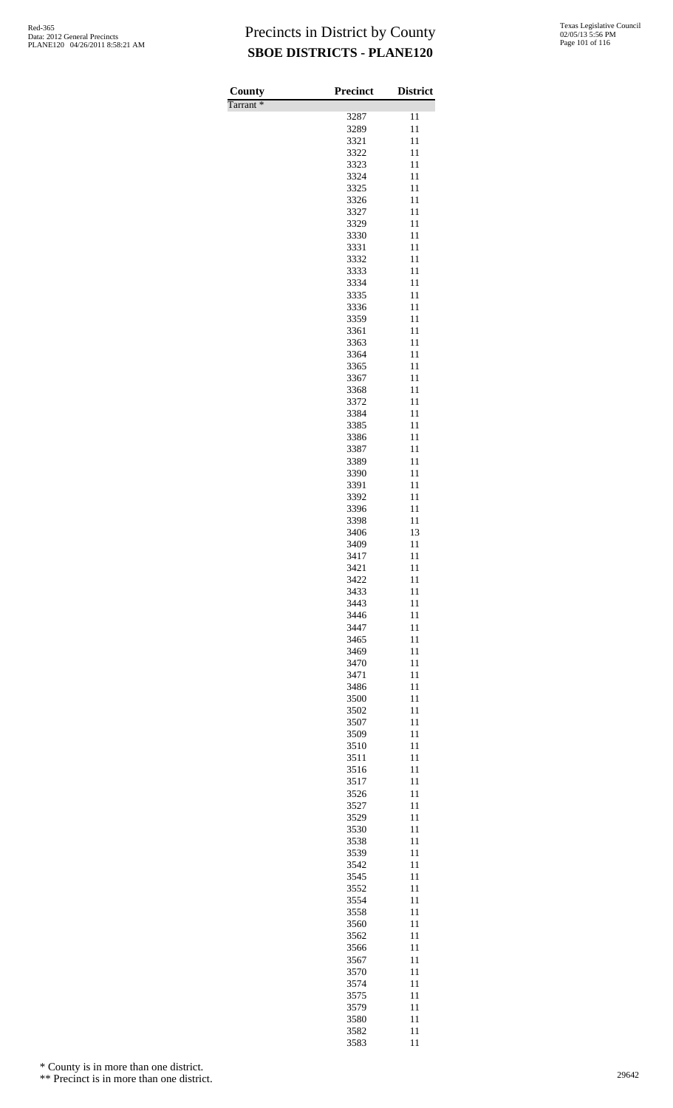| County               | <b>Precinct</b> | <b>District</b> |
|----------------------|-----------------|-----------------|
| Tarrant <sup>*</sup> |                 |                 |
|                      | 3287            | 11              |
|                      | 3289            | 11              |
|                      | 3321            | 11              |
|                      | 3322<br>3323    | 11<br>11        |
|                      | 3324            | 11              |
|                      | 3325            | 11              |
|                      | 3326            | 11              |
|                      | 3327            | 11              |
|                      | 3329            | 11              |
|                      | 3330<br>3331    | 11              |
|                      | 3332            | 11<br>11        |
|                      | 3333            | 11              |
|                      | 3334            | 11              |
|                      | 3335            | 11              |
|                      | 3336            | 11              |
|                      | 3359            | 11              |
|                      | 3361<br>3363    | 11<br>11        |
|                      | 3364            | 11              |
|                      | 3365            | 11              |
|                      | 3367            | 11              |
|                      | 3368            | 11              |
|                      | 3372            | 11              |
|                      | 3384<br>3385    | 11<br>11        |
|                      | 3386            | 11              |
|                      | 3387            | 11              |
|                      | 3389            | 11              |
|                      | 3390            | 11              |
|                      | 3391            | 11              |
|                      | 3392            | 11              |
|                      | 3396<br>3398    | 11<br>11        |
|                      | 3406            | 13              |
|                      | 3409            | 11              |
|                      | 3417            | 11              |
|                      | 3421            | 11              |
|                      | 3422            | 11              |
|                      | 3433<br>3443    | 11<br>11        |
|                      | 3446            | 11              |
|                      | 3447            | 11              |
|                      | 3465            | 11              |
|                      | 3469            | 11              |
|                      | 3470            | 11              |
|                      | 3471<br>3486    | 11<br>11        |
|                      | 3500            | 11              |
|                      | 3502            | 11              |
|                      | 3507            | 11              |
|                      | 3509            | 11              |
|                      | 3510            | 11              |
|                      | 3511            | 11              |
|                      | 3516<br>3517    | 11<br>11        |
|                      | 3526            | 11              |
|                      | 3527            | 11              |
|                      | 3529            | 11              |
|                      | 3530            | 11              |
|                      | 3538            | 11              |
|                      | 3539<br>3542    | 11<br>11        |
|                      | 3545            | 11              |
|                      | 3552            | 11              |
|                      | 3554            | 11              |
|                      | 3558            | 11              |
|                      | 3560            | 11              |
|                      | 3562<br>3566    | 11<br>11        |
|                      | 3567            | 11              |
|                      | 3570            | 11              |
|                      | 3574            | 11              |
|                      | 3575            | 11              |
|                      | 3579            | 11              |
|                      | 3580<br>3582    | 11<br>11        |
|                      |                 |                 |

11

\* County is in more than one district.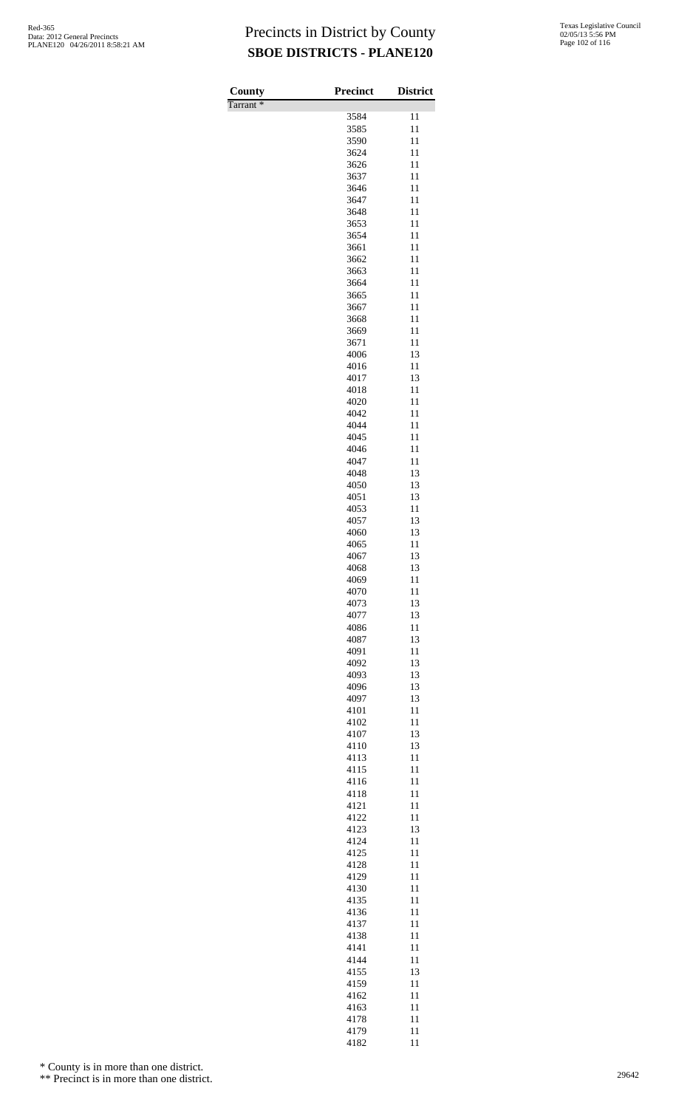| County               | <b>Precinct</b> | <b>District</b> |
|----------------------|-----------------|-----------------|
| Tarrant <sup>*</sup> |                 |                 |
|                      | 3584            | 11              |
|                      | 3585<br>3590    | 11<br>11        |
|                      | 3624            | 11              |
|                      | 3626            | 11              |
|                      | 3637            | 11              |
|                      | 3646            | 11              |
|                      | 3647            | 11              |
|                      | 3648            | 11              |
|                      | 3653            | 11              |
|                      | 3654            | 11              |
|                      | 3661<br>3662    | 11<br>11        |
|                      | 3663            | 11              |
|                      | 3664            | 11              |
|                      | 3665            | 11              |
|                      | 3667            | 11              |
|                      | 3668            | 11              |
|                      | 3669            | 11              |
|                      | 3671            | 11              |
|                      | 4006<br>4016    | 13<br>11        |
|                      | 4017            | 13              |
|                      | 4018            | 11              |
|                      | 4020            | 11              |
|                      | 4042            | 11              |
|                      | 4044            | 11              |
|                      | 4045            | 11              |
|                      | 4046            | 11              |
|                      | 4047            | 11              |
|                      | 4048<br>4050    | 13<br>13        |
|                      | 4051            | 13              |
|                      | 4053            | 11              |
|                      | 4057            | 13              |
|                      | 4060            | 13              |
|                      | 4065            | 11              |
|                      | 4067            | 13              |
|                      | 4068            | 13              |
|                      | 4069<br>4070    | 11<br>11        |
|                      | 4073            | 13              |
|                      | 4077            | 13              |
|                      | 4086            | 11              |
|                      | 4087            | 13              |
|                      | 4091            | 11              |
|                      | 4092            | 13              |
|                      | 4093            | 13              |
|                      | 4096            | 13              |
|                      | 4097<br>4101    | 13<br>11        |
|                      | 4102            | 11              |
|                      | 4107            | 13              |
|                      | 4110            | 13              |
|                      | 4113            | 11              |
|                      | 4115            | 11              |
|                      | 4116            | 11              |
|                      | 4118            | 11              |
|                      | 4121            | 11<br>11        |
|                      | 4122<br>4123    | 13              |
|                      | 4124            | 11              |
|                      | 4125            | 11              |
|                      | 4128            | 11              |
|                      | 4129            | 11              |
|                      | 4130            | 11              |
|                      | 4135            | 11              |
|                      | 4136            | 11              |
|                      | 4137<br>4138    | 11<br>11        |
|                      | 4141            | 11              |
|                      | 4144            | 11              |
|                      | 4155            | 13              |
|                      | 4159            | 11              |
|                      | 4162            | 11              |
|                      | 4163            | 11              |
|                      | 4178            | 11              |
|                      | 4179<br>4182    | 11<br>11        |

\* County is in more than one district.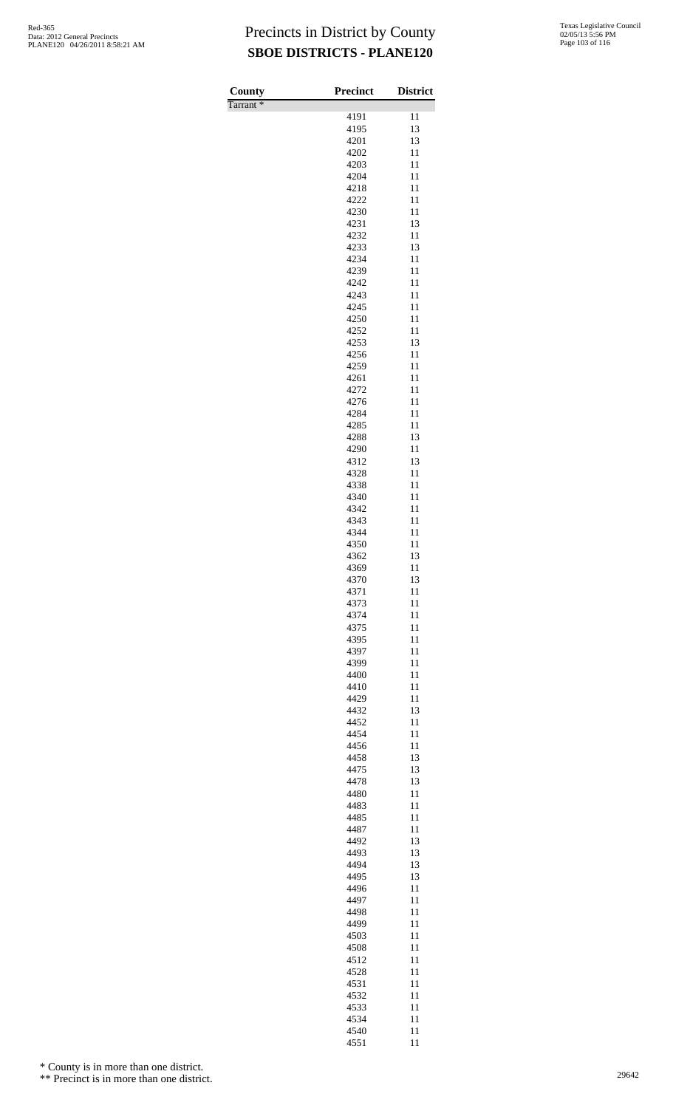| County               | <b>Precinct</b> | <b>District</b> |
|----------------------|-----------------|-----------------|
| Tarrant <sup>*</sup> |                 |                 |
|                      | 4191<br>4195    | 11<br>13        |
|                      | 4201            | 13              |
|                      | 4202            | 11              |
|                      | 4203            | 11              |
|                      | 4204<br>4218    | 11              |
|                      | 4222            | 11<br>11        |
|                      | 4230            | 11              |
|                      | 4231            | 13              |
|                      | 4232            | 11              |
|                      | 4233<br>4234    | 13<br>11        |
|                      | 4239            | 11              |
|                      | 4242            | 11              |
|                      | 4243            | 11              |
|                      | 4245            | 11              |
|                      | 4250<br>4252    | 11<br>11        |
|                      | 4253            | 13              |
|                      | 4256            | 11              |
|                      | 4259            | 11              |
|                      | 4261<br>4272    | 11<br>11        |
|                      | 4276            | 11              |
|                      | 4284            | 11              |
|                      | 4285            | 11              |
|                      | 4288            | 13              |
|                      | 4290<br>4312    | 11<br>13        |
|                      | 4328            | 11              |
|                      | 4338            | 11              |
|                      | 4340            | 11              |
|                      | 4342<br>4343    | 11<br>11        |
|                      | 4344            | 11              |
|                      | 4350            | 11              |
|                      | 4362            | 13              |
|                      | 4369            | 11              |
|                      | 4370<br>4371    | 13<br>11        |
|                      | 4373            | 11              |
|                      | 4374            | 11              |
|                      | 4375            | 11              |
|                      | 4395<br>4397    | 11<br>11        |
|                      | 4399            | 11              |
|                      | 4400            | 11              |
|                      | 4410            | 11              |
|                      | 4429<br>4432    | 11<br>13        |
|                      | 4452            | 11              |
|                      | 4454            | 11              |
|                      | 4456            | 11              |
|                      | 4458            | 13              |
|                      | 4475<br>4478    | 13<br>13        |
|                      | 4480            | 11              |
|                      | 4483            | 11              |
|                      | 4485            | 11              |
|                      | 4487<br>4492    | 11<br>13        |
|                      | 4493            | 13              |
|                      | 4494            | 13              |
|                      | 4495            | 13              |
|                      | 4496            | 11              |
|                      | 4497<br>4498    | 11<br>11        |
|                      | 4499            | 11              |
|                      | 4503            | 11              |
|                      | 4508            | 11              |
|                      | 4512<br>4528    | 11<br>11        |
|                      | 4531            | 11              |
|                      | 4532            | 11              |
|                      | 4533            | 11              |
|                      | 4534            | 11              |
|                      | 4540            | 11              |

11

\* County is in more than one district.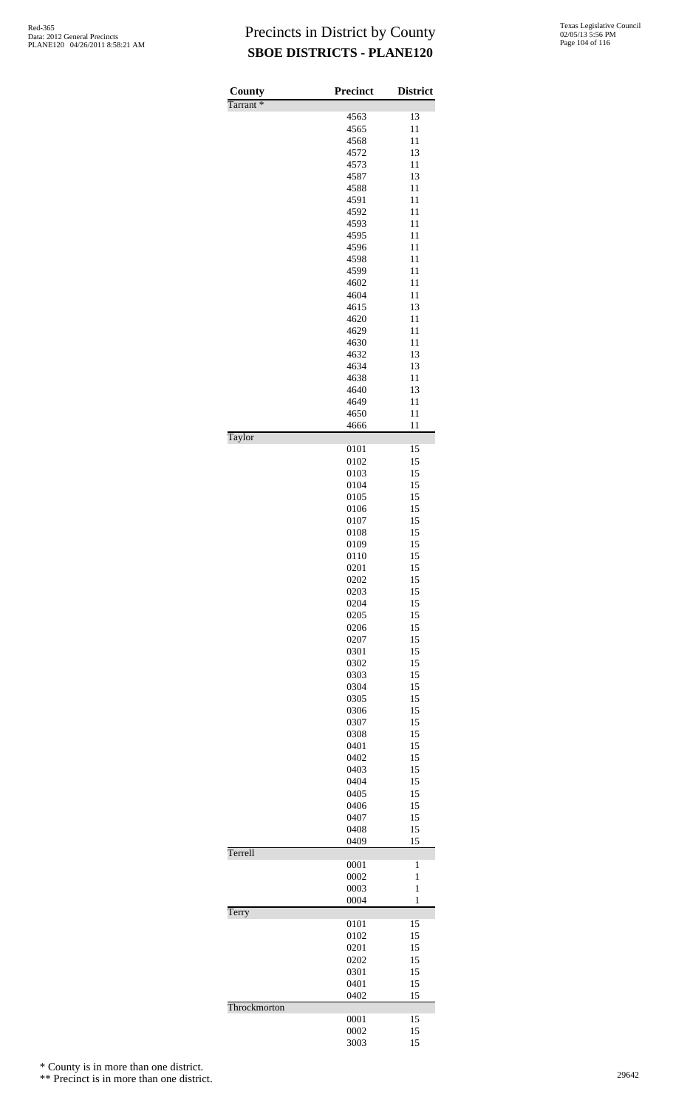| County<br>Tarrant <sup>*</sup> | Precinct     | <b>District</b>   |
|--------------------------------|--------------|-------------------|
|                                | 4563         | 13                |
|                                | 4565         | 11                |
|                                | 4568         | 11                |
|                                | 4572         | 13                |
|                                | 4573         | 11                |
|                                | 4587         | 13                |
|                                | 4588         | 11                |
|                                | 4591         | 11                |
|                                | 4592<br>4593 | 11<br>11          |
|                                | 4595         | 11                |
|                                | 4596         | 11                |
|                                | 4598         | 11                |
|                                | 4599         | 11                |
|                                | 4602         | 11                |
|                                | 4604         | 11                |
|                                | 4615         | 13                |
|                                | 4620         | 11<br>11          |
|                                | 4629<br>4630 | 11                |
|                                | 4632         | 13                |
|                                | 4634         | 13                |
|                                | 4638         | 11                |
|                                | 4640         | 13                |
|                                | 4649         | 11                |
|                                | 4650         | 11                |
| Taylor                         | 4666         | 11                |
|                                | 0101<br>0102 | 15<br>15          |
|                                | 0103         | 15                |
|                                | 0104         | 15                |
|                                | 0105         | 15                |
|                                | 0106         | 15                |
|                                | 0107         | 15                |
|                                | 0108         | 15                |
|                                | 0109<br>0110 | 15<br>15          |
|                                | 0201         | 15                |
|                                | 0202         | 15                |
|                                | 0203         | 15                |
|                                | 0204         | 15                |
|                                | 0205         | 15                |
|                                | 0206         | 15                |
|                                | 0207<br>0301 | 15<br>15          |
|                                | 0302         | 15                |
|                                | 0303         | 15                |
|                                | 0304         | 15                |
|                                | 0305         | 15                |
|                                | 0306         | 15                |
|                                | 0307         | 15                |
|                                | 0308         | 15                |
|                                | 0401         | 15<br>15          |
|                                | 0402<br>0403 | 15                |
|                                | 0404         | 15                |
|                                | 0405         | 15                |
|                                | 0406         | 15                |
|                                | 0407         | 15                |
|                                | 0408         | 15                |
| Terrell                        | 0409         | 15                |
|                                | 0001         | 1                 |
|                                | 0002         | 1                 |
|                                | 0003<br>0004 | $\mathbf{1}$<br>1 |
| Terry                          |              |                   |
|                                | 0101         | 15                |
|                                | 0102         | 15                |
|                                | 0201         | 15                |
|                                | 0202<br>0301 | 15<br>15          |
|                                | 0401         | 15                |
|                                | 0402         | 15                |
| Throckmorton                   | 0001         | 15                |
|                                | 0002         | 15                |
|                                | 3003         | 15                |

\* County is in more than one district.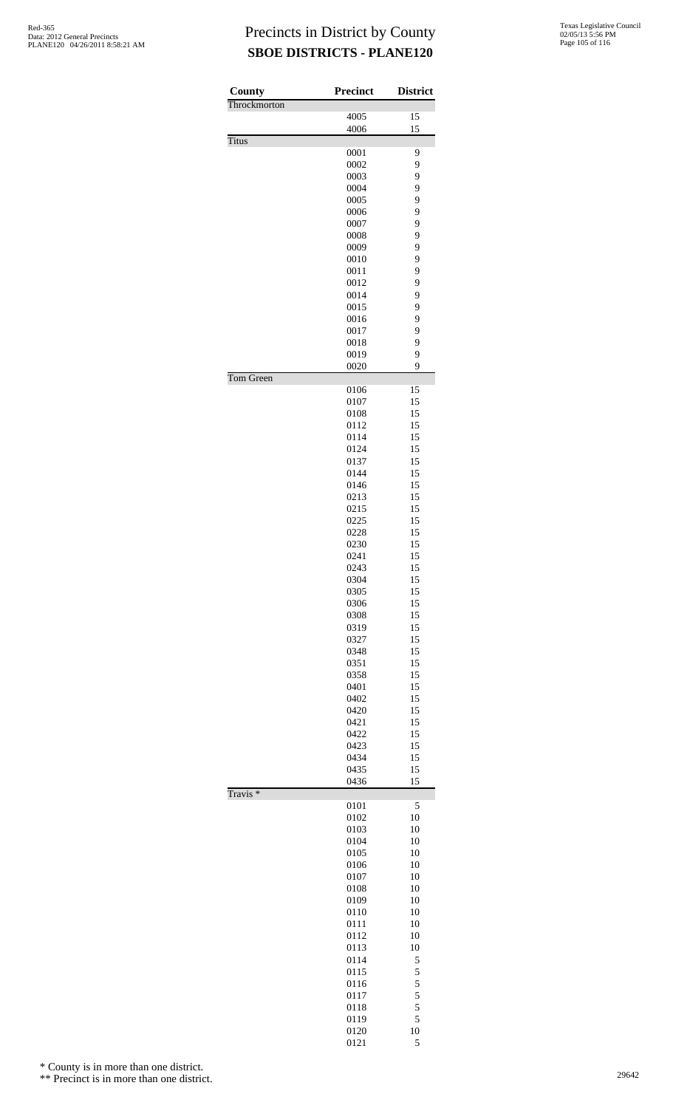| County              | Precinct     | <b>District</b> |
|---------------------|--------------|-----------------|
| Throckmorton        | 4005         | 15              |
|                     | 4006         | 15              |
| <b>Titus</b>        |              |                 |
|                     | 0001         | 9               |
|                     | 0002         | 9               |
|                     | 0003<br>0004 | 9<br>9          |
|                     | 0005         | 9               |
|                     | 0006         | 9               |
|                     | 0007         | 9               |
|                     | 0008         | 9               |
|                     | 0009<br>0010 | 9<br>9          |
|                     | 0011         | 9               |
|                     | 0012         | 9               |
|                     | 0014         | 9               |
|                     | 0015         | 9               |
|                     | 0016<br>0017 | 9<br>9          |
|                     | 0018         | 9               |
|                     | 0019         | 9               |
|                     | 0020         | 9               |
| Tom Green           |              |                 |
|                     | 0106<br>0107 | 15<br>15        |
|                     | 0108         | 15              |
|                     | 0112         | 15              |
|                     | 0114         | 15              |
|                     | 0124         | 15              |
|                     | 0137         | 15              |
|                     | 0144<br>0146 | 15<br>15        |
|                     | 0213         | 15              |
|                     | 0215         | 15              |
|                     | 0225         | 15              |
|                     | 0228         | 15              |
|                     | 0230         | 15              |
|                     | 0241         | 15<br>15        |
|                     | 0243<br>0304 | 15              |
|                     | 0305         | 15              |
|                     | 0306         | 15              |
|                     | 0308         | 15              |
|                     | 0319         | 15              |
|                     | 0327<br>0348 | 15<br>15        |
|                     | 0351         | 15              |
|                     | 0358         | 15              |
|                     | 0401         | 15              |
|                     | 0402         | 15              |
|                     | 0420         | 15              |
|                     | 0421<br>0422 | 15<br>15        |
|                     | 0423         | 15              |
|                     | 0434         | 15              |
|                     | 0435         | 15              |
|                     | 0436         | 15              |
| Travis <sup>*</sup> | 0101         | 5               |
|                     | 0102         | 10              |
|                     | 0103         | 10              |
|                     | 0104         | 10              |
|                     | 0105         | 10              |
|                     | 0106<br>0107 | 10<br>10        |
|                     | 0108         | 10              |
|                     | 0109         | 10              |
|                     | 0110         | 10              |
|                     | 0111         | 10              |
|                     | 0112         | 10              |
|                     | 0113<br>0114 | 10<br>5         |
|                     | 0115         | 5               |
|                     | 0116         | 5               |
|                     | 0117         | 5               |
|                     | 0118         | 5               |
|                     | 0119         | 5               |
|                     | 0120         | 10              |
|                     | 0121         | 5               |

\* County is in more than one district.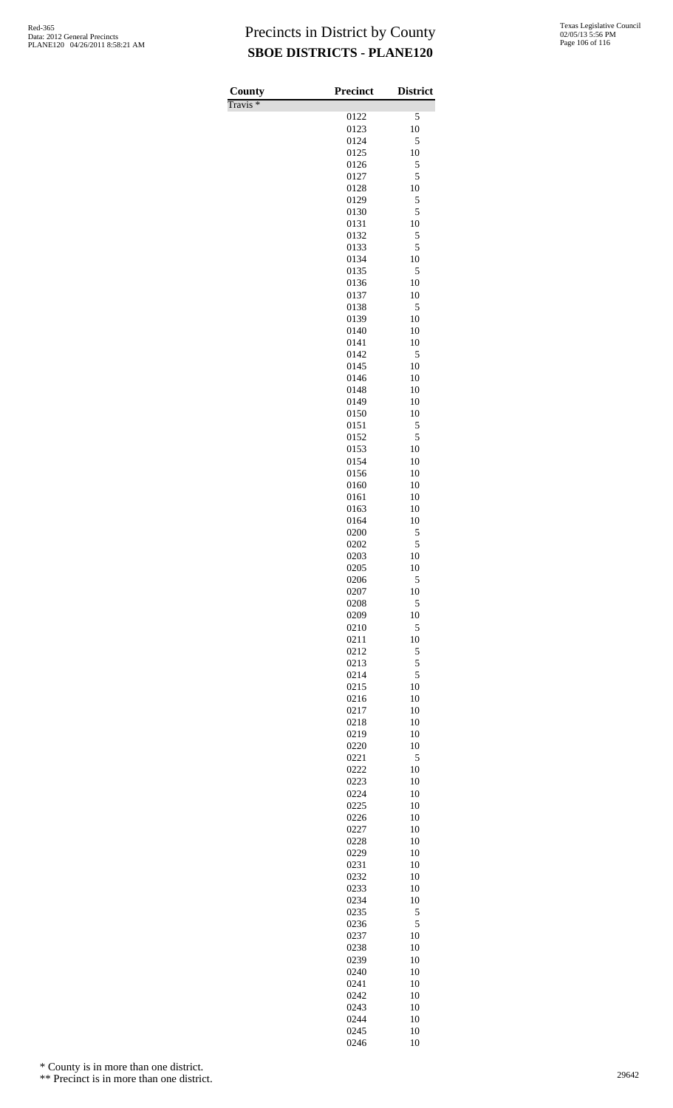Travis \*

| County<br>$\overline{\Gamma}$ ravis * | <b>Precinct</b> | <b>District</b> |
|---------------------------------------|-----------------|-----------------|
|                                       | 0122            | 5               |
|                                       | 0123            | 10              |
|                                       | 0124<br>0125    | 5<br>10         |
|                                       | 0126            | 5               |
|                                       | 0127            | 5               |
|                                       | 0128<br>0129    | 10<br>5         |
|                                       | 0130            | 5               |
|                                       | 0131            | 10              |
|                                       | 0132<br>0133    | 5<br>5          |
|                                       | 0134            | 10              |
|                                       | 0135<br>0136    | 5<br>10         |
|                                       | 0137            | 10              |
|                                       | 0138            | 5               |
|                                       | 0139<br>0140    | 10<br>10        |
|                                       | 0141            | 10              |
|                                       | 0142            | 5               |
|                                       | 0145<br>0146    | 10<br>10        |
|                                       | 0148            | 10              |
|                                       | 0149            | 10              |
|                                       | 0150<br>0151    | 10<br>5         |
|                                       | 0152            | 5               |
|                                       | 0153            | 10              |
|                                       | 0154<br>0156    | 10<br>10        |
|                                       | 0160            | 10              |
|                                       | 0161            | 10<br>10        |
|                                       | 0163<br>0164    | 10              |
|                                       | 0200            | 5               |
|                                       | 0202<br>0203    | 5<br>10         |
|                                       | 0205            | 10              |
|                                       | 0206            | 5               |
|                                       | 0207<br>0208    | 10<br>5         |
|                                       | 0209            | 10              |
|                                       | 0210            | 5               |
|                                       | 0211<br>0212    | 10<br>5         |
|                                       | 0213            | 5               |
|                                       | 0214            | 5               |
|                                       | 0215<br>0216    | 10<br>10        |
|                                       | 0217            | 10              |
|                                       | 0218            | 10<br>10        |
|                                       | 0219<br>0220    | 10              |
|                                       | 0221            | 5               |
|                                       | 0222<br>0223    | 10<br>10        |
|                                       | 0224            | 10              |
|                                       | 0225            | 10              |
|                                       | 0226<br>0227    | 10<br>10        |
|                                       | 0228            | 10              |
|                                       | 0229            | 10              |
|                                       | 0231<br>0232    | 10<br>10        |
|                                       | 0233            | 10              |
|                                       | 0234            | 10              |
|                                       | 0235<br>0236    | 5<br>5          |
|                                       | 0237            | 10              |
|                                       | 0238            | 10<br>10        |
|                                       | 0239<br>0240    | 10              |
|                                       | 0241            | 10              |
|                                       | 0242<br>0243    | 10<br>10        |
|                                       | 0244            | 10              |
|                                       | 0245            | 10              |
|                                       | 0246            | 10              |

\* County is in more than one district.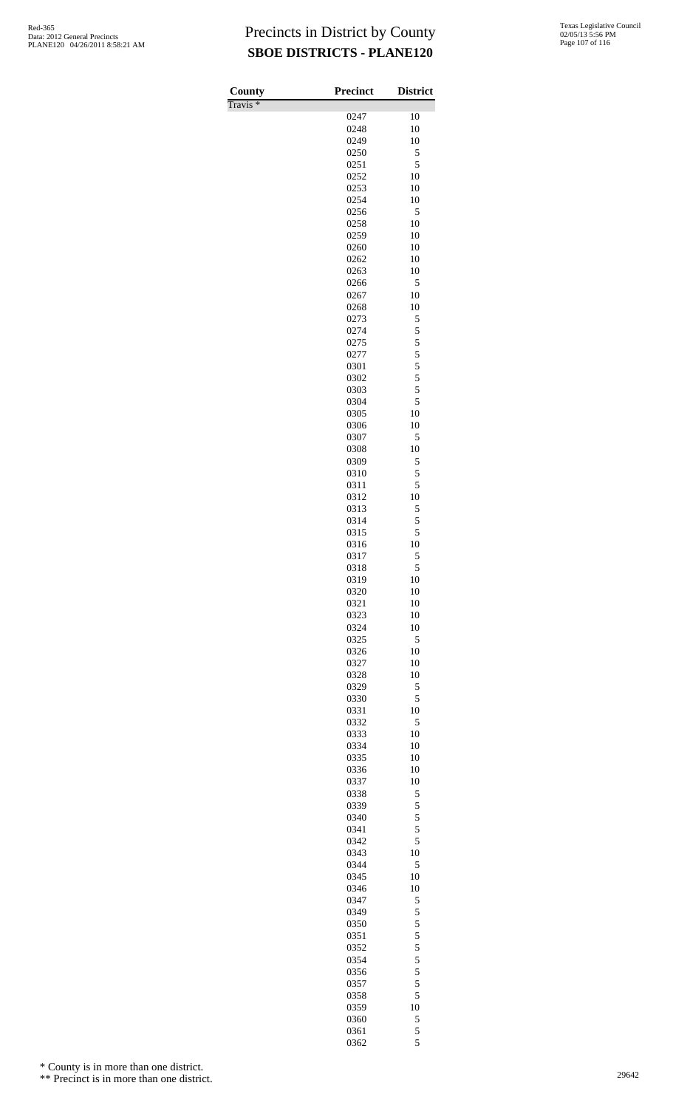Travis \*

| County<br>$\overline{\Gamma}$ ravis * | <b>Precinct</b> | <b>District</b>                            |
|---------------------------------------|-----------------|--------------------------------------------|
|                                       | 0247            | 10                                         |
|                                       | 0248            | 10                                         |
|                                       | 0249            | 10                                         |
|                                       | 0250            | 5                                          |
|                                       | 0251<br>0252    | 5<br>10                                    |
|                                       | 0253            | 10                                         |
|                                       | 0254            | 10                                         |
|                                       | 0256            | 5                                          |
|                                       | 0258            | 10                                         |
|                                       | 0259<br>0260    | 10<br>10                                   |
|                                       | 0262            | 10                                         |
|                                       | 0263            | 10                                         |
|                                       | 0266            | 5                                          |
|                                       | 0267            | 10                                         |
|                                       | 0268<br>0273    | 10<br>5                                    |
|                                       | 0274            | 5                                          |
|                                       | 0275            | $\overline{\phantom{a}}$                   |
|                                       | 0277            | 5                                          |
|                                       | 0301            | $\begin{array}{c} 5 \\ 5 \\ 5 \end{array}$ |
|                                       | 0302<br>0303    |                                            |
|                                       | 0304            | 5                                          |
|                                       | 0305            | 10                                         |
|                                       | 0306            | 10                                         |
|                                       | 0307            | 5<br>10                                    |
|                                       | 0308<br>0309    | 5                                          |
|                                       | 0310            | 5                                          |
|                                       | 0311            | 5                                          |
|                                       | 0312            | 10                                         |
|                                       | 0313            | 5                                          |
|                                       | 0314<br>0315    | 5<br>5                                     |
|                                       | 0316            | 10                                         |
|                                       | 0317            | 5                                          |
|                                       | 0318            | 5                                          |
|                                       | 0319            | 10                                         |
|                                       | 0320<br>0321    | 10<br>10                                   |
|                                       | 0323            | 10                                         |
|                                       | 0324            | 10                                         |
|                                       | 0325            | 5                                          |
|                                       | 0326            | 10                                         |
|                                       | 0327<br>0328    | 10<br>10                                   |
|                                       | 0329            | 5                                          |
|                                       | 0330            | 5                                          |
|                                       | 0331            | 10                                         |
|                                       | 0332            | 5                                          |
|                                       | 0333<br>0334    | 10<br>10                                   |
|                                       | 0335            | 10                                         |
|                                       | 0336            | 10                                         |
|                                       | 0337            | 10                                         |
|                                       | 0338            | 5                                          |
|                                       | 0339            | 5<br>5                                     |
|                                       | 0340<br>0341    | 5                                          |
|                                       | 0342            | 5                                          |
|                                       | 0343            | 10                                         |
|                                       | 0344            | 5                                          |
|                                       | 0345<br>0346    | 10<br>10                                   |
|                                       | 0347            | 5                                          |
|                                       | 0349            | 5                                          |
|                                       | 0350            | 5                                          |
|                                       | 0351            | 5                                          |
|                                       | 0352<br>0354    | 5<br>5                                     |
|                                       | 0356            | 5                                          |
|                                       | 0357            | 5                                          |
|                                       | 0358            | 5                                          |
|                                       | 0359            | 10                                         |
|                                       | 0360            | 5<br>5                                     |
|                                       | 0361<br>0362    | 5                                          |

\* County is in more than one district.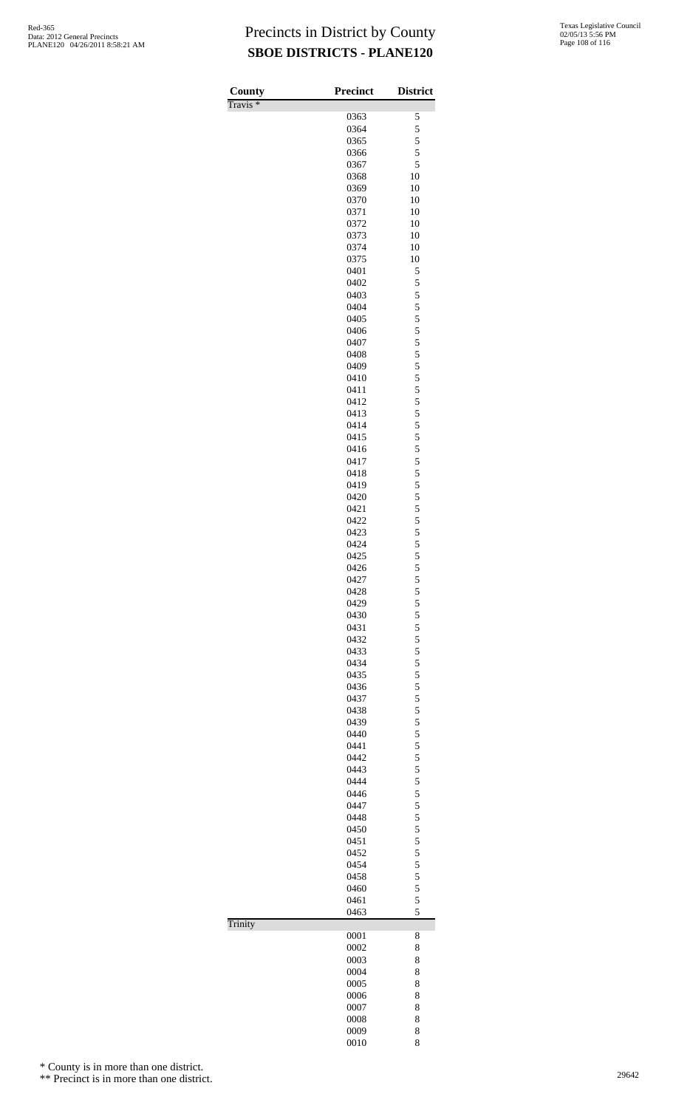| County              | <b>Precinct</b> | <b>District</b>         |
|---------------------|-----------------|-------------------------|
| Travis <sup>*</sup> | 0363            | 5                       |
|                     | 0364            | 5                       |
|                     | 0365            | 5                       |
|                     | 0366            | 5                       |
|                     | 0367            | 5                       |
|                     | 0368            | 10                      |
|                     | 0369            | 10                      |
|                     | 0370<br>0371    | 10<br>10                |
|                     | 0372            | 10                      |
|                     | 0373            | 10                      |
|                     | 0374            | 10                      |
|                     | 0375            | 10                      |
|                     | 0401            | 5                       |
|                     | 0402            | 5                       |
|                     | 0403<br>0404    | 5<br>5                  |
|                     | 0405            | 5                       |
|                     | 0406            | 5                       |
|                     | 0407            | 5                       |
|                     | 0408            | $\overline{\mathbf{5}}$ |
|                     | 0409            | 5                       |
|                     | 0410            | 5                       |
|                     | 0411<br>0412    | 5<br>5                  |
|                     | 0413            | 5                       |
|                     | 0414            | 5                       |
|                     | 0415            | 5                       |
|                     | 0416            | 5                       |
|                     | 0417            | 5                       |
|                     | 0418            | 5                       |
|                     | 0419            | 5                       |
|                     | 0420<br>0421    | 5<br>5                  |
|                     | 0422            | 5                       |
|                     | 0423            | 5                       |
|                     | 0424            | 5                       |
|                     | 0425            | 5                       |
|                     | 0426            | 5                       |
|                     | 0427            | 5                       |
|                     | 0428            | 5                       |
|                     | 0429<br>0430    | 5<br>5                  |
|                     | 0431            | 5                       |
|                     | 0432            | 5                       |
|                     | 0433            | $\overline{\mathbf{5}}$ |
|                     | 0434            | 5                       |
|                     | 0435            | 5                       |
|                     | 0436            | 5                       |
|                     | 0437            | 5<br>5                  |
|                     | 0438<br>0439    | 5                       |
|                     | 0440            | 5                       |
|                     | 0441            | 5                       |
|                     | 0442            | 5                       |
|                     | 0443            | $\overline{\mathbf{5}}$ |
|                     | 0444            | 5                       |
|                     | 0446<br>0447    | 5<br>5                  |
|                     | 0448            | 5                       |
|                     | 0450            | 5                       |
|                     | 0451            | 5                       |
|                     | 0452            | 5                       |
|                     | 0454            | 5                       |
|                     | 0458            | 5                       |
|                     | 0460            | 5<br>5                  |
|                     | 0461<br>0463    | 5                       |
| Trinity             |                 |                         |
|                     | 0001            | 8                       |
|                     | 0002            | 8                       |
|                     | 0003            | 8                       |
|                     | 0004            | 8                       |
|                     | 0005<br>0006    | 8<br>8                  |
|                     | 0007            | 8                       |
|                     | 0008            | 8                       |
|                     | 0009            | 8                       |
|                     | 0010            | 8                       |

\* County is in more than one district.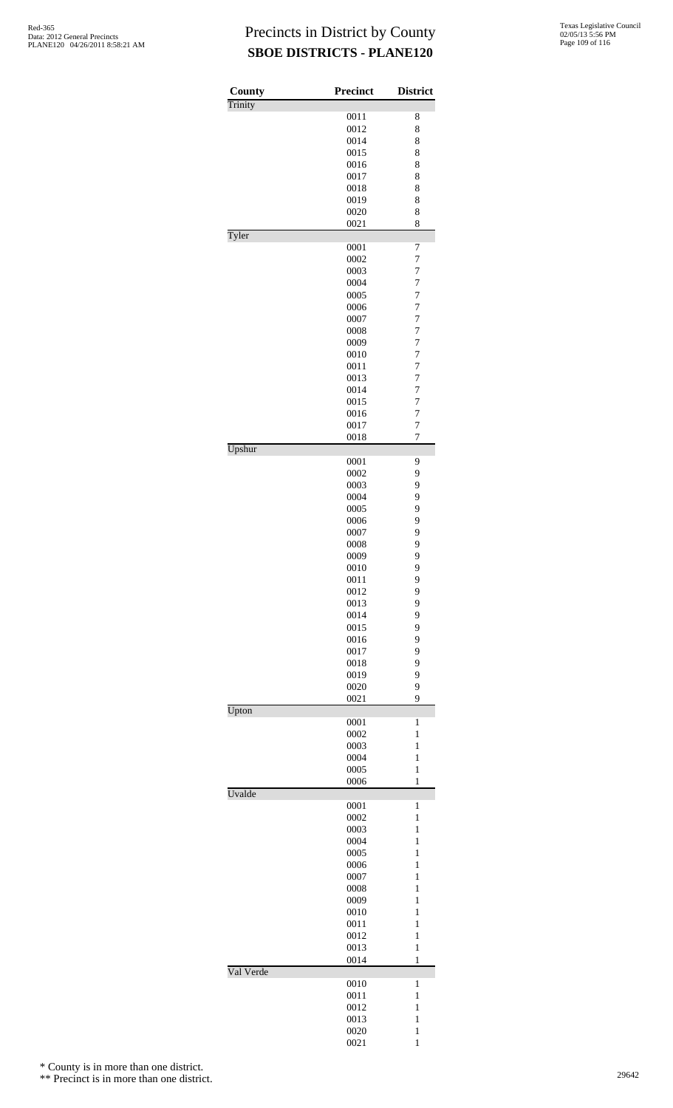| County    | <b>Precinct</b> | <b>District</b>                  |
|-----------|-----------------|----------------------------------|
| Trinity   |                 |                                  |
|           | 0011            | 8                                |
|           | 0012<br>0014    | 8<br>8                           |
|           | 0015            | 8                                |
|           | 0016            | 8                                |
|           | 0017            | 8                                |
|           | 0018            | 8                                |
|           | 0019            | 8                                |
|           | 0020<br>0021    | 8<br>8                           |
| Tyler     |                 |                                  |
|           | 0001            | 7                                |
|           | 0002            | $\overline{7}$                   |
|           | 0003            | $\overline{7}$                   |
|           | 0004            | $\overline{7}$                   |
|           | 0005<br>0006    | $\overline{7}$<br>$\overline{7}$ |
|           | 0007            | $\overline{7}$                   |
|           | 0008            | $\overline{7}$                   |
|           | 0009            | $\overline{7}$                   |
|           | 0010            | $\overline{7}$                   |
|           | 0011            | $\overline{7}$                   |
|           | 0013<br>0014    | $\overline{7}$<br>$\overline{7}$ |
|           | 0015            | $\overline{7}$                   |
|           | 0016            | $\overline{7}$                   |
|           | 0017            | $\overline{7}$                   |
|           | 0018            | $\overline{7}$                   |
| Upshur    | 0001            | 9                                |
|           | 0002            | 9                                |
|           | 0003            | 9                                |
|           | 0004            | 9                                |
|           | 0005            | 9                                |
|           | 0006            | 9                                |
|           | 0007            | 9                                |
|           | 0008<br>0009    | 9<br>9                           |
|           | 0010            | 9                                |
|           | 0011            | 9                                |
|           | 0012            | 9                                |
|           | 0013            | 9                                |
|           | 0014            | 9                                |
|           | 0015<br>0016    | 9<br>9                           |
|           | 0017            | 9                                |
|           | 0018            | 9                                |
|           | 0019            | 9                                |
|           | 0020            | 9                                |
|           | 0021            | 9                                |
| Upton     | 0001            | $\mathbf{1}$                     |
|           | 0002            | $\mathbf{1}$                     |
|           | 0003            | 1                                |
|           | 0004            | $\mathbf{1}$                     |
|           | 0005            | 1                                |
| Uvalde    | 0006            | $\mathbf{1}$                     |
|           | 0001            | 1                                |
|           | 0002            | $\mathbf{1}$                     |
|           | 0003            | 1                                |
|           | 0004            | $\mathbf{1}$                     |
|           | 0005            | $\mathbf{1}$                     |
|           | 0006<br>0007    | $\mathbf{1}$<br>$\mathbf{1}$     |
|           | 0008            | 1                                |
|           | 0009            | $\mathbf{1}$                     |
|           | 0010            | $\mathbf{1}$                     |
|           | 0011            | $\mathbf{1}$                     |
|           | 0012            | $\mathbf{1}$                     |
|           | 0013            | 1                                |
| Val Verde | 0014            | $\mathbf{1}$                     |
|           | 0010            | 1                                |
|           | 0011            | $\mathbf{1}$                     |
|           | 0012            | 1                                |
|           | 0013            | $\mathbf{1}$                     |
|           | 0020<br>0021    | $\mathbf{1}$<br>$\mathbf{1}$     |
|           |                 |                                  |

\* County is in more than one district.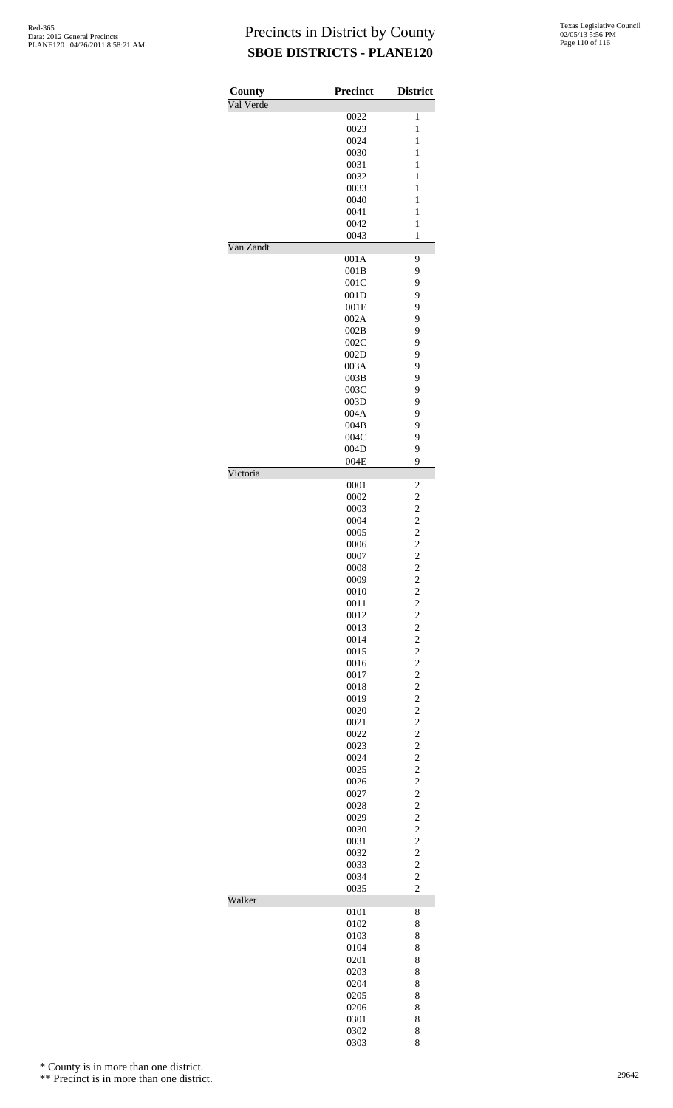| County    | <b>Precinct</b> | <b>District</b>                                 |
|-----------|-----------------|-------------------------------------------------|
| Val Verde |                 |                                                 |
|           | 0022            | 1                                               |
|           | 0023            | $\mathbf{1}$                                    |
|           | 0024<br>0030    | $\mathbf{1}$<br>$\mathbf{1}$                    |
|           | 0031            | $\mathbf{1}$                                    |
|           | 0032            | $\mathbf{1}$                                    |
|           | 0033            | 1                                               |
|           | 0040            | 1                                               |
|           | 0041            | $\mathbf{1}$                                    |
|           | 0042            | $\mathbf{1}$                                    |
|           | 0043            | $\mathbf{1}$                                    |
| Van Zandt | 001A            | 9                                               |
|           | 001B            | 9                                               |
|           | 001C            | 9                                               |
|           | 001D            | 9                                               |
|           | 001E            | 9                                               |
|           | 002A            | 9                                               |
|           | 002B            | 9                                               |
|           | 002C            | 9                                               |
|           | 002D<br>003A    | 9<br>9                                          |
|           | 003B            | 9                                               |
|           | 003C            | 9                                               |
|           | 003D            | 9                                               |
|           | 004A            | 9                                               |
|           | 004B            | 9                                               |
|           | 004C            | 9                                               |
|           | 004D            | 9                                               |
| Victoria  | 004E            | 9                                               |
|           | 0001            | $\overline{\mathbf{c}}$                         |
|           | 0002            |                                                 |
|           | 0003            | $2222$<br>$222$<br>$22$                         |
|           | 0004            |                                                 |
|           | 0005            |                                                 |
|           | 0006            |                                                 |
|           | 0007<br>0008    |                                                 |
|           | 0009            |                                                 |
|           | 0010            | $\begin{array}{c} 2 \\ 2 \\ 2 \\ 2 \end{array}$ |
|           | 0011            |                                                 |
|           | 0012            |                                                 |
|           | 0013            |                                                 |
|           | 0014            | $\overline{\mathbf{c}}$                         |
|           | 0015            |                                                 |
|           | 0016<br>0017    | $\begin{array}{c} 2 \\ 2 \\ 2 \end{array}$      |
|           | 0018            |                                                 |
|           | 0019            | $\overline{\mathbf{c}}$                         |
|           | 0020            |                                                 |
|           | 0021            |                                                 |
|           | 0022            | $\begin{array}{c} 2 \\ 2 \\ 2 \end{array}$      |
|           | 0023            |                                                 |
|           | 0024            | $\overline{c}$                                  |
|           | 0025<br>0026    | $\begin{array}{c} 2 \\ 2 \\ 2 \end{array}$      |
|           | 0027            |                                                 |
|           | 0028            |                                                 |
|           | 0029            | $\overline{c}$                                  |
|           | 0030            |                                                 |
|           | 0031            |                                                 |
|           | 0032            | $\begin{array}{c} 2 \\ 2 \\ 2 \end{array}$      |
|           | 0033            | $\overline{c}$                                  |
|           | 0034<br>0035    | $\overline{c}$                                  |
| Walker    |                 |                                                 |
|           | 0101            | 8                                               |
|           | 0102            | 8                                               |
|           | 0103            | 8                                               |
|           | 0104            | 8                                               |
|           | 0201            | 8                                               |
|           | 0203<br>0204    | 8<br>8                                          |
|           | 0205            | 8                                               |
|           | 0206            | 8                                               |
|           | 0301            | 8                                               |
|           | 0302            | 8                                               |
|           | 0303            | 8                                               |

\* County is in more than one district.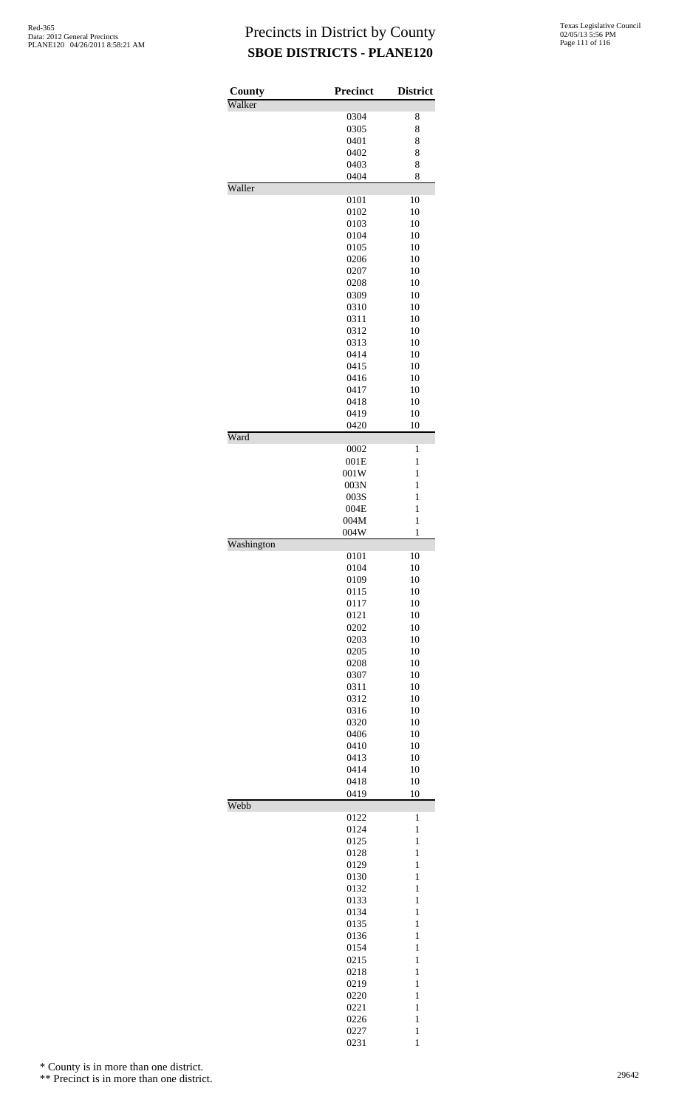| County     | <b>Precinct</b> | <b>District</b>              |
|------------|-----------------|------------------------------|
| Walker     |                 |                              |
|            | 0304            | 8                            |
|            | 0305            | 8                            |
|            | 0401            | 8                            |
|            | 0402<br>0403    | 8<br>8                       |
|            | 0404            | 8                            |
| Waller     |                 |                              |
|            | 0101            | 10                           |
|            | 0102            | 10                           |
|            | 0103            | 10                           |
|            | 0104            | 10                           |
|            | 0105            | 10                           |
|            | 0206            | 10                           |
|            | 0207            | 10                           |
|            | 0208            | 10                           |
|            | 0309            | 10                           |
|            | 0310            | 10                           |
|            | 0311<br>0312    | 10<br>10                     |
|            | 0313            | 10                           |
|            | 0414            | 10                           |
|            | 0415            | 10                           |
|            | 0416            | 10                           |
|            | 0417            | 10                           |
|            | 0418            | 10                           |
|            | 0419            | 10                           |
|            | 0420            | 10                           |
| Ward       |                 |                              |
|            | 0002            | 1                            |
|            | 001E            | 1<br>1                       |
|            | 001W            | 1                            |
|            | 003N<br>003S    | $\mathbf{1}$                 |
|            | 004E            | 1                            |
|            | 004M            | $\mathbf{1}$                 |
|            | 004W            | 1                            |
| Washington |                 |                              |
|            | 0101            | 10                           |
|            | 0104            | 10                           |
|            | 0109            | 10                           |
|            | 0115            | 10                           |
|            | 0117            | 10                           |
|            | 0121            | 10                           |
|            | 0202            | 10<br>10                     |
|            | 0203<br>0205    | 10                           |
|            | 0208            | 10                           |
|            | 0307            | 10                           |
|            | 0311            | 10                           |
|            | 0312            | 10                           |
|            | 0316            | 10                           |
|            | 0320            | 10                           |
|            | 0406            | 10                           |
|            | 0410            | 10                           |
|            | 0413            | 10                           |
|            | 0414            | 10                           |
|            | 0418<br>0419    | 10<br>10                     |
| Webb       |                 |                              |
|            | 0122            | $\mathbf{1}$                 |
|            | 0124            | $\mathbf{1}$                 |
|            | 0125            | $\mathbf{1}$                 |
|            | 0128            | $\mathbf{1}$                 |
|            | 0129            | $\mathbf{1}$                 |
|            | 0130            | $\mathbf{1}$                 |
|            | 0132            | $\mathbf{1}$                 |
|            | 0133            | $\mathbf{1}$                 |
|            | 0134            | $\mathbf{1}$<br>$\mathbf{1}$ |
|            | 0135<br>0136    | $\mathbf{1}$                 |
|            | 0154            | $\mathbf{1}$                 |
|            | 0215            | $\mathbf{1}$                 |
|            | 0218            | $\mathbf{1}$                 |
|            | 0219            | $\mathbf{1}$                 |
|            | 0220            | $\mathbf{1}$                 |
|            | 0221            | $\mathbf{1}$                 |
|            | 0226            | $\mathbf{1}$                 |
|            | 0227            | $\mathbf{1}$                 |
|            | 0231            | $\mathbf{1}$                 |

\* County is in more than one district.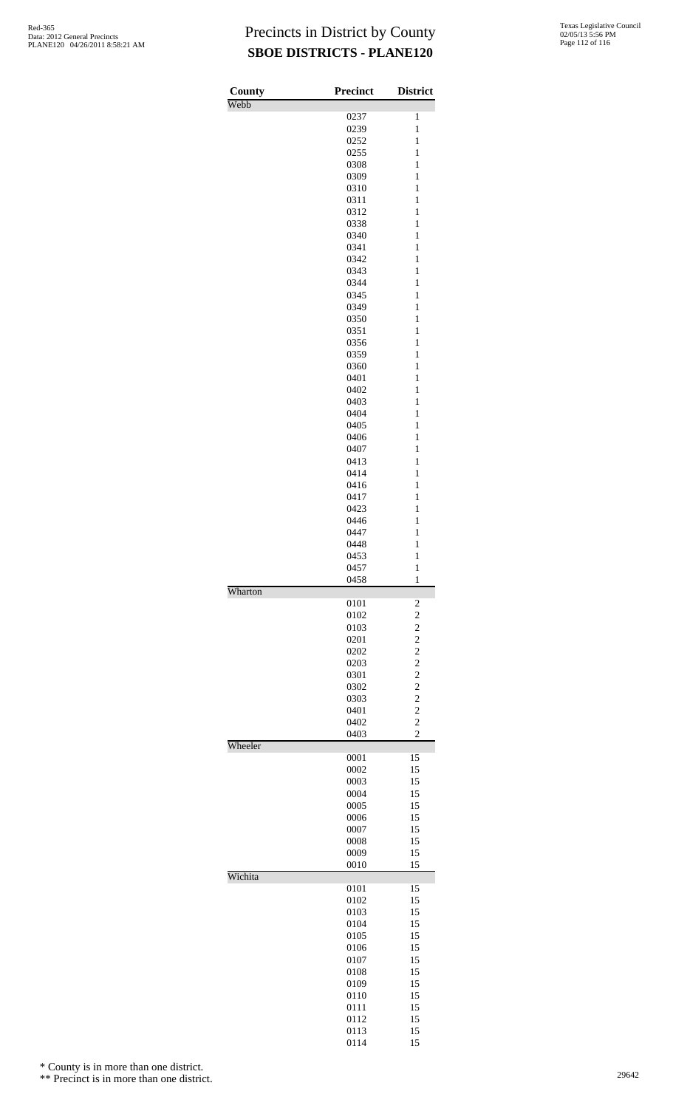| County  | <b>Precinct</b> | <b>District</b>                  |
|---------|-----------------|----------------------------------|
| Webb    | 0237            | $\mathbf{1}$                     |
|         | 0239            | $\mathbf{1}$                     |
|         | 0252            | $\mathbf{1}$                     |
|         | 0255            | $\mathbf{1}$                     |
|         | 0308            | $\mathbf{1}$                     |
|         | 0309            | $\mathbf{1}$                     |
|         | 0310            | $\mathbf{1}$                     |
|         | 0311            | $\mathbf{1}$                     |
|         | 0312            | $\mathbf{1}$                     |
|         | 0338            | $\mathbf{1}$                     |
|         | 0340            | $\mathbf{1}$                     |
|         | 0341            | $\mathbf{1}$                     |
|         | 0342            | $\mathbf{1}$                     |
|         | 0343            | $\mathbf{1}$                     |
|         | 0344<br>0345    | $\mathbf{1}$<br>$\mathbf{1}$     |
|         | 0349            | $\mathbf{1}$                     |
|         | 0350            | $\mathbf{1}$                     |
|         | 0351            | $\mathbf{1}$                     |
|         | 0356            | $\mathbf{1}$                     |
|         | 0359            | $\mathbf{1}$                     |
|         | 0360            | $\mathbf{1}$                     |
|         | 0401            | $\mathbf{1}$                     |
|         | 0402            | $\mathbf{1}$                     |
|         | 0403            | $\mathbf{1}$                     |
|         | 0404            | $\mathbf{1}$                     |
|         | 0405            | $\mathbf{1}$                     |
|         | 0406            | $\mathbf{1}$                     |
|         | 0407            | $\mathbf{1}$                     |
|         | 0413            | $\mathbf{1}$                     |
|         | 0414            | $\mathbf{1}$                     |
|         | 0416            | $\mathbf{1}$                     |
|         | 0417            | $\mathbf{1}$                     |
|         | 0423            | $\mathbf{1}$<br>$\mathbf{1}$     |
|         | 0446<br>0447    | $\mathbf{1}$                     |
|         | 0448            | $\mathbf{1}$                     |
|         | 0453            | $\mathbf{1}$                     |
|         | 0457            | $\mathbf{1}$                     |
|         | 0458            | 1                                |
| Wharton |                 |                                  |
|         | 0101            | $\overline{c}$                   |
|         | 0102            | $\overline{c}$                   |
|         | 0103<br>0201    | $\overline{c}$<br>$\overline{c}$ |
|         | 0202            | $\overline{c}$                   |
|         | 0203            | $\overline{c}$                   |
|         | 0301            | $\overline{c}$                   |
|         | 0302            | $\overline{c}$                   |
|         | 0303            | $\overline{c}$                   |
|         | 0401            | $\overline{c}$                   |
|         | 0402            | $\overline{c}$                   |
|         | 0403            | $\overline{2}$                   |
| Wheeler |                 |                                  |
|         | 0001<br>0002    | 15                               |
|         | 0003            | 15<br>15                         |
|         | 0004            | 15                               |
|         | 0005            | 15                               |
|         | 0006            | 15                               |
|         | 0007            | 15                               |
|         | 0008            | 15                               |
|         | 0009            | 15                               |
|         | 0010            | 15                               |
| Wichita | 0101            | 15                               |
|         | 0102            | 15                               |
|         | 0103            | 15                               |
|         | 0104            | 15                               |
|         | 0105            | 15                               |
|         | 0106            | 15                               |
|         | 0107            | 15                               |
|         | 0108            | 15                               |
|         | 0109            | 15                               |
|         | 0110            | 15                               |
|         | 0111            | 15                               |
|         | 0112            | 15                               |
|         | 0113            | 15                               |

15

\* County is in more than one district.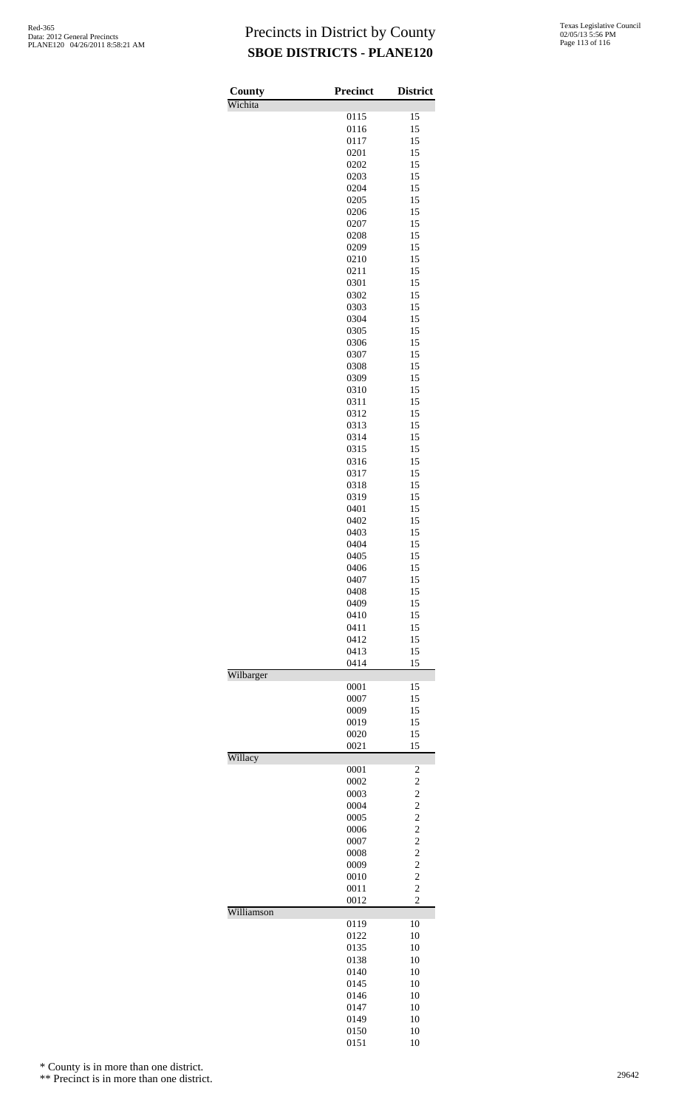| Texas Legislative Council |
|---------------------------|
| 02/05/13 5:56 PM          |
| Page 113 of 116           |

| County     | <b>Precinct</b> | <b>District</b>                  |
|------------|-----------------|----------------------------------|
| Wichita    |                 |                                  |
|            | 0115            | 15                               |
|            | 0116<br>0117    | 15<br>15                         |
|            | 0201            | 15                               |
|            | 0202            | 15                               |
|            | 0203            | 15                               |
|            | 0204            | 15                               |
|            | 0205<br>0206    | 15<br>15                         |
|            | 0207            | 15                               |
|            | 0208            | 15                               |
|            | 0209            | 15                               |
|            | 0210            | 15                               |
|            | 0211<br>0301    | 15<br>15                         |
|            | 0302            | 15                               |
|            | 0303            | 15                               |
|            | 0304            | 15                               |
|            | 0305            | 15                               |
|            | 0306<br>0307    | 15<br>15                         |
|            | 0308            | 15                               |
|            | 0309            | 15                               |
|            | 0310            | 15                               |
|            | 0311            | 15                               |
|            | 0312            | 15                               |
|            | 0313<br>0314    | 15<br>15                         |
|            | 0315            | 15                               |
|            | 0316            | 15                               |
|            | 0317            | 15                               |
|            | 0318            | 15                               |
|            | 0319<br>0401    | 15<br>15                         |
|            | 0402            | 15                               |
|            | 0403            | 15                               |
|            | 0404            | 15                               |
|            | 0405            | 15                               |
|            | 0406<br>0407    | 15<br>15                         |
|            | 0408            | 15                               |
|            | 0409            | 15                               |
|            | 0410            | 15                               |
|            | 0411            | 15                               |
|            | 0412<br>0413    | 15<br>15                         |
|            | 0414            | 15                               |
| Wilbarger  |                 |                                  |
|            | 0001            | 15                               |
|            | 0007<br>0009    | 15<br>15                         |
|            | 0019            | 15                               |
|            | 0020            | 15                               |
|            | 0021            | 15                               |
| Willacy    |                 |                                  |
|            | 0001<br>0002    | 2<br>$\overline{c}$              |
|            | 0003            | $\overline{c}$                   |
|            | 0004            | $\overline{c}$                   |
|            | 0005            | $\overline{c}$                   |
|            | 0006<br>0007    | $\overline{c}$<br>$\overline{c}$ |
|            | 0008            | $\overline{c}$                   |
|            | 0009            | $\overline{c}$                   |
|            | 0010            | $\overline{c}$                   |
|            | 0011            | $\overline{c}$                   |
| Williamson | 0012            | $\overline{c}$                   |
|            | 0119            | 10                               |
|            | 0122            | 10                               |
|            | 0135            | 10                               |
|            | 0138            | 10                               |
|            | 0140<br>0145    | 10<br>10                         |
|            | 0146            | 10                               |
|            | 0147            | 10                               |
|            | 0149            | 10                               |
|            | 0150<br>0151    | 10<br>10                         |
|            |                 |                                  |

\* County is in more than one district.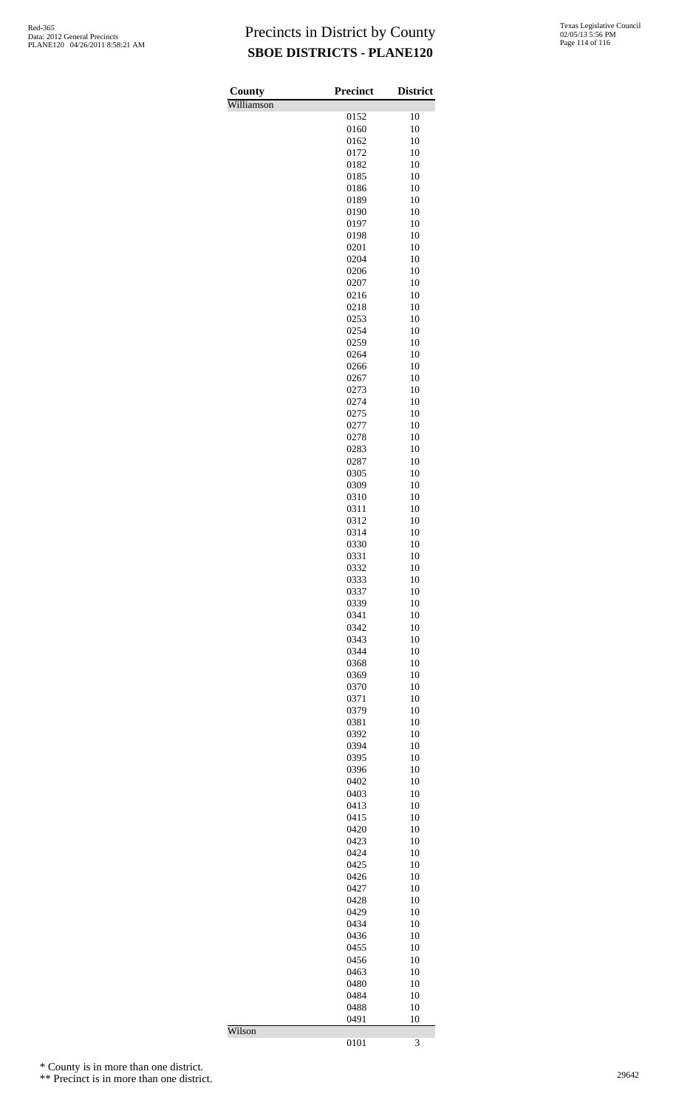| Texas Legislative Council |
|---------------------------|
| 02/05/13 5:56 PM          |
| Page 114 of 116           |

| County     | <b>Precinct</b> | <b>District</b> |
|------------|-----------------|-----------------|
| Williamson | 0152            | 10              |
|            | 0160            | 10              |
|            | 0162            | 10              |
|            | 0172            | 10              |
|            | 0182            | 10              |
|            | 0185<br>0186    | 10<br>10        |
|            | 0189            | 10              |
|            | 0190            | 10              |
|            | 0197            | 10              |
|            | 0198            | 10              |
|            | 0201<br>0204    | 10<br>10        |
|            | 0206            | 10              |
|            | 0207            | 10              |
|            | 0216            | 10              |
|            | 0218            | 10              |
|            | 0253<br>0254    | 10<br>10        |
|            | 0259            | 10              |
|            | 0264            | 10              |
|            | 0266            | 10              |
|            | 0267            | 10              |
|            | 0273<br>0274    | 10<br>10        |
|            | 0275            | 10              |
|            | 0277            | 10              |
|            | 0278            | 10              |
|            | 0283            | 10              |
|            | 0287<br>0305    | 10<br>10        |
|            | 0309            | 10              |
|            | 0310            | 10              |
|            | 0311            | 10              |
|            | 0312            | 10              |
|            | 0314<br>0330    | 10<br>10        |
|            | 0331            | 10              |
|            | 0332            | 10              |
|            | 0333            | 10              |
|            | 0337            | 10              |
|            | 0339<br>0341    | 10<br>10        |
|            | 0342            | 10              |
|            | 0343            | 10              |
|            | 0344            | 10              |
|            | 0368            | 10              |
|            | 0369<br>0370    | 10<br>10        |
|            | 0371            | 10              |
|            | 0379            | 10              |
|            | 0381            | 10              |
|            | 0392            | 10              |
|            | 0394<br>0395    | 10<br>10        |
|            | 0396            | 10              |
|            | 0402            | 10              |
|            | 0403            | 10              |
|            | 0413            | 10              |
|            | 0415<br>0420    | 10<br>10        |
|            | 0423            | 10              |
|            | 0424            | 10              |
|            | 0425            | 10              |
|            | 0426            | 10              |
|            | 0427<br>0428    | 10<br>10        |
|            | 0429            | 10              |
|            | 0434            | 10              |
|            | 0436            | 10              |
|            | 0455            | 10              |
|            | 0456<br>0463    | 10<br>10        |
|            | 0480            | 10              |
|            | 0484            | 10              |
|            | 0488            | 10              |
|            | 0491            | 10              |
| Wilson     | 0101            | 3               |

\* County is in more than one district.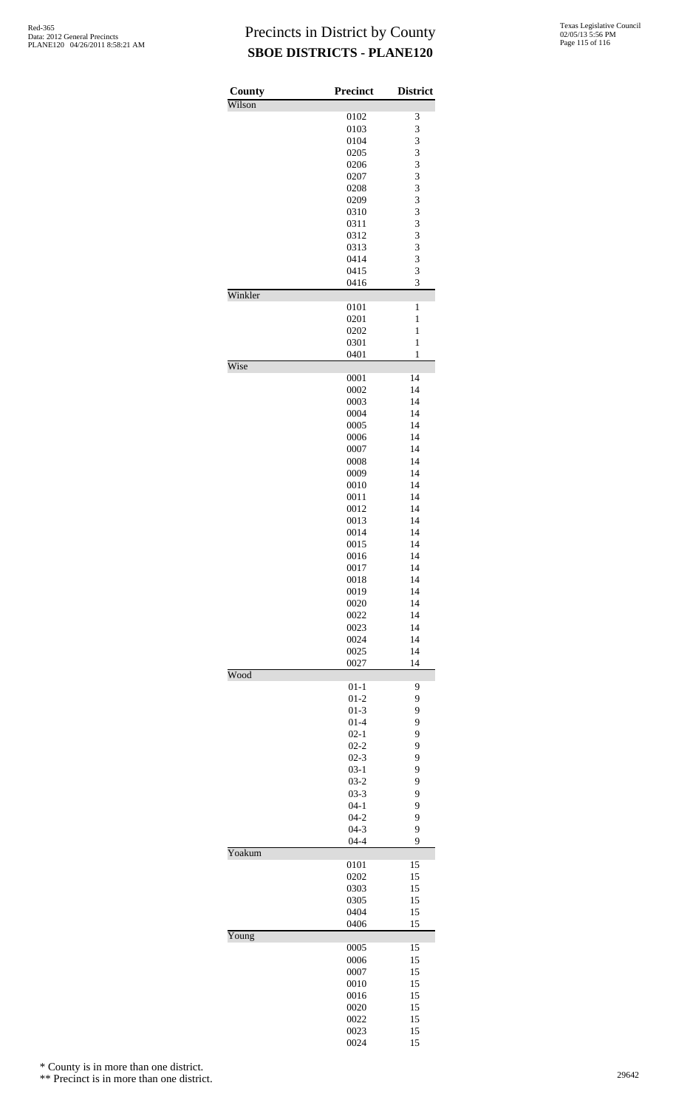| County<br>Wilson | <b>Precinct</b>      | <b>District</b> |
|------------------|----------------------|-----------------|
|                  | 0102                 | 3               |
|                  | 0103                 | 3               |
|                  | 0104                 | 3               |
|                  | 0205                 | 3               |
|                  | 0206                 | 3               |
|                  | 0207                 | 3               |
|                  | 0208                 | 3               |
|                  | 0209                 | 3               |
|                  | 0310                 | 3               |
|                  | 0311                 | 3               |
|                  | 0312                 | 3               |
|                  | 0313                 | 3               |
|                  | 0414                 | 3               |
|                  | 0415<br>0416         | 3<br>3          |
| Winkler          | 0101                 | $\mathbf{1}$    |
|                  | 0201                 | 1               |
|                  | 0202                 | $\mathbf{1}$    |
|                  | 0301                 | $\mathbf{1}$    |
|                  | 0401                 | 1               |
| Wise             | 0001                 | 14              |
|                  | 0002                 | 14              |
|                  | 0003                 | 14              |
|                  | 0004                 | 14              |
|                  | 0005                 | 14              |
|                  | 0006                 | 14              |
|                  | 0007                 | 14              |
|                  | 0008                 | 14              |
|                  | 0009                 | 14              |
|                  | 0010                 | 14<br>14        |
|                  | 0011<br>0012         | 14              |
|                  | 0013                 | 14              |
|                  | 0014                 | 14              |
|                  | 0015                 | 14              |
|                  | 0016                 | 14              |
|                  | 0017                 | 14              |
|                  | 0018                 | 14              |
|                  | 0019                 | 14              |
|                  | 0020                 | 14              |
|                  | 0022                 | 14              |
|                  | 0023                 | 14              |
|                  | 0024                 | 14              |
|                  | 0025                 | 14              |
| Wood             | 0027                 | 14              |
|                  | $01 - 1$             | 9               |
|                  | $01 - 2$             | 9               |
|                  | $01-3$               | 9               |
|                  | $01 - 4$             | 9               |
|                  | $02 - 1$             | 9               |
|                  | $02 - 2$             | 9               |
|                  | $02 - 3$             | 9               |
|                  | $03-1$               | 9               |
|                  | $03-2$               | 9               |
|                  | $03 - 3$<br>$04 - 1$ | 9<br>9          |
|                  | $04-2$               | 9               |
|                  | $04 - 3$             | 9               |
|                  | $04 - 4$             | 9               |
| Yoakum           |                      |                 |
|                  | 0101                 | 15              |
|                  | 0202                 | 15              |
|                  | 0303                 | 15              |
|                  | 0305                 | 15              |
|                  | 0404<br>0406         | 15<br>15        |
| Young            |                      |                 |
|                  | 0005                 | 15              |
|                  | 0006                 | 15              |
|                  | 0007                 | 15<br>15        |
|                  | 0010<br>0016         | 15              |
|                  | 0020                 | 15              |
|                  | 0022                 | 15              |
|                  | 0023                 | 15              |
|                  | 0024                 | 15              |

\* County is in more than one district.